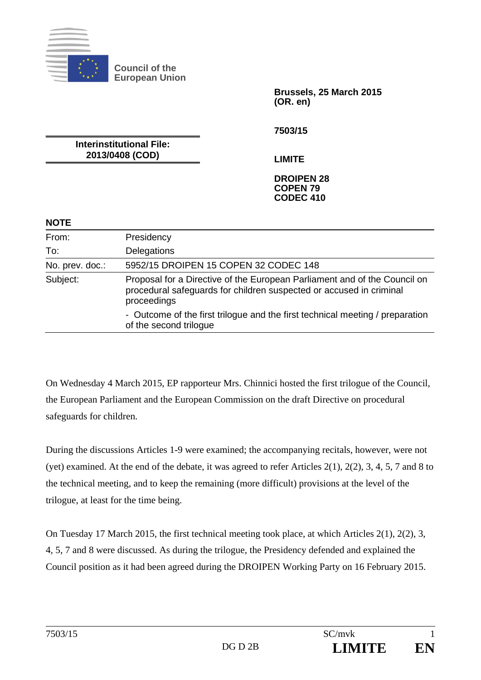

**Council of the European Union** 

**Brussels, 25 March 2015 (OR. en)** 

**7503/15** 

**Interinstitutional File: 2013/0408 (COD)** 

**LIMITE** 

## **DROIPEN 28 COPEN 79 CODEC 410**

## **NOTE**

| From:           | Presidency                                                                                                                                                      |
|-----------------|-----------------------------------------------------------------------------------------------------------------------------------------------------------------|
| To:             | Delegations                                                                                                                                                     |
| No. prev. doc.: | 5952/15 DROIPEN 15 COPEN 32 CODEC 148                                                                                                                           |
| Subject:        | Proposal for a Directive of the European Parliament and of the Council on<br>procedural safeguards for children suspected or accused in criminal<br>proceedings |
|                 | - Outcome of the first trilogue and the first technical meeting / preparation<br>of the second trilogue                                                         |

On Wednesday 4 March 2015, EP rapporteur Mrs. Chinnici hosted the first trilogue of the Council, the European Parliament and the European Commission on the draft Directive on procedural safeguards for children.

During the discussions Articles 1-9 were examined; the accompanying recitals, however, were not (yet) examined. At the end of the debate, it was agreed to refer Articles 2(1), 2(2), 3, 4, 5, 7 and 8 to the technical meeting, and to keep the remaining (more difficult) provisions at the level of the trilogue, at least for the time being.

On Tuesday 17 March 2015, the first technical meeting took place, at which Articles 2(1), 2(2), 3, 4, 5, 7 and 8 were discussed. As during the trilogue, the Presidency defended and explained the Council position as it had been agreed during the DROIPEN Working Party on 16 February 2015.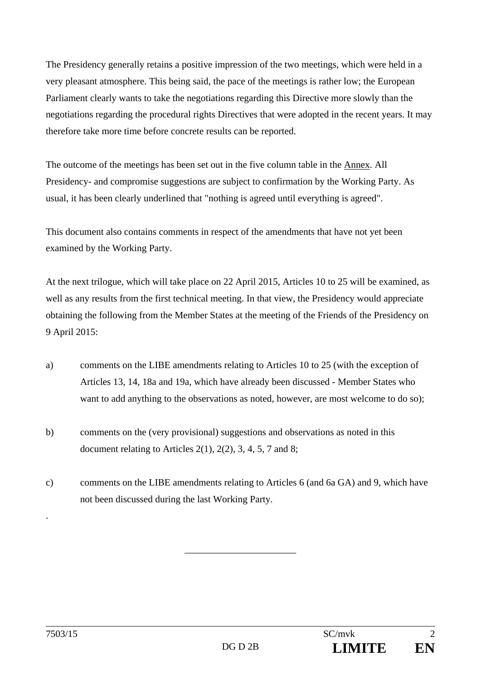The Presidency generally retains a positive impression of the two meetings, which were held in a very pleasant atmosphere. This being said, the pace of the meetings is rather low; the European Parliament clearly wants to take the negotiations regarding this Directive more slowly than the negotiations regarding the procedural rights Directives that were adopted in the recent years. It may therefore take more time before concrete results can be reported.

The outcome of the meetings has been set out in the five column table in the Annex. All Presidency- and compromise suggestions are subject to confirmation by the Working Party. As usual, it has been clearly underlined that "nothing is agreed until everything is agreed".

This document also contains comments in respect of the amendments that have not yet been examined by the Working Party.

At the next trilogue, which will take place on 22 April 2015, Articles 10 to 25 will be examined, as well as any results from the first technical meeting. In that view, the Presidency would appreciate obtaining the following from the Member States at the meeting of the Friends of the Presidency on 9 April 2015:

- a) comments on the LIBE amendments relating to Articles 10 to 25 (with the exception of Articles 13, 14, 18a and 19a, which have already been discussed - Member States who want to add anything to the observations as noted, however, are most welcome to do so);
- b) comments on the (very provisional) suggestions and observations as noted in this document relating to Articles  $2(1)$ ,  $2(2)$ , 3, 4, 5, 7 and 8;
- c) comments on the LIBE amendments relating to Articles 6 (and 6a GA) and 9, which have not been discussed during the last Working Party.

\_\_\_\_\_\_\_\_\_\_\_\_\_\_\_\_\_\_\_\_\_\_\_

.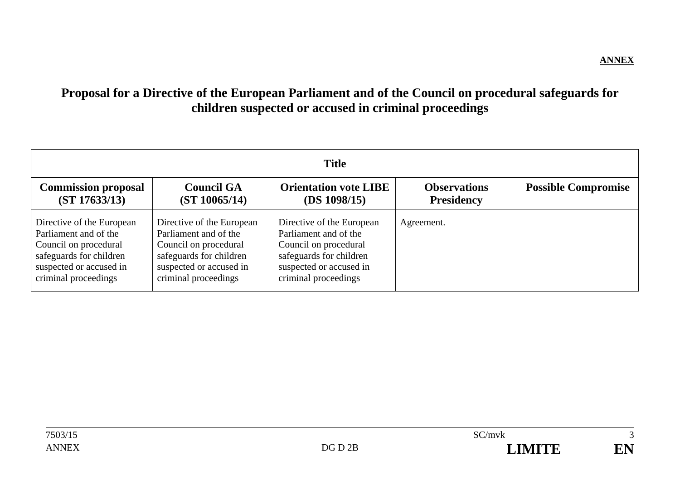## **Proposal for a Directive of the European Parliament and of the Council on procedural safeguards for children suspected or accused in criminal proceedings**

| <b>Title</b>                                                                                                                                              |                                                                                                                                                           |                                                                                                                                                           |                                          |                            |
|-----------------------------------------------------------------------------------------------------------------------------------------------------------|-----------------------------------------------------------------------------------------------------------------------------------------------------------|-----------------------------------------------------------------------------------------------------------------------------------------------------------|------------------------------------------|----------------------------|
| <b>Commission proposal</b><br>(ST 17633/13)                                                                                                               | <b>Council GA</b><br>(ST 10065/14)                                                                                                                        | <b>Orientation vote LIBE</b><br>(DS 1098/15)                                                                                                              | <b>Observations</b><br><b>Presidency</b> | <b>Possible Compromise</b> |
| Directive of the European<br>Parliament and of the<br>Council on procedural<br>safeguards for children<br>suspected or accused in<br>criminal proceedings | Directive of the European<br>Parliament and of the<br>Council on procedural<br>safeguards for children<br>suspected or accused in<br>criminal proceedings | Directive of the European<br>Parliament and of the<br>Council on procedural<br>safeguards for children<br>suspected or accused in<br>criminal proceedings | Agreement.                               |                            |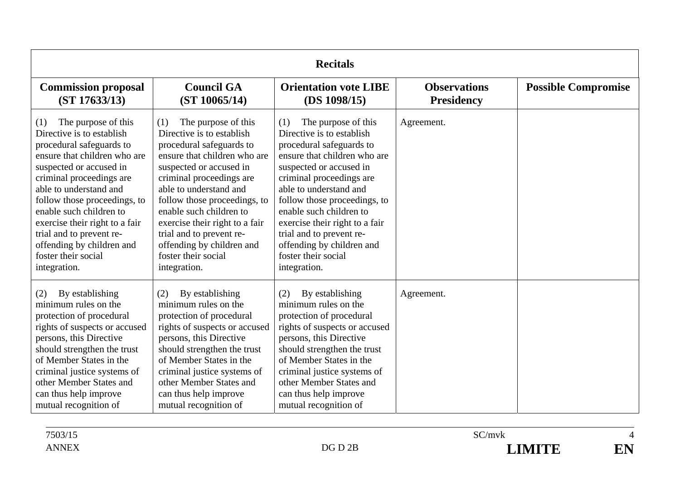|                                                                                                                                                                                                                                                                                                                                                                                                   | <b>Recitals</b>                                                                                                                                                                                                                                                                                                                                                                                   |                                                                                                                                                                                                                                                                                                                                                                                                    |                                          |                            |  |
|---------------------------------------------------------------------------------------------------------------------------------------------------------------------------------------------------------------------------------------------------------------------------------------------------------------------------------------------------------------------------------------------------|---------------------------------------------------------------------------------------------------------------------------------------------------------------------------------------------------------------------------------------------------------------------------------------------------------------------------------------------------------------------------------------------------|----------------------------------------------------------------------------------------------------------------------------------------------------------------------------------------------------------------------------------------------------------------------------------------------------------------------------------------------------------------------------------------------------|------------------------------------------|----------------------------|--|
| <b>Commission proposal</b><br>(ST 17633/13)                                                                                                                                                                                                                                                                                                                                                       | <b>Council GA</b><br>(ST 10065/14)                                                                                                                                                                                                                                                                                                                                                                | <b>Orientation vote LIBE</b><br>(DS 1098/15)                                                                                                                                                                                                                                                                                                                                                       | <b>Observations</b><br><b>Presidency</b> | <b>Possible Compromise</b> |  |
| The purpose of this<br>(1)<br>Directive is to establish<br>procedural safeguards to<br>ensure that children who are<br>suspected or accused in<br>criminal proceedings are<br>able to understand and<br>follow those proceedings, to<br>enable such children to<br>exercise their right to a fair<br>trial and to prevent re-<br>offending by children and<br>foster their social<br>integration. | The purpose of this<br>(1)<br>Directive is to establish<br>procedural safeguards to<br>ensure that children who are<br>suspected or accused in<br>criminal proceedings are<br>able to understand and<br>follow those proceedings, to<br>enable such children to<br>exercise their right to a fair<br>trial and to prevent re-<br>offending by children and<br>foster their social<br>integration. | The purpose of this<br>(1)<br>Directive is to establish.<br>procedural safeguards to<br>ensure that children who are<br>suspected or accused in<br>criminal proceedings are<br>able to understand and<br>follow those proceedings, to<br>enable such children to<br>exercise their right to a fair<br>trial and to prevent re-<br>offending by children and<br>foster their social<br>integration. | Agreement.                               |                            |  |
| By establishing<br>(2)<br>minimum rules on the<br>protection of procedural<br>rights of suspects or accused<br>persons, this Directive<br>should strengthen the trust<br>of Member States in the<br>criminal justice systems of<br>other Member States and<br>can thus help improve<br>mutual recognition of                                                                                      | By establishing<br>(2)<br>minimum rules on the<br>protection of procedural<br>rights of suspects or accused<br>persons, this Directive<br>should strengthen the trust<br>of Member States in the<br>criminal justice systems of<br>other Member States and<br>can thus help improve<br>mutual recognition of                                                                                      | By establishing<br>(2)<br>minimum rules on the<br>protection of procedural<br>rights of suspects or accused<br>persons, this Directive<br>should strengthen the trust<br>of Member States in the<br>criminal justice systems of<br>other Member States and<br>can thus help improve<br>mutual recognition of                                                                                       | Agreement.                               |                            |  |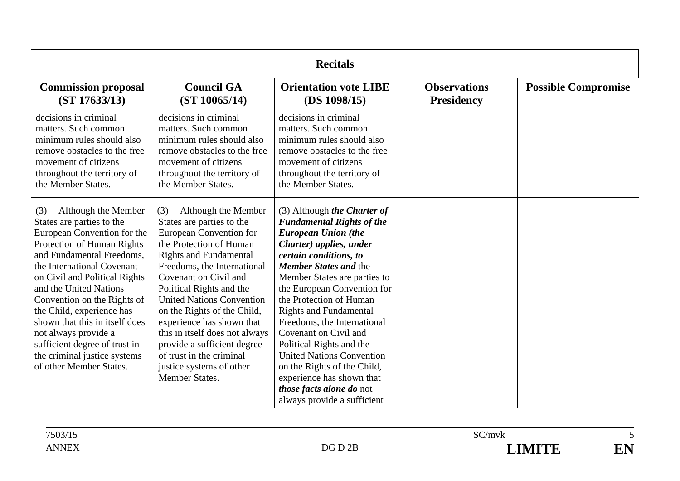| <b>Recitals</b>                                                                                                                                                                                                                                                                                                                                                                                                                                              |                                                                                                                                                                                                                                                                                                                                                                                                                                                                                      |                                                                                                                                                                                                                                                                                                                                                                                                                                                                                                                                                              |                                          |                            |
|--------------------------------------------------------------------------------------------------------------------------------------------------------------------------------------------------------------------------------------------------------------------------------------------------------------------------------------------------------------------------------------------------------------------------------------------------------------|--------------------------------------------------------------------------------------------------------------------------------------------------------------------------------------------------------------------------------------------------------------------------------------------------------------------------------------------------------------------------------------------------------------------------------------------------------------------------------------|--------------------------------------------------------------------------------------------------------------------------------------------------------------------------------------------------------------------------------------------------------------------------------------------------------------------------------------------------------------------------------------------------------------------------------------------------------------------------------------------------------------------------------------------------------------|------------------------------------------|----------------------------|
| <b>Commission proposal</b><br>(ST 17633/13)                                                                                                                                                                                                                                                                                                                                                                                                                  | <b>Council GA</b><br>(ST 10065/14)                                                                                                                                                                                                                                                                                                                                                                                                                                                   | <b>Orientation vote LIBE</b><br>(DS 1098/15)                                                                                                                                                                                                                                                                                                                                                                                                                                                                                                                 | <b>Observations</b><br><b>Presidency</b> | <b>Possible Compromise</b> |
| decisions in criminal<br>matters. Such common<br>minimum rules should also<br>remove obstacles to the free<br>movement of citizens<br>throughout the territory of<br>the Member States.                                                                                                                                                                                                                                                                      | decisions in criminal<br>matters. Such common<br>minimum rules should also<br>remove obstacles to the free<br>movement of citizens<br>throughout the territory of<br>the Member States.                                                                                                                                                                                                                                                                                              | decisions in criminal<br>matters. Such common<br>minimum rules should also<br>remove obstacles to the free<br>movement of citizens<br>throughout the territory of<br>the Member States.                                                                                                                                                                                                                                                                                                                                                                      |                                          |                            |
| Although the Member<br>(3)<br>States are parties to the<br>European Convention for the<br>Protection of Human Rights<br>and Fundamental Freedoms,<br>the International Covenant<br>on Civil and Political Rights<br>and the United Nations<br>Convention on the Rights of<br>the Child, experience has<br>shown that this in itself does<br>not always provide a<br>sufficient degree of trust in<br>the criminal justice systems<br>of other Member States. | Although the Member<br>(3)<br>States are parties to the<br>European Convention for<br>the Protection of Human<br><b>Rights and Fundamental</b><br>Freedoms, the International<br>Covenant on Civil and<br>Political Rights and the<br><b>United Nations Convention</b><br>on the Rights of the Child,<br>experience has shown that<br>this in itself does not always<br>provide a sufficient degree<br>of trust in the criminal<br>justice systems of other<br><b>Member States.</b> | (3) Although the Charter of<br><b>Fundamental Rights of the</b><br><b>European Union (the</b><br>Charter) applies, under<br>certain conditions, to<br><b>Member States and the</b><br>Member States are parties to<br>the European Convention for<br>the Protection of Human<br><b>Rights and Fundamental</b><br>Freedoms, the International<br>Covenant on Civil and<br>Political Rights and the<br><b>United Nations Convention</b><br>on the Rights of the Child,<br>experience has shown that<br>those facts alone do not<br>always provide a sufficient |                                          |                            |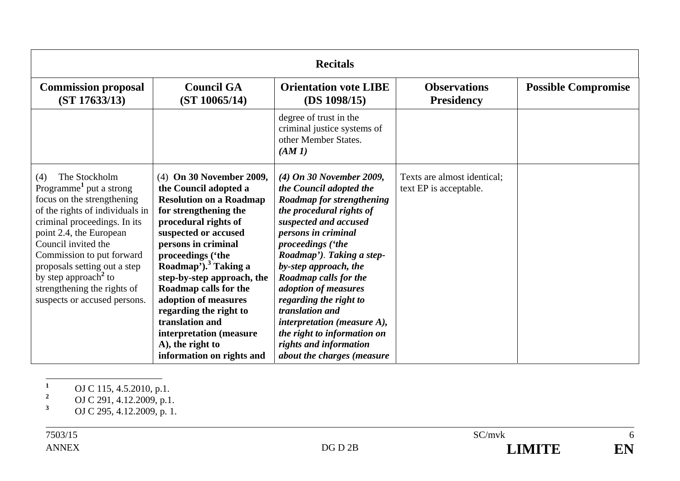| <b>Recitals</b>                                                                                                                                                                                                                                                                                                                                                                |                                                                                                                                                                                                                                                                                                                                                                                                                                                      |                                                                                                                                                                                                                                                                                                                                                                                                                                                               |                                                       |                            |
|--------------------------------------------------------------------------------------------------------------------------------------------------------------------------------------------------------------------------------------------------------------------------------------------------------------------------------------------------------------------------------|------------------------------------------------------------------------------------------------------------------------------------------------------------------------------------------------------------------------------------------------------------------------------------------------------------------------------------------------------------------------------------------------------------------------------------------------------|---------------------------------------------------------------------------------------------------------------------------------------------------------------------------------------------------------------------------------------------------------------------------------------------------------------------------------------------------------------------------------------------------------------------------------------------------------------|-------------------------------------------------------|----------------------------|
| <b>Commission proposal</b><br>(ST 17633/13)                                                                                                                                                                                                                                                                                                                                    | <b>Council GA</b><br>(ST 10065/14)                                                                                                                                                                                                                                                                                                                                                                                                                   | <b>Orientation vote LIBE</b><br>(DS 1098/15)                                                                                                                                                                                                                                                                                                                                                                                                                  | <b>Observations</b><br><b>Presidency</b>              | <b>Possible Compromise</b> |
|                                                                                                                                                                                                                                                                                                                                                                                |                                                                                                                                                                                                                                                                                                                                                                                                                                                      | degree of trust in the<br>criminal justice systems of<br>other Member States.<br>(AM1)                                                                                                                                                                                                                                                                                                                                                                        |                                                       |                            |
| The Stockholm<br>(4)<br>Programme <sup>1</sup> put a strong<br>focus on the strengthening<br>of the rights of individuals in<br>criminal proceedings. In its<br>point 2.4, the European<br>Council invited the<br>Commission to put forward<br>proposals setting out a step<br>by step approach <sup>2</sup> to<br>strengthening the rights of<br>suspects or accused persons. | (4) On 30 November 2009,<br>the Council adopted a<br><b>Resolution on a Roadmap</b><br>for strengthening the<br>procedural rights of<br>suspected or accused<br>persons in criminal<br>proceedings ('the<br>Roadmap'). <sup>3</sup> Taking a<br>step-by-step approach, the<br>Roadmap calls for the<br>adoption of measures<br>regarding the right to<br>translation and<br>interpretation (measure<br>A), the right to<br>information on rights and | $(4)$ On 30 November 2009,<br>the Council adopted the<br>Roadmap for strengthening<br>the procedural rights of<br>suspected and accused<br>persons in criminal<br>proceedings ('the<br>Roadmap'). Taking a step-<br>by-step approach, the<br>Roadmap calls for the<br>adoption of measures<br>regarding the right to<br>translation and<br>interpretation (measure A),<br>the right to information on<br>rights and information<br>about the charges (measure | Texts are almost identical;<br>text EP is acceptable. |                            |

**<sup>1</sup>** OJ C 115, 4.5.2010, p.1.

**<sup>2</sup>** OJ C 291, 4.12.2009, p.1.

**<sup>3</sup>** OJ C 295, 4.12.2009, p. 1.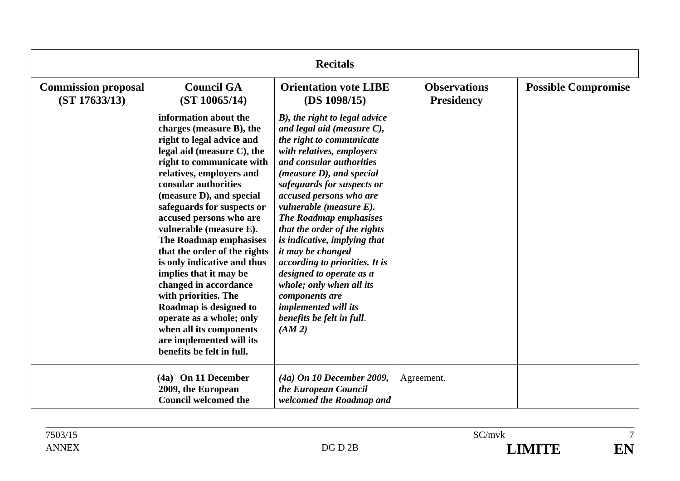|                                             | <b>Recitals</b>                                                                                                                                                                                                                                                                                                                                                                                                                                                                                                                                                                                                             |                                                                                                                                                                                                                                                                                                                                                                                                                                                                                                                                                                                   |                                          |                            |  |
|---------------------------------------------|-----------------------------------------------------------------------------------------------------------------------------------------------------------------------------------------------------------------------------------------------------------------------------------------------------------------------------------------------------------------------------------------------------------------------------------------------------------------------------------------------------------------------------------------------------------------------------------------------------------------------------|-----------------------------------------------------------------------------------------------------------------------------------------------------------------------------------------------------------------------------------------------------------------------------------------------------------------------------------------------------------------------------------------------------------------------------------------------------------------------------------------------------------------------------------------------------------------------------------|------------------------------------------|----------------------------|--|
| <b>Commission proposal</b><br>(ST 17633/13) | <b>Council GA</b><br>(ST 10065/14)                                                                                                                                                                                                                                                                                                                                                                                                                                                                                                                                                                                          | <b>Orientation vote LIBE</b><br>(DS 1098/15)                                                                                                                                                                                                                                                                                                                                                                                                                                                                                                                                      | <b>Observations</b><br><b>Presidency</b> | <b>Possible Compromise</b> |  |
|                                             | information about the<br>charges (measure B), the<br>right to legal advice and<br>legal aid (measure C), the<br>right to communicate with<br>relatives, employers and<br>consular authorities<br>(measure D), and special<br>safeguards for suspects or<br>accused persons who are<br>vulnerable (measure E).<br>The Roadmap emphasises<br>that the order of the rights<br>is only indicative and thus<br>implies that it may be<br>changed in accordance<br>with priorities. The<br>Roadmap is designed to<br>operate as a whole; only<br>when all its components<br>are implemented will its<br>benefits be felt in full. | B), the right to legal advice<br>and legal aid (measure $C$ ),<br>the right to communicate<br>with relatives, employers<br>and consular authorities<br>$(measure D)$ , and special<br>safeguards for suspects or<br>accused persons who are<br>vulnerable (measure $E$ ).<br><b>The Roadmap emphasises</b><br>that the order of the rights<br>is indicative, implying that<br>it may be changed<br>according to priorities. It is<br>designed to operate as a<br>whole; only when all its<br>components are<br><i>implemented will its</i><br>benefits be felt in full.<br>(AM 2) |                                          |                            |  |
|                                             | (4a) On 11 December<br>2009, the European<br><b>Council welcomed the</b>                                                                                                                                                                                                                                                                                                                                                                                                                                                                                                                                                    | $(4a)$ On 10 December 2009,<br>the European Council<br>welcomed the Roadmap and                                                                                                                                                                                                                                                                                                                                                                                                                                                                                                   | Agreement.                               |                            |  |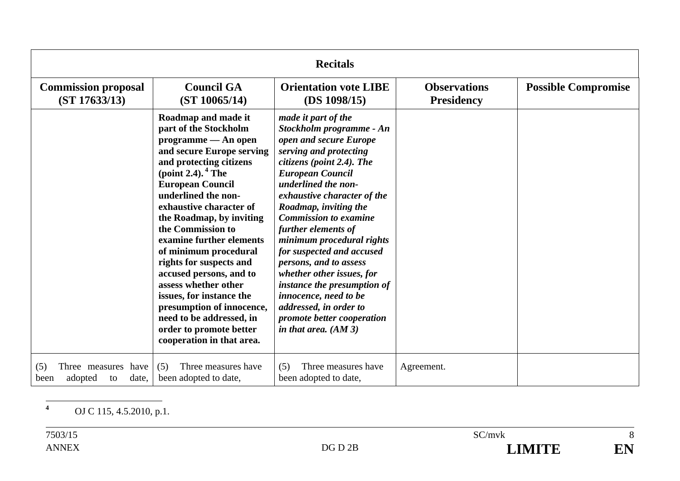| <b>Recitals</b>                                                 |                                                                                                                                                                                                                                                                                                                                                                                                                                                                                                                                                                     |                                                                                                                                                                                                                                                                                                                                                                                                                                                                                                                                                              |                                          |                            |
|-----------------------------------------------------------------|---------------------------------------------------------------------------------------------------------------------------------------------------------------------------------------------------------------------------------------------------------------------------------------------------------------------------------------------------------------------------------------------------------------------------------------------------------------------------------------------------------------------------------------------------------------------|--------------------------------------------------------------------------------------------------------------------------------------------------------------------------------------------------------------------------------------------------------------------------------------------------------------------------------------------------------------------------------------------------------------------------------------------------------------------------------------------------------------------------------------------------------------|------------------------------------------|----------------------------|
| <b>Commission proposal</b><br>(ST 17633/13)                     | <b>Council GA</b><br>(ST 10065/14)                                                                                                                                                                                                                                                                                                                                                                                                                                                                                                                                  | <b>Orientation vote LIBE</b><br>(DS 1098/15)                                                                                                                                                                                                                                                                                                                                                                                                                                                                                                                 | <b>Observations</b><br><b>Presidency</b> | <b>Possible Compromise</b> |
|                                                                 | Roadmap and made it<br>part of the Stockholm<br>$programme - An open$<br>and secure Europe serving<br>and protecting citizens<br>(point 2.4). $4$ The<br><b>European Council</b><br>underlined the non-<br>exhaustive character of<br>the Roadmap, by inviting<br>the Commission to<br>examine further elements<br>of minimum procedural<br>rights for suspects and<br>accused persons, and to<br>assess whether other<br>issues, for instance the<br>presumption of innocence,<br>need to be addressed, in<br>order to promote better<br>cooperation in that area. | made it part of the<br>Stockholm programme - An<br>open and secure Europe<br>serving and protecting<br>citizens (point 2.4). The<br><b>European Council</b><br>underlined the non-<br>exhaustive character of the<br>Roadmap, inviting the<br><b>Commission to examine</b><br>further elements of<br>minimum procedural rights<br>for suspected and accused<br>persons, and to assess<br>whether other issues, for<br>instance the presumption of<br>innocence, need to be<br>addressed, in order to<br>promote better cooperation<br>in that area. $(AM 3)$ |                                          |                            |
| (5)<br>have<br>Three measures<br>adopted<br>date,<br>been<br>to | Three measures have<br>(5)<br>been adopted to date,                                                                                                                                                                                                                                                                                                                                                                                                                                                                                                                 | Three measures have<br>(5)<br>been adopted to date,                                                                                                                                                                                                                                                                                                                                                                                                                                                                                                          | Agreement.                               |                            |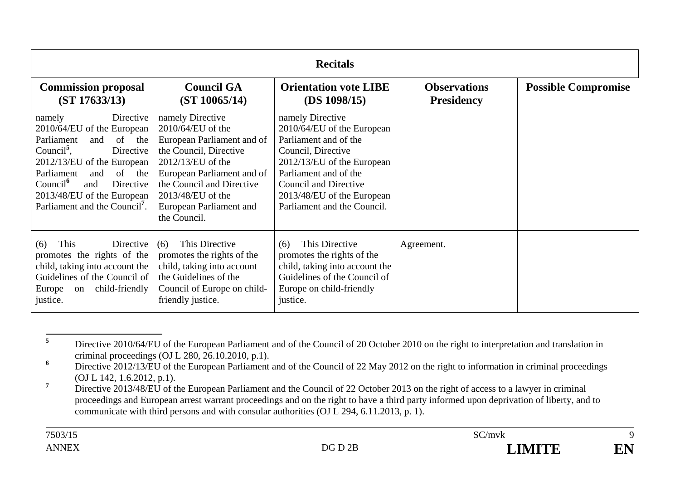| <b>Recitals</b>                                                                                                                                                                                                                                                                                       |                                                                                                                                                                                                                                                 |                                                                                                                                                                                                                                                   |                                          |                            |
|-------------------------------------------------------------------------------------------------------------------------------------------------------------------------------------------------------------------------------------------------------------------------------------------------------|-------------------------------------------------------------------------------------------------------------------------------------------------------------------------------------------------------------------------------------------------|---------------------------------------------------------------------------------------------------------------------------------------------------------------------------------------------------------------------------------------------------|------------------------------------------|----------------------------|
| <b>Commission proposal</b><br>(ST 17633/13)                                                                                                                                                                                                                                                           | <b>Council GA</b><br>(ST 10065/14)                                                                                                                                                                                                              | <b>Orientation vote LIBE</b><br>(DS 1098/15)                                                                                                                                                                                                      | <b>Observations</b><br><b>Presidency</b> | <b>Possible Compromise</b> |
| Directive<br>namely<br>2010/64/EU of the European<br>and of the<br>Parliament<br>Council <sup>5</sup> .<br>Directive<br>$2012/13/EU$ of the European<br>Parliament<br>and of the<br>Count <sup>6</sup><br>Directive<br>and<br>2013/48/EU of the European<br>Parliament and the Council <sup>7</sup> . | namely Directive<br>2010/64/EU of the<br>European Parliament and of<br>the Council, Directive<br>$2012/13/EU$ of the<br>European Parliament and of<br>the Council and Directive<br>2013/48/EU of the<br>European Parliament and<br>the Council. | namely Directive<br>2010/64/EU of the European<br>Parliament and of the<br>Council, Directive<br>2012/13/EU of the European<br>Parliament and of the<br><b>Council and Directive</b><br>2013/48/EU of the European<br>Parliament and the Council. |                                          |                            |
| This<br>Directive<br>(6)<br>promotes the rights of the<br>child, taking into account the<br>Guidelines of the Council of<br>child-friendly<br>Europe<br>on<br>justice.                                                                                                                                | This Directive<br>(6)<br>promotes the rights of the<br>child, taking into account<br>the Guidelines of the<br>Council of Europe on child-<br>friendly justice.                                                                                  | This Directive<br>(6)<br>promotes the rights of the<br>child, taking into account the<br>Guidelines of the Council of<br>Europe on child-friendly<br>justice.                                                                                     | Agreement.                               |                            |

**<sup>5</sup>** Directive 2010/64/EU of the European Parliament and of the Council of 20 October 2010 on the right to interpretation and translation in criminal proceedings (OJ L 280, 26.10.2010, p.1).

<sup>&</sup>lt;sup>6</sup> Directive 2012/13/EU of the European Parliament and of the Council of 22 May 2012 on the right to information in criminal proceedings (OJ L 142, 1.6.2012, p.1).

<sup>&</sup>lt;sup>7</sup> Directive 2013/48/EU of the European Parliament and the Council of 22 October 2013 on the right of access to a lawyer in criminal proceedings and European arrest warrant proceedings and on the right to have a third party informed upon deprivation of liberty, and to communicate with third persons and with consular authorities (OJ L 294, 6.11.2013, p. 1).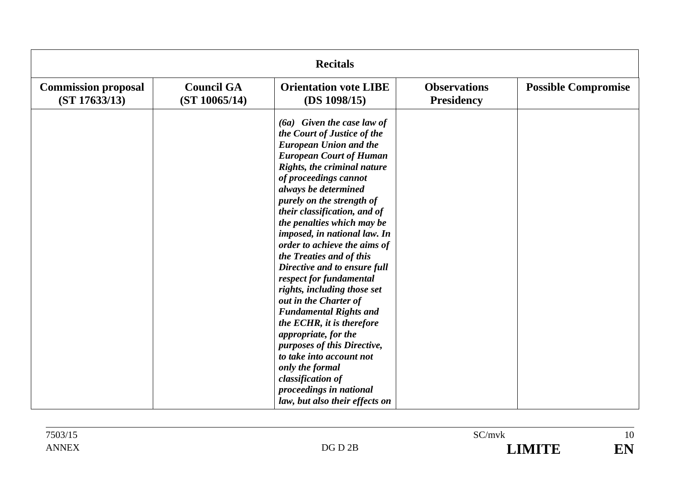| <b>Recitals</b>                             |                                    |                                                                                                                                                                                                                                                                                                                                                                                                                                                                                                                                                                                                                                                                                                                                                                                |                                          |                            |
|---------------------------------------------|------------------------------------|--------------------------------------------------------------------------------------------------------------------------------------------------------------------------------------------------------------------------------------------------------------------------------------------------------------------------------------------------------------------------------------------------------------------------------------------------------------------------------------------------------------------------------------------------------------------------------------------------------------------------------------------------------------------------------------------------------------------------------------------------------------------------------|------------------------------------------|----------------------------|
| <b>Commission proposal</b><br>(ST 17633/13) | <b>Council GA</b><br>(ST 10065/14) | <b>Orientation vote LIBE</b><br>(DS 1098/15)                                                                                                                                                                                                                                                                                                                                                                                                                                                                                                                                                                                                                                                                                                                                   | <b>Observations</b><br><b>Presidency</b> | <b>Possible Compromise</b> |
|                                             |                                    | $(6a)$ Given the case law of<br>the Court of Justice of the<br><b>European Union and the</b><br><b>European Court of Human</b><br>Rights, the criminal nature<br>of proceedings cannot<br>always be determined<br>purely on the strength of<br>their classification, and of<br>the penalties which may be<br>imposed, in national law. In<br>order to achieve the aims of<br>the Treaties and of this<br>Directive and to ensure full<br>respect for fundamental<br>rights, including those set<br>out in the Charter of<br><b>Fundamental Rights and</b><br>the ECHR, it is therefore<br>appropriate, for the<br>purposes of this Directive,<br>to take into account not<br>only the formal<br>classification of<br>proceedings in national<br>law, but also their effects on |                                          |                            |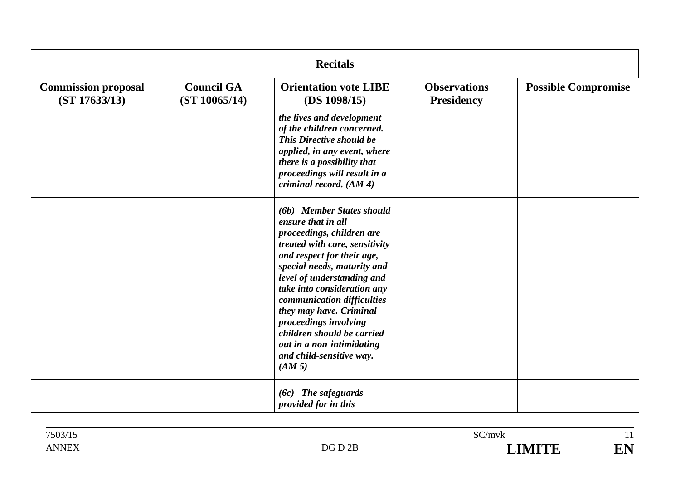|                                             | <b>Recitals</b>                    |                                                                                                                                                                                                                                                                                                                                                                                                                             |                                          |                            |  |
|---------------------------------------------|------------------------------------|-----------------------------------------------------------------------------------------------------------------------------------------------------------------------------------------------------------------------------------------------------------------------------------------------------------------------------------------------------------------------------------------------------------------------------|------------------------------------------|----------------------------|--|
| <b>Commission proposal</b><br>(ST 17633/13) | <b>Council GA</b><br>(ST 10065/14) | <b>Orientation vote LIBE</b><br>(DS 1098/15)                                                                                                                                                                                                                                                                                                                                                                                | <b>Observations</b><br><b>Presidency</b> | <b>Possible Compromise</b> |  |
|                                             |                                    | the lives and development<br>of the children concerned.<br>This Directive should be<br>applied, in any event, where<br>there is a possibility that<br>proceedings will result in a<br>criminal record. (AM 4)                                                                                                                                                                                                               |                                          |                            |  |
|                                             |                                    | (6b) Member States should<br>ensure that in all<br>proceedings, children are<br>treated with care, sensitivity<br>and respect for their age,<br>special needs, maturity and<br>level of understanding and<br>take into consideration any<br>communication difficulties<br>they may have. Criminal<br>proceedings involving<br>children should be carried<br>out in a non-intimidating<br>and child-sensitive way.<br>(AM 5) |                                          |                            |  |
|                                             |                                    | $(6c)$ The safeguards<br>provided for in this                                                                                                                                                                                                                                                                                                                                                                               |                                          |                            |  |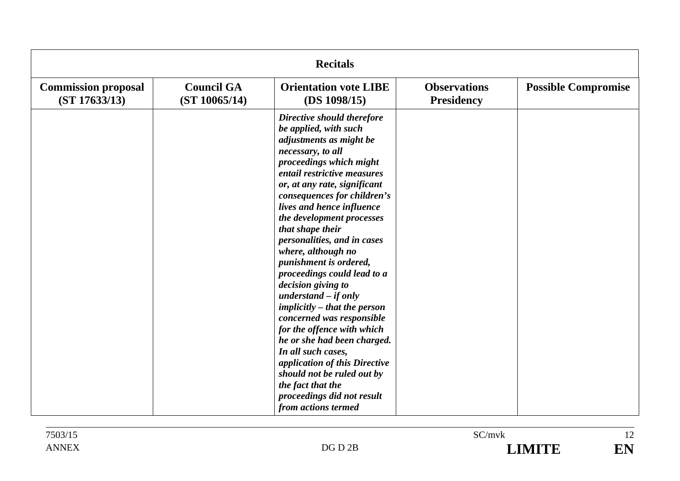| <b>Recitals</b>                             |                                    |                                                                                                                                                                                                                                                                                                                                                                                                                                                                                                                                                                                                                                                                                                                                                                   |                                          |                            |
|---------------------------------------------|------------------------------------|-------------------------------------------------------------------------------------------------------------------------------------------------------------------------------------------------------------------------------------------------------------------------------------------------------------------------------------------------------------------------------------------------------------------------------------------------------------------------------------------------------------------------------------------------------------------------------------------------------------------------------------------------------------------------------------------------------------------------------------------------------------------|------------------------------------------|----------------------------|
| <b>Commission proposal</b><br>(ST 17633/13) | <b>Council GA</b><br>(ST 10065/14) | <b>Orientation vote LIBE</b><br>(DS 1098/15)                                                                                                                                                                                                                                                                                                                                                                                                                                                                                                                                                                                                                                                                                                                      | <b>Observations</b><br><b>Presidency</b> | <b>Possible Compromise</b> |
|                                             |                                    | Directive should therefore<br>be applied, with such<br>adjustments as might be<br>necessary, to all<br>proceedings which might<br>entail restrictive measures<br>or, at any rate, significant<br>consequences for children's<br>lives and hence influence<br>the development processes<br>that shape their<br>personalities, and in cases<br>where, although no<br>punishment is ordered,<br>proceedings could lead to a<br>decision giving to<br>understand $-$ if only<br>implicitly – that the person<br>concerned was responsible<br>for the offence with which<br>he or she had been charged.<br>In all such cases,<br>application of this Directive<br>should not be ruled out by<br>the fact that the<br>proceedings did not result<br>from actions termed |                                          |                            |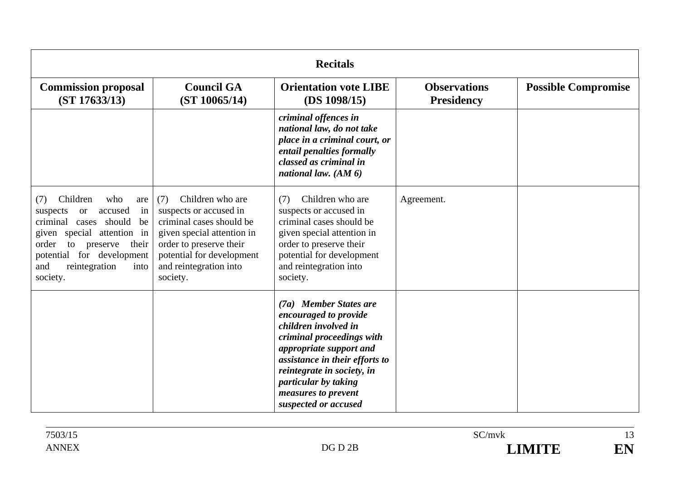| <b>Recitals</b>                                                                                                                                                                                                                                   |                                                                                                                                                                                                           |                                                                                                                                                                                                                                                                        |                                          |                            |
|---------------------------------------------------------------------------------------------------------------------------------------------------------------------------------------------------------------------------------------------------|-----------------------------------------------------------------------------------------------------------------------------------------------------------------------------------------------------------|------------------------------------------------------------------------------------------------------------------------------------------------------------------------------------------------------------------------------------------------------------------------|------------------------------------------|----------------------------|
| <b>Commission proposal</b><br>(ST 17633/13)                                                                                                                                                                                                       | <b>Council GA</b><br>(ST 10065/14)                                                                                                                                                                        | <b>Orientation vote LIBE</b><br>(DS 1098/15)                                                                                                                                                                                                                           | <b>Observations</b><br><b>Presidency</b> | <b>Possible Compromise</b> |
|                                                                                                                                                                                                                                                   |                                                                                                                                                                                                           | criminal offences in<br>national law, do not take<br>place in a criminal court, or<br>entail penalties formally<br>classed as criminal in<br>national law. $(AM 6)$                                                                                                    |                                          |                            |
| Children<br>who<br>(7)<br>are<br>accused<br>in<br>suspects<br><b>or</b><br>criminal cases should<br>be<br>given special attention in<br>their<br>order<br>preserve<br>to<br>potential for development<br>and<br>reintegration<br>into<br>society. | Children who are<br>(7)<br>suspects or accused in<br>criminal cases should be<br>given special attention in<br>order to preserve their<br>potential for development<br>and reintegration into<br>society. | Children who are<br>(7)<br>suspects or accused in<br>criminal cases should be<br>given special attention in<br>order to preserve their<br>potential for development<br>and reintegration into<br>society.                                                              | Agreement.                               |                            |
|                                                                                                                                                                                                                                                   |                                                                                                                                                                                                           | (7a) Member States are<br>encouraged to provide<br>children involved in<br>criminal proceedings with<br>appropriate support and<br>assistance in their efforts to<br>reintegrate in society, in<br>particular by taking<br>measures to prevent<br>suspected or accused |                                          |                            |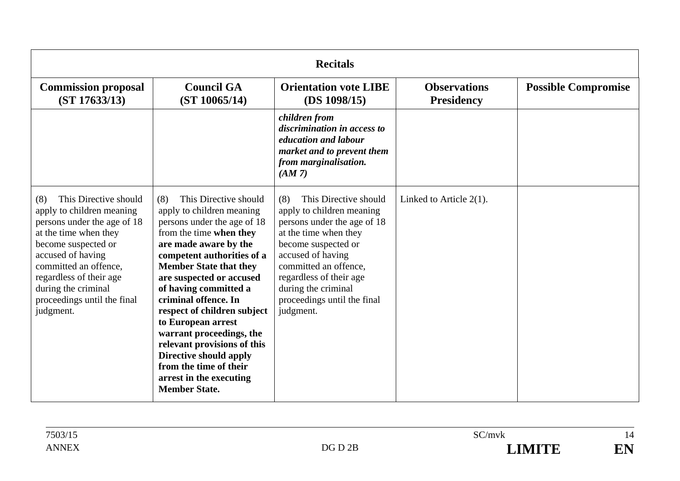| <b>Recitals</b>                                                                                                                                                                                                                                                                      |                                                                                                                                                                                                                                                                                                                                                                                                                                                                                                                 |                                                                                                                                                                                                                                                                                      |                                          |                            |
|--------------------------------------------------------------------------------------------------------------------------------------------------------------------------------------------------------------------------------------------------------------------------------------|-----------------------------------------------------------------------------------------------------------------------------------------------------------------------------------------------------------------------------------------------------------------------------------------------------------------------------------------------------------------------------------------------------------------------------------------------------------------------------------------------------------------|--------------------------------------------------------------------------------------------------------------------------------------------------------------------------------------------------------------------------------------------------------------------------------------|------------------------------------------|----------------------------|
| <b>Commission proposal</b><br>(ST 17633/13)                                                                                                                                                                                                                                          | <b>Council GA</b><br>(ST 10065/14)                                                                                                                                                                                                                                                                                                                                                                                                                                                                              | <b>Orientation vote LIBE</b><br>(DS 1098/15)                                                                                                                                                                                                                                         | <b>Observations</b><br><b>Presidency</b> | <b>Possible Compromise</b> |
|                                                                                                                                                                                                                                                                                      |                                                                                                                                                                                                                                                                                                                                                                                                                                                                                                                 | children from<br>discrimination in access to<br>education and labour<br>market and to prevent them<br>from marginalisation.<br>(AM 7)                                                                                                                                                |                                          |                            |
| This Directive should<br>(8)<br>apply to children meaning<br>persons under the age of 18<br>at the time when they<br>become suspected or<br>accused of having<br>committed an offence,<br>regardless of their age<br>during the criminal<br>proceedings until the final<br>judgment. | This Directive should<br>(8)<br>apply to children meaning<br>persons under the age of 18<br>from the time when they<br>are made aware by the<br>competent authorities of a<br><b>Member State that they</b><br>are suspected or accused<br>of having committed a<br>criminal offence. In<br>respect of children subject<br>to European arrest<br>warrant proceedings, the<br>relevant provisions of this<br>Directive should apply<br>from the time of their<br>arrest in the executing<br><b>Member State.</b> | This Directive should<br>(8)<br>apply to children meaning<br>persons under the age of 18<br>at the time when they<br>become suspected or<br>accused of having<br>committed an offence,<br>regardless of their age<br>during the criminal<br>proceedings until the final<br>judgment. | Linked to Article $2(1)$ .               |                            |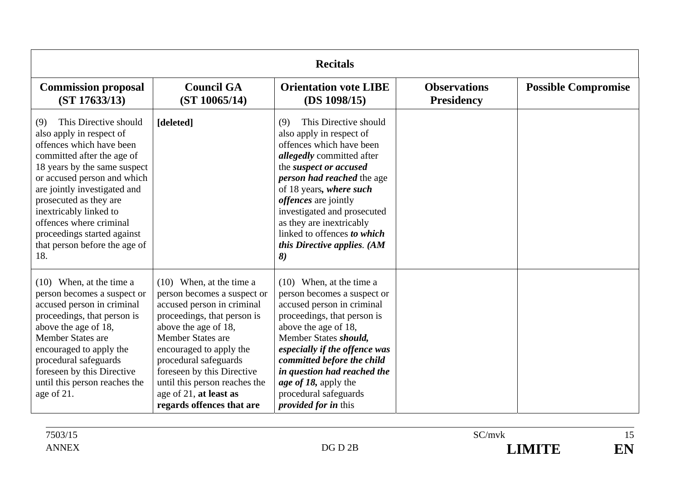| <b>Recitals</b>                                                                                                                                                                                                                                                                                                                                                         |                                                                                                                                                                                                                                                                                                                                                      |                                                                                                                                                                                                                                                                                                                                                                                              |                                          |                            |
|-------------------------------------------------------------------------------------------------------------------------------------------------------------------------------------------------------------------------------------------------------------------------------------------------------------------------------------------------------------------------|------------------------------------------------------------------------------------------------------------------------------------------------------------------------------------------------------------------------------------------------------------------------------------------------------------------------------------------------------|----------------------------------------------------------------------------------------------------------------------------------------------------------------------------------------------------------------------------------------------------------------------------------------------------------------------------------------------------------------------------------------------|------------------------------------------|----------------------------|
| <b>Commission proposal</b><br>(ST 17633/13)                                                                                                                                                                                                                                                                                                                             | <b>Council GA</b><br>(ST 10065/14)                                                                                                                                                                                                                                                                                                                   | <b>Orientation vote LIBE</b><br>(DS 1098/15)                                                                                                                                                                                                                                                                                                                                                 | <b>Observations</b><br><b>Presidency</b> | <b>Possible Compromise</b> |
| This Directive should<br>(9)<br>also apply in respect of<br>offences which have been<br>committed after the age of<br>18 years by the same suspect<br>or accused person and which<br>are jointly investigated and<br>prosecuted as they are<br>inextricably linked to<br>offences where criminal<br>proceedings started against<br>that person before the age of<br>18. | [deleted]                                                                                                                                                                                                                                                                                                                                            | This Directive should<br>(9)<br>also apply in respect of<br>offences which have been<br><i>allegedly</i> committed after<br>the suspect or accused<br>person had reached the age<br>of 18 years, where such<br><i>offences</i> are jointly<br>investigated and prosecuted<br>as they are inextricably<br>linked to offences to which<br>this Directive applies. (AM<br>$\boldsymbol{\delta}$ |                                          |                            |
| $(10)$ When, at the time a<br>person becomes a suspect or<br>accused person in criminal<br>proceedings, that person is<br>above the age of 18,<br><b>Member States are</b><br>encouraged to apply the<br>procedural safeguards<br>foreseen by this Directive<br>until this person reaches the<br>age of 21.                                                             | $(10)$ When, at the time a<br>person becomes a suspect or<br>accused person in criminal<br>proceedings, that person is<br>above the age of 18,<br><b>Member States are</b><br>encouraged to apply the<br>procedural safeguards<br>foreseen by this Directive<br>until this person reaches the<br>age of 21, at least as<br>regards offences that are | $(10)$ When, at the time a<br>person becomes a suspect or<br>accused person in criminal<br>proceedings, that person is<br>above the age of 18,<br>Member States should,<br>especially if the offence was<br>committed before the child<br>in question had reached the<br>age of 18, apply the<br>procedural safeguards<br><i>provided for in this</i>                                        |                                          |                            |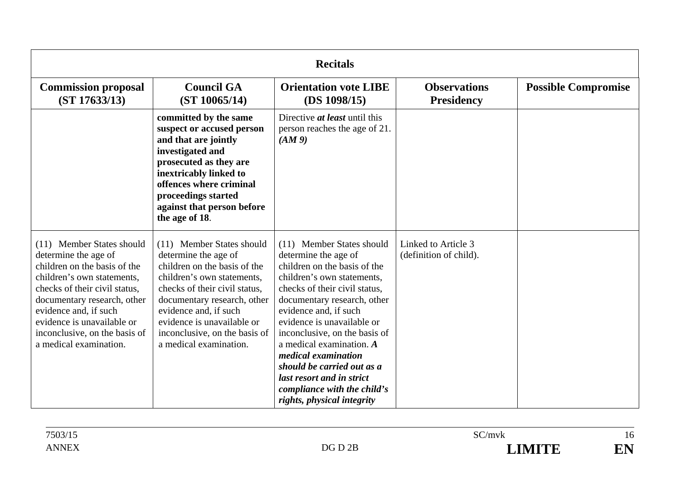| <b>Recitals</b>                                                                                                                                                                                                                                                                                   |                                                                                                                                                                                                                                                                                                   |                                                                                                                                                                                                                                                                                                                                                                                                                                                      |                                               |                            |
|---------------------------------------------------------------------------------------------------------------------------------------------------------------------------------------------------------------------------------------------------------------------------------------------------|---------------------------------------------------------------------------------------------------------------------------------------------------------------------------------------------------------------------------------------------------------------------------------------------------|------------------------------------------------------------------------------------------------------------------------------------------------------------------------------------------------------------------------------------------------------------------------------------------------------------------------------------------------------------------------------------------------------------------------------------------------------|-----------------------------------------------|----------------------------|
| <b>Commission proposal</b><br>(ST 17633/13)                                                                                                                                                                                                                                                       | <b>Council GA</b><br>(ST 10065/14)                                                                                                                                                                                                                                                                | <b>Orientation vote LIBE</b><br>(DS 1098/15)                                                                                                                                                                                                                                                                                                                                                                                                         | <b>Observations</b><br><b>Presidency</b>      | <b>Possible Compromise</b> |
|                                                                                                                                                                                                                                                                                                   | committed by the same<br>suspect or accused person<br>and that are jointly<br>investigated and<br>prosecuted as they are<br>inextricably linked to<br>offences where criminal<br>proceedings started<br>against that person before<br>the age of 18.                                              | Directive <i>at least</i> until this<br>person reaches the age of 21.<br>(AM9)                                                                                                                                                                                                                                                                                                                                                                       |                                               |                            |
| (11) Member States should<br>determine the age of<br>children on the basis of the<br>children's own statements,<br>checks of their civil status,<br>documentary research, other<br>evidence and, if such<br>evidence is unavailable or<br>inconclusive, on the basis of<br>a medical examination. | (11) Member States should<br>determine the age of<br>children on the basis of the<br>children's own statements,<br>checks of their civil status,<br>documentary research, other<br>evidence and, if such<br>evidence is unavailable or<br>inconclusive, on the basis of<br>a medical examination. | (11) Member States should<br>determine the age of<br>children on the basis of the<br>children's own statements,<br>checks of their civil status,<br>documentary research, other<br>evidence and, if such<br>evidence is unavailable or<br>inconclusive, on the basis of<br>a medical examination. $A$<br>medical examination<br>should be carried out as a<br>last resort and in strict<br>compliance with the child's<br>rights, physical integrity | Linked to Article 3<br>(definition of child). |                            |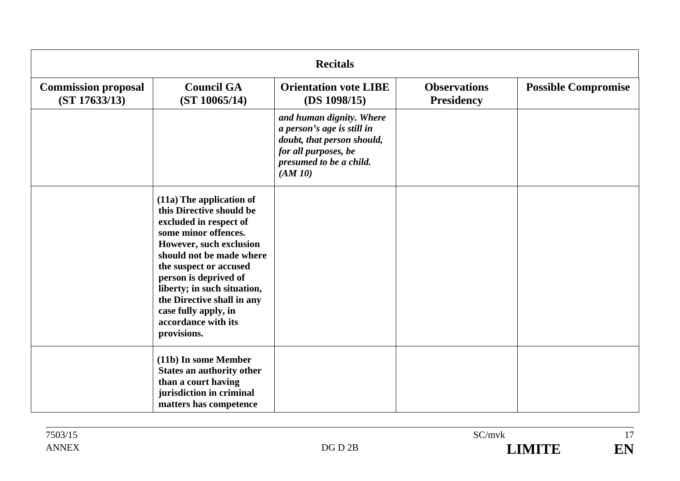| <b>Recitals</b>                             |                                                                                                                                                                                                                                                                                                                                             |                                                                                                                                                   |                                          |                            |
|---------------------------------------------|---------------------------------------------------------------------------------------------------------------------------------------------------------------------------------------------------------------------------------------------------------------------------------------------------------------------------------------------|---------------------------------------------------------------------------------------------------------------------------------------------------|------------------------------------------|----------------------------|
| <b>Commission proposal</b><br>(ST 17633/13) | <b>Council GA</b><br>(ST 10065/14)                                                                                                                                                                                                                                                                                                          | <b>Orientation vote LIBE</b><br>(DS 1098/15)                                                                                                      | <b>Observations</b><br><b>Presidency</b> | <b>Possible Compromise</b> |
|                                             |                                                                                                                                                                                                                                                                                                                                             | and human dignity. Where<br>a person's age is still in<br>doubt, that person should,<br>for all purposes, be<br>presumed to be a child.<br>(AM10) |                                          |                            |
|                                             | (11a) The application of<br>this Directive should be<br>excluded in respect of<br>some minor offences.<br>However, such exclusion<br>should not be made where<br>the suspect or accused<br>person is deprived of<br>liberty; in such situation,<br>the Directive shall in any<br>case fully apply, in<br>accordance with its<br>provisions. |                                                                                                                                                   |                                          |                            |
|                                             | (11b) In some Member<br><b>States an authority other</b><br>than a court having<br>jurisdiction in criminal<br>matters has competence                                                                                                                                                                                                       |                                                                                                                                                   |                                          |                            |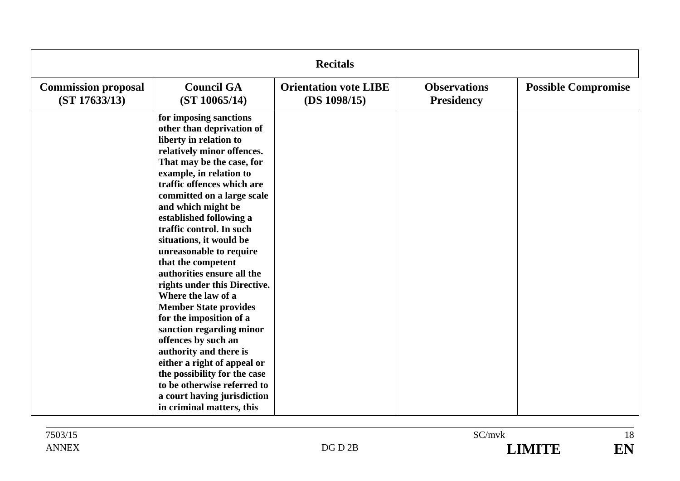| <b>Recitals</b>                             |                                                                                                                                                                                                                                                                                                                                                                                                                                                                                                                                                                                                                                                                                                                                                                                |                                              |                                          |                            |
|---------------------------------------------|--------------------------------------------------------------------------------------------------------------------------------------------------------------------------------------------------------------------------------------------------------------------------------------------------------------------------------------------------------------------------------------------------------------------------------------------------------------------------------------------------------------------------------------------------------------------------------------------------------------------------------------------------------------------------------------------------------------------------------------------------------------------------------|----------------------------------------------|------------------------------------------|----------------------------|
| <b>Commission proposal</b><br>(ST 17633/13) | <b>Council GA</b><br>(ST 10065/14)                                                                                                                                                                                                                                                                                                                                                                                                                                                                                                                                                                                                                                                                                                                                             | <b>Orientation vote LIBE</b><br>(DS 1098/15) | <b>Observations</b><br><b>Presidency</b> | <b>Possible Compromise</b> |
|                                             | for imposing sanctions<br>other than deprivation of<br>liberty in relation to<br>relatively minor offences.<br>That may be the case, for<br>example, in relation to<br>traffic offences which are<br>committed on a large scale<br>and which might be<br>established following a<br>traffic control. In such<br>situations, it would be<br>unreasonable to require<br>that the competent<br>authorities ensure all the<br>rights under this Directive.<br>Where the law of a<br><b>Member State provides</b><br>for the imposition of a<br>sanction regarding minor<br>offences by such an<br>authority and there is<br>either a right of appeal or<br>the possibility for the case<br>to be otherwise referred to<br>a court having jurisdiction<br>in criminal matters, this |                                              |                                          |                            |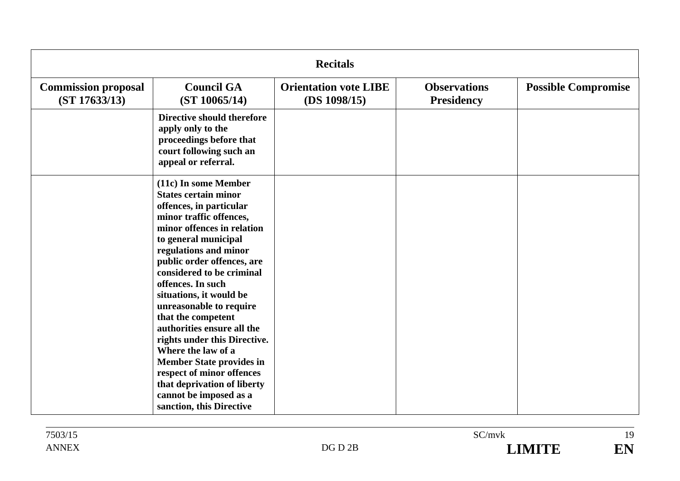| <b>Recitals</b>                             |                                                                                                                                                                                                                                                                                                                                                                                                                                                                                                                                                                                               |                                              |                                          |                            |
|---------------------------------------------|-----------------------------------------------------------------------------------------------------------------------------------------------------------------------------------------------------------------------------------------------------------------------------------------------------------------------------------------------------------------------------------------------------------------------------------------------------------------------------------------------------------------------------------------------------------------------------------------------|----------------------------------------------|------------------------------------------|----------------------------|
| <b>Commission proposal</b><br>(ST 17633/13) | <b>Council GA</b><br>(ST 10065/14)                                                                                                                                                                                                                                                                                                                                                                                                                                                                                                                                                            | <b>Orientation vote LIBE</b><br>(DS 1098/15) | <b>Observations</b><br><b>Presidency</b> | <b>Possible Compromise</b> |
|                                             | <b>Directive should therefore</b><br>apply only to the<br>proceedings before that<br>court following such an<br>appeal or referral.                                                                                                                                                                                                                                                                                                                                                                                                                                                           |                                              |                                          |                            |
|                                             | (11c) In some Member<br><b>States certain minor</b><br>offences, in particular<br>minor traffic offences,<br>minor offences in relation<br>to general municipal<br>regulations and minor<br>public order offences, are<br>considered to be criminal<br>offences. In such<br>situations, it would be<br>unreasonable to require<br>that the competent<br>authorities ensure all the<br>rights under this Directive.<br>Where the law of a<br><b>Member State provides in</b><br>respect of minor offences<br>that deprivation of liberty<br>cannot be imposed as a<br>sanction, this Directive |                                              |                                          |                            |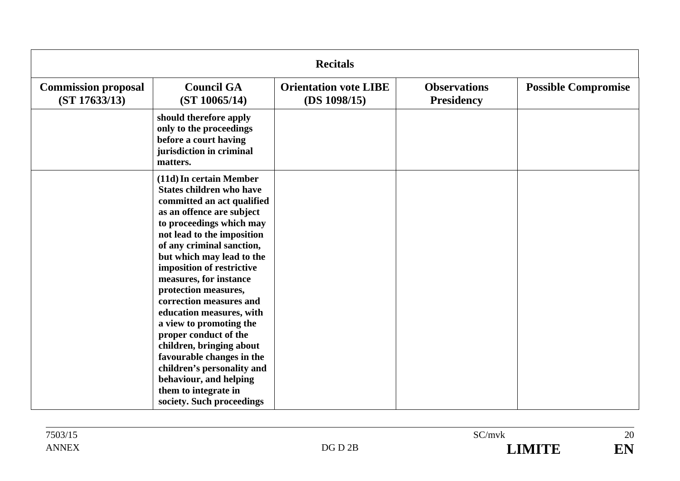| <b>Recitals</b>                             |                                                                                                                                                                                                                                                                                                                                                                                                                                                                                                                                                                                                           |                                              |                                          |                            |
|---------------------------------------------|-----------------------------------------------------------------------------------------------------------------------------------------------------------------------------------------------------------------------------------------------------------------------------------------------------------------------------------------------------------------------------------------------------------------------------------------------------------------------------------------------------------------------------------------------------------------------------------------------------------|----------------------------------------------|------------------------------------------|----------------------------|
| <b>Commission proposal</b><br>(ST 17633/13) | <b>Council GA</b><br>(ST 10065/14)                                                                                                                                                                                                                                                                                                                                                                                                                                                                                                                                                                        | <b>Orientation vote LIBE</b><br>(DS 1098/15) | <b>Observations</b><br><b>Presidency</b> | <b>Possible Compromise</b> |
|                                             | should therefore apply<br>only to the proceedings<br>before a court having<br>jurisdiction in criminal<br>matters.                                                                                                                                                                                                                                                                                                                                                                                                                                                                                        |                                              |                                          |                            |
|                                             | (11d) In certain Member<br><b>States children who have</b><br>committed an act qualified<br>as an offence are subject<br>to proceedings which may<br>not lead to the imposition<br>of any criminal sanction,<br>but which may lead to the<br>imposition of restrictive<br>measures, for instance<br>protection measures,<br>correction measures and<br>education measures, with<br>a view to promoting the<br>proper conduct of the<br>children, bringing about<br>favourable changes in the<br>children's personality and<br>behaviour, and helping<br>them to integrate in<br>society. Such proceedings |                                              |                                          |                            |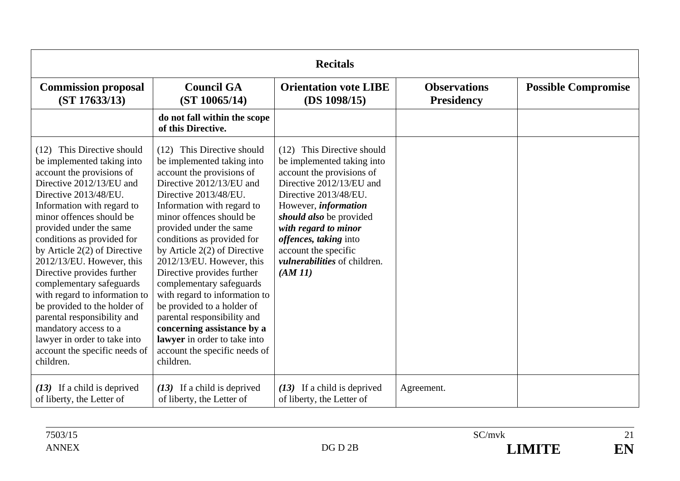| <b>Recitals</b>                                                                                                                                                                                                                                                                                                                                                                                                                                                                                                                                                                               |                                                                                                                                                                                                                                                                                                                                                                                                                                                                                                                                                                                                  |                                                                                                                                                                                                                                                                                                                                |                                          |                            |
|-----------------------------------------------------------------------------------------------------------------------------------------------------------------------------------------------------------------------------------------------------------------------------------------------------------------------------------------------------------------------------------------------------------------------------------------------------------------------------------------------------------------------------------------------------------------------------------------------|--------------------------------------------------------------------------------------------------------------------------------------------------------------------------------------------------------------------------------------------------------------------------------------------------------------------------------------------------------------------------------------------------------------------------------------------------------------------------------------------------------------------------------------------------------------------------------------------------|--------------------------------------------------------------------------------------------------------------------------------------------------------------------------------------------------------------------------------------------------------------------------------------------------------------------------------|------------------------------------------|----------------------------|
| <b>Commission proposal</b><br>(ST 17633/13)                                                                                                                                                                                                                                                                                                                                                                                                                                                                                                                                                   | <b>Council GA</b><br>(ST 10065/14)                                                                                                                                                                                                                                                                                                                                                                                                                                                                                                                                                               | <b>Orientation vote LIBE</b><br>(DS 1098/15)                                                                                                                                                                                                                                                                                   | <b>Observations</b><br><b>Presidency</b> | <b>Possible Compromise</b> |
|                                                                                                                                                                                                                                                                                                                                                                                                                                                                                                                                                                                               | do not fall within the scope<br>of this Directive.                                                                                                                                                                                                                                                                                                                                                                                                                                                                                                                                               |                                                                                                                                                                                                                                                                                                                                |                                          |                            |
| (12) This Directive should<br>be implemented taking into<br>account the provisions of<br>Directive 2012/13/EU and<br>Directive 2013/48/EU.<br>Information with regard to<br>minor offences should be<br>provided under the same<br>conditions as provided for<br>by Article $2(2)$ of Directive<br>2012/13/EU. However, this<br>Directive provides further<br>complementary safeguards<br>with regard to information to<br>be provided to the holder of<br>parental responsibility and<br>mandatory access to a<br>lawyer in order to take into<br>account the specific needs of<br>children. | (12) This Directive should<br>be implemented taking into<br>account the provisions of<br>Directive 2012/13/EU and<br>Directive 2013/48/EU.<br>Information with regard to<br>minor offences should be<br>provided under the same<br>conditions as provided for<br>by Article $2(2)$ of Directive<br>2012/13/EU. However, this<br>Directive provides further<br>complementary safeguards<br>with regard to information to<br>be provided to a holder of<br>parental responsibility and<br>concerning assistance by a<br>lawyer in order to take into<br>account the specific needs of<br>children. | (12) This Directive should<br>be implemented taking into<br>account the provisions of<br>Directive 2012/13/EU and<br>Directive 2013/48/EU.<br>However, <i>information</i><br>should also be provided<br>with regard to minor<br>offences, taking into<br>account the specific<br><i>vulnerabilities</i> of children.<br>(AM11) |                                          |                            |
| $(13)$ If a child is deprived<br>of liberty, the Letter of                                                                                                                                                                                                                                                                                                                                                                                                                                                                                                                                    | $(13)$ If a child is deprived<br>of liberty, the Letter of                                                                                                                                                                                                                                                                                                                                                                                                                                                                                                                                       | $(13)$ If a child is deprived<br>of liberty, the Letter of                                                                                                                                                                                                                                                                     | Agreement.                               |                            |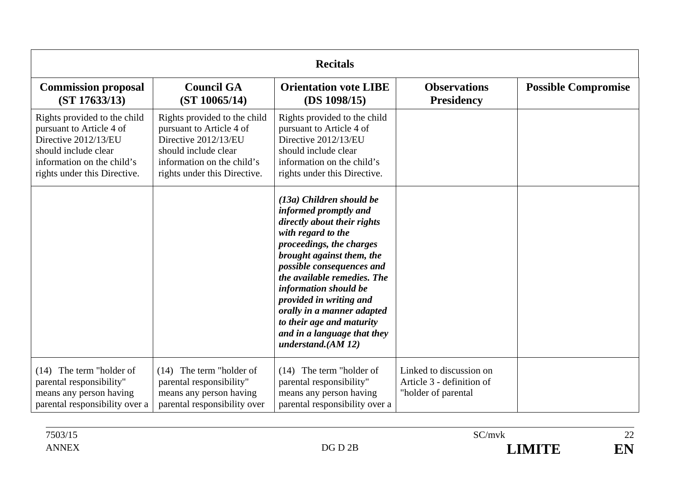| <b>Recitals</b>                                                                                                                                                        |                                                                                                                                                                        |                                                                                                                                                                                                                                                                                                                                                                                                    |                                                                             |                            |
|------------------------------------------------------------------------------------------------------------------------------------------------------------------------|------------------------------------------------------------------------------------------------------------------------------------------------------------------------|----------------------------------------------------------------------------------------------------------------------------------------------------------------------------------------------------------------------------------------------------------------------------------------------------------------------------------------------------------------------------------------------------|-----------------------------------------------------------------------------|----------------------------|
| <b>Commission proposal</b><br>(ST 17633/13)                                                                                                                            | <b>Council GA</b><br>(ST 10065/14)                                                                                                                                     | <b>Orientation vote LIBE</b><br>(DS 1098/15)                                                                                                                                                                                                                                                                                                                                                       | <b>Observations</b><br><b>Presidency</b>                                    | <b>Possible Compromise</b> |
| Rights provided to the child<br>pursuant to Article 4 of<br>Directive 2012/13/EU<br>should include clear<br>information on the child's<br>rights under this Directive. | Rights provided to the child<br>pursuant to Article 4 of<br>Directive 2012/13/EU<br>should include clear<br>information on the child's<br>rights under this Directive. | Rights provided to the child<br>pursuant to Article 4 of<br>Directive 2012/13/EU<br>should include clear<br>information on the child's<br>rights under this Directive.                                                                                                                                                                                                                             |                                                                             |                            |
|                                                                                                                                                                        |                                                                                                                                                                        | (13a) Children should be<br>informed promptly and<br>directly about their rights<br>with regard to the<br>proceedings, the charges<br>brought against them, the<br>possible consequences and<br>the available remedies. The<br>information should be<br>provided in writing and<br>orally in a manner adapted<br>to their age and maturity<br>and in a language that they<br>understand. $(AM 12)$ |                                                                             |                            |
| $(14)$ The term "holder of<br>parental responsibility"<br>means any person having<br>parental responsibility over a                                                    | $(14)$ The term "holder of<br>parental responsibility"<br>means any person having<br>parental responsibility over                                                      | $(14)$ The term "holder of<br>parental responsibility"<br>means any person having<br>parental responsibility over a                                                                                                                                                                                                                                                                                | Linked to discussion on<br>Article 3 - definition of<br>"holder of parental |                            |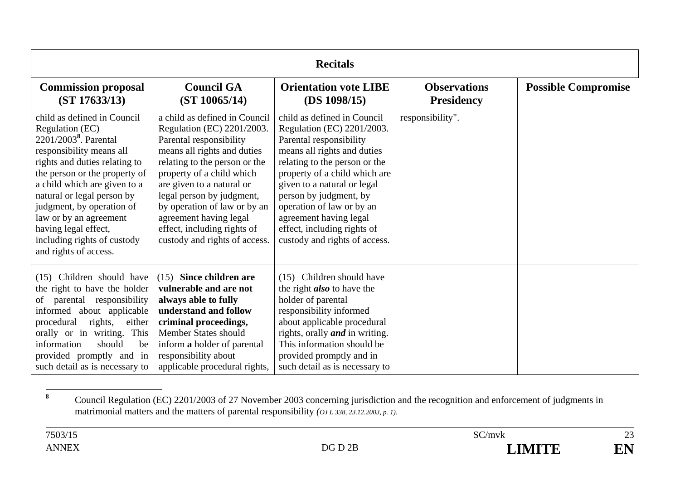| <b>Recitals</b>                                                                                                                                                                                                                                                                                                                                                                        |                                                                                                                                                                                                                                                                                                                                                                         |                                                                                                                                                                                                                                                                                                                                                                       |                                          |                            |
|----------------------------------------------------------------------------------------------------------------------------------------------------------------------------------------------------------------------------------------------------------------------------------------------------------------------------------------------------------------------------------------|-------------------------------------------------------------------------------------------------------------------------------------------------------------------------------------------------------------------------------------------------------------------------------------------------------------------------------------------------------------------------|-----------------------------------------------------------------------------------------------------------------------------------------------------------------------------------------------------------------------------------------------------------------------------------------------------------------------------------------------------------------------|------------------------------------------|----------------------------|
| <b>Commission proposal</b><br>(ST 17633/13)                                                                                                                                                                                                                                                                                                                                            | <b>Council GA</b><br>(ST 10065/14)                                                                                                                                                                                                                                                                                                                                      | <b>Orientation vote LIBE</b><br>(DS 1098/15)                                                                                                                                                                                                                                                                                                                          | <b>Observations</b><br><b>Presidency</b> | <b>Possible Compromise</b> |
| child as defined in Council<br>Regulation (EC)<br>2201/2003 <sup>8</sup> . Parental<br>responsibility means all<br>rights and duties relating to<br>the person or the property of<br>a child which are given to a<br>natural or legal person by<br>judgment, by operation of<br>law or by an agreement<br>having legal effect,<br>including rights of custody<br>and rights of access. | a child as defined in Council<br>Regulation (EC) 2201/2003.<br>Parental responsibility<br>means all rights and duties<br>relating to the person or the<br>property of a child which<br>are given to a natural or<br>legal person by judgment,<br>by operation of law or by an<br>agreement having legal<br>effect, including rights of<br>custody and rights of access. | child as defined in Council<br>Regulation (EC) 2201/2003.<br>Parental responsibility<br>means all rights and duties<br>relating to the person or the<br>property of a child which are<br>given to a natural or legal<br>person by judgment, by<br>operation of law or by an<br>agreement having legal<br>effect, including rights of<br>custody and rights of access. | responsibility".                         |                            |
| (15) Children should have<br>the right to have the holder<br>of parental responsibility<br>informed about applicable<br>either<br>procedural<br>rights,<br>orally or in writing. This<br>information<br>should<br>be<br>provided promptly and in<br>such detail as is necessary to                                                                                                     | (15) Since children are<br>vulnerable and are not<br>always able to fully<br>understand and follow<br>criminal proceedings,<br>Member States should<br>inform a holder of parental<br>responsibility about<br>applicable procedural rights,                                                                                                                             | (15) Children should have<br>the right <i>also</i> to have the<br>holder of parental<br>responsibility informed<br>about applicable procedural<br>rights, orally <i>and</i> in writing.<br>This information should be<br>provided promptly and in<br>such detail as is necessary to                                                                                   |                                          |                            |

**<sup>8</sup>** Council Regulation (EC) 2201/2003 of 27 November 2003 concerning jurisdiction and the recognition and enforcement of judgments in matrimonial matters and the matters of parental responsibility *(OJ L 338, 23.12.2003, p. 1).*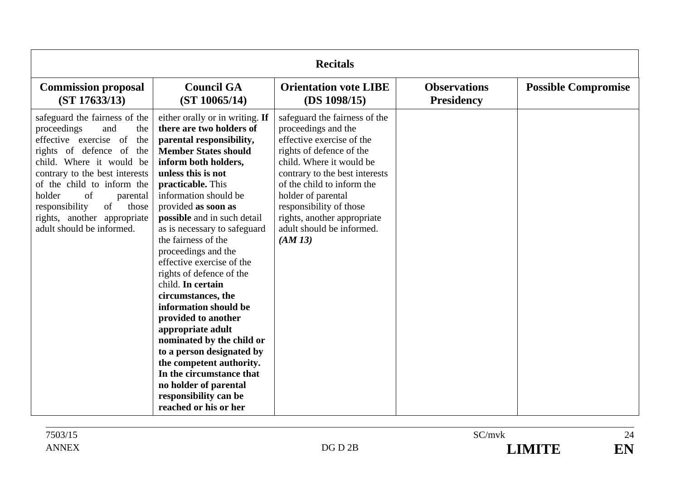| <b>Recitals</b>                                                                                                                                                                                                                                                                                                                             |                                                                                                                                                                                                                                                                                                                                                                                                                                                                                                                                                                                                                                                                                                                              |                                                                                                                                                                                                                                                                                                                                  |                                          |                            |
|---------------------------------------------------------------------------------------------------------------------------------------------------------------------------------------------------------------------------------------------------------------------------------------------------------------------------------------------|------------------------------------------------------------------------------------------------------------------------------------------------------------------------------------------------------------------------------------------------------------------------------------------------------------------------------------------------------------------------------------------------------------------------------------------------------------------------------------------------------------------------------------------------------------------------------------------------------------------------------------------------------------------------------------------------------------------------------|----------------------------------------------------------------------------------------------------------------------------------------------------------------------------------------------------------------------------------------------------------------------------------------------------------------------------------|------------------------------------------|----------------------------|
| <b>Commission proposal</b><br>(ST 17633/13)                                                                                                                                                                                                                                                                                                 | <b>Council GA</b><br>(ST 10065/14)                                                                                                                                                                                                                                                                                                                                                                                                                                                                                                                                                                                                                                                                                           | <b>Orientation vote LIBE</b><br>(DS 1098/15)                                                                                                                                                                                                                                                                                     | <b>Observations</b><br><b>Presidency</b> | <b>Possible Compromise</b> |
| safeguard the fairness of the<br>proceedings<br>and<br>the<br>effective exercise of<br>the<br>rights of defence of the<br>child. Where it would be<br>contrary to the best interests<br>of the child to inform the<br>of<br>holder<br>parental<br>responsibility<br>of<br>those<br>rights, another appropriate<br>adult should be informed. | either orally or in writing. If<br>there are two holders of<br>parental responsibility,<br><b>Member States should</b><br>inform both holders,<br>unless this is not<br>practicable. This<br>information should be<br>provided as soon as<br>possible and in such detail<br>as is necessary to safeguard<br>the fairness of the<br>proceedings and the<br>effective exercise of the<br>rights of defence of the<br>child. In certain<br>circumstances, the<br>information should be<br>provided to another<br>appropriate adult<br>nominated by the child or<br>to a person designated by<br>the competent authority.<br>In the circumstance that<br>no holder of parental<br>responsibility can be<br>reached or his or her | safeguard the fairness of the<br>proceedings and the<br>effective exercise of the<br>rights of defence of the<br>child. Where it would be<br>contrary to the best interests<br>of the child to inform the<br>holder of parental<br>responsibility of those<br>rights, another appropriate<br>adult should be informed.<br>(AM13) |                                          |                            |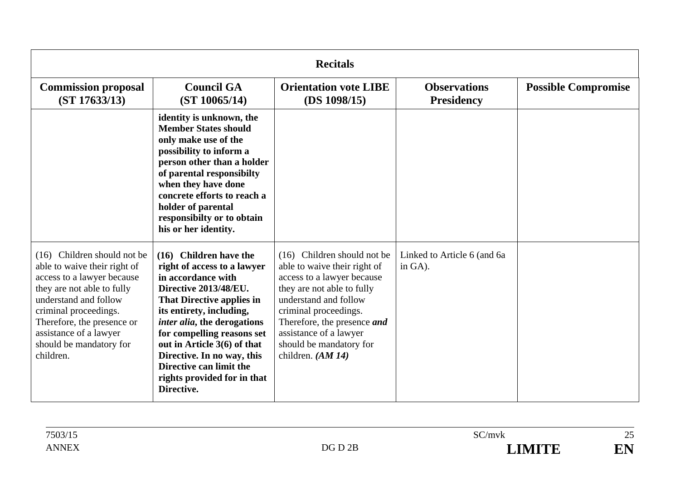| <b>Recitals</b>                                                                                                                                                                                                                                                           |                                                                                                                                                                                                                                                                                                                                                                                  |                                                                                                                                                                                                                                                                                       |                                          |                            |
|---------------------------------------------------------------------------------------------------------------------------------------------------------------------------------------------------------------------------------------------------------------------------|----------------------------------------------------------------------------------------------------------------------------------------------------------------------------------------------------------------------------------------------------------------------------------------------------------------------------------------------------------------------------------|---------------------------------------------------------------------------------------------------------------------------------------------------------------------------------------------------------------------------------------------------------------------------------------|------------------------------------------|----------------------------|
| <b>Commission proposal</b><br>(ST 17633/13)                                                                                                                                                                                                                               | <b>Council GA</b><br>(ST 10065/14)                                                                                                                                                                                                                                                                                                                                               | <b>Orientation vote LIBE</b><br>(DS 1098/15)                                                                                                                                                                                                                                          | <b>Observations</b><br><b>Presidency</b> | <b>Possible Compromise</b> |
|                                                                                                                                                                                                                                                                           | identity is unknown, the<br><b>Member States should</b><br>only make use of the<br>possibility to inform a<br>person other than a holder<br>of parental responsibilty<br>when they have done<br>concrete efforts to reach a<br>holder of parental<br>responsibilty or to obtain<br>his or her identity.                                                                          |                                                                                                                                                                                                                                                                                       |                                          |                            |
| (16) Children should not be<br>able to waive their right of<br>access to a lawyer because<br>they are not able to fully<br>understand and follow<br>criminal proceedings.<br>Therefore, the presence or<br>assistance of a lawyer<br>should be mandatory for<br>children. | <b>Children have the</b><br>(16)<br>right of access to a lawyer<br>in accordance with<br>Directive 2013/48/EU.<br><b>That Directive applies in</b><br>its entirety, including,<br>inter alia, the derogations<br>for compelling reasons set<br>out in Article 3(6) of that<br>Directive. In no way, this<br>Directive can limit the<br>rights provided for in that<br>Directive. | Children should not be<br>(16)<br>able to waive their right of<br>access to a lawyer because<br>they are not able to fully<br>understand and follow<br>criminal proceedings.<br>Therefore, the presence and<br>assistance of a lawyer<br>should be mandatory for<br>children. (AM 14) | Linked to Article 6 (and 6a<br>in GA).   |                            |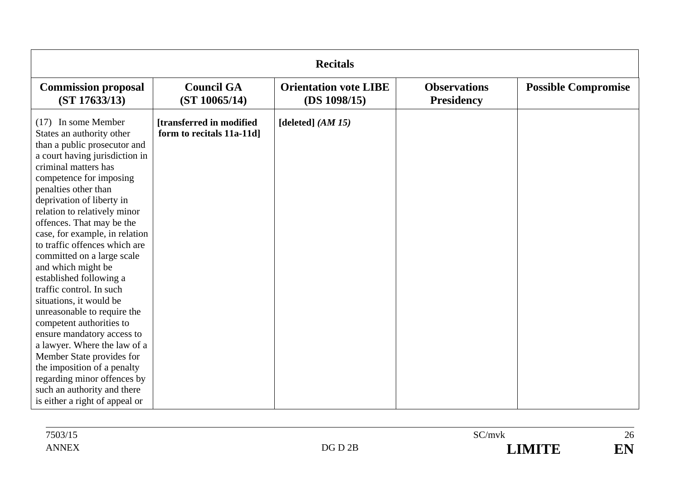| <b>Recitals</b>                                                                                                                                                                                                                                                                                                                                                                                                                                                                                                                                                                                                                                                                                                                                                                         |                                                        |                                              |                                          |                            |  |
|-----------------------------------------------------------------------------------------------------------------------------------------------------------------------------------------------------------------------------------------------------------------------------------------------------------------------------------------------------------------------------------------------------------------------------------------------------------------------------------------------------------------------------------------------------------------------------------------------------------------------------------------------------------------------------------------------------------------------------------------------------------------------------------------|--------------------------------------------------------|----------------------------------------------|------------------------------------------|----------------------------|--|
| <b>Commission proposal</b><br>(ST 17633/13)                                                                                                                                                                                                                                                                                                                                                                                                                                                                                                                                                                                                                                                                                                                                             | <b>Council GA</b><br>(ST 10065/14)                     | <b>Orientation vote LIBE</b><br>(DS 1098/15) | <b>Observations</b><br><b>Presidency</b> | <b>Possible Compromise</b> |  |
| $(17)$ In some Member<br>States an authority other<br>than a public prosecutor and<br>a court having jurisdiction in<br>criminal matters has<br>competence for imposing<br>penalties other than<br>deprivation of liberty in<br>relation to relatively minor<br>offences. That may be the<br>case, for example, in relation<br>to traffic offences which are<br>committed on a large scale<br>and which might be<br>established following a<br>traffic control. In such<br>situations, it would be<br>unreasonable to require the<br>competent authorities to<br>ensure mandatory access to<br>a lawyer. Where the law of a<br>Member State provides for<br>the imposition of a penalty<br>regarding minor offences by<br>such an authority and there<br>is either a right of appeal or | [transferred in modified]<br>form to recitals 11a-11d] | [deleted] $(AM 15)$                          |                                          |                            |  |

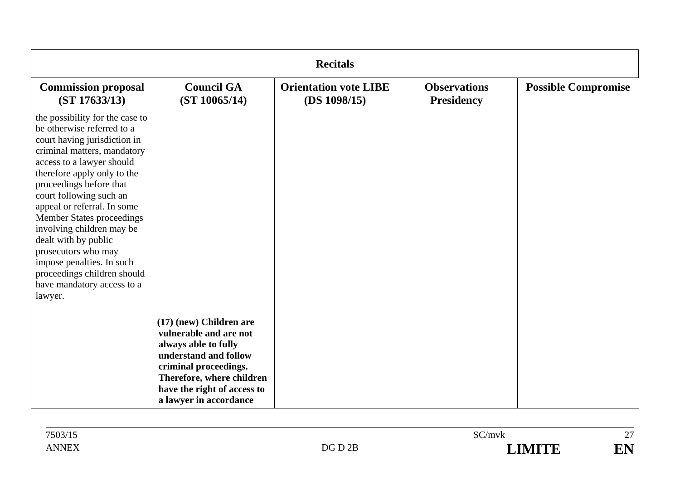| <b>Recitals</b>                                                                                                                                                                                                                                                                                                                                                                                                                                                                                    |                                                                                                                                                                                                                   |                                              |                                          |                            |  |
|----------------------------------------------------------------------------------------------------------------------------------------------------------------------------------------------------------------------------------------------------------------------------------------------------------------------------------------------------------------------------------------------------------------------------------------------------------------------------------------------------|-------------------------------------------------------------------------------------------------------------------------------------------------------------------------------------------------------------------|----------------------------------------------|------------------------------------------|----------------------------|--|
| <b>Commission proposal</b><br>(ST 17633/13)                                                                                                                                                                                                                                                                                                                                                                                                                                                        | <b>Council GA</b><br>(ST 10065/14)                                                                                                                                                                                | <b>Orientation vote LIBE</b><br>(DS 1098/15) | <b>Observations</b><br><b>Presidency</b> | <b>Possible Compromise</b> |  |
| the possibility for the case to<br>be otherwise referred to a<br>court having jurisdiction in<br>criminal matters, mandatory<br>access to a lawyer should<br>therefore apply only to the<br>proceedings before that<br>court following such an<br>appeal or referral. In some<br><b>Member States proceedings</b><br>involving children may be<br>dealt with by public<br>prosecutors who may<br>impose penalties. In such<br>proceedings children should<br>have mandatory access to a<br>lawyer. |                                                                                                                                                                                                                   |                                              |                                          |                            |  |
|                                                                                                                                                                                                                                                                                                                                                                                                                                                                                                    | (17) (new) Children are<br>vulnerable and are not<br>always able to fully<br>understand and follow<br>criminal proceedings.<br>Therefore, where children<br>have the right of access to<br>a lawyer in accordance |                                              |                                          |                            |  |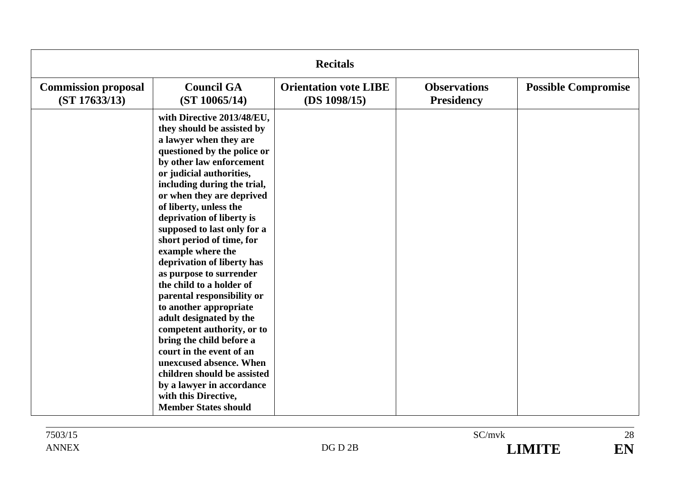| <b>Recitals</b>                             |                                                                                                                                                                                                                                                                                                                                                                                                                                                                                                                                                                                                                                                                                                                                                                                           |                                              |                                          |                            |  |
|---------------------------------------------|-------------------------------------------------------------------------------------------------------------------------------------------------------------------------------------------------------------------------------------------------------------------------------------------------------------------------------------------------------------------------------------------------------------------------------------------------------------------------------------------------------------------------------------------------------------------------------------------------------------------------------------------------------------------------------------------------------------------------------------------------------------------------------------------|----------------------------------------------|------------------------------------------|----------------------------|--|
| <b>Commission proposal</b><br>(ST 17633/13) | <b>Council GA</b><br>(ST 10065/14)                                                                                                                                                                                                                                                                                                                                                                                                                                                                                                                                                                                                                                                                                                                                                        | <b>Orientation vote LIBE</b><br>(DS 1098/15) | <b>Observations</b><br><b>Presidency</b> | <b>Possible Compromise</b> |  |
|                                             | with Directive 2013/48/EU,<br>they should be assisted by<br>a lawyer when they are<br>questioned by the police or<br>by other law enforcement<br>or judicial authorities,<br>including during the trial,<br>or when they are deprived<br>of liberty, unless the<br>deprivation of liberty is<br>supposed to last only for a<br>short period of time, for<br>example where the<br>deprivation of liberty has<br>as purpose to surrender<br>the child to a holder of<br>parental responsibility or<br>to another appropriate<br>adult designated by the<br>competent authority, or to<br>bring the child before a<br>court in the event of an<br>unexcused absence. When<br>children should be assisted<br>by a lawyer in accordance<br>with this Directive,<br><b>Member States should</b> |                                              |                                          |                            |  |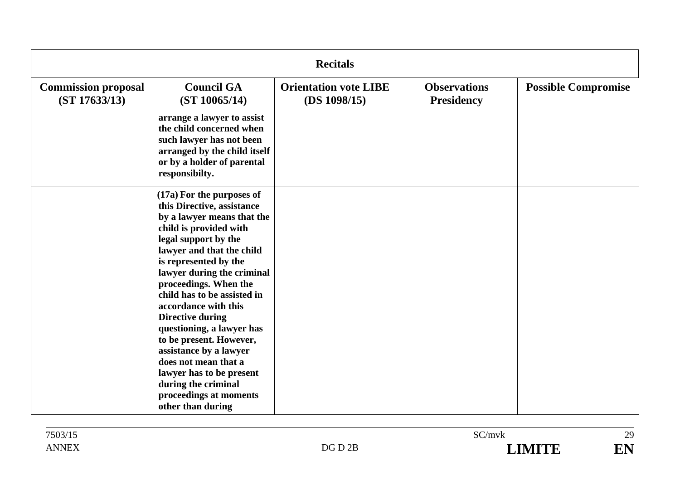| <b>Recitals</b>                             |                                                                                                                                                                                                                                                                                                                                                                                                                                                                                                                                                    |                                              |                                          |                            |  |
|---------------------------------------------|----------------------------------------------------------------------------------------------------------------------------------------------------------------------------------------------------------------------------------------------------------------------------------------------------------------------------------------------------------------------------------------------------------------------------------------------------------------------------------------------------------------------------------------------------|----------------------------------------------|------------------------------------------|----------------------------|--|
| <b>Commission proposal</b><br>(ST 17633/13) | <b>Council GA</b><br>(ST 10065/14)                                                                                                                                                                                                                                                                                                                                                                                                                                                                                                                 | <b>Orientation vote LIBE</b><br>(DS 1098/15) | <b>Observations</b><br><b>Presidency</b> | <b>Possible Compromise</b> |  |
|                                             | arrange a lawyer to assist<br>the child concerned when<br>such lawyer has not been<br>arranged by the child itself<br>or by a holder of parental<br>responsibilty.                                                                                                                                                                                                                                                                                                                                                                                 |                                              |                                          |                            |  |
|                                             | (17a) For the purposes of<br>this Directive, assistance<br>by a lawyer means that the<br>child is provided with<br>legal support by the<br>lawyer and that the child<br>is represented by the<br>lawyer during the criminal<br>proceedings. When the<br>child has to be assisted in<br>accordance with this<br><b>Directive during</b><br>questioning, a lawyer has<br>to be present. However,<br>assistance by a lawyer<br>does not mean that a<br>lawyer has to be present<br>during the criminal<br>proceedings at moments<br>other than during |                                              |                                          |                            |  |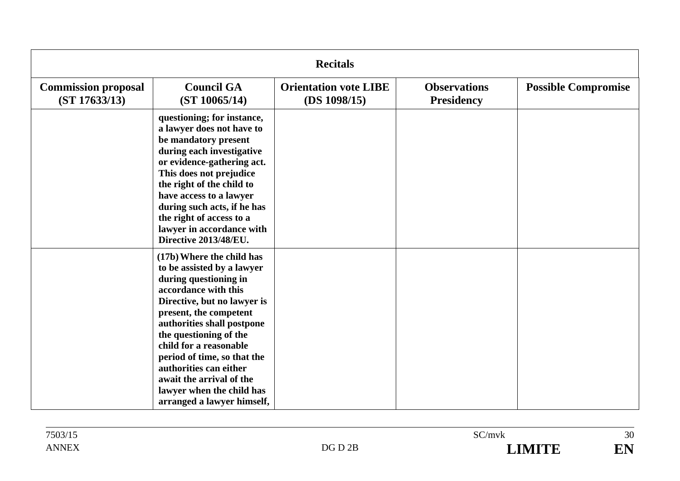| <b>Recitals</b>                             |                                                                                                                                                                                                                                                                                                                                                                                                     |                                              |                                          |                            |  |
|---------------------------------------------|-----------------------------------------------------------------------------------------------------------------------------------------------------------------------------------------------------------------------------------------------------------------------------------------------------------------------------------------------------------------------------------------------------|----------------------------------------------|------------------------------------------|----------------------------|--|
| <b>Commission proposal</b><br>(ST 17633/13) | <b>Council GA</b><br>(ST 10065/14)                                                                                                                                                                                                                                                                                                                                                                  | <b>Orientation vote LIBE</b><br>(DS 1098/15) | <b>Observations</b><br><b>Presidency</b> | <b>Possible Compromise</b> |  |
|                                             | questioning; for instance,<br>a lawyer does not have to<br>be mandatory present<br>during each investigative<br>or evidence-gathering act.<br>This does not prejudice<br>the right of the child to<br>have access to a lawyer<br>during such acts, if he has<br>the right of access to a<br>lawyer in accordance with<br>Directive 2013/48/EU.                                                      |                                              |                                          |                            |  |
|                                             | (17b) Where the child has<br>to be assisted by a lawyer<br>during questioning in<br>accordance with this<br>Directive, but no lawyer is<br>present, the competent<br>authorities shall postpone<br>the questioning of the<br>child for a reasonable<br>period of time, so that the<br>authorities can either<br>await the arrival of the<br>lawyer when the child has<br>arranged a lawyer himself, |                                              |                                          |                            |  |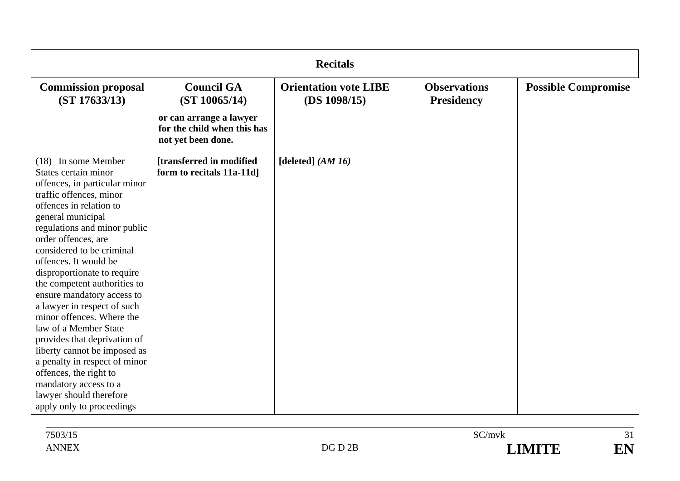| <b>Recitals</b>                                                                                                                                                                                                                                                                                                                                                                                                                                                                                                                                                                                                                                                    |                                                                              |                                              |                                          |                            |  |
|--------------------------------------------------------------------------------------------------------------------------------------------------------------------------------------------------------------------------------------------------------------------------------------------------------------------------------------------------------------------------------------------------------------------------------------------------------------------------------------------------------------------------------------------------------------------------------------------------------------------------------------------------------------------|------------------------------------------------------------------------------|----------------------------------------------|------------------------------------------|----------------------------|--|
| <b>Commission proposal</b><br>(ST 17633/13)                                                                                                                                                                                                                                                                                                                                                                                                                                                                                                                                                                                                                        | <b>Council GA</b><br>(ST 10065/14)                                           | <b>Orientation vote LIBE</b><br>(DS 1098/15) | <b>Observations</b><br><b>Presidency</b> | <b>Possible Compromise</b> |  |
|                                                                                                                                                                                                                                                                                                                                                                                                                                                                                                                                                                                                                                                                    | or can arrange a lawyer<br>for the child when this has<br>not yet been done. |                                              |                                          |                            |  |
| (18) In some Member<br>States certain minor<br>offences, in particular minor<br>traffic offences, minor<br>offences in relation to<br>general municipal<br>regulations and minor public<br>order offences, are<br>considered to be criminal<br>offences. It would be<br>disproportionate to require<br>the competent authorities to<br>ensure mandatory access to<br>a lawyer in respect of such<br>minor offences. Where the<br>law of a Member State<br>provides that deprivation of<br>liberty cannot be imposed as<br>a penalty in respect of minor<br>offences, the right to<br>mandatory access to a<br>lawyer should therefore<br>apply only to proceedings | [transferred in modified]<br>form to recitals 11a-11d]                       | [deleted] $(AM 16)$                          |                                          |                            |  |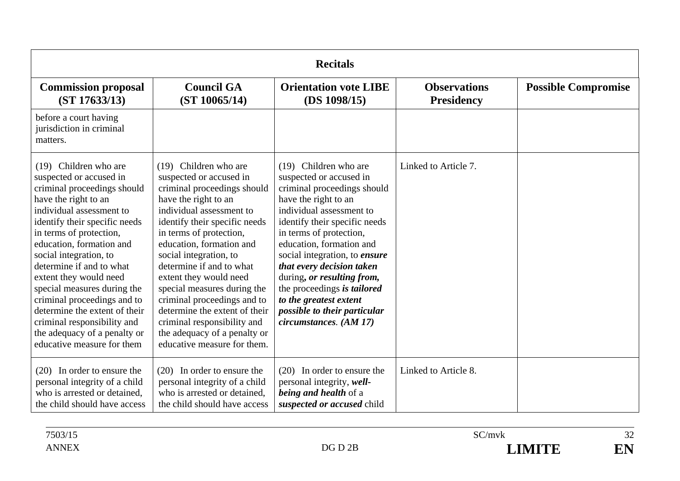| <b>Recitals</b>                                                                                                                                                                                                                                                                                                                                                                                                                                                                                         |                                                                                                                                                                                                                                                                                                                                                                                                                                                                                                          |                                                                                                                                                                                                                                                                                                                                                                                                                                            |                                          |                            |
|---------------------------------------------------------------------------------------------------------------------------------------------------------------------------------------------------------------------------------------------------------------------------------------------------------------------------------------------------------------------------------------------------------------------------------------------------------------------------------------------------------|----------------------------------------------------------------------------------------------------------------------------------------------------------------------------------------------------------------------------------------------------------------------------------------------------------------------------------------------------------------------------------------------------------------------------------------------------------------------------------------------------------|--------------------------------------------------------------------------------------------------------------------------------------------------------------------------------------------------------------------------------------------------------------------------------------------------------------------------------------------------------------------------------------------------------------------------------------------|------------------------------------------|----------------------------|
| <b>Commission proposal</b><br>(ST 17633/13)                                                                                                                                                                                                                                                                                                                                                                                                                                                             | <b>Council GA</b><br>(ST 10065/14)                                                                                                                                                                                                                                                                                                                                                                                                                                                                       | <b>Orientation vote LIBE</b><br>(DS 1098/15)                                                                                                                                                                                                                                                                                                                                                                                               | <b>Observations</b><br><b>Presidency</b> | <b>Possible Compromise</b> |
| before a court having<br>jurisdiction in criminal<br>matters.                                                                                                                                                                                                                                                                                                                                                                                                                                           |                                                                                                                                                                                                                                                                                                                                                                                                                                                                                                          |                                                                                                                                                                                                                                                                                                                                                                                                                                            |                                          |                            |
| (19) Children who are<br>suspected or accused in<br>criminal proceedings should<br>have the right to an<br>individual assessment to<br>identify their specific needs<br>in terms of protection,<br>education, formation and<br>social integration, to<br>determine if and to what<br>extent they would need<br>special measures during the<br>criminal proceedings and to<br>determine the extent of their<br>criminal responsibility and<br>the adequacy of a penalty or<br>educative measure for them | (19) Children who are<br>suspected or accused in<br>criminal proceedings should<br>have the right to an<br>individual assessment to<br>identify their specific needs<br>in terms of protection,<br>education, formation and<br>social integration, to<br>determine if and to what<br>extent they would need<br>special measures during the<br>criminal proceedings and to<br>determine the extent of their<br>criminal responsibility and<br>the adequacy of a penalty or<br>educative measure for them. | (19) Children who are<br>suspected or accused in<br>criminal proceedings should<br>have the right to an<br>individual assessment to<br>identify their specific needs<br>in terms of protection,<br>education, formation and<br>social integration, to ensure<br>that every decision taken<br>during, or resulting from,<br>the proceedings is tailored<br>to the greatest extent<br>possible to their particular<br>circumstances. (AM 17) | Linked to Article 7.                     |                            |
| (20) In order to ensure the<br>personal integrity of a child<br>who is arrested or detained,<br>the child should have access                                                                                                                                                                                                                                                                                                                                                                            | (20) In order to ensure the<br>personal integrity of a child<br>who is arrested or detained,<br>the child should have access                                                                                                                                                                                                                                                                                                                                                                             | (20) In order to ensure the<br>personal integrity, well-<br>being and health of a<br>suspected or accused child                                                                                                                                                                                                                                                                                                                            | Linked to Article 8.                     |                            |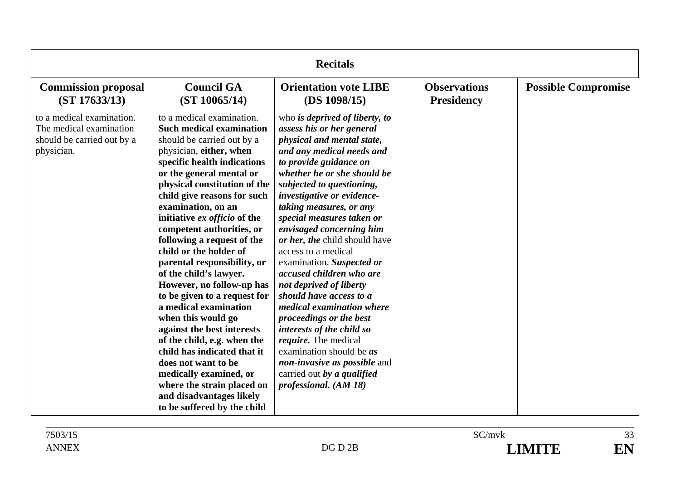| <b>Recitals</b>                                                                                  |                                                                                                                                                                                                                                                                                                                                                                                                                                                                                                                                                                                                                                                                                                                                                                                                       |                                                                                                                                                                                                                                                                                                                                                                                                                                                                                                                                                                                                                                                                                                                                                      |                                          |                            |  |
|--------------------------------------------------------------------------------------------------|-------------------------------------------------------------------------------------------------------------------------------------------------------------------------------------------------------------------------------------------------------------------------------------------------------------------------------------------------------------------------------------------------------------------------------------------------------------------------------------------------------------------------------------------------------------------------------------------------------------------------------------------------------------------------------------------------------------------------------------------------------------------------------------------------------|------------------------------------------------------------------------------------------------------------------------------------------------------------------------------------------------------------------------------------------------------------------------------------------------------------------------------------------------------------------------------------------------------------------------------------------------------------------------------------------------------------------------------------------------------------------------------------------------------------------------------------------------------------------------------------------------------------------------------------------------------|------------------------------------------|----------------------------|--|
| <b>Commission proposal</b><br>(ST 17633/13)                                                      | <b>Council GA</b><br>(ST 10065/14)                                                                                                                                                                                                                                                                                                                                                                                                                                                                                                                                                                                                                                                                                                                                                                    | <b>Orientation vote LIBE</b><br>(DS 1098/15)                                                                                                                                                                                                                                                                                                                                                                                                                                                                                                                                                                                                                                                                                                         | <b>Observations</b><br><b>Presidency</b> | <b>Possible Compromise</b> |  |
| to a medical examination.<br>The medical examination<br>should be carried out by a<br>physician. | to a medical examination.<br><b>Such medical examination</b><br>should be carried out by a<br>physician, either, when<br>specific health indications<br>or the general mental or<br>physical constitution of the<br>child give reasons for such<br>examination, on an<br>initiative ex officio of the<br>competent authorities, or<br>following a request of the<br>child or the holder of<br>parental responsibility, or<br>of the child's lawyer.<br>However, no follow-up has<br>to be given to a request for<br>a medical examination<br>when this would go<br>against the best interests<br>of the child, e.g. when the<br>child has indicated that it<br>does not want to be<br>medically examined, or<br>where the strain placed on<br>and disadvantages likely<br>to be suffered by the child | who is deprived of liberty, to<br>assess his or her general<br>physical and mental state,<br>and any medical needs and<br>to provide guidance on<br>whether he or she should be<br>subjected to questioning,<br>investigative or evidence-<br>taking measures, or any<br>special measures taken or<br>envisaged concerning him<br>or her, the child should have<br>access to a medical<br>examination. Suspected or<br>accused children who are<br>not deprived of liberty<br>should have access to a<br>medical examination where<br>proceedings or the best<br>interests of the child so<br><i>require</i> . The medical<br>examination should be <i>as</i><br>non-invasive as possible and<br>carried out by a qualified<br>professional. (AM 18) |                                          |                            |  |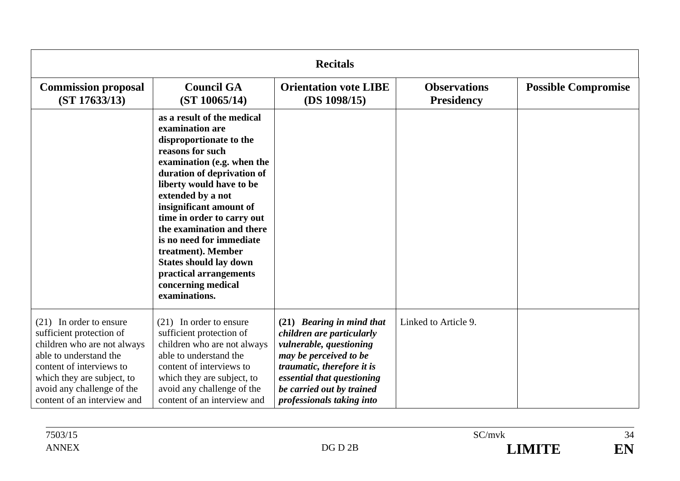| <b>Recitals</b>                                                                                                                                                                                                                       |                                                                                                                                                                                                                                                                                                                                                                                                                                                     |                                                                                                                                                                                                                                   |                                          |                            |  |
|---------------------------------------------------------------------------------------------------------------------------------------------------------------------------------------------------------------------------------------|-----------------------------------------------------------------------------------------------------------------------------------------------------------------------------------------------------------------------------------------------------------------------------------------------------------------------------------------------------------------------------------------------------------------------------------------------------|-----------------------------------------------------------------------------------------------------------------------------------------------------------------------------------------------------------------------------------|------------------------------------------|----------------------------|--|
| <b>Commission proposal</b><br>(ST 17633/13)                                                                                                                                                                                           | <b>Council GA</b><br>(ST 10065/14)                                                                                                                                                                                                                                                                                                                                                                                                                  | <b>Orientation vote LIBE</b><br>(DS 1098/15)                                                                                                                                                                                      | <b>Observations</b><br><b>Presidency</b> | <b>Possible Compromise</b> |  |
|                                                                                                                                                                                                                                       | as a result of the medical<br>examination are<br>disproportionate to the<br>reasons for such<br>examination (e.g. when the<br>duration of deprivation of<br>liberty would have to be<br>extended by a not<br>insignificant amount of<br>time in order to carry out<br>the examination and there<br>is no need for immediate<br>treatment). Member<br><b>States should lay down</b><br>practical arrangements<br>concerning medical<br>examinations. |                                                                                                                                                                                                                                   |                                          |                            |  |
| $(21)$ In order to ensure<br>sufficient protection of<br>children who are not always<br>able to understand the<br>content of interviews to<br>which they are subject, to<br>avoid any challenge of the<br>content of an interview and | $(21)$ In order to ensure<br>sufficient protection of<br>children who are not always<br>able to understand the<br>content of interviews to<br>which they are subject, to<br>avoid any challenge of the<br>content of an interview and                                                                                                                                                                                                               | (21) Bearing in mind that<br>children are particularly<br>vulnerable, questioning<br>may be perceived to be<br>traumatic, therefore it is<br>essential that questioning<br>be carried out by trained<br>professionals taking into | Linked to Article 9.                     |                            |  |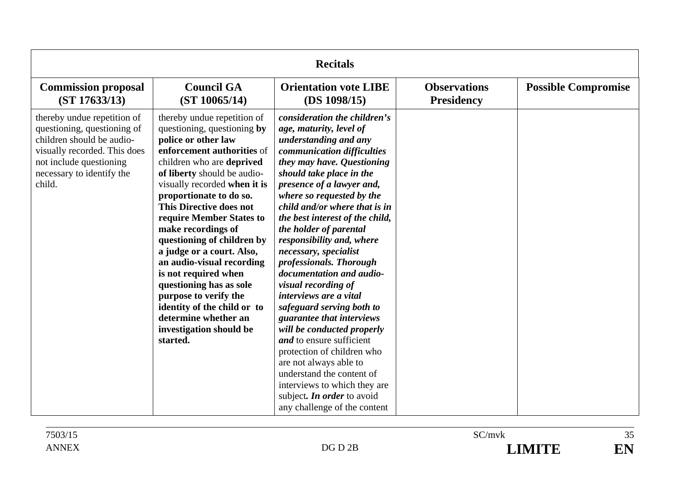| <b>Recitals</b>                                                                                                                                                                           |                                                                                                                                                                                                                                                                                                                                                                                                                                                                                                                                                                                              |                                                                                                                                                                                                                                                                                                                                                                                                                                                                                                                                                                                                                                                                                                                                                                                                              |                                          |                            |
|-------------------------------------------------------------------------------------------------------------------------------------------------------------------------------------------|----------------------------------------------------------------------------------------------------------------------------------------------------------------------------------------------------------------------------------------------------------------------------------------------------------------------------------------------------------------------------------------------------------------------------------------------------------------------------------------------------------------------------------------------------------------------------------------------|--------------------------------------------------------------------------------------------------------------------------------------------------------------------------------------------------------------------------------------------------------------------------------------------------------------------------------------------------------------------------------------------------------------------------------------------------------------------------------------------------------------------------------------------------------------------------------------------------------------------------------------------------------------------------------------------------------------------------------------------------------------------------------------------------------------|------------------------------------------|----------------------------|
| <b>Commission proposal</b><br>(ST 17633/13)                                                                                                                                               | <b>Council GA</b><br>(ST 10065/14)                                                                                                                                                                                                                                                                                                                                                                                                                                                                                                                                                           | <b>Orientation vote LIBE</b><br>(DS 1098/15)                                                                                                                                                                                                                                                                                                                                                                                                                                                                                                                                                                                                                                                                                                                                                                 | <b>Observations</b><br><b>Presidency</b> | <b>Possible Compromise</b> |
| thereby undue repetition of<br>questioning, questioning of<br>children should be audio-<br>visually recorded. This does<br>not include questioning<br>necessary to identify the<br>child. | thereby undue repetition of<br>questioning, questioning by<br>police or other law<br>enforcement authorities of<br>children who are deprived<br>of liberty should be audio-<br>visually recorded when it is<br>proportionate to do so.<br><b>This Directive does not</b><br>require Member States to<br>make recordings of<br>questioning of children by<br>a judge or a court. Also,<br>an audio-visual recording<br>is not required when<br>questioning has as sole<br>purpose to verify the<br>identity of the child or to<br>determine whether an<br>investigation should be<br>started. | consideration the children's<br>age, maturity, level of<br>understanding and any<br>communication difficulties<br>they may have. Questioning<br>should take place in the<br>presence of a lawyer and,<br>where so requested by the<br>child and/or where that is in<br>the best interest of the child,<br>the holder of parental<br>responsibility and, where<br>necessary, specialist<br>professionals. Thorough<br>documentation and audio-<br>visual recording of<br><i>interviews are a vital</i><br>safeguard serving both to<br>guarantee that interviews<br>will be conducted properly<br>and to ensure sufficient<br>protection of children who<br>are not always able to<br>understand the content of<br>interviews to which they are<br>subject. In order to avoid<br>any challenge of the content |                                          |                            |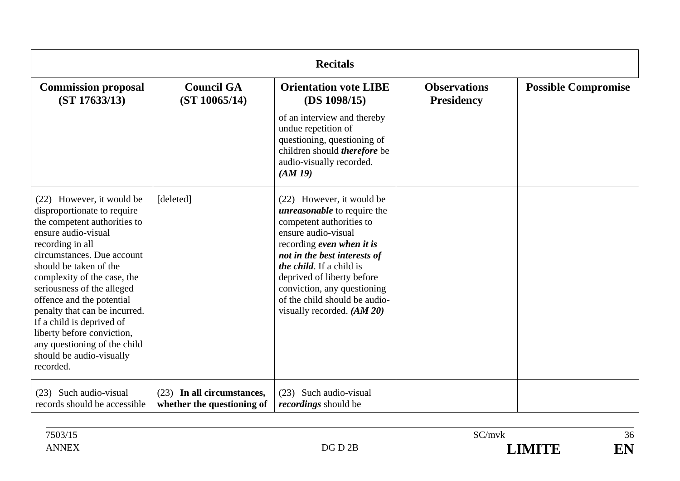| <b>Recitals</b>                                                                                                                                                                                                                                                                                                                                                                                                                                            |                                                          |                                                                                                                                                                                                                                                                                                                                                   |                                          |                            |
|------------------------------------------------------------------------------------------------------------------------------------------------------------------------------------------------------------------------------------------------------------------------------------------------------------------------------------------------------------------------------------------------------------------------------------------------------------|----------------------------------------------------------|---------------------------------------------------------------------------------------------------------------------------------------------------------------------------------------------------------------------------------------------------------------------------------------------------------------------------------------------------|------------------------------------------|----------------------------|
| <b>Commission proposal</b><br>(ST 17633/13)                                                                                                                                                                                                                                                                                                                                                                                                                | <b>Council GA</b><br>(ST 10065/14)                       | <b>Orientation vote LIBE</b><br>(DS 1098/15)                                                                                                                                                                                                                                                                                                      | <b>Observations</b><br><b>Presidency</b> | <b>Possible Compromise</b> |
|                                                                                                                                                                                                                                                                                                                                                                                                                                                            |                                                          | of an interview and thereby<br>undue repetition of<br>questioning, questioning of<br>children should therefore be<br>audio-visually recorded.<br>(AM19)                                                                                                                                                                                           |                                          |                            |
| (22) However, it would be<br>disproportionate to require<br>the competent authorities to<br>ensure audio-visual<br>recording in all<br>circumstances. Due account<br>should be taken of the<br>complexity of the case, the<br>seriousness of the alleged<br>offence and the potential<br>penalty that can be incurred.<br>If a child is deprived of<br>liberty before conviction,<br>any questioning of the child<br>should be audio-visually<br>recorded. | [deleted]                                                | (22) However, it would be<br><i>unreasonable</i> to require the<br>competent authorities to<br>ensure audio-visual<br>recording even when it is<br>not in the best interests of<br><i>the child</i> . If a child is<br>deprived of liberty before<br>conviction, any questioning<br>of the child should be audio-<br>visually recorded. $(AM 20)$ |                                          |                            |
| (23) Such audio-visual<br>records should be accessible                                                                                                                                                                                                                                                                                                                                                                                                     | (23) In all circumstances,<br>whether the questioning of | (23) Such audio-visual<br><i>recordings</i> should be                                                                                                                                                                                                                                                                                             |                                          |                            |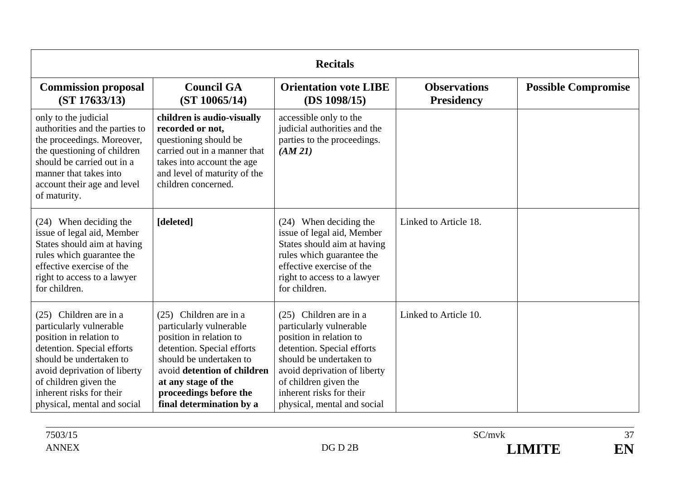| <b>Recitals</b>                                                                                                                                                                                                                                           |                                                                                                                                                                                                                                                   |                                                                                                                                                                                                                                                           |                                          |                            |
|-----------------------------------------------------------------------------------------------------------------------------------------------------------------------------------------------------------------------------------------------------------|---------------------------------------------------------------------------------------------------------------------------------------------------------------------------------------------------------------------------------------------------|-----------------------------------------------------------------------------------------------------------------------------------------------------------------------------------------------------------------------------------------------------------|------------------------------------------|----------------------------|
| <b>Commission proposal</b><br>(ST 17633/13)                                                                                                                                                                                                               | <b>Council GA</b><br>(ST 10065/14)                                                                                                                                                                                                                | <b>Orientation vote LIBE</b><br>(DS 1098/15)                                                                                                                                                                                                              | <b>Observations</b><br><b>Presidency</b> | <b>Possible Compromise</b> |
| only to the judicial<br>authorities and the parties to<br>the proceedings. Moreover,<br>the questioning of children<br>should be carried out in a<br>manner that takes into<br>account their age and level<br>of maturity.                                | children is audio-visually<br>recorded or not,<br>questioning should be<br>carried out in a manner that<br>takes into account the age<br>and level of maturity of the<br>children concerned.                                                      | accessible only to the<br>judicial authorities and the<br>parties to the proceedings.<br>(AM 21)                                                                                                                                                          |                                          |                            |
| (24) When deciding the<br>issue of legal aid, Member<br>States should aim at having<br>rules which guarantee the<br>effective exercise of the<br>right to access to a lawyer<br>for children.                                                             | [deleted]                                                                                                                                                                                                                                         | (24) When deciding the<br>issue of legal aid, Member<br>States should aim at having<br>rules which guarantee the<br>effective exercise of the<br>right to access to a lawyer<br>for children.                                                             | Linked to Article 18.                    |                            |
| (25) Children are in a<br>particularly vulnerable<br>position in relation to<br>detention. Special efforts<br>should be undertaken to<br>avoid deprivation of liberty<br>of children given the<br>inherent risks for their<br>physical, mental and social | (25) Children are in a<br>particularly vulnerable<br>position in relation to<br>detention. Special efforts<br>should be undertaken to<br>avoid detention of children<br>at any stage of the<br>proceedings before the<br>final determination by a | (25) Children are in a<br>particularly vulnerable<br>position in relation to<br>detention. Special efforts<br>should be undertaken to<br>avoid deprivation of liberty<br>of children given the<br>inherent risks for their<br>physical, mental and social | Linked to Article 10.                    |                            |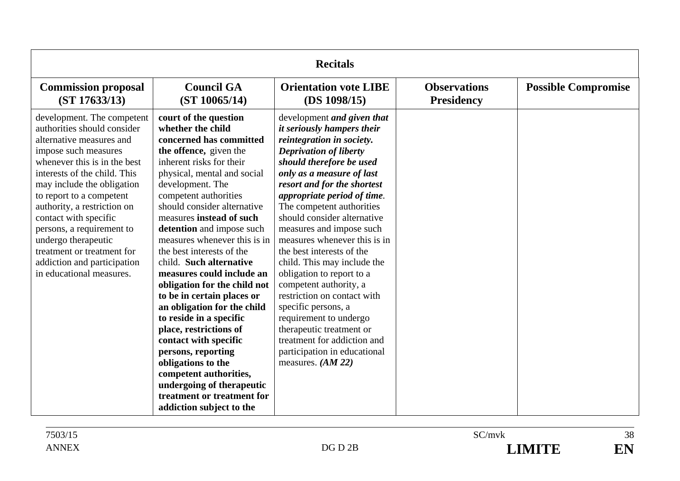| <b>Recitals</b>                                                                                                                                                                                                                                                                                                                                                                                                                              |                                                                                                                                                                                                                                                                                                                                                                                                                                                                                                                                                                                                                                                                                                                                                              |                                                                                                                                                                                                                                                                                                                                                                                                                                                                                                                                                                                                                                                                                                   |                                          |                            |
|----------------------------------------------------------------------------------------------------------------------------------------------------------------------------------------------------------------------------------------------------------------------------------------------------------------------------------------------------------------------------------------------------------------------------------------------|--------------------------------------------------------------------------------------------------------------------------------------------------------------------------------------------------------------------------------------------------------------------------------------------------------------------------------------------------------------------------------------------------------------------------------------------------------------------------------------------------------------------------------------------------------------------------------------------------------------------------------------------------------------------------------------------------------------------------------------------------------------|---------------------------------------------------------------------------------------------------------------------------------------------------------------------------------------------------------------------------------------------------------------------------------------------------------------------------------------------------------------------------------------------------------------------------------------------------------------------------------------------------------------------------------------------------------------------------------------------------------------------------------------------------------------------------------------------------|------------------------------------------|----------------------------|
| <b>Commission proposal</b><br>(ST 17633/13)                                                                                                                                                                                                                                                                                                                                                                                                  | <b>Council GA</b><br>(ST 10065/14)                                                                                                                                                                                                                                                                                                                                                                                                                                                                                                                                                                                                                                                                                                                           | <b>Orientation vote LIBE</b><br>(DS 1098/15)                                                                                                                                                                                                                                                                                                                                                                                                                                                                                                                                                                                                                                                      | <b>Observations</b><br><b>Presidency</b> | <b>Possible Compromise</b> |
| development. The competent<br>authorities should consider<br>alternative measures and<br>impose such measures<br>whenever this is in the best<br>interests of the child. This<br>may include the obligation<br>to report to a competent<br>authority, a restriction on<br>contact with specific<br>persons, a requirement to<br>undergo therapeutic<br>treatment or treatment for<br>addiction and participation<br>in educational measures. | court of the question<br>whether the child<br>concerned has committed<br>the offence, given the<br>inherent risks for their<br>physical, mental and social<br>development. The<br>competent authorities<br>should consider alternative<br>measures instead of such<br>detention and impose such<br>measures whenever this is in<br>the best interests of the<br>child. Such alternative<br>measures could include an<br>obligation for the child not<br>to be in certain places or<br>an obligation for the child<br>to reside in a specific<br>place, restrictions of<br>contact with specific<br>persons, reporting<br>obligations to the<br>competent authorities,<br>undergoing of therapeutic<br>treatment or treatment for<br>addiction subject to the | development and given that<br><i>it seriously hampers their</i><br>reintegration in society.<br><b>Deprivation of liberty</b><br>should therefore be used<br>only as a measure of last<br>resort and for the shortest<br>appropriate period of time.<br>The competent authorities<br>should consider alternative<br>measures and impose such<br>measures whenever this is in<br>the best interests of the<br>child. This may include the<br>obligation to report to a<br>competent authority, a<br>restriction on contact with<br>specific persons, a<br>requirement to undergo<br>therapeutic treatment or<br>treatment for addiction and<br>participation in educational<br>measures. $(AM 22)$ |                                          |                            |

38 EN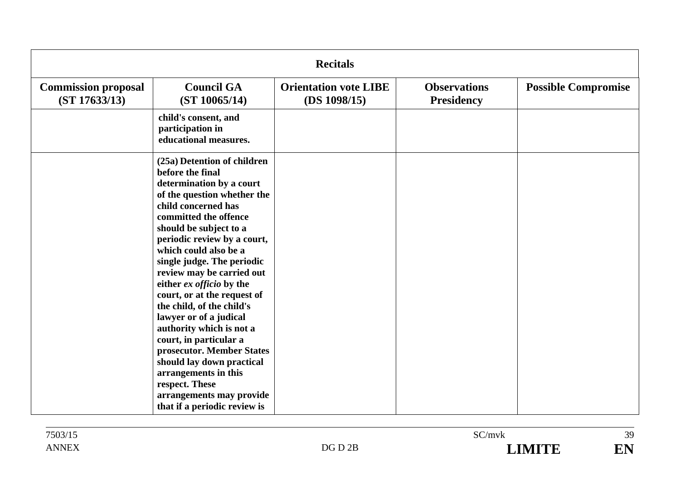| <b>Recitals</b>                             |                                                                                                                                                                                                                                                                                                                                                                                                                                                                                                                                                                                                                                                 |                                              |                                          |                            |
|---------------------------------------------|-------------------------------------------------------------------------------------------------------------------------------------------------------------------------------------------------------------------------------------------------------------------------------------------------------------------------------------------------------------------------------------------------------------------------------------------------------------------------------------------------------------------------------------------------------------------------------------------------------------------------------------------------|----------------------------------------------|------------------------------------------|----------------------------|
| <b>Commission proposal</b><br>(ST 17633/13) | <b>Council GA</b><br>(ST 10065/14)                                                                                                                                                                                                                                                                                                                                                                                                                                                                                                                                                                                                              | <b>Orientation vote LIBE</b><br>(DS 1098/15) | <b>Observations</b><br><b>Presidency</b> | <b>Possible Compromise</b> |
|                                             | child's consent, and<br>participation in<br>educational measures.                                                                                                                                                                                                                                                                                                                                                                                                                                                                                                                                                                               |                                              |                                          |                            |
|                                             | (25a) Detention of children<br>before the final<br>determination by a court<br>of the question whether the<br>child concerned has<br>committed the offence<br>should be subject to a<br>periodic review by a court,<br>which could also be a<br>single judge. The periodic<br>review may be carried out<br>either ex officio by the<br>court, or at the request of<br>the child, of the child's<br>lawyer or of a judical<br>authority which is not a<br>court, in particular a<br>prosecutor. Member States<br>should lay down practical<br>arrangements in this<br>respect. These<br>arrangements may provide<br>that if a periodic review is |                                              |                                          |                            |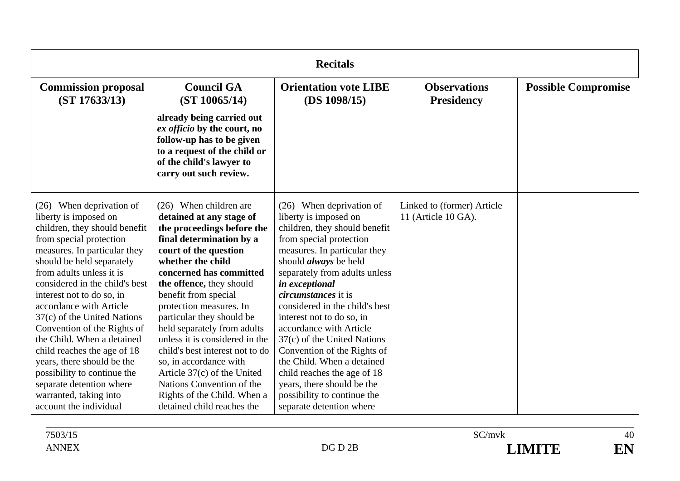| <b>Recitals</b>                                                                                                                                                                                                                                                                                                                                                                                                                                                                                                                                                          |                                                                                                                                                                                                                                                                                                                                                                                                                                                                                                                                                            |                                                                                                                                                                                                                                                                                                                                                                                                                                                                                                                                                                              |                                                   |                            |
|--------------------------------------------------------------------------------------------------------------------------------------------------------------------------------------------------------------------------------------------------------------------------------------------------------------------------------------------------------------------------------------------------------------------------------------------------------------------------------------------------------------------------------------------------------------------------|------------------------------------------------------------------------------------------------------------------------------------------------------------------------------------------------------------------------------------------------------------------------------------------------------------------------------------------------------------------------------------------------------------------------------------------------------------------------------------------------------------------------------------------------------------|------------------------------------------------------------------------------------------------------------------------------------------------------------------------------------------------------------------------------------------------------------------------------------------------------------------------------------------------------------------------------------------------------------------------------------------------------------------------------------------------------------------------------------------------------------------------------|---------------------------------------------------|----------------------------|
| <b>Commission proposal</b><br>(ST 17633/13)                                                                                                                                                                                                                                                                                                                                                                                                                                                                                                                              | <b>Council GA</b><br>(ST 10065/14)                                                                                                                                                                                                                                                                                                                                                                                                                                                                                                                         | <b>Orientation vote LIBE</b><br>(DS 1098/15)                                                                                                                                                                                                                                                                                                                                                                                                                                                                                                                                 | <b>Observations</b><br><b>Presidency</b>          | <b>Possible Compromise</b> |
|                                                                                                                                                                                                                                                                                                                                                                                                                                                                                                                                                                          | already being carried out<br>ex officio by the court, no<br>follow-up has to be given<br>to a request of the child or<br>of the child's lawyer to<br>carry out such review.                                                                                                                                                                                                                                                                                                                                                                                |                                                                                                                                                                                                                                                                                                                                                                                                                                                                                                                                                                              |                                                   |                            |
| (26) When deprivation of<br>liberty is imposed on<br>children, they should benefit<br>from special protection<br>measures. In particular they<br>should be held separately<br>from adults unless it is<br>considered in the child's best<br>interest not to do so, in<br>accordance with Article<br>37(c) of the United Nations<br>Convention of the Rights of<br>the Child. When a detained<br>child reaches the age of 18<br>years, there should be the<br>possibility to continue the<br>separate detention where<br>warranted, taking into<br>account the individual | $(26)$ When children are<br>detained at any stage of<br>the proceedings before the<br>final determination by a<br>court of the question<br>whether the child<br>concerned has committed<br>the offence, they should<br>benefit from special<br>protection measures. In<br>particular they should be<br>held separately from adults<br>unless it is considered in the<br>child's best interest not to do<br>so, in accordance with<br>Article 37(c) of the United<br>Nations Convention of the<br>Rights of the Child. When a<br>detained child reaches the | (26) When deprivation of<br>liberty is imposed on<br>children, they should benefit<br>from special protection<br>measures. In particular they<br>should <i>always</i> be held<br>separately from adults unless<br>in exceptional<br><i>circumstances</i> it is<br>considered in the child's best<br>interest not to do so, in<br>accordance with Article<br>37(c) of the United Nations<br>Convention of the Rights of<br>the Child. When a detained<br>child reaches the age of 18<br>years, there should be the<br>possibility to continue the<br>separate detention where | Linked to (former) Article<br>11 (Article 10 GA). |                            |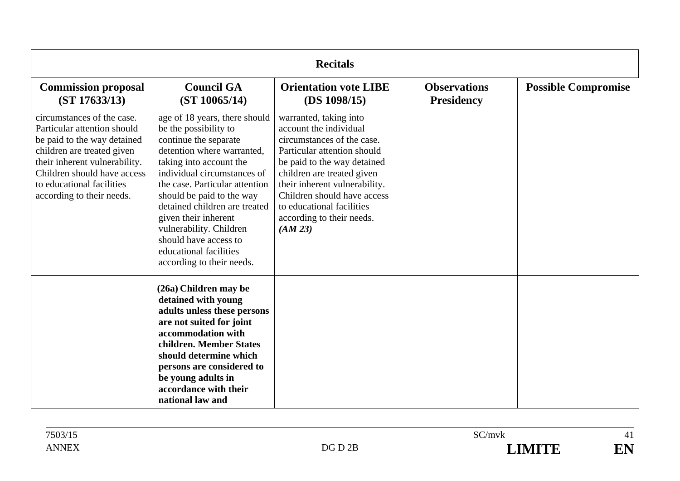| <b>Recitals</b>                                                                                                                                                                                                                                  |                                                                                                                                                                                                                                                                                                                                                                                                            |                                                                                                                                                                                                                                                                                                                 |                                          |                            |
|--------------------------------------------------------------------------------------------------------------------------------------------------------------------------------------------------------------------------------------------------|------------------------------------------------------------------------------------------------------------------------------------------------------------------------------------------------------------------------------------------------------------------------------------------------------------------------------------------------------------------------------------------------------------|-----------------------------------------------------------------------------------------------------------------------------------------------------------------------------------------------------------------------------------------------------------------------------------------------------------------|------------------------------------------|----------------------------|
| <b>Commission proposal</b><br>(ST 17633/13)                                                                                                                                                                                                      | <b>Council GA</b><br>(ST 10065/14)                                                                                                                                                                                                                                                                                                                                                                         | <b>Orientation vote LIBE</b><br>(DS 1098/15)                                                                                                                                                                                                                                                                    | <b>Observations</b><br><b>Presidency</b> | <b>Possible Compromise</b> |
| circumstances of the case.<br>Particular attention should<br>be paid to the way detained<br>children are treated given<br>their inherent vulnerability.<br>Children should have access<br>to educational facilities<br>according to their needs. | age of 18 years, there should<br>be the possibility to<br>continue the separate<br>detention where warranted,<br>taking into account the<br>individual circumstances of<br>the case. Particular attention<br>should be paid to the way<br>detained children are treated<br>given their inherent<br>vulnerability. Children<br>should have access to<br>educational facilities<br>according to their needs. | warranted, taking into<br>account the individual<br>circumstances of the case.<br>Particular attention should<br>be paid to the way detained<br>children are treated given<br>their inherent vulnerability.<br>Children should have access<br>to educational facilities<br>according to their needs.<br>(AM 23) |                                          |                            |
|                                                                                                                                                                                                                                                  | (26a) Children may be<br>detained with young<br>adults unless these persons<br>are not suited for joint<br>accommodation with<br>children. Member States<br>should determine which<br>persons are considered to<br>be young adults in<br>accordance with their<br>national law and                                                                                                                         |                                                                                                                                                                                                                                                                                                                 |                                          |                            |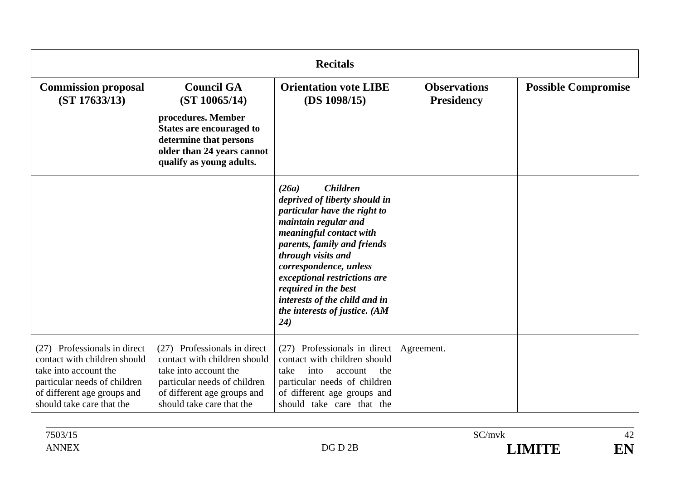| <b>Recitals</b>                                                                                                                                                                   |                                                                                                                                                                                   |                                                                                                                                                                                                                                                                                                                                                               |                                          |                            |
|-----------------------------------------------------------------------------------------------------------------------------------------------------------------------------------|-----------------------------------------------------------------------------------------------------------------------------------------------------------------------------------|---------------------------------------------------------------------------------------------------------------------------------------------------------------------------------------------------------------------------------------------------------------------------------------------------------------------------------------------------------------|------------------------------------------|----------------------------|
| <b>Commission proposal</b><br>(ST 17633/13)                                                                                                                                       | <b>Council GA</b><br>(ST 10065/14)                                                                                                                                                | <b>Orientation vote LIBE</b><br>(DS 1098/15)                                                                                                                                                                                                                                                                                                                  | <b>Observations</b><br><b>Presidency</b> | <b>Possible Compromise</b> |
|                                                                                                                                                                                   | procedures. Member<br><b>States are encouraged to</b><br>determine that persons<br>older than 24 years cannot<br>qualify as young adults.                                         |                                                                                                                                                                                                                                                                                                                                                               |                                          |                            |
|                                                                                                                                                                                   |                                                                                                                                                                                   | <b>Children</b><br>(26a)<br>deprived of liberty should in<br>particular have the right to<br>maintain regular and<br>meaningful contact with<br>parents, family and friends<br>through visits and<br>correspondence, unless<br>exceptional restrictions are<br>required in the best<br>interests of the child and in<br>the interests of justice. (AM<br>(24) |                                          |                            |
| (27) Professionals in direct<br>contact with children should<br>take into account the<br>particular needs of children<br>of different age groups and<br>should take care that the | (27) Professionals in direct<br>contact with children should<br>take into account the<br>particular needs of children<br>of different age groups and<br>should take care that the | (27) Professionals in direct<br>contact with children should<br>into<br>the<br>take<br>account<br>particular needs of children<br>of different age groups and<br>should take care that the                                                                                                                                                                    | Agreement.                               |                            |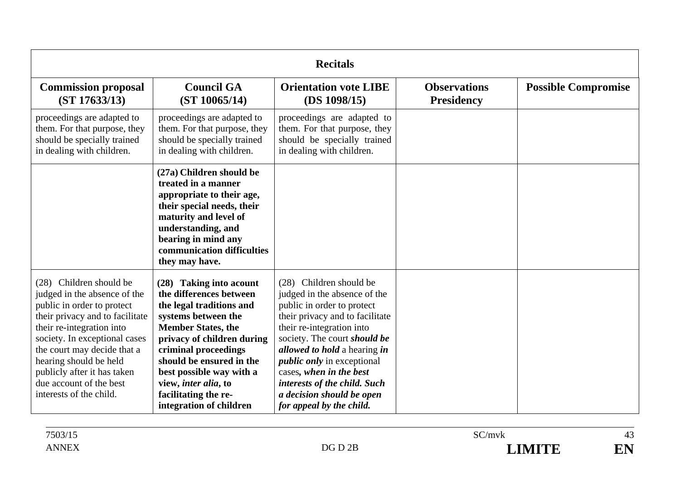| <b>Recitals</b>                                                                                                                                                                                                                                                                                                                      |                                                                                                                                                                                                                                                                                                                             |                                                                                                                                                                                                                                                                                                                                                                                |                                          |                            |
|--------------------------------------------------------------------------------------------------------------------------------------------------------------------------------------------------------------------------------------------------------------------------------------------------------------------------------------|-----------------------------------------------------------------------------------------------------------------------------------------------------------------------------------------------------------------------------------------------------------------------------------------------------------------------------|--------------------------------------------------------------------------------------------------------------------------------------------------------------------------------------------------------------------------------------------------------------------------------------------------------------------------------------------------------------------------------|------------------------------------------|----------------------------|
| <b>Commission proposal</b><br>(ST 17633/13)                                                                                                                                                                                                                                                                                          | <b>Council GA</b><br>(ST 10065/14)                                                                                                                                                                                                                                                                                          | <b>Orientation vote LIBE</b><br>(DS 1098/15)                                                                                                                                                                                                                                                                                                                                   | <b>Observations</b><br><b>Presidency</b> | <b>Possible Compromise</b> |
| proceedings are adapted to<br>them. For that purpose, they<br>should be specially trained<br>in dealing with children.                                                                                                                                                                                                               | proceedings are adapted to<br>them. For that purpose, they<br>should be specially trained<br>in dealing with children.                                                                                                                                                                                                      | proceedings are adapted to<br>them. For that purpose, they<br>should be specially trained<br>in dealing with children.                                                                                                                                                                                                                                                         |                                          |                            |
|                                                                                                                                                                                                                                                                                                                                      | (27a) Children should be<br>treated in a manner<br>appropriate to their age,<br>their special needs, their<br>maturity and level of<br>understanding, and<br>bearing in mind any<br>communication difficulties<br>they may have.                                                                                            |                                                                                                                                                                                                                                                                                                                                                                                |                                          |                            |
| (28) Children should be<br>judged in the absence of the<br>public in order to protect<br>their privacy and to facilitate<br>their re-integration into<br>society. In exceptional cases<br>the court may decide that a<br>hearing should be held<br>publicly after it has taken<br>due account of the best<br>interests of the child. | (28) Taking into acount<br>the differences between<br>the legal traditions and<br>systems between the<br><b>Member States, the</b><br>privacy of children during<br>criminal proceedings<br>should be ensured in the<br>best possible way with a<br>view, inter alia, to<br>facilitating the re-<br>integration of children | (28) Children should be<br>judged in the absence of the<br>public in order to protect<br>their privacy and to facilitate<br>their re-integration into<br>society. The court should be<br>allowed to hold a hearing in<br><i>public only</i> in exceptional<br>cases, when in the best<br>interests of the child. Such<br>a decision should be open<br>for appeal by the child. |                                          |                            |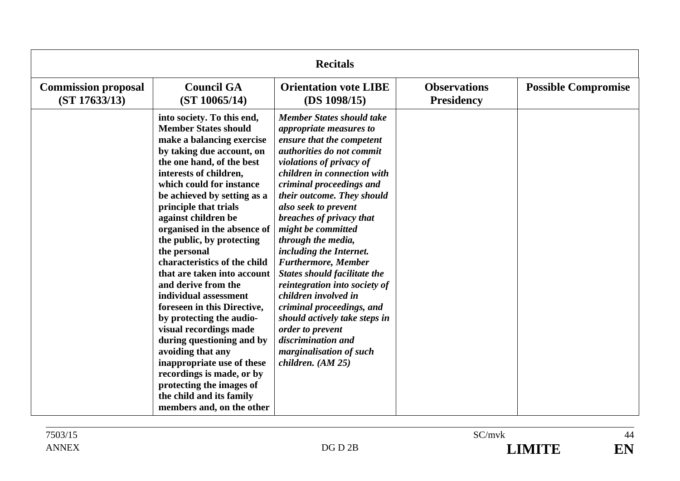| <b>Recitals</b>                             |                                                                                                                                                                                                                                                                                                                                                                                                                                                                                                                                                                                                                                                                                                                                                                         |                                                                                                                                                                                                                                                                                                                                                                                                                                                                                                                                                                                                                                                               |                                          |                            |
|---------------------------------------------|-------------------------------------------------------------------------------------------------------------------------------------------------------------------------------------------------------------------------------------------------------------------------------------------------------------------------------------------------------------------------------------------------------------------------------------------------------------------------------------------------------------------------------------------------------------------------------------------------------------------------------------------------------------------------------------------------------------------------------------------------------------------------|---------------------------------------------------------------------------------------------------------------------------------------------------------------------------------------------------------------------------------------------------------------------------------------------------------------------------------------------------------------------------------------------------------------------------------------------------------------------------------------------------------------------------------------------------------------------------------------------------------------------------------------------------------------|------------------------------------------|----------------------------|
| <b>Commission proposal</b><br>(ST 17633/13) | <b>Council GA</b><br>(ST 10065/14)                                                                                                                                                                                                                                                                                                                                                                                                                                                                                                                                                                                                                                                                                                                                      | <b>Orientation vote LIBE</b><br>(DS 1098/15)                                                                                                                                                                                                                                                                                                                                                                                                                                                                                                                                                                                                                  | <b>Observations</b><br><b>Presidency</b> | <b>Possible Compromise</b> |
|                                             | into society. To this end,<br><b>Member States should</b><br>make a balancing exercise<br>by taking due account, on<br>the one hand, of the best<br>interests of children,<br>which could for instance<br>be achieved by setting as a<br>principle that trials<br>against children be<br>organised in the absence of<br>the public, by protecting<br>the personal<br>characteristics of the child<br>that are taken into account<br>and derive from the<br>individual assessment<br>foreseen in this Directive,<br>by protecting the audio-<br>visual recordings made<br>during questioning and by<br>avoiding that any<br>inappropriate use of these<br>recordings is made, or by<br>protecting the images of<br>the child and its family<br>members and, on the other | <b>Member States should take</b><br>appropriate measures to<br>ensure that the competent<br>authorities do not commit<br>violations of privacy of<br>children in connection with<br>criminal proceedings and<br>their outcome. They should<br>also seek to prevent<br>breaches of privacy that<br>might be committed<br>through the media,<br>including the Internet.<br><b>Furthermore, Member</b><br><b>States should facilitate the</b><br>reintegration into society of<br>children involved in<br>criminal proceedings, and<br>should actively take steps in<br>order to prevent<br>discrimination and<br>marginalisation of such<br>children. $(AM 25)$ |                                          |                            |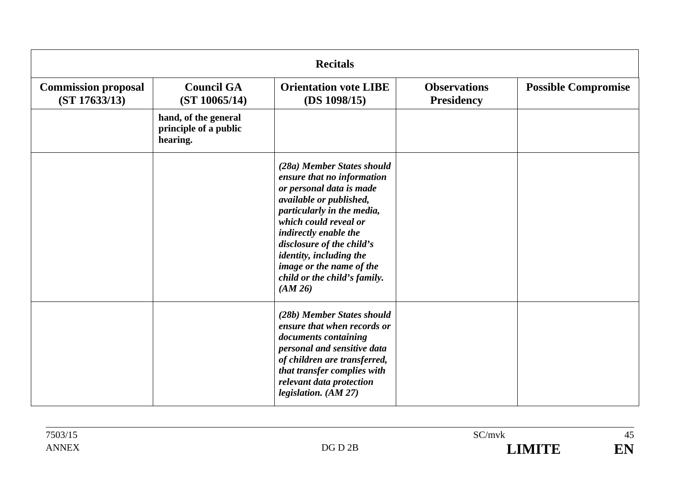| <b>Recitals</b>                             |                                                           |                                                                                                                                                                                                                                                                                                                                |                                          |                            |
|---------------------------------------------|-----------------------------------------------------------|--------------------------------------------------------------------------------------------------------------------------------------------------------------------------------------------------------------------------------------------------------------------------------------------------------------------------------|------------------------------------------|----------------------------|
| <b>Commission proposal</b><br>(ST 17633/13) | <b>Council GA</b><br>(ST 10065/14)                        | <b>Orientation vote LIBE</b><br>(DS 1098/15)                                                                                                                                                                                                                                                                                   | <b>Observations</b><br><b>Presidency</b> | <b>Possible Compromise</b> |
|                                             | hand, of the general<br>principle of a public<br>hearing. |                                                                                                                                                                                                                                                                                                                                |                                          |                            |
|                                             |                                                           | (28a) Member States should<br>ensure that no information<br>or personal data is made<br>available or published,<br>particularly in the media,<br>which could reveal or<br>indirectly enable the<br>disclosure of the child's<br>identity, including the<br>image or the name of the<br>child or the child's family.<br>(AM 26) |                                          |                            |
|                                             |                                                           | (28b) Member States should<br>ensure that when records or<br>documents containing<br>personal and sensitive data<br>of children are transferred,<br>that transfer complies with<br>relevant data protection<br>legislation. (AM 27)                                                                                            |                                          |                            |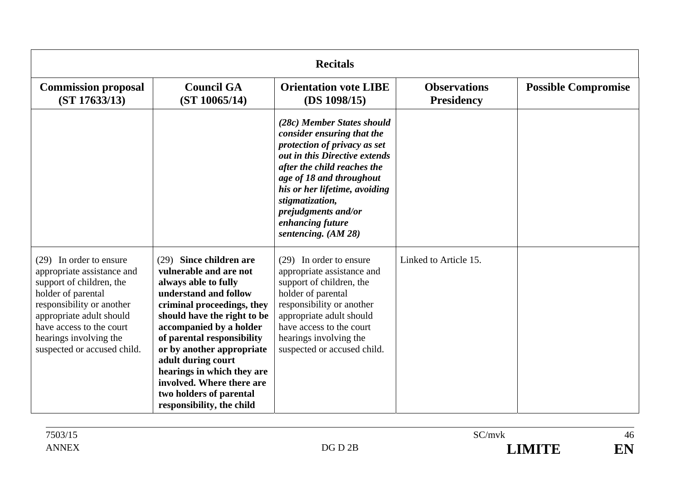| <b>Recitals</b>                                                                                                                                                                                                                                       |                                                                                                                                                                                                                                                                                                                                                                                                   |                                                                                                                                                                                                                                                                                                              |                                          |                            |
|-------------------------------------------------------------------------------------------------------------------------------------------------------------------------------------------------------------------------------------------------------|---------------------------------------------------------------------------------------------------------------------------------------------------------------------------------------------------------------------------------------------------------------------------------------------------------------------------------------------------------------------------------------------------|--------------------------------------------------------------------------------------------------------------------------------------------------------------------------------------------------------------------------------------------------------------------------------------------------------------|------------------------------------------|----------------------------|
| <b>Commission proposal</b><br>(ST 17633/13)                                                                                                                                                                                                           | <b>Council GA</b><br>(ST 10065/14)                                                                                                                                                                                                                                                                                                                                                                | <b>Orientation vote LIBE</b><br>(DS 1098/15)                                                                                                                                                                                                                                                                 | <b>Observations</b><br><b>Presidency</b> | <b>Possible Compromise</b> |
|                                                                                                                                                                                                                                                       |                                                                                                                                                                                                                                                                                                                                                                                                   | (28c) Member States should<br>consider ensuring that the<br>protection of privacy as set<br>out in this Directive extends<br>after the child reaches the<br>age of 18 and throughout<br>his or her lifetime, avoiding<br>stigmatization,<br>prejudgments and/or<br>enhancing future<br>sentencing. $(AM 28)$ |                                          |                            |
| (29) In order to ensure<br>appropriate assistance and<br>support of children, the<br>holder of parental<br>responsibility or another<br>appropriate adult should<br>have access to the court<br>hearings involving the<br>suspected or accused child. | Since children are<br>(29)<br>vulnerable and are not<br>always able to fully<br>understand and follow<br>criminal proceedings, they<br>should have the right to be<br>accompanied by a holder<br>of parental responsibility<br>or by another appropriate<br>adult during court<br>hearings in which they are<br>involved. Where there are<br>two holders of parental<br>responsibility, the child | (29) In order to ensure<br>appropriate assistance and<br>support of children, the<br>holder of parental<br>responsibility or another<br>appropriate adult should<br>have access to the court<br>hearings involving the<br>suspected or accused child.                                                        | Linked to Article 15.                    |                            |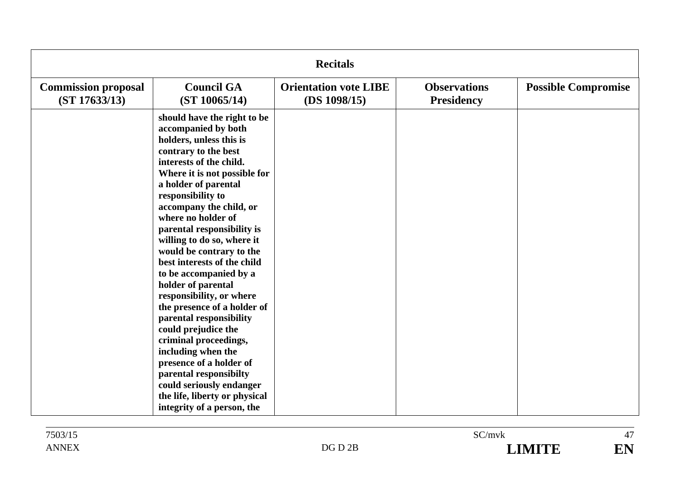| <b>Recitals</b>                             |                                                                                                                                                                                                                                                                                                                                                                                                                                                                                                                                                                                                                                                                                                                                                   |                                              |                                          |                            |
|---------------------------------------------|---------------------------------------------------------------------------------------------------------------------------------------------------------------------------------------------------------------------------------------------------------------------------------------------------------------------------------------------------------------------------------------------------------------------------------------------------------------------------------------------------------------------------------------------------------------------------------------------------------------------------------------------------------------------------------------------------------------------------------------------------|----------------------------------------------|------------------------------------------|----------------------------|
| <b>Commission proposal</b><br>(ST 17633/13) | <b>Council GA</b><br>(ST 10065/14)                                                                                                                                                                                                                                                                                                                                                                                                                                                                                                                                                                                                                                                                                                                | <b>Orientation vote LIBE</b><br>(DS 1098/15) | <b>Observations</b><br><b>Presidency</b> | <b>Possible Compromise</b> |
|                                             | should have the right to be<br>accompanied by both<br>holders, unless this is<br>contrary to the best<br>interests of the child.<br>Where it is not possible for<br>a holder of parental<br>responsibility to<br>accompany the child, or<br>where no holder of<br>parental responsibility is<br>willing to do so, where it<br>would be contrary to the<br>best interests of the child<br>to be accompanied by a<br>holder of parental<br>responsibility, or where<br>the presence of a holder of<br>parental responsibility<br>could prejudice the<br>criminal proceedings,<br>including when the<br>presence of a holder of<br>parental responsibilty<br>could seriously endanger<br>the life, liberty or physical<br>integrity of a person, the |                                              |                                          |                            |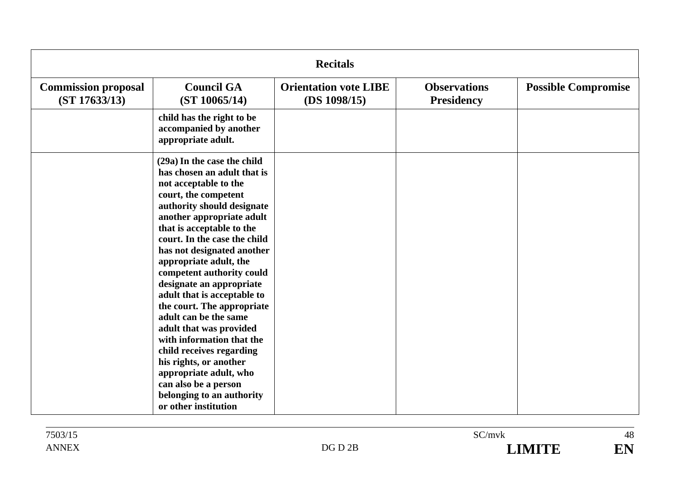| <b>Recitals</b>                             |                                                                                                                                                                                                                                                                                                                                                                                                                                                                                                                                                                                                                                                                 |                                              |                                          |                            |
|---------------------------------------------|-----------------------------------------------------------------------------------------------------------------------------------------------------------------------------------------------------------------------------------------------------------------------------------------------------------------------------------------------------------------------------------------------------------------------------------------------------------------------------------------------------------------------------------------------------------------------------------------------------------------------------------------------------------------|----------------------------------------------|------------------------------------------|----------------------------|
| <b>Commission proposal</b><br>(ST 17633/13) | <b>Council GA</b><br>(ST 10065/14)                                                                                                                                                                                                                                                                                                                                                                                                                                                                                                                                                                                                                              | <b>Orientation vote LIBE</b><br>(DS 1098/15) | <b>Observations</b><br><b>Presidency</b> | <b>Possible Compromise</b> |
|                                             | child has the right to be<br>accompanied by another<br>appropriate adult.                                                                                                                                                                                                                                                                                                                                                                                                                                                                                                                                                                                       |                                              |                                          |                            |
|                                             | (29a) In the case the child<br>has chosen an adult that is<br>not acceptable to the<br>court, the competent<br>authority should designate<br>another appropriate adult<br>that is acceptable to the<br>court. In the case the child<br>has not designated another<br>appropriate adult, the<br>competent authority could<br>designate an appropriate<br>adult that is acceptable to<br>the court. The appropriate<br>adult can be the same<br>adult that was provided<br>with information that the<br>child receives regarding<br>his rights, or another<br>appropriate adult, who<br>can also be a person<br>belonging to an authority<br>or other institution |                                              |                                          |                            |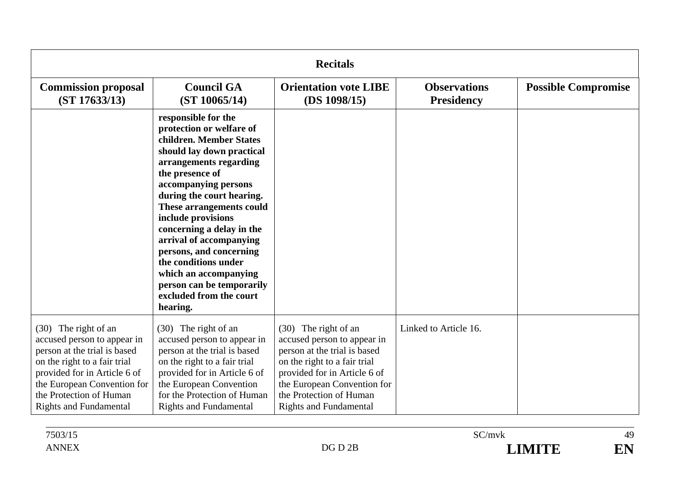| <b>Recitals</b>                                                                                                                                                                                                                                |                                                                                                                                                                                                                                                                                                                                                                                                                                                                     |                                                                                                                                                                                                                                                |                                          |                            |
|------------------------------------------------------------------------------------------------------------------------------------------------------------------------------------------------------------------------------------------------|---------------------------------------------------------------------------------------------------------------------------------------------------------------------------------------------------------------------------------------------------------------------------------------------------------------------------------------------------------------------------------------------------------------------------------------------------------------------|------------------------------------------------------------------------------------------------------------------------------------------------------------------------------------------------------------------------------------------------|------------------------------------------|----------------------------|
| <b>Commission proposal</b><br>(ST 17633/13)                                                                                                                                                                                                    | <b>Council GA</b><br>(ST 10065/14)                                                                                                                                                                                                                                                                                                                                                                                                                                  | <b>Orientation vote LIBE</b><br>(DS 1098/15)                                                                                                                                                                                                   | <b>Observations</b><br><b>Presidency</b> | <b>Possible Compromise</b> |
|                                                                                                                                                                                                                                                | responsible for the<br>protection or welfare of<br>children. Member States<br>should lay down practical<br>arrangements regarding<br>the presence of<br>accompanying persons<br>during the court hearing.<br>These arrangements could<br>include provisions<br>concerning a delay in the<br>arrival of accompanying<br>persons, and concerning<br>the conditions under<br>which an accompanying<br>person can be temporarily<br>excluded from the court<br>hearing. |                                                                                                                                                                                                                                                |                                          |                            |
| (30) The right of an<br>accused person to appear in<br>person at the trial is based<br>on the right to a fair trial<br>provided for in Article 6 of<br>the European Convention for<br>the Protection of Human<br><b>Rights and Fundamental</b> | (30) The right of an<br>accused person to appear in<br>person at the trial is based<br>on the right to a fair trial<br>provided for in Article 6 of<br>the European Convention<br>for the Protection of Human<br><b>Rights and Fundamental</b>                                                                                                                                                                                                                      | (30) The right of an<br>accused person to appear in<br>person at the trial is based<br>on the right to a fair trial<br>provided for in Article 6 of<br>the European Convention for<br>the Protection of Human<br><b>Rights and Fundamental</b> | Linked to Article 16.                    |                            |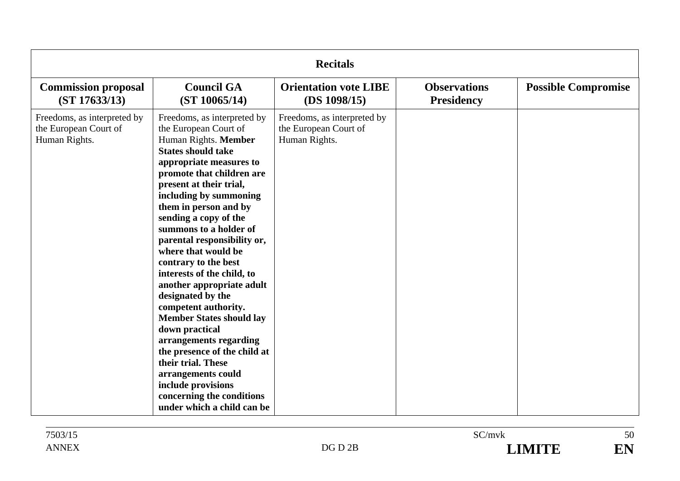| <b>Recitals</b>                                                       |                                                                                                                                                                                                                                                                                                                                                                                                                                                                                                                                                                                                                                                                                                                                      |                                                                       |                                          |                            |
|-----------------------------------------------------------------------|--------------------------------------------------------------------------------------------------------------------------------------------------------------------------------------------------------------------------------------------------------------------------------------------------------------------------------------------------------------------------------------------------------------------------------------------------------------------------------------------------------------------------------------------------------------------------------------------------------------------------------------------------------------------------------------------------------------------------------------|-----------------------------------------------------------------------|------------------------------------------|----------------------------|
| <b>Commission proposal</b><br>(ST 17633/13)                           | <b>Council GA</b><br>(ST 10065/14)                                                                                                                                                                                                                                                                                                                                                                                                                                                                                                                                                                                                                                                                                                   | <b>Orientation vote LIBE</b><br>(DS 1098/15)                          | <b>Observations</b><br><b>Presidency</b> | <b>Possible Compromise</b> |
| Freedoms, as interpreted by<br>the European Court of<br>Human Rights. | Freedoms, as interpreted by<br>the European Court of<br>Human Rights. Member<br><b>States should take</b><br>appropriate measures to<br>promote that children are<br>present at their trial,<br>including by summoning<br>them in person and by<br>sending a copy of the<br>summons to a holder of<br>parental responsibility or,<br>where that would be<br>contrary to the best<br>interests of the child, to<br>another appropriate adult<br>designated by the<br>competent authority.<br><b>Member States should lay</b><br>down practical<br>arrangements regarding<br>the presence of the child at<br>their trial. These<br>arrangements could<br>include provisions<br>concerning the conditions<br>under which a child can be | Freedoms, as interpreted by<br>the European Court of<br>Human Rights. |                                          |                            |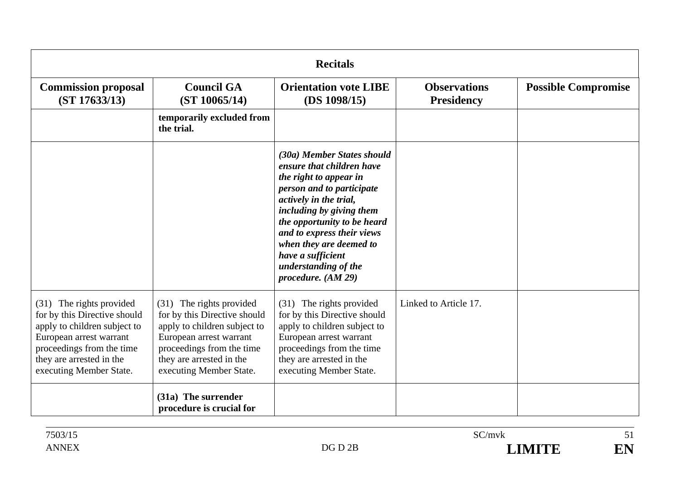| <b>Recitals</b>                                                                                                                                                                                         |                                                                                                                                                                                                         |                                                                                                                                                                                                                                                                                                                                 |                                          |                            |
|---------------------------------------------------------------------------------------------------------------------------------------------------------------------------------------------------------|---------------------------------------------------------------------------------------------------------------------------------------------------------------------------------------------------------|---------------------------------------------------------------------------------------------------------------------------------------------------------------------------------------------------------------------------------------------------------------------------------------------------------------------------------|------------------------------------------|----------------------------|
| <b>Commission proposal</b><br>(ST 17633/13)                                                                                                                                                             | <b>Council GA</b><br>(ST 10065/14)                                                                                                                                                                      | <b>Orientation vote LIBE</b><br>(DS 1098/15)                                                                                                                                                                                                                                                                                    | <b>Observations</b><br><b>Presidency</b> | <b>Possible Compromise</b> |
|                                                                                                                                                                                                         | temporarily excluded from<br>the trial.                                                                                                                                                                 |                                                                                                                                                                                                                                                                                                                                 |                                          |                            |
|                                                                                                                                                                                                         |                                                                                                                                                                                                         | (30a) Member States should<br>ensure that children have<br>the right to appear in<br>person and to participate<br>actively in the trial,<br>including by giving them<br>the opportunity to be heard<br>and to express their views<br>when they are deemed to<br>have a sufficient<br>understanding of the<br>procedure. (AM 29) |                                          |                            |
| (31) The rights provided<br>for by this Directive should<br>apply to children subject to<br>European arrest warrant<br>proceedings from the time<br>they are arrested in the<br>executing Member State. | (31) The rights provided<br>for by this Directive should<br>apply to children subject to<br>European arrest warrant<br>proceedings from the time<br>they are arrested in the<br>executing Member State. | (31) The rights provided<br>for by this Directive should<br>apply to children subject to<br>European arrest warrant<br>proceedings from the time<br>they are arrested in the<br>executing Member State.                                                                                                                         | Linked to Article 17.                    |                            |
|                                                                                                                                                                                                         | (31a) The surrender<br>procedure is crucial for                                                                                                                                                         |                                                                                                                                                                                                                                                                                                                                 |                                          |                            |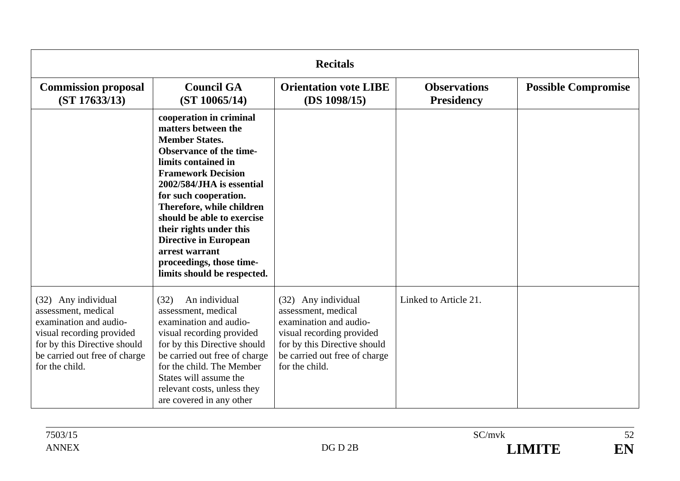| <b>Recitals</b>                                                                                                                                                                      |                                                                                                                                                                                                                                                                                                                                                                                                                        |                                                                                                                                                                                      |                                          |                            |
|--------------------------------------------------------------------------------------------------------------------------------------------------------------------------------------|------------------------------------------------------------------------------------------------------------------------------------------------------------------------------------------------------------------------------------------------------------------------------------------------------------------------------------------------------------------------------------------------------------------------|--------------------------------------------------------------------------------------------------------------------------------------------------------------------------------------|------------------------------------------|----------------------------|
| <b>Commission proposal</b><br>(ST 17633/13)                                                                                                                                          | <b>Council GA</b><br>(ST 10065/14)                                                                                                                                                                                                                                                                                                                                                                                     | <b>Orientation vote LIBE</b><br>(DS 1098/15)                                                                                                                                         | <b>Observations</b><br><b>Presidency</b> | <b>Possible Compromise</b> |
|                                                                                                                                                                                      | cooperation in criminal<br>matters between the<br><b>Member States.</b><br><b>Observance of the time-</b><br>limits contained in<br><b>Framework Decision</b><br>2002/584/JHA is essential<br>for such cooperation.<br>Therefore, while children<br>should be able to exercise<br>their rights under this<br><b>Directive in European</b><br>arrest warrant<br>proceedings, those time-<br>limits should be respected. |                                                                                                                                                                                      |                                          |                            |
| (32) Any individual<br>assessment, medical<br>examination and audio-<br>visual recording provided<br>for by this Directive should<br>be carried out free of charge<br>for the child. | An individual<br>(32)<br>assessment, medical<br>examination and audio-<br>visual recording provided<br>for by this Directive should<br>be carried out free of charge<br>for the child. The Member<br>States will assume the<br>relevant costs, unless they<br>are covered in any other                                                                                                                                 | (32) Any individual<br>assessment, medical<br>examination and audio-<br>visual recording provided<br>for by this Directive should<br>be carried out free of charge<br>for the child. | Linked to Article 21.                    |                            |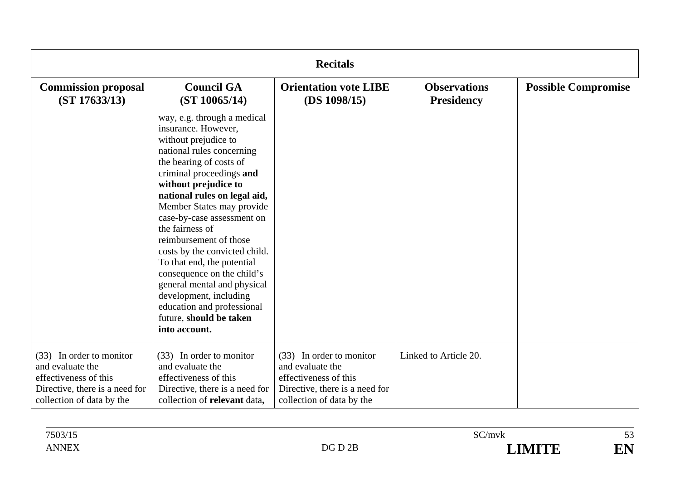| <b>Recitals</b>                                                                                                                      |                                                                                                                                                                                                                                                                                                                                                                                                                                                                                                                                                                |                                                                                                                                      |                                          |                            |
|--------------------------------------------------------------------------------------------------------------------------------------|----------------------------------------------------------------------------------------------------------------------------------------------------------------------------------------------------------------------------------------------------------------------------------------------------------------------------------------------------------------------------------------------------------------------------------------------------------------------------------------------------------------------------------------------------------------|--------------------------------------------------------------------------------------------------------------------------------------|------------------------------------------|----------------------------|
| <b>Commission proposal</b><br>(ST 17633/13)                                                                                          | <b>Council GA</b><br>(ST 10065/14)                                                                                                                                                                                                                                                                                                                                                                                                                                                                                                                             | <b>Orientation vote LIBE</b><br>(DS 1098/15)                                                                                         | <b>Observations</b><br><b>Presidency</b> | <b>Possible Compromise</b> |
|                                                                                                                                      | way, e.g. through a medical<br>insurance. However,<br>without prejudice to<br>national rules concerning<br>the bearing of costs of<br>criminal proceedings and<br>without prejudice to<br>national rules on legal aid,<br>Member States may provide<br>case-by-case assessment on<br>the fairness of<br>reimbursement of those<br>costs by the convicted child.<br>To that end, the potential<br>consequence on the child's<br>general mental and physical<br>development, including<br>education and professional<br>future, should be taken<br>into account. |                                                                                                                                      |                                          |                            |
| (33) In order to monitor<br>and evaluate the<br>effectiveness of this<br>Directive, there is a need for<br>collection of data by the | (33) In order to monitor<br>and evaluate the<br>effectiveness of this<br>Directive, there is a need for<br>collection of relevant data,                                                                                                                                                                                                                                                                                                                                                                                                                        | (33) In order to monitor<br>and evaluate the<br>effectiveness of this<br>Directive, there is a need for<br>collection of data by the | Linked to Article 20.                    |                            |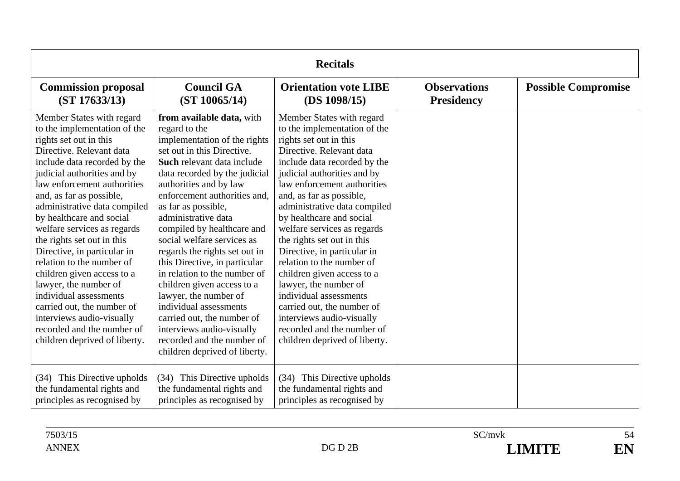| <b>Recitals</b>                                                                                                                                                                                                                                                                                                                                                                                                                                                                                                                                                                                                                           |                                                                                                                                                                                                                                                                                                                                                                                                                                                                                                                                                                                                                                                          |                                                                                                                                                                                                                                                                                                                                                                                                                                                                                                                                                                                                                                           |                                          |                            |
|-------------------------------------------------------------------------------------------------------------------------------------------------------------------------------------------------------------------------------------------------------------------------------------------------------------------------------------------------------------------------------------------------------------------------------------------------------------------------------------------------------------------------------------------------------------------------------------------------------------------------------------------|----------------------------------------------------------------------------------------------------------------------------------------------------------------------------------------------------------------------------------------------------------------------------------------------------------------------------------------------------------------------------------------------------------------------------------------------------------------------------------------------------------------------------------------------------------------------------------------------------------------------------------------------------------|-------------------------------------------------------------------------------------------------------------------------------------------------------------------------------------------------------------------------------------------------------------------------------------------------------------------------------------------------------------------------------------------------------------------------------------------------------------------------------------------------------------------------------------------------------------------------------------------------------------------------------------------|------------------------------------------|----------------------------|
| <b>Commission proposal</b><br>(ST 17633/13)                                                                                                                                                                                                                                                                                                                                                                                                                                                                                                                                                                                               | <b>Council GA</b><br>(ST 10065/14)                                                                                                                                                                                                                                                                                                                                                                                                                                                                                                                                                                                                                       | <b>Orientation vote LIBE</b><br>(DS 1098/15)                                                                                                                                                                                                                                                                                                                                                                                                                                                                                                                                                                                              | <b>Observations</b><br><b>Presidency</b> | <b>Possible Compromise</b> |
| Member States with regard<br>to the implementation of the<br>rights set out in this<br>Directive. Relevant data<br>include data recorded by the<br>judicial authorities and by<br>law enforcement authorities<br>and, as far as possible,<br>administrative data compiled<br>by healthcare and social<br>welfare services as regards<br>the rights set out in this<br>Directive, in particular in<br>relation to the number of<br>children given access to a<br>lawyer, the number of<br>individual assessments<br>carried out, the number of<br>interviews audio-visually<br>recorded and the number of<br>children deprived of liberty. | from available data, with<br>regard to the<br>implementation of the rights<br>set out in this Directive.<br>Such relevant data include<br>data recorded by the judicial<br>authorities and by law<br>enforcement authorities and.<br>as far as possible,<br>administrative data<br>compiled by healthcare and<br>social welfare services as<br>regards the rights set out in<br>this Directive, in particular<br>in relation to the number of<br>children given access to a<br>lawyer, the number of<br>individual assessments<br>carried out, the number of<br>interviews audio-visually<br>recorded and the number of<br>children deprived of liberty. | Member States with regard<br>to the implementation of the<br>rights set out in this<br>Directive. Relevant data<br>include data recorded by the<br>judicial authorities and by<br>law enforcement authorities<br>and, as far as possible,<br>administrative data compiled<br>by healthcare and social<br>welfare services as regards<br>the rights set out in this<br>Directive, in particular in<br>relation to the number of<br>children given access to a<br>lawyer, the number of<br>individual assessments<br>carried out, the number of<br>interviews audio-visually<br>recorded and the number of<br>children deprived of liberty. |                                          |                            |
| (34) This Directive upholds<br>the fundamental rights and<br>principles as recognised by                                                                                                                                                                                                                                                                                                                                                                                                                                                                                                                                                  | This Directive upholds<br>(34)<br>the fundamental rights and<br>principles as recognised by                                                                                                                                                                                                                                                                                                                                                                                                                                                                                                                                                              | (34) This Directive upholds<br>the fundamental rights and<br>principles as recognised by                                                                                                                                                                                                                                                                                                                                                                                                                                                                                                                                                  |                                          |                            |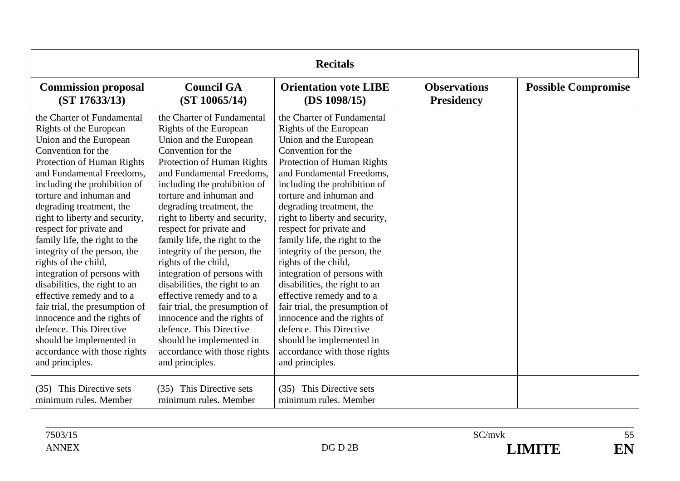| <b>Recitals</b>                                                                                                                                                                                                                                                                                                                                                                                                                                                                                                                                                                                                                                                                      |                                                                                                                                                                                                                                                                                                                                                                                                                                                                                                                                                                                                                                                                                      |                                                                                                                                                                                                                                                                                                                                                                                                                                                                                                                                                                                                                                                                                      |                                          |                            |
|--------------------------------------------------------------------------------------------------------------------------------------------------------------------------------------------------------------------------------------------------------------------------------------------------------------------------------------------------------------------------------------------------------------------------------------------------------------------------------------------------------------------------------------------------------------------------------------------------------------------------------------------------------------------------------------|--------------------------------------------------------------------------------------------------------------------------------------------------------------------------------------------------------------------------------------------------------------------------------------------------------------------------------------------------------------------------------------------------------------------------------------------------------------------------------------------------------------------------------------------------------------------------------------------------------------------------------------------------------------------------------------|--------------------------------------------------------------------------------------------------------------------------------------------------------------------------------------------------------------------------------------------------------------------------------------------------------------------------------------------------------------------------------------------------------------------------------------------------------------------------------------------------------------------------------------------------------------------------------------------------------------------------------------------------------------------------------------|------------------------------------------|----------------------------|
| <b>Commission proposal</b><br>(ST 17633/13)                                                                                                                                                                                                                                                                                                                                                                                                                                                                                                                                                                                                                                          | <b>Council GA</b><br>(ST 10065/14)                                                                                                                                                                                                                                                                                                                                                                                                                                                                                                                                                                                                                                                   | <b>Orientation vote LIBE</b><br>(DS 1098/15)                                                                                                                                                                                                                                                                                                                                                                                                                                                                                                                                                                                                                                         | <b>Observations</b><br><b>Presidency</b> | <b>Possible Compromise</b> |
| the Charter of Fundamental<br>Rights of the European<br>Union and the European<br>Convention for the<br>Protection of Human Rights<br>and Fundamental Freedoms.<br>including the prohibition of<br>torture and inhuman and<br>degrading treatment, the<br>right to liberty and security,<br>respect for private and<br>family life, the right to the<br>integrity of the person, the<br>rights of the child,<br>integration of persons with<br>disabilities, the right to an<br>effective remedy and to a<br>fair trial, the presumption of<br>innocence and the rights of<br>defence. This Directive<br>should be implemented in<br>accordance with those rights<br>and principles. | the Charter of Fundamental<br>Rights of the European<br>Union and the European<br>Convention for the<br>Protection of Human Rights<br>and Fundamental Freedoms.<br>including the prohibition of<br>torture and inhuman and<br>degrading treatment, the<br>right to liberty and security,<br>respect for private and<br>family life, the right to the<br>integrity of the person, the<br>rights of the child,<br>integration of persons with<br>disabilities, the right to an<br>effective remedy and to a<br>fair trial, the presumption of<br>innocence and the rights of<br>defence. This Directive<br>should be implemented in<br>accordance with those rights<br>and principles. | the Charter of Fundamental<br>Rights of the European<br>Union and the European<br>Convention for the<br>Protection of Human Rights<br>and Fundamental Freedoms,<br>including the prohibition of<br>torture and inhuman and<br>degrading treatment, the<br>right to liberty and security,<br>respect for private and<br>family life, the right to the<br>integrity of the person, the<br>rights of the child,<br>integration of persons with<br>disabilities, the right to an<br>effective remedy and to a<br>fair trial, the presumption of<br>innocence and the rights of<br>defence. This Directive<br>should be implemented in<br>accordance with those rights<br>and principles. |                                          |                            |
| (35) This Directive sets<br>minimum rules. Member                                                                                                                                                                                                                                                                                                                                                                                                                                                                                                                                                                                                                                    | (35) This Directive sets<br>minimum rules. Member                                                                                                                                                                                                                                                                                                                                                                                                                                                                                                                                                                                                                                    | (35) This Directive sets<br>minimum rules. Member                                                                                                                                                                                                                                                                                                                                                                                                                                                                                                                                                                                                                                    |                                          |                            |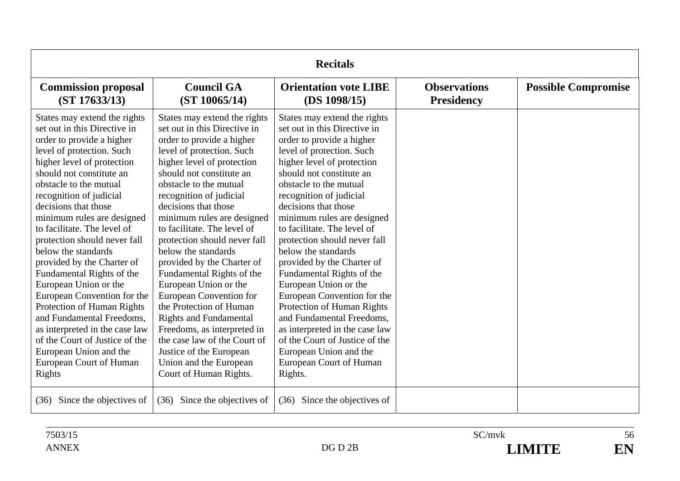| <b>Recitals</b>                                                                                                                                                                                                                                                                                                                                                                                                                                                                                                                                                                                                                                                                                    |                                                                                                                                                                                                                                                                                                                                                                                                                                                                                                                                                                                                                                                                                                                   |                                                                                                                                                                                                                                                                                                                                                                                                                                                                                                                                                                                                                                                                                                     |                                          |                            |
|----------------------------------------------------------------------------------------------------------------------------------------------------------------------------------------------------------------------------------------------------------------------------------------------------------------------------------------------------------------------------------------------------------------------------------------------------------------------------------------------------------------------------------------------------------------------------------------------------------------------------------------------------------------------------------------------------|-------------------------------------------------------------------------------------------------------------------------------------------------------------------------------------------------------------------------------------------------------------------------------------------------------------------------------------------------------------------------------------------------------------------------------------------------------------------------------------------------------------------------------------------------------------------------------------------------------------------------------------------------------------------------------------------------------------------|-----------------------------------------------------------------------------------------------------------------------------------------------------------------------------------------------------------------------------------------------------------------------------------------------------------------------------------------------------------------------------------------------------------------------------------------------------------------------------------------------------------------------------------------------------------------------------------------------------------------------------------------------------------------------------------------------------|------------------------------------------|----------------------------|
| <b>Commission proposal</b><br>(ST 17633/13)                                                                                                                                                                                                                                                                                                                                                                                                                                                                                                                                                                                                                                                        | <b>Council GA</b><br>(ST 10065/14)                                                                                                                                                                                                                                                                                                                                                                                                                                                                                                                                                                                                                                                                                | <b>Orientation vote LIBE</b><br>(DS 1098/15)                                                                                                                                                                                                                                                                                                                                                                                                                                                                                                                                                                                                                                                        | <b>Observations</b><br><b>Presidency</b> | <b>Possible Compromise</b> |
| States may extend the rights<br>set out in this Directive in<br>order to provide a higher<br>level of protection. Such<br>higher level of protection<br>should not constitute an<br>obstacle to the mutual<br>recognition of judicial<br>decisions that those<br>minimum rules are designed<br>to facilitate. The level of<br>protection should never fall<br>below the standards<br>provided by the Charter of<br>Fundamental Rights of the<br>European Union or the<br>European Convention for the<br>Protection of Human Rights<br>and Fundamental Freedoms,<br>as interpreted in the case law<br>of the Court of Justice of the<br>European Union and the<br>European Court of Human<br>Rights | States may extend the rights<br>set out in this Directive in<br>order to provide a higher<br>level of protection. Such<br>higher level of protection<br>should not constitute an<br>obstacle to the mutual<br>recognition of judicial<br>decisions that those<br>minimum rules are designed<br>to facilitate. The level of<br>protection should never fall<br>below the standards<br>provided by the Charter of<br>Fundamental Rights of the<br>European Union or the<br><b>European Convention for</b><br>the Protection of Human<br><b>Rights and Fundamental</b><br>Freedoms, as interpreted in<br>the case law of the Court of<br>Justice of the European<br>Union and the European<br>Court of Human Rights. | States may extend the rights<br>set out in this Directive in<br>order to provide a higher<br>level of protection. Such<br>higher level of protection<br>should not constitute an<br>obstacle to the mutual<br>recognition of judicial<br>decisions that those<br>minimum rules are designed<br>to facilitate. The level of<br>protection should never fall<br>below the standards<br>provided by the Charter of<br>Fundamental Rights of the<br>European Union or the<br>European Convention for the<br>Protection of Human Rights<br>and Fundamental Freedoms,<br>as interpreted in the case law<br>of the Court of Justice of the<br>European Union and the<br>European Court of Human<br>Rights. |                                          |                            |
| Since the objectives of<br>(36)                                                                                                                                                                                                                                                                                                                                                                                                                                                                                                                                                                                                                                                                    | Since the objectives of<br>(36)                                                                                                                                                                                                                                                                                                                                                                                                                                                                                                                                                                                                                                                                                   | Since the objectives of<br>(36)                                                                                                                                                                                                                                                                                                                                                                                                                                                                                                                                                                                                                                                                     |                                          |                            |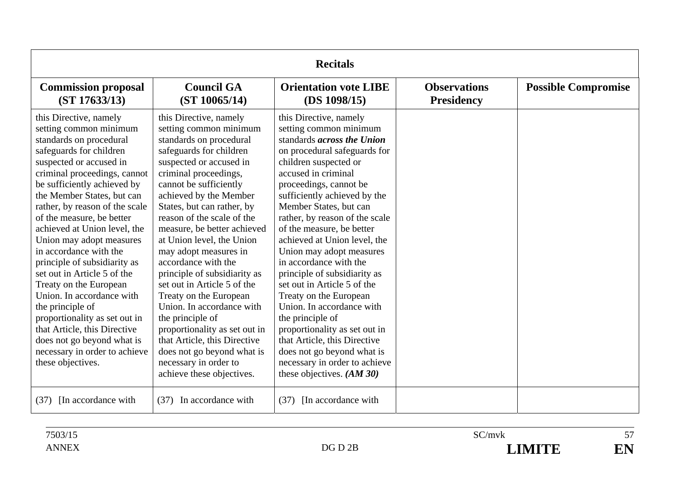| <b>Recitals</b>                                                                                                                                                                                                                                                                                                                                                                                                                                                                                                                                                                                                                                                                    |                                                                                                                                                                                                                                                                                                                                                                                                                                                                                                                                                                                                                                                                                       |                                                                                                                                                                                                                                                                                                                                                                                                                                                                                                                                                                                                                                                                                                                        |                                          |                            |
|------------------------------------------------------------------------------------------------------------------------------------------------------------------------------------------------------------------------------------------------------------------------------------------------------------------------------------------------------------------------------------------------------------------------------------------------------------------------------------------------------------------------------------------------------------------------------------------------------------------------------------------------------------------------------------|---------------------------------------------------------------------------------------------------------------------------------------------------------------------------------------------------------------------------------------------------------------------------------------------------------------------------------------------------------------------------------------------------------------------------------------------------------------------------------------------------------------------------------------------------------------------------------------------------------------------------------------------------------------------------------------|------------------------------------------------------------------------------------------------------------------------------------------------------------------------------------------------------------------------------------------------------------------------------------------------------------------------------------------------------------------------------------------------------------------------------------------------------------------------------------------------------------------------------------------------------------------------------------------------------------------------------------------------------------------------------------------------------------------------|------------------------------------------|----------------------------|
| <b>Commission proposal</b><br>(ST 17633/13)                                                                                                                                                                                                                                                                                                                                                                                                                                                                                                                                                                                                                                        | <b>Council GA</b><br>(ST 10065/14)                                                                                                                                                                                                                                                                                                                                                                                                                                                                                                                                                                                                                                                    | <b>Orientation vote LIBE</b><br>(DS 1098/15)                                                                                                                                                                                                                                                                                                                                                                                                                                                                                                                                                                                                                                                                           | <b>Observations</b><br><b>Presidency</b> | <b>Possible Compromise</b> |
| this Directive, namely<br>setting common minimum<br>standards on procedural<br>safeguards for children<br>suspected or accused in<br>criminal proceedings, cannot<br>be sufficiently achieved by<br>the Member States, but can<br>rather, by reason of the scale<br>of the measure, be better<br>achieved at Union level, the<br>Union may adopt measures<br>in accordance with the<br>principle of subsidiarity as<br>set out in Article 5 of the<br>Treaty on the European<br>Union. In accordance with<br>the principle of<br>proportionality as set out in<br>that Article, this Directive<br>does not go beyond what is<br>necessary in order to achieve<br>these objectives. | this Directive, namely<br>setting common minimum<br>standards on procedural<br>safeguards for children<br>suspected or accused in<br>criminal proceedings,<br>cannot be sufficiently<br>achieved by the Member<br>States, but can rather, by<br>reason of the scale of the<br>measure, be better achieved<br>at Union level, the Union<br>may adopt measures in<br>accordance with the<br>principle of subsidiarity as<br>set out in Article 5 of the<br>Treaty on the European<br>Union. In accordance with<br>the principle of<br>proportionality as set out in<br>that Article, this Directive<br>does not go beyond what is<br>necessary in order to<br>achieve these objectives. | this Directive, namely<br>setting common minimum<br>standards <i>across the Union</i><br>on procedural safeguards for<br>children suspected or<br>accused in criminal<br>proceedings, cannot be<br>sufficiently achieved by the<br>Member States, but can<br>rather, by reason of the scale<br>of the measure, be better<br>achieved at Union level, the<br>Union may adopt measures<br>in accordance with the<br>principle of subsidiarity as<br>set out in Article 5 of the<br>Treaty on the European<br>Union. In accordance with<br>the principle of<br>proportionality as set out in<br>that Article, this Directive<br>does not go beyond what is<br>necessary in order to achieve<br>these objectives. $(AM30)$ |                                          |                            |
| [In accordance with]<br>(37)                                                                                                                                                                                                                                                                                                                                                                                                                                                                                                                                                                                                                                                       | (37) In accordance with                                                                                                                                                                                                                                                                                                                                                                                                                                                                                                                                                                                                                                                               | [In accordance with]<br>(37)                                                                                                                                                                                                                                                                                                                                                                                                                                                                                                                                                                                                                                                                                           |                                          |                            |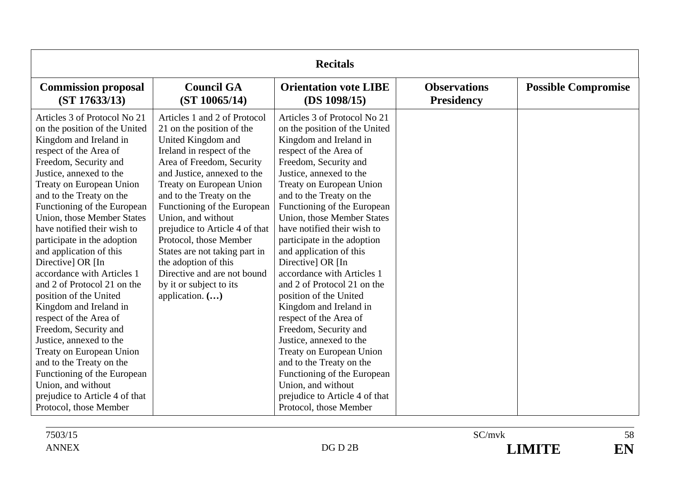| <b>Recitals</b>                                                                                                                                                                                                                                                                                                                                                                                                                                                                                                                                                                                                                                                                                                                                                                  |                                                                                                                                                                                                                                                                                                                                                                                                                                                                                         |                                                                                                                                                                                                                                                                                                                                                                                                                                                                                                                                                                                                                                                                                                                                                                                         |                                          |                            |
|----------------------------------------------------------------------------------------------------------------------------------------------------------------------------------------------------------------------------------------------------------------------------------------------------------------------------------------------------------------------------------------------------------------------------------------------------------------------------------------------------------------------------------------------------------------------------------------------------------------------------------------------------------------------------------------------------------------------------------------------------------------------------------|-----------------------------------------------------------------------------------------------------------------------------------------------------------------------------------------------------------------------------------------------------------------------------------------------------------------------------------------------------------------------------------------------------------------------------------------------------------------------------------------|-----------------------------------------------------------------------------------------------------------------------------------------------------------------------------------------------------------------------------------------------------------------------------------------------------------------------------------------------------------------------------------------------------------------------------------------------------------------------------------------------------------------------------------------------------------------------------------------------------------------------------------------------------------------------------------------------------------------------------------------------------------------------------------------|------------------------------------------|----------------------------|
| <b>Commission proposal</b><br>(ST 17633/13)                                                                                                                                                                                                                                                                                                                                                                                                                                                                                                                                                                                                                                                                                                                                      | <b>Council GA</b><br>(ST 10065/14)                                                                                                                                                                                                                                                                                                                                                                                                                                                      | <b>Orientation vote LIBE</b><br>(DS 1098/15)                                                                                                                                                                                                                                                                                                                                                                                                                                                                                                                                                                                                                                                                                                                                            | <b>Observations</b><br><b>Presidency</b> | <b>Possible Compromise</b> |
| Articles 3 of Protocol No 21<br>on the position of the United<br>Kingdom and Ireland in<br>respect of the Area of<br>Freedom, Security and<br>Justice, annexed to the<br>Treaty on European Union<br>and to the Treaty on the<br>Functioning of the European<br>Union, those Member States<br>have notified their wish to<br>participate in the adoption<br>and application of this<br>Directive] OR [In<br>accordance with Articles 1<br>and 2 of Protocol 21 on the<br>position of the United<br>Kingdom and Ireland in<br>respect of the Area of<br>Freedom, Security and<br>Justice, annexed to the<br>Treaty on European Union<br>and to the Treaty on the<br>Functioning of the European<br>Union, and without<br>prejudice to Article 4 of that<br>Protocol, those Member | Articles 1 and 2 of Protocol<br>21 on the position of the<br>United Kingdom and<br>Ireland in respect of the<br>Area of Freedom, Security<br>and Justice, annexed to the<br>Treaty on European Union<br>and to the Treaty on the<br>Functioning of the European<br>Union, and without<br>prejudice to Article 4 of that<br>Protocol, those Member<br>States are not taking part in<br>the adoption of this<br>Directive and are not bound<br>by it or subject to its<br>application. () | Articles 3 of Protocol No 21<br>on the position of the United<br>Kingdom and Ireland in<br>respect of the Area of<br>Freedom, Security and<br>Justice, annexed to the<br>Treaty on European Union<br>and to the Treaty on the<br>Functioning of the European<br><b>Union, those Member States</b><br>have notified their wish to<br>participate in the adoption<br>and application of this<br>Directive] OR [In<br>accordance with Articles 1<br>and 2 of Protocol 21 on the<br>position of the United<br>Kingdom and Ireland in<br>respect of the Area of<br>Freedom, Security and<br>Justice, annexed to the<br>Treaty on European Union<br>and to the Treaty on the<br>Functioning of the European<br>Union, and without<br>prejudice to Article 4 of that<br>Protocol, those Member |                                          |                            |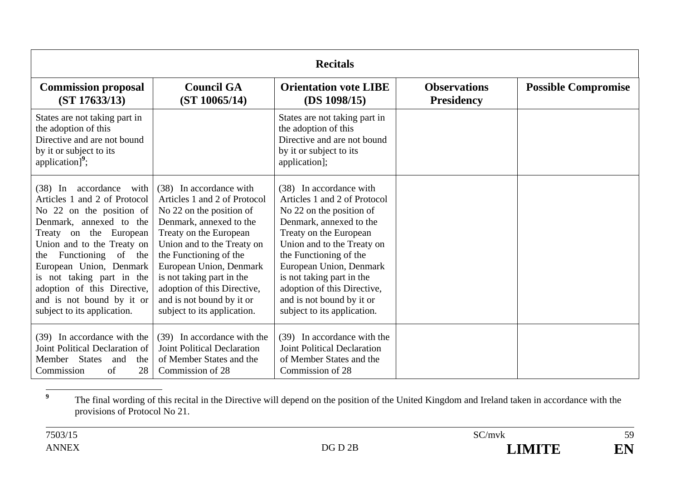| <b>Recitals</b>                                                                                                                                                                                                                                                                                                                                                 |                                                                                                                                                                                                                                                                                                                                                     |                                                                                                                                                                                                                                                                                                                                                     |                                          |                            |
|-----------------------------------------------------------------------------------------------------------------------------------------------------------------------------------------------------------------------------------------------------------------------------------------------------------------------------------------------------------------|-----------------------------------------------------------------------------------------------------------------------------------------------------------------------------------------------------------------------------------------------------------------------------------------------------------------------------------------------------|-----------------------------------------------------------------------------------------------------------------------------------------------------------------------------------------------------------------------------------------------------------------------------------------------------------------------------------------------------|------------------------------------------|----------------------------|
| <b>Commission proposal</b><br>(ST 17633/13)                                                                                                                                                                                                                                                                                                                     | <b>Council GA</b><br>(ST 10065/14)                                                                                                                                                                                                                                                                                                                  | <b>Orientation vote LIBE</b><br>(DS 1098/15)                                                                                                                                                                                                                                                                                                        | <b>Observations</b><br><b>Presidency</b> | <b>Possible Compromise</b> |
| States are not taking part in<br>the adoption of this<br>Directive and are not bound<br>by it or subject to its<br>application] $\overline{ }$ ;                                                                                                                                                                                                                |                                                                                                                                                                                                                                                                                                                                                     | States are not taking part in<br>the adoption of this<br>Directive and are not bound<br>by it or subject to its<br>application];                                                                                                                                                                                                                    |                                          |                            |
| accordance<br>(38) In<br>with<br>Articles 1 and 2 of Protocol<br>No 22 on the position of<br>Denmark, annexed to the<br>the European<br>Treaty on<br>Union and to the Treaty on<br>Functioning of the<br>the<br>European Union, Denmark<br>is not taking part in the<br>adoption of this Directive,<br>and is not bound by it or<br>subject to its application. | (38) In accordance with<br>Articles 1 and 2 of Protocol<br>No 22 on the position of<br>Denmark, annexed to the<br>Treaty on the European<br>Union and to the Treaty on<br>the Functioning of the<br>European Union, Denmark<br>is not taking part in the<br>adoption of this Directive,<br>and is not bound by it or<br>subject to its application. | (38) In accordance with<br>Articles 1 and 2 of Protocol<br>No 22 on the position of<br>Denmark, annexed to the<br>Treaty on the European<br>Union and to the Treaty on<br>the Functioning of the<br>European Union, Denmark<br>is not taking part in the<br>adoption of this Directive,<br>and is not bound by it or<br>subject to its application. |                                          |                            |
| (39) In accordance with the<br>Joint Political Declaration of<br>Member States and<br>the<br>28<br>Commission<br>of                                                                                                                                                                                                                                             | (39) In accordance with the<br><b>Joint Political Declaration</b><br>of Member States and the<br>Commission of 28                                                                                                                                                                                                                                   | (39) In accordance with the<br><b>Joint Political Declaration</b><br>of Member States and the<br>Commission of 28                                                                                                                                                                                                                                   |                                          |                            |

**<sup>9</sup>** The final wording of this recital in the Directive will depend on the position of the United Kingdom and Ireland taken in accordance with the provisions of Protocol No 21.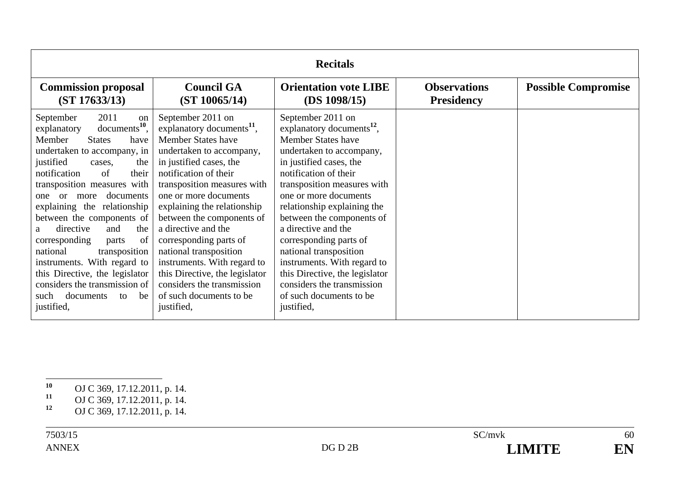| <b>Recitals</b>                                                                                                                                                                                                                                                                                                                                                                                                                                                                                                                                                             |                                                                                                                                                                                                                                                                                                                                                                                                                                                                                                                |                                                                                                                                                                                                                                                                                                                                                                                                                                                                                                                |                                          |                            |
|-----------------------------------------------------------------------------------------------------------------------------------------------------------------------------------------------------------------------------------------------------------------------------------------------------------------------------------------------------------------------------------------------------------------------------------------------------------------------------------------------------------------------------------------------------------------------------|----------------------------------------------------------------------------------------------------------------------------------------------------------------------------------------------------------------------------------------------------------------------------------------------------------------------------------------------------------------------------------------------------------------------------------------------------------------------------------------------------------------|----------------------------------------------------------------------------------------------------------------------------------------------------------------------------------------------------------------------------------------------------------------------------------------------------------------------------------------------------------------------------------------------------------------------------------------------------------------------------------------------------------------|------------------------------------------|----------------------------|
| <b>Commission proposal</b><br>(ST 17633/13)                                                                                                                                                                                                                                                                                                                                                                                                                                                                                                                                 | <b>Council GA</b><br>(ST 10065/14)                                                                                                                                                                                                                                                                                                                                                                                                                                                                             | <b>Orientation vote LIBE</b><br>(DS 1098/15)                                                                                                                                                                                                                                                                                                                                                                                                                                                                   | <b>Observations</b><br><b>Presidency</b> | <b>Possible Compromise</b> |
| 2011<br>September<br>on<br>$documents10$ ,<br>explanatory<br>Member<br><b>States</b><br>have<br>undertaken to accompany, in<br>justified<br>the<br>cases,<br>$\sigma$ f<br>notification<br>their<br>transposition measures with<br>documents<br>or<br>more<br>one<br>explaining the relationship<br>between the components of<br>directive<br>and<br>the<br>a<br>corresponding<br>of<br>parts<br>transposition<br>national<br>instruments. With regard to<br>this Directive, the legislator<br>considers the transmission of<br>documents<br>be<br>such<br>to<br>justified, | September 2011 on<br>explanatory documents <sup>11</sup> ,<br><b>Member States have</b><br>undertaken to accompany,<br>in justified cases, the<br>notification of their<br>transposition measures with<br>one or more documents<br>explaining the relationship<br>between the components of<br>a directive and the<br>corresponding parts of<br>national transposition<br>instruments. With regard to<br>this Directive, the legislator<br>considers the transmission<br>of such documents to be<br>justified, | September 2011 on<br>explanatory documents <sup>12</sup> ,<br><b>Member States have</b><br>undertaken to accompany,<br>in justified cases, the<br>notification of their<br>transposition measures with<br>one or more documents<br>relationship explaining the<br>between the components of<br>a directive and the<br>corresponding parts of<br>national transposition<br>instruments. With regard to<br>this Directive, the legislator<br>considers the transmission<br>of such documents to be<br>justified, |                                          |                            |

**<sup>10</sup>** OJ C 369, 17.12.2011, p. 14.

**<sup>11</sup>** OJ C 369, 17.12.2011, p. 14.

**<sup>12</sup>** OJ C 369, 17.12.2011, p. 14.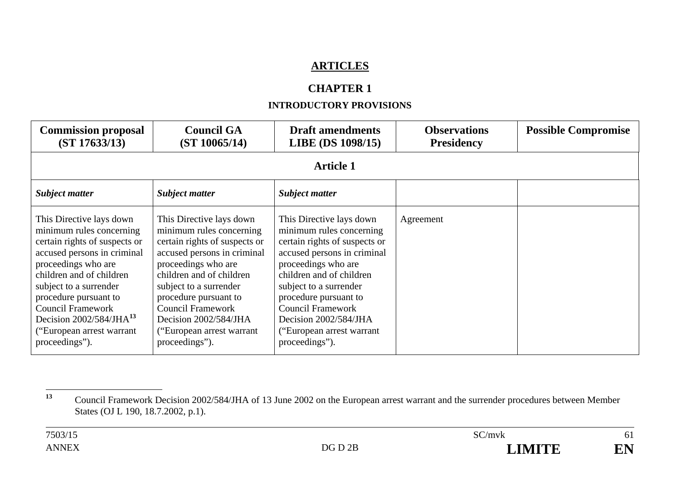# **ARTICLES**

# **CHAPTER 1**

### **INTRODUCTORY PROVISIONS**

| <b>Commission proposal</b><br>(ST 17633/13)                                                                                                                                                                                                                                                                                        | <b>Council GA</b><br>(ST 10065/14)                                                                                                                                                                                                                                                                                               | <b>Draft amendments</b><br>LIBE (DS 1098/15)                                                                                                                                                                                                                                                                                   | <b>Observations</b><br><b>Presidency</b> | <b>Possible Compromise</b> |  |  |
|------------------------------------------------------------------------------------------------------------------------------------------------------------------------------------------------------------------------------------------------------------------------------------------------------------------------------------|----------------------------------------------------------------------------------------------------------------------------------------------------------------------------------------------------------------------------------------------------------------------------------------------------------------------------------|--------------------------------------------------------------------------------------------------------------------------------------------------------------------------------------------------------------------------------------------------------------------------------------------------------------------------------|------------------------------------------|----------------------------|--|--|
|                                                                                                                                                                                                                                                                                                                                    | <b>Article 1</b>                                                                                                                                                                                                                                                                                                                 |                                                                                                                                                                                                                                                                                                                                |                                          |                            |  |  |
| <b>Subject matter</b>                                                                                                                                                                                                                                                                                                              | <b>Subject matter</b>                                                                                                                                                                                                                                                                                                            | <b>Subject matter</b>                                                                                                                                                                                                                                                                                                          |                                          |                            |  |  |
| This Directive lays down<br>minimum rules concerning<br>certain rights of suspects or<br>accused persons in criminal<br>proceedings who are<br>children and of children<br>subject to a surrender<br>procedure pursuant to<br><b>Council Framework</b><br>Decision $2002/584/JHA13$<br>"European arrest warrant"<br>proceedings"). | This Directive lays down<br>minimum rules concerning<br>certain rights of suspects or<br>accused persons in criminal<br>proceedings who are<br>children and of children<br>subject to a surrender<br>procedure pursuant to<br><b>Council Framework</b><br>Decision 2002/584/JHA<br>("European arrest warrant")<br>proceedings"). | This Directive lays down<br>minimum rules concerning<br>certain rights of suspects or<br>accused persons in criminal<br>proceedings who are<br>children and of children<br>subject to a surrender<br>procedure pursuant to<br><b>Council Framework</b><br>Decision 2002/584/JHA<br>("European arrest warrant<br>proceedings"). | Agreement                                |                            |  |  |

**<sup>13</sup>** Council Framework Decision 2002/584/JHA of 13 June 2002 on the European arrest warrant and the surrender procedures between Member States (OJ L 190, 18.7.2002, p.1).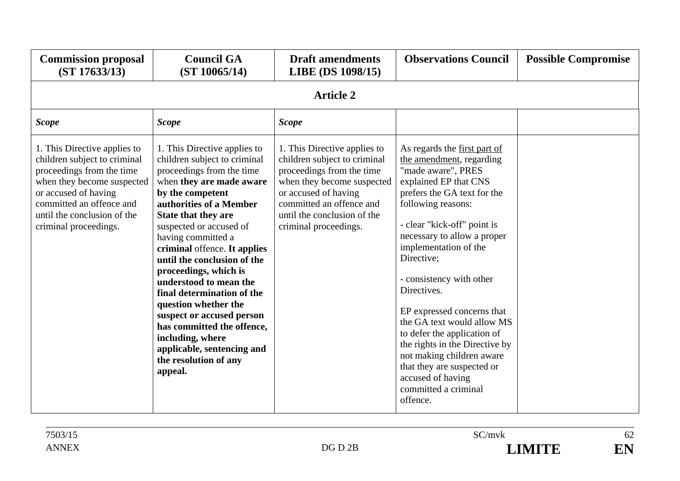| <b>Commission proposal</b><br>(ST 17633/13)                                                                                                                                                                                         | <b>Council GA</b><br>(ST 10065/14)                                                                                                                                                                                                                                                                                                                                                                                                                                                                                                                                    | <b>Draft amendments</b><br>LIBE (DS 1098/15)                                                                                                                                                                                        | <b>Observations Council</b>                                                                                                                                                                                                                                                                                                                                                                                                                                                                                                                                   | <b>Possible Compromise</b> |  |  |
|-------------------------------------------------------------------------------------------------------------------------------------------------------------------------------------------------------------------------------------|-----------------------------------------------------------------------------------------------------------------------------------------------------------------------------------------------------------------------------------------------------------------------------------------------------------------------------------------------------------------------------------------------------------------------------------------------------------------------------------------------------------------------------------------------------------------------|-------------------------------------------------------------------------------------------------------------------------------------------------------------------------------------------------------------------------------------|---------------------------------------------------------------------------------------------------------------------------------------------------------------------------------------------------------------------------------------------------------------------------------------------------------------------------------------------------------------------------------------------------------------------------------------------------------------------------------------------------------------------------------------------------------------|----------------------------|--|--|
| <b>Article 2</b>                                                                                                                                                                                                                    |                                                                                                                                                                                                                                                                                                                                                                                                                                                                                                                                                                       |                                                                                                                                                                                                                                     |                                                                                                                                                                                                                                                                                                                                                                                                                                                                                                                                                               |                            |  |  |
| <b>Scope</b>                                                                                                                                                                                                                        | <b>Scope</b>                                                                                                                                                                                                                                                                                                                                                                                                                                                                                                                                                          | <b>Scope</b>                                                                                                                                                                                                                        |                                                                                                                                                                                                                                                                                                                                                                                                                                                                                                                                                               |                            |  |  |
| 1. This Directive applies to<br>children subject to criminal<br>proceedings from the time<br>when they become suspected<br>or accused of having<br>committed an offence and<br>until the conclusion of the<br>criminal proceedings. | 1. This Directive applies to<br>children subject to criminal<br>proceedings from the time<br>when they are made aware<br>by the competent<br>authorities of a Member<br>State that they are<br>suspected or accused of<br>having committed a<br>criminal offence. It applies<br>until the conclusion of the<br>proceedings, which is<br>understood to mean the<br>final determination of the<br>question whether the<br>suspect or accused person<br>has committed the offence,<br>including, where<br>applicable, sentencing and<br>the resolution of any<br>appeal. | 1. This Directive applies to<br>children subject to criminal<br>proceedings from the time<br>when they become suspected<br>or accused of having<br>committed an offence and<br>until the conclusion of the<br>criminal proceedings. | As regards the first part of<br>the amendment, regarding<br>"made aware", PRES<br>explained EP that CNS<br>prefers the GA text for the<br>following reasons:<br>- clear "kick-off" point is<br>necessary to allow a proper<br>implementation of the<br>Directive;<br>- consistency with other<br>Directives.<br>EP expressed concerns that<br>the GA text would allow MS<br>to defer the application of<br>the rights in the Directive by<br>not making children aware<br>that they are suspected or<br>accused of having<br>committed a criminal<br>offence. |                            |  |  |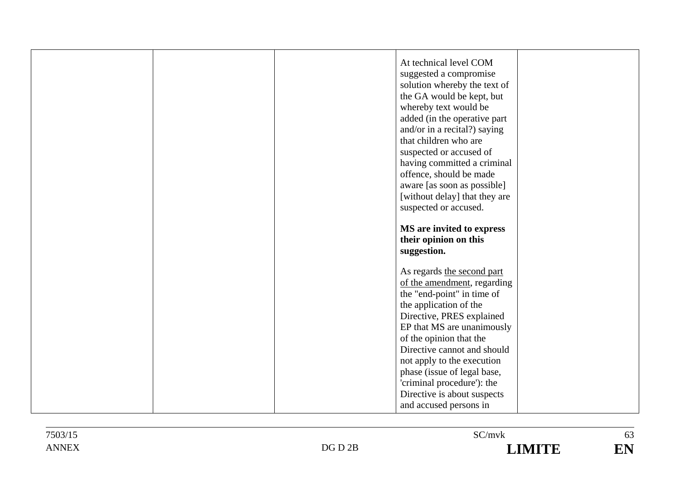|  | At technical level COM<br>suggested a compromise<br>solution whereby the text of<br>the GA would be kept, but<br>whereby text would be<br>added (in the operative part<br>and/or in a recital?) saying<br>that children who are<br>suspected or accused of<br>having committed a criminal<br>offence, should be made<br>aware [as soon as possible]<br>[without delay] that they are |  |
|--|--------------------------------------------------------------------------------------------------------------------------------------------------------------------------------------------------------------------------------------------------------------------------------------------------------------------------------------------------------------------------------------|--|
|  | suspected or accused.                                                                                                                                                                                                                                                                                                                                                                |  |
|  | MS are invited to express<br>their opinion on this<br>suggestion.                                                                                                                                                                                                                                                                                                                    |  |
|  | As regards the second part<br>of the amendment, regarding<br>the "end-point" in time of<br>the application of the<br>Directive, PRES explained                                                                                                                                                                                                                                       |  |
|  | EP that MS are unanimously<br>of the opinion that the<br>Directive cannot and should<br>not apply to the execution                                                                                                                                                                                                                                                                   |  |
|  | phase (issue of legal base,<br>'criminal procedure'): the<br>Directive is about suspects<br>and accused persons in                                                                                                                                                                                                                                                                   |  |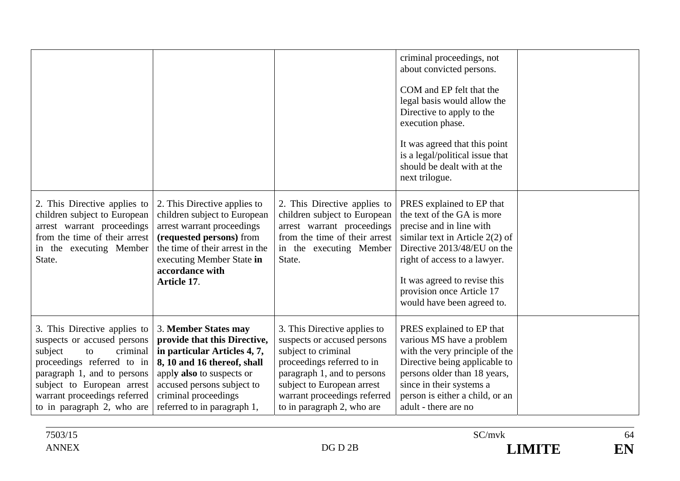|                                                                                                                                                                                                                                                   |                                                                                                                                                                                                                                       |                                                                                                                                                                                                                                             | criminal proceedings, not<br>about convicted persons.<br>COM and EP felt that the<br>legal basis would allow the<br>Directive to apply to the<br>execution phase.<br>It was agreed that this point<br>is a legal/political issue that<br>should be dealt with at the<br>next trilogue. |  |
|---------------------------------------------------------------------------------------------------------------------------------------------------------------------------------------------------------------------------------------------------|---------------------------------------------------------------------------------------------------------------------------------------------------------------------------------------------------------------------------------------|---------------------------------------------------------------------------------------------------------------------------------------------------------------------------------------------------------------------------------------------|----------------------------------------------------------------------------------------------------------------------------------------------------------------------------------------------------------------------------------------------------------------------------------------|--|
| 2. This Directive applies to<br>children subject to European<br>arrest warrant proceedings<br>from the time of their arrest<br>in the executing Member<br>State.                                                                                  | 2. This Directive applies to<br>children subject to European<br>arrest warrant proceedings<br>(requested persons) from<br>the time of their arrest in the<br>executing Member State in<br>accordance with<br>Article 17.              | 2. This Directive applies to<br>children subject to European<br>arrest warrant proceedings<br>from the time of their arrest<br>in the executing Member<br>State.                                                                            | PRES explained to EP that<br>the text of the GA is more<br>precise and in line with<br>similar text in Article $2(2)$ of<br>Directive 2013/48/EU on the<br>right of access to a lawyer.<br>It was agreed to revise this<br>provision once Article 17<br>would have been agreed to.     |  |
| 3. This Directive applies to<br>suspects or accused persons<br>subject<br>criminal<br>to<br>proceedings referred to in<br>paragraph 1, and to persons<br>subject to European arrest<br>warrant proceedings referred<br>to in paragraph 2, who are | 3. Member States may<br>provide that this Directive,<br>in particular Articles 4, 7,<br>8, 10 and 16 thereof, shall<br>apply also to suspects or<br>accused persons subject to<br>criminal proceedings<br>referred to in paragraph 1, | 3. This Directive applies to<br>suspects or accused persons<br>subject to criminal<br>proceedings referred to in<br>paragraph 1, and to persons<br>subject to European arrest<br>warrant proceedings referred<br>to in paragraph 2, who are | PRES explained to EP that<br>various MS have a problem<br>with the very principle of the<br>Directive being applicable to<br>persons older than 18 years,<br>since in their systems a<br>person is either a child, or an<br>adult - there are no                                       |  |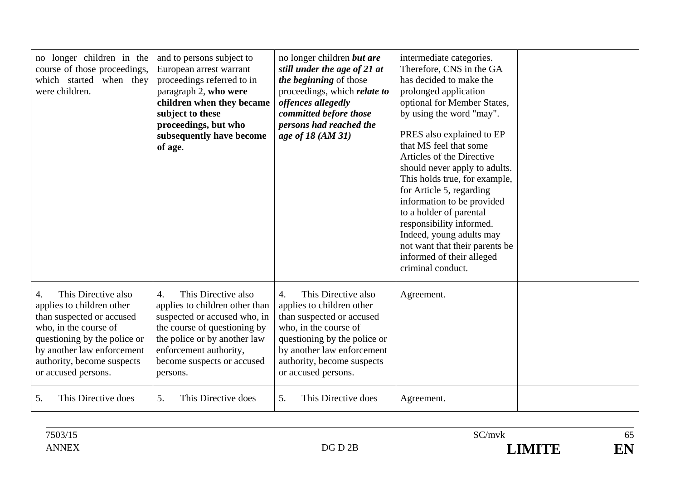| no longer children in the<br>course of those proceedings,<br>which started when they<br>were children.                                                                                                                          | and to persons subject to<br>European arrest warrant<br>proceedings referred to in<br>paragraph 2, who were<br>children when they became<br>subject to these<br>proceedings, but who<br>subsequently have become<br>of age.                   | no longer children <i>but are</i><br>still under the age of 21 at<br>the beginning of those<br>proceedings, which <i>relate to</i><br>offences allegedly<br>committed before those<br>persons had reached the<br>age of 18 (AM 31) | intermediate categories.<br>Therefore, CNS in the GA<br>has decided to make the<br>prolonged application<br>optional for Member States,<br>by using the word "may".<br>PRES also explained to EP<br>that MS feel that some<br>Articles of the Directive<br>should never apply to adults.<br>This holds true, for example,<br>for Article 5, regarding<br>information to be provided<br>to a holder of parental<br>responsibility informed.<br>Indeed, young adults may<br>not want that their parents be<br>informed of their alleged<br>criminal conduct. |  |
|---------------------------------------------------------------------------------------------------------------------------------------------------------------------------------------------------------------------------------|-----------------------------------------------------------------------------------------------------------------------------------------------------------------------------------------------------------------------------------------------|------------------------------------------------------------------------------------------------------------------------------------------------------------------------------------------------------------------------------------|------------------------------------------------------------------------------------------------------------------------------------------------------------------------------------------------------------------------------------------------------------------------------------------------------------------------------------------------------------------------------------------------------------------------------------------------------------------------------------------------------------------------------------------------------------|--|
| This Directive also<br>4.<br>applies to children other<br>than suspected or accused<br>who, in the course of<br>questioning by the police or<br>by another law enforcement<br>authority, become suspects<br>or accused persons. | This Directive also<br>$\overline{4}$ .<br>applies to children other than<br>suspected or accused who, in<br>the course of questioning by<br>the police or by another law<br>enforcement authority,<br>become suspects or accused<br>persons. | This Directive also<br>4.<br>applies to children other<br>than suspected or accused<br>who, in the course of<br>questioning by the police or<br>by another law enforcement<br>authority, become suspects<br>or accused persons.    | Agreement.                                                                                                                                                                                                                                                                                                                                                                                                                                                                                                                                                 |  |
| 5.<br>This Directive does                                                                                                                                                                                                       | 5.<br>This Directive does                                                                                                                                                                                                                     | 5.<br>This Directive does                                                                                                                                                                                                          | Agreement.                                                                                                                                                                                                                                                                                                                                                                                                                                                                                                                                                 |  |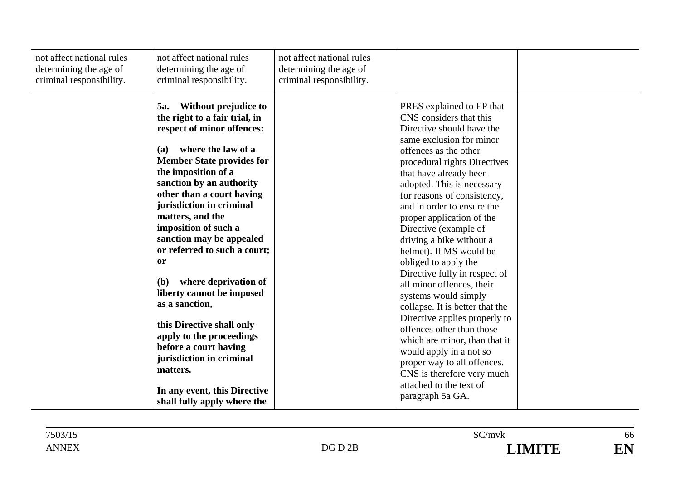| not affect national rules<br>determining the age of<br>criminal responsibility. | not affect national rules<br>determining the age of<br>criminal responsibility.                                                                                                                                                                                                                                                                                                                                                                                                                                                                                                                                                                                            | not affect national rules<br>determining the age of<br>criminal responsibility. |                                                                                                                                                                                                                                                                                                                                                                                                                                                                                                                                                                                                                                                                                                                                                                                                 |  |
|---------------------------------------------------------------------------------|----------------------------------------------------------------------------------------------------------------------------------------------------------------------------------------------------------------------------------------------------------------------------------------------------------------------------------------------------------------------------------------------------------------------------------------------------------------------------------------------------------------------------------------------------------------------------------------------------------------------------------------------------------------------------|---------------------------------------------------------------------------------|-------------------------------------------------------------------------------------------------------------------------------------------------------------------------------------------------------------------------------------------------------------------------------------------------------------------------------------------------------------------------------------------------------------------------------------------------------------------------------------------------------------------------------------------------------------------------------------------------------------------------------------------------------------------------------------------------------------------------------------------------------------------------------------------------|--|
|                                                                                 | Without prejudice to<br>5a.<br>the right to a fair trial, in<br>respect of minor offences:<br>where the law of a<br><b>(a)</b><br><b>Member State provides for</b><br>the imposition of a<br>sanction by an authority<br>other than a court having<br>jurisdiction in criminal<br>matters, and the<br>imposition of such a<br>sanction may be appealed<br>or referred to such a court;<br><b>or</b><br>where deprivation of<br>(b)<br>liberty cannot be imposed<br>as a sanction,<br>this Directive shall only<br>apply to the proceedings<br>before a court having<br>jurisdiction in criminal<br>matters.<br>In any event, this Directive<br>shall fully apply where the |                                                                                 | PRES explained to EP that<br>CNS considers that this<br>Directive should have the<br>same exclusion for minor<br>offences as the other<br>procedural rights Directives<br>that have already been<br>adopted. This is necessary<br>for reasons of consistency,<br>and in order to ensure the<br>proper application of the<br>Directive (example of<br>driving a bike without a<br>helmet). If MS would be<br>obliged to apply the<br>Directive fully in respect of<br>all minor offences, their<br>systems would simply<br>collapse. It is better that the<br>Directive applies properly to<br>offences other than those<br>which are minor, than that it<br>would apply in a not so<br>proper way to all offences.<br>CNS is therefore very much<br>attached to the text of<br>paragraph 5a GA. |  |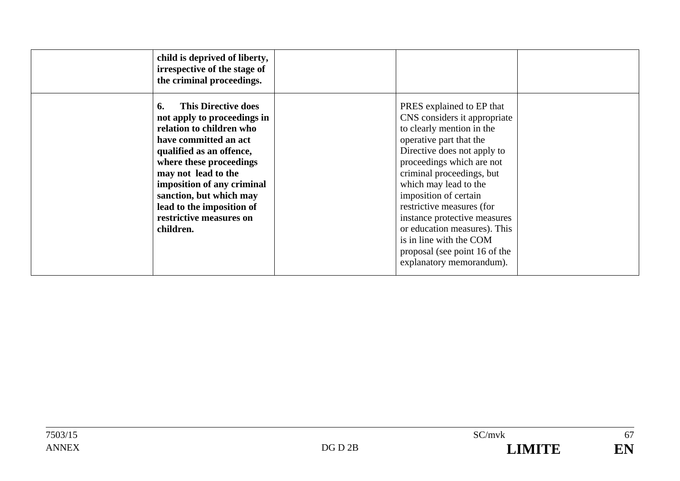| child is deprived of liberty,<br>irrespective of the stage of<br>the criminal proceedings.                                                                                                                                                                                                                                       |                                                                                                                                                                                                                                                                                                                                                                                                                                                   |  |
|----------------------------------------------------------------------------------------------------------------------------------------------------------------------------------------------------------------------------------------------------------------------------------------------------------------------------------|---------------------------------------------------------------------------------------------------------------------------------------------------------------------------------------------------------------------------------------------------------------------------------------------------------------------------------------------------------------------------------------------------------------------------------------------------|--|
| <b>This Directive does</b><br>6.<br>not apply to proceedings in<br>relation to children who<br>have committed an act<br>qualified as an offence,<br>where these proceedings<br>may not lead to the<br>imposition of any criminal<br>sanction, but which may<br>lead to the imposition of<br>restrictive measures on<br>children. | PRES explained to EP that<br>CNS considers it appropriate<br>to clearly mention in the<br>operative part that the<br>Directive does not apply to<br>proceedings which are not<br>criminal proceedings, but<br>which may lead to the<br>imposition of certain<br>restrictive measures (for<br>instance protective measures<br>or education measures). This<br>is in line with the COM<br>proposal (see point 16 of the<br>explanatory memorandum). |  |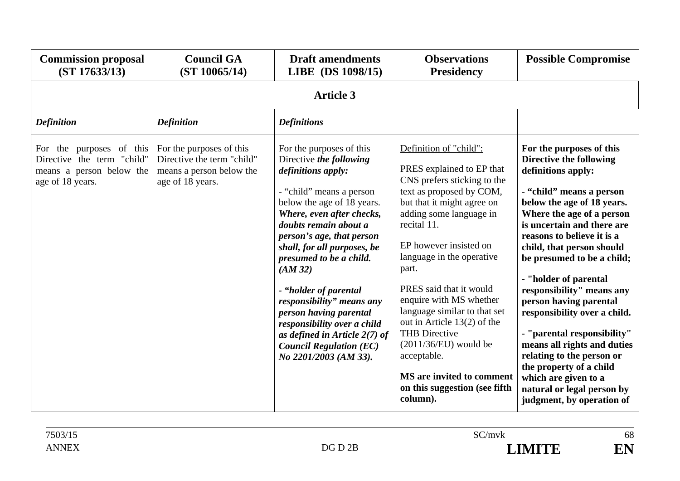| <b>Commission proposal</b><br>(ST 17633/13)                                                               | <b>Council GA</b><br>(ST 10065/14)                                                                     | <b>Draft amendments</b><br>LIBE (DS 1098/15)                                                                                                                                                                                                                                                                                                                                                                                                                                                            | <b>Observations</b><br><b>Presidency</b>                                                                                                                                                                                                                                                                                                                                                                                                                                                                                | <b>Possible Compromise</b>                                                                                                                                                                                                                                                                                                                                                                                                                                                                                                                                                                                       |  |  |  |
|-----------------------------------------------------------------------------------------------------------|--------------------------------------------------------------------------------------------------------|---------------------------------------------------------------------------------------------------------------------------------------------------------------------------------------------------------------------------------------------------------------------------------------------------------------------------------------------------------------------------------------------------------------------------------------------------------------------------------------------------------|-------------------------------------------------------------------------------------------------------------------------------------------------------------------------------------------------------------------------------------------------------------------------------------------------------------------------------------------------------------------------------------------------------------------------------------------------------------------------------------------------------------------------|------------------------------------------------------------------------------------------------------------------------------------------------------------------------------------------------------------------------------------------------------------------------------------------------------------------------------------------------------------------------------------------------------------------------------------------------------------------------------------------------------------------------------------------------------------------------------------------------------------------|--|--|--|
|                                                                                                           | <b>Article 3</b>                                                                                       |                                                                                                                                                                                                                                                                                                                                                                                                                                                                                                         |                                                                                                                                                                                                                                                                                                                                                                                                                                                                                                                         |                                                                                                                                                                                                                                                                                                                                                                                                                                                                                                                                                                                                                  |  |  |  |
| <b>Definition</b>                                                                                         | <b>Definition</b>                                                                                      | <b>Definitions</b>                                                                                                                                                                                                                                                                                                                                                                                                                                                                                      |                                                                                                                                                                                                                                                                                                                                                                                                                                                                                                                         |                                                                                                                                                                                                                                                                                                                                                                                                                                                                                                                                                                                                                  |  |  |  |
| the purposes of this<br>For<br>Directive the term "child"<br>means a person below the<br>age of 18 years. | For the purposes of this<br>Directive the term "child"<br>means a person below the<br>age of 18 years. | For the purposes of this<br>Directive the following<br>definitions apply:<br>- "child" means a person<br>below the age of 18 years.<br>Where, even after checks,<br>doubts remain about a<br>person's age, that person<br>shall, for all purposes, be<br>presumed to be a child.<br>(AM32)<br>- "holder of parental<br>responsibility" means any<br>person having parental<br>responsibility over a child<br>as defined in Article $2(7)$ of<br><b>Council Regulation (EC)</b><br>No 2201/2003 (AM 33). | Definition of "child":<br>PRES explained to EP that<br>CNS prefers sticking to the<br>text as proposed by COM,<br>but that it might agree on<br>adding some language in<br>recital 11.<br>EP however insisted on<br>language in the operative<br>part.<br>PRES said that it would<br>enquire with MS whether<br>language similar to that set<br>out in Article 13(2) of the<br><b>THB Directive</b><br>$(2011/36/EU)$ would be<br>acceptable.<br>MS are invited to comment<br>on this suggestion (see fifth<br>column). | For the purposes of this<br>Directive the following<br>definitions apply:<br>- "child" means a person<br>below the age of 18 years.<br>Where the age of a person<br>is uncertain and there are<br>reasons to believe it is a<br>child, that person should<br>be presumed to be a child;<br>- "holder of parental<br>responsibility" means any<br>person having parental<br>responsibility over a child.<br>- "parental responsibility"<br>means all rights and duties<br>relating to the person or<br>the property of a child<br>which are given to a<br>natural or legal person by<br>judgment, by operation of |  |  |  |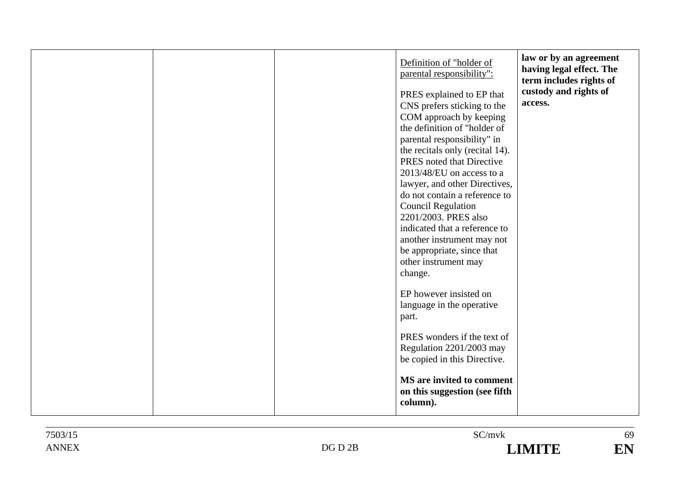| law or by an agreement<br>Definition of "holder of<br>having legal effect. The<br>parental responsibility":<br>term includes rights of<br>custody and rights of<br>PRES explained to EP that<br>access.<br>CNS prefers sticking to the<br>COM approach by keeping<br>the definition of "holder of<br>parental responsibility" in<br>the recitals only (recital 14).<br>PRES noted that Directive<br>2013/48/EU on access to a<br>lawyer, and other Directives,<br>do not contain a reference to<br><b>Council Regulation</b><br>2201/2003. PRES also |  |
|------------------------------------------------------------------------------------------------------------------------------------------------------------------------------------------------------------------------------------------------------------------------------------------------------------------------------------------------------------------------------------------------------------------------------------------------------------------------------------------------------------------------------------------------------|--|
|------------------------------------------------------------------------------------------------------------------------------------------------------------------------------------------------------------------------------------------------------------------------------------------------------------------------------------------------------------------------------------------------------------------------------------------------------------------------------------------------------------------------------------------------------|--|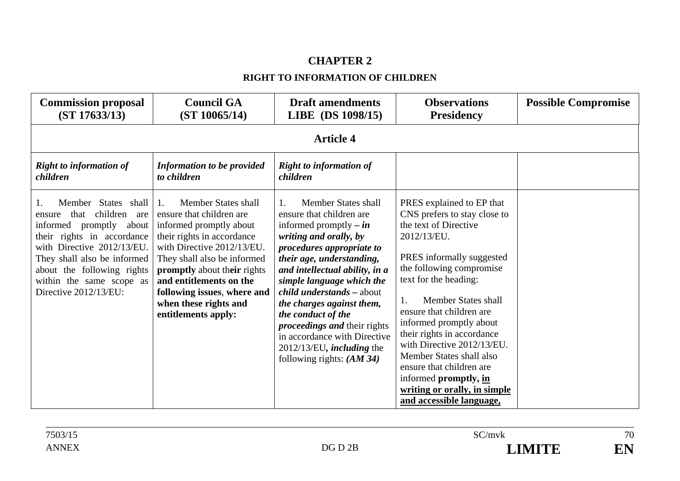# **CHAPTER 2**

### **RIGHT TO INFORMATION OF CHILDREN**

| <b>Commission proposal</b><br>(ST 17633/13)                                                                                                                                                                                                                             | <b>Council GA</b><br>(ST 10065/14)                                                                                                                                                                                                                                                                                               | <b>Draft amendments</b><br>LIBE (DS 1098/15)                                                                                                                                                                                                                                                                                                                                                                                                                                                | <b>Observations</b><br><b>Presidency</b>                                                                                                                                                                                                                                                                                                                                                                                                                                   | <b>Possible Compromise</b> |  |  |  |  |
|-------------------------------------------------------------------------------------------------------------------------------------------------------------------------------------------------------------------------------------------------------------------------|----------------------------------------------------------------------------------------------------------------------------------------------------------------------------------------------------------------------------------------------------------------------------------------------------------------------------------|---------------------------------------------------------------------------------------------------------------------------------------------------------------------------------------------------------------------------------------------------------------------------------------------------------------------------------------------------------------------------------------------------------------------------------------------------------------------------------------------|----------------------------------------------------------------------------------------------------------------------------------------------------------------------------------------------------------------------------------------------------------------------------------------------------------------------------------------------------------------------------------------------------------------------------------------------------------------------------|----------------------------|--|--|--|--|
|                                                                                                                                                                                                                                                                         | <b>Article 4</b>                                                                                                                                                                                                                                                                                                                 |                                                                                                                                                                                                                                                                                                                                                                                                                                                                                             |                                                                                                                                                                                                                                                                                                                                                                                                                                                                            |                            |  |  |  |  |
| <b>Right to information of</b><br>children                                                                                                                                                                                                                              | <b>Information to be provided</b><br>to children                                                                                                                                                                                                                                                                                 | <b>Right to information of</b><br>children                                                                                                                                                                                                                                                                                                                                                                                                                                                  |                                                                                                                                                                                                                                                                                                                                                                                                                                                                            |                            |  |  |  |  |
| Member States shall<br>children<br>that<br>are<br>ensure<br>informed<br>promptly<br>about<br>their rights in accordance<br>with Directive 2012/13/EU.<br>They shall also be informed<br>about the following rights<br>within the same scope as<br>Directive 2012/13/EU: | Member States shall<br>$\mathbf{1}$ .<br>ensure that children are<br>informed promptly about<br>their rights in accordance<br>with Directive 2012/13/EU.<br>They shall also be informed<br>promptly about their rights<br>and entitlements on the<br>following issues, where and<br>when these rights and<br>entitlements apply: | Member States shall<br>$\mathbf{1}$ .<br>ensure that children are<br>informed promptly – $\mathbf{i} n$<br>writing and orally, by<br>procedures appropriate to<br>their age, understanding,<br>and intellectual ability, in a<br>simple language which the<br><i>child understands - about</i><br>the charges against them,<br>the conduct of the<br><i>proceedings and their rights</i><br>in accordance with Directive<br>2012/13/EU, <i>including</i> the<br>following rights: $(AM 34)$ | PRES explained to EP that<br>CNS prefers to stay close to<br>the text of Directive<br>2012/13/EU.<br>PRES informally suggested<br>the following compromise<br>text for the heading:<br>Member States shall<br>ensure that children are<br>informed promptly about<br>their rights in accordance<br>with Directive 2012/13/EU.<br>Member States shall also<br>ensure that children are<br>informed promptly, in<br>writing or orally, in simple<br>and accessible language, |                            |  |  |  |  |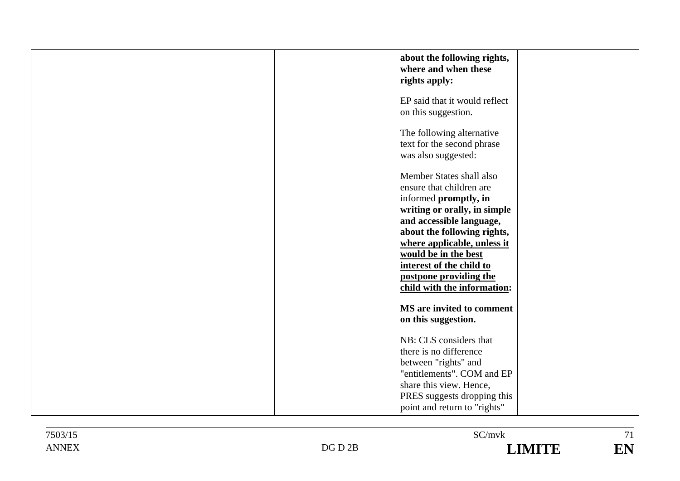| about the following rights,<br>where and when these<br>rights apply:                                                                                                                                                                                                                                                 |
|----------------------------------------------------------------------------------------------------------------------------------------------------------------------------------------------------------------------------------------------------------------------------------------------------------------------|
| EP said that it would reflect<br>on this suggestion.                                                                                                                                                                                                                                                                 |
| The following alternative<br>text for the second phrase<br>was also suggested:                                                                                                                                                                                                                                       |
| Member States shall also<br>ensure that children are<br>informed promptly, in<br>writing or orally, in simple<br>and accessible language,<br>about the following rights,<br>where applicable, unless it<br>would be in the best<br>interest of the child to<br>postpone providing the<br>child with the information: |
| MS are invited to comment<br>on this suggestion.                                                                                                                                                                                                                                                                     |
| NB: CLS considers that<br>there is no difference<br>between "rights" and<br>"entitlements". COM and EP<br>share this view. Hence,<br>PRES suggests dropping this<br>point and return to "rights"                                                                                                                     |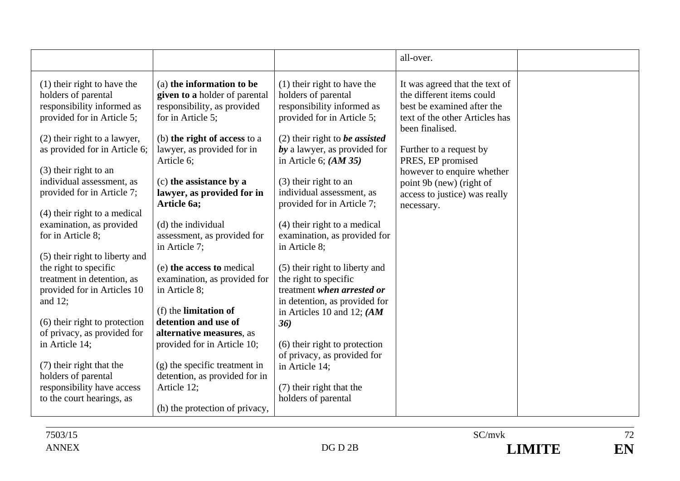|                                                                                                                  |                                                                                                                |                                                                                                                  | all-over.                                                                                                                                      |  |
|------------------------------------------------------------------------------------------------------------------|----------------------------------------------------------------------------------------------------------------|------------------------------------------------------------------------------------------------------------------|------------------------------------------------------------------------------------------------------------------------------------------------|--|
| $(1)$ their right to have the<br>holders of parental<br>responsibility informed as<br>provided for in Article 5; | (a) the information to be<br>given to a holder of parental<br>responsibility, as provided<br>for in Article 5; | $(1)$ their right to have the<br>holders of parental<br>responsibility informed as<br>provided for in Article 5; | It was agreed that the text of<br>the different items could<br>best be examined after the<br>text of the other Articles has<br>been finalised. |  |
| (2) their right to a lawyer,<br>as provided for in Article 6;                                                    | (b) the right of access to a<br>lawyer, as provided for in<br>Article 6;                                       | $(2)$ their right to <i>be assisted</i><br>by a lawyer, as provided for<br>in Article 6; $(AM 35)$               | Further to a request by<br>PRES, EP promised                                                                                                   |  |
| (3) their right to an<br>individual assessment, as<br>provided for in Article 7;                                 | (c) the assistance by a<br>lawyer, as provided for in<br>Article 6a;                                           | (3) their right to an<br>individual assessment, as<br>provided for in Article 7;                                 | however to enquire whether<br>point 9b (new) (right of<br>access to justice) was really<br>necessary.                                          |  |
| $(4)$ their right to a medical<br>examination, as provided<br>for in Article 8;                                  | (d) the individual<br>assessment, as provided for                                                              | $(4)$ their right to a medical<br>examination, as provided for                                                   |                                                                                                                                                |  |
| (5) their right to liberty and<br>the right to specific<br>treatment in detention, as                            | in Article 7;<br>(e) the access to medical<br>examination, as provided for                                     | in Article 8;<br>(5) their right to liberty and<br>the right to specific                                         |                                                                                                                                                |  |
| provided for in Articles 10<br>and $12$ ;                                                                        | in Article 8;<br>(f) the <b>limitation of</b>                                                                  | treatment when arrested or<br>in detention, as provided for<br>in Articles 10 and 12; $(AM)$                     |                                                                                                                                                |  |
| (6) their right to protection<br>of privacy, as provided for<br>in Article 14;                                   | detention and use of<br>alternative measures, as<br>provided for in Article 10;                                | 36)<br>(6) their right to protection<br>of privacy, as provided for                                              |                                                                                                                                                |  |
| (7) their right that the<br>holders of parental<br>responsibility have access                                    | (g) the specific treatment in<br>detention, as provided for in<br>Article 12;                                  | in Article 14;<br>(7) their right that the                                                                       |                                                                                                                                                |  |
| to the court hearings, as                                                                                        | (h) the protection of privacy,                                                                                 | holders of parental                                                                                              |                                                                                                                                                |  |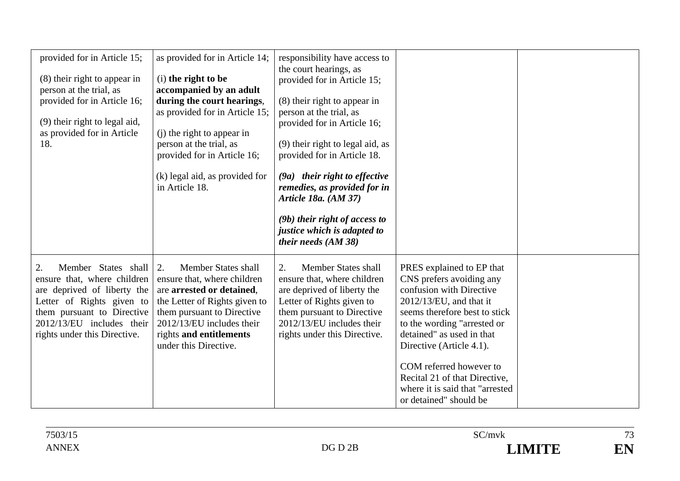| provided for in Article 15;<br>(8) their right to appear in<br>person at the trial, as<br>provided for in Article 16;<br>(9) their right to legal aid,<br>as provided for in Article<br>18.                     | as provided for in Article 14;<br>(i) the right to be<br>accompanied by an adult<br>during the court hearings,<br>as provided for in Article 15;<br>(i) the right to appear in<br>person at the trial, as<br>provided for in Article 16;<br>(k) legal aid, as provided for<br>in Article 18. | responsibility have access to<br>the court hearings, as<br>provided for in Article 15;<br>(8) their right to appear in<br>person at the trial, as<br>provided for in Article 16;<br>(9) their right to legal aid, as<br>provided for in Article 18.<br>(9a) their right to effective<br>remedies, as provided for in<br>Article 18a. (AM 37)<br>$(9b)$ their right of access to<br>justice which is adapted to<br>their needs (AM 38) |                                                                                                                                                                                                                                                                                                                                                                   |  |
|-----------------------------------------------------------------------------------------------------------------------------------------------------------------------------------------------------------------|----------------------------------------------------------------------------------------------------------------------------------------------------------------------------------------------------------------------------------------------------------------------------------------------|---------------------------------------------------------------------------------------------------------------------------------------------------------------------------------------------------------------------------------------------------------------------------------------------------------------------------------------------------------------------------------------------------------------------------------------|-------------------------------------------------------------------------------------------------------------------------------------------------------------------------------------------------------------------------------------------------------------------------------------------------------------------------------------------------------------------|--|
| Member States shall<br>2.<br>ensure that, where children<br>are deprived of liberty the<br>Letter of Rights given to<br>them pursuant to Directive<br>2012/13/EU includes their<br>rights under this Directive. | Member States shall<br>2.<br>ensure that, where children<br>are arrested or detained,<br>the Letter of Rights given to<br>them pursuant to Directive<br>2012/13/EU includes their<br>rights and entitlements<br>under this Directive.                                                        | <b>Member States shall</b><br>2.<br>ensure that, where children<br>are deprived of liberty the<br>Letter of Rights given to<br>them pursuant to Directive<br>2012/13/EU includes their<br>rights under this Directive.                                                                                                                                                                                                                | PRES explained to EP that<br>CNS prefers avoiding any<br>confusion with Directive<br>$2012/13/EU$ , and that it<br>seems therefore best to stick<br>to the wording "arrested or<br>detained" as used in that<br>Directive (Article 4.1).<br>COM referred however to<br>Recital 21 of that Directive,<br>where it is said that "arrested<br>or detained" should be |  |

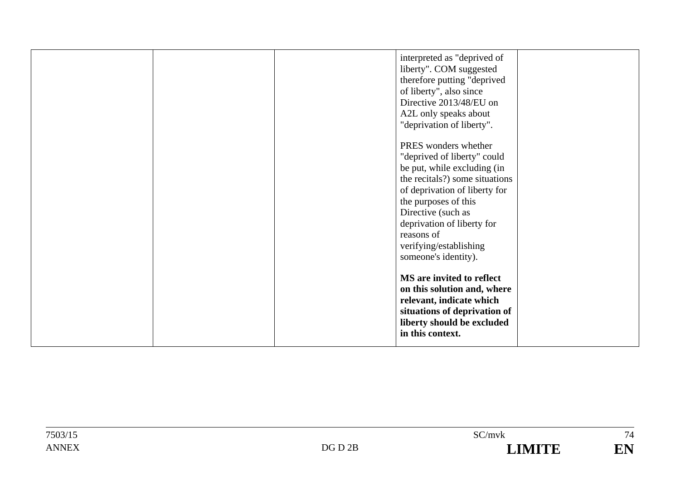| interpreted as "deprived of<br>liberty". COM suggested<br>therefore putting "deprived<br>of liberty", also since<br>Directive 2013/48/EU on<br>A2L only speaks about   |
|------------------------------------------------------------------------------------------------------------------------------------------------------------------------|
| "deprivation of liberty".<br>PRES wonders whether                                                                                                                      |
| "deprived of liberty" could                                                                                                                                            |
| be put, while excluding (in<br>the recitals?) some situations                                                                                                          |
| of deprivation of liberty for<br>the purposes of this                                                                                                                  |
| Directive (such as<br>deprivation of liberty for                                                                                                                       |
| reasons of                                                                                                                                                             |
| verifying/establishing<br>someone's identity).                                                                                                                         |
| MS are invited to reflect<br>on this solution and, where<br>relevant, indicate which<br>situations of deprivation of<br>liberty should be excluded<br>in this context. |
|                                                                                                                                                                        |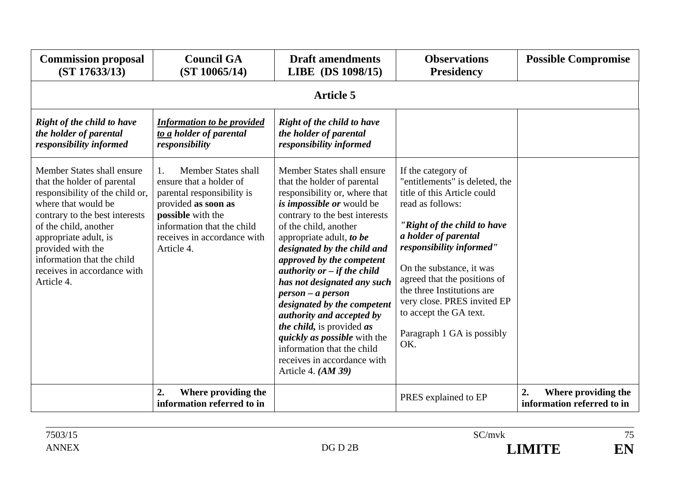| <b>Commission proposal</b><br>(ST 17633/13)                                                                                                                                                                                                                                                             | <b>Council GA</b><br>(ST 10065/14)                                                                                                                                                                        | <b>Draft amendments</b><br>LIBE (DS 1098/15)                                                                                                                                                                                                                                                                                                                                                                                                                                                                                                                                                                        | <b>Observations</b><br><b>Presidency</b>                                                                                                                                                                                                                                                                                                                                           | <b>Possible Compromise</b>                              |  |  |  |
|---------------------------------------------------------------------------------------------------------------------------------------------------------------------------------------------------------------------------------------------------------------------------------------------------------|-----------------------------------------------------------------------------------------------------------------------------------------------------------------------------------------------------------|---------------------------------------------------------------------------------------------------------------------------------------------------------------------------------------------------------------------------------------------------------------------------------------------------------------------------------------------------------------------------------------------------------------------------------------------------------------------------------------------------------------------------------------------------------------------------------------------------------------------|------------------------------------------------------------------------------------------------------------------------------------------------------------------------------------------------------------------------------------------------------------------------------------------------------------------------------------------------------------------------------------|---------------------------------------------------------|--|--|--|
|                                                                                                                                                                                                                                                                                                         | <b>Article 5</b>                                                                                                                                                                                          |                                                                                                                                                                                                                                                                                                                                                                                                                                                                                                                                                                                                                     |                                                                                                                                                                                                                                                                                                                                                                                    |                                                         |  |  |  |
| <b>Right of the child to have</b><br>the holder of parental<br>responsibility informed                                                                                                                                                                                                                  | <b>Information to be provided</b><br>to a holder of parental<br>responsibility                                                                                                                            | Right of the child to have<br>the holder of parental<br>responsibility informed                                                                                                                                                                                                                                                                                                                                                                                                                                                                                                                                     |                                                                                                                                                                                                                                                                                                                                                                                    |                                                         |  |  |  |
| Member States shall ensure<br>that the holder of parental<br>responsibility of the child or,<br>where that would be<br>contrary to the best interests<br>of the child, another<br>appropriate adult, is<br>provided with the<br>information that the child<br>receives in accordance with<br>Article 4. | Member States shall<br>1.<br>ensure that a holder of<br>parental responsibility is<br>provided as soon as<br>possible with the<br>information that the child<br>receives in accordance with<br>Article 4. | Member States shall ensure<br>that the holder of parental<br>responsibility or, where that<br>is <i>impossible or</i> would be<br>contrary to the best interests<br>of the child, another<br>appropriate adult, to be<br>designated by the child and<br>approved by the competent<br>authority or $-$ if the child<br>has not designated any such<br>$person - a person$<br>designated by the competent<br><i>authority and accepted by</i><br><i>the child</i> , is provided <i>as</i><br><i>quickly as possible</i> with the<br>information that the child<br>receives in accordance with<br>Article 4. $(AM 39)$ | If the category of<br>"entitlements" is deleted, the<br>title of this Article could<br>read as follows:<br>"Right of the child to have<br>a holder of parental<br>responsibility informed"<br>On the substance, it was<br>agreed that the positions of<br>the three Institutions are<br>very close. PRES invited EP<br>to accept the GA text.<br>Paragraph 1 GA is possibly<br>OK. |                                                         |  |  |  |
|                                                                                                                                                                                                                                                                                                         | 2.<br>Where providing the<br>information referred to in                                                                                                                                                   |                                                                                                                                                                                                                                                                                                                                                                                                                                                                                                                                                                                                                     | PRES explained to EP                                                                                                                                                                                                                                                                                                                                                               | 2.<br>Where providing the<br>information referred to in |  |  |  |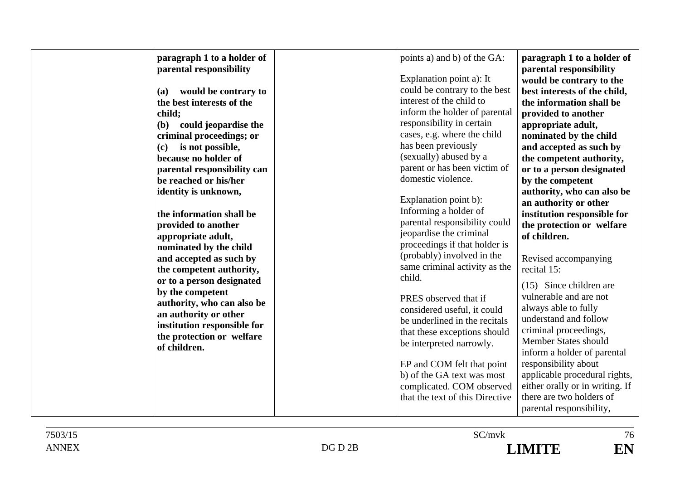| paragraph 1 to a holder of<br>parental responsibility<br>would be contrary to<br><b>(a)</b><br>the best interests of the<br>child;<br>(b) could jeopardise the<br>criminal proceedings; or<br>is not possible,<br>(c)<br>because no holder of<br>parental responsibility can<br>be reached or his/her<br>identity is unknown,<br>the information shall be<br>provided to another<br>appropriate adult,<br>nominated by the child<br>and accepted as such by<br>the competent authority,<br>or to a person designated<br>by the competent<br>authority, who can also be<br>an authority or other<br>institution responsible for<br>the protection or welfare<br>of children. | points a) and b) of the GA:<br>Explanation point a): It<br>could be contrary to the best<br>interest of the child to<br>inform the holder of parental<br>responsibility in certain<br>cases, e.g. where the child<br>has been previously<br>(sexually) abused by a<br>parent or has been victim of<br>domestic violence.<br>Explanation point b):<br>Informing a holder of<br>parental responsibility could<br>jeopardise the criminal<br>proceedings if that holder is<br>(probably) involved in the<br>same criminal activity as the<br>child.<br>PRES observed that if<br>considered useful, it could<br>be underlined in the recitals<br>that these exceptions should<br>be interpreted narrowly.<br>EP and COM felt that point<br>b) of the GA text was most<br>complicated. COM observed<br>that the text of this Directive | paragraph 1 to a holder of<br>parental responsibility<br>would be contrary to the<br>best interests of the child,<br>the information shall be<br>provided to another<br>appropriate adult,<br>nominated by the child<br>and accepted as such by<br>the competent authority,<br>or to a person designated<br>by the competent<br>authority, who can also be<br>an authority or other<br>institution responsible for<br>the protection or welfare<br>of children.<br>Revised accompanying<br>recital 15:<br>(15) Since children are<br>vulnerable and are not<br>always able to fully<br>understand and follow<br>criminal proceedings,<br>Member States should<br>inform a holder of parental<br>responsibility about<br>applicable procedural rights,<br>either orally or in writing. If<br>there are two holders of |
|-----------------------------------------------------------------------------------------------------------------------------------------------------------------------------------------------------------------------------------------------------------------------------------------------------------------------------------------------------------------------------------------------------------------------------------------------------------------------------------------------------------------------------------------------------------------------------------------------------------------------------------------------------------------------------|-----------------------------------------------------------------------------------------------------------------------------------------------------------------------------------------------------------------------------------------------------------------------------------------------------------------------------------------------------------------------------------------------------------------------------------------------------------------------------------------------------------------------------------------------------------------------------------------------------------------------------------------------------------------------------------------------------------------------------------------------------------------------------------------------------------------------------------|----------------------------------------------------------------------------------------------------------------------------------------------------------------------------------------------------------------------------------------------------------------------------------------------------------------------------------------------------------------------------------------------------------------------------------------------------------------------------------------------------------------------------------------------------------------------------------------------------------------------------------------------------------------------------------------------------------------------------------------------------------------------------------------------------------------------|
|                                                                                                                                                                                                                                                                                                                                                                                                                                                                                                                                                                                                                                                                             |                                                                                                                                                                                                                                                                                                                                                                                                                                                                                                                                                                                                                                                                                                                                                                                                                                   | parental responsibility,                                                                                                                                                                                                                                                                                                                                                                                                                                                                                                                                                                                                                                                                                                                                                                                             |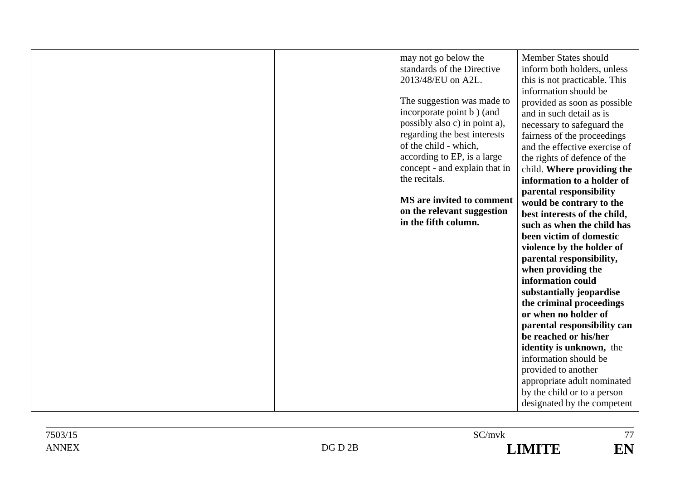|  | may not go below the<br>standards of the Directive<br>2013/48/EU on A2L.<br>The suggestion was made to<br>incorporate point b) (and<br>possibly also c) in point a),<br>regarding the best interests<br>of the child - which,<br>according to EP, is a large<br>concept - and explain that in<br>the recitals.<br>MS are invited to comment<br>on the relevant suggestion<br>in the fifth column. | Member States should<br>inform both holders, unless<br>this is not practicable. This<br>information should be<br>provided as soon as possible<br>and in such detail as is<br>necessary to safeguard the<br>fairness of the proceedings<br>and the effective exercise of<br>the rights of defence of the<br>child. Where providing the<br>information to a holder of<br>parental responsibility<br>would be contrary to the<br>best interests of the child,<br>such as when the child has<br>been victim of domestic<br>violence by the holder of<br>parental responsibility,<br>when providing the<br>information could<br>substantially jeopardise<br>the criminal proceedings<br>or when no holder of<br>parental responsibility can<br>be reached or his/her<br>identity is unknown, the<br>information should be<br>provided to another<br>appropriate adult nominated |
|--|---------------------------------------------------------------------------------------------------------------------------------------------------------------------------------------------------------------------------------------------------------------------------------------------------------------------------------------------------------------------------------------------------|----------------------------------------------------------------------------------------------------------------------------------------------------------------------------------------------------------------------------------------------------------------------------------------------------------------------------------------------------------------------------------------------------------------------------------------------------------------------------------------------------------------------------------------------------------------------------------------------------------------------------------------------------------------------------------------------------------------------------------------------------------------------------------------------------------------------------------------------------------------------------|
|  |                                                                                                                                                                                                                                                                                                                                                                                                   | by the child or to a person                                                                                                                                                                                                                                                                                                                                                                                                                                                                                                                                                                                                                                                                                                                                                                                                                                                |
|  |                                                                                                                                                                                                                                                                                                                                                                                                   | designated by the competent                                                                                                                                                                                                                                                                                                                                                                                                                                                                                                                                                                                                                                                                                                                                                                                                                                                |
|  |                                                                                                                                                                                                                                                                                                                                                                                                   |                                                                                                                                                                                                                                                                                                                                                                                                                                                                                                                                                                                                                                                                                                                                                                                                                                                                            |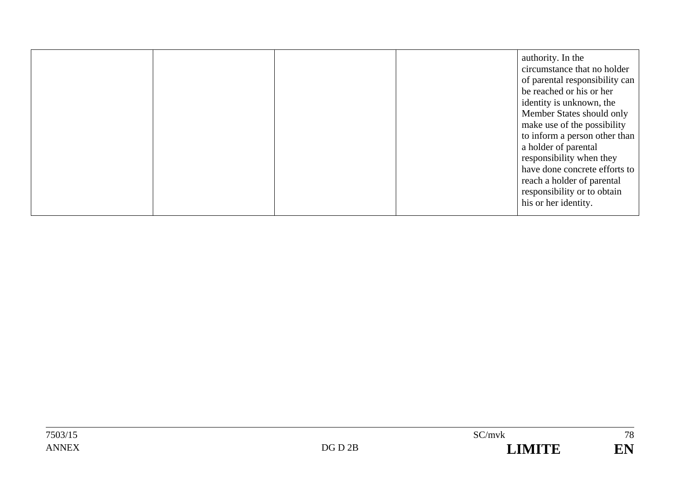|  |  |  | authority. In the<br>circumstance that no holder<br>of parental responsibility can<br>be reached or his or her<br>identity is unknown, the<br>Member States should only<br>make use of the possibility<br>to inform a person other than<br>a holder of parental<br>responsibility when they<br>have done concrete efforts to<br>reach a holder of parental<br>responsibility or to obtain<br>his or her identity. |
|--|--|--|-------------------------------------------------------------------------------------------------------------------------------------------------------------------------------------------------------------------------------------------------------------------------------------------------------------------------------------------------------------------------------------------------------------------|
|--|--|--|-------------------------------------------------------------------------------------------------------------------------------------------------------------------------------------------------------------------------------------------------------------------------------------------------------------------------------------------------------------------------------------------------------------------|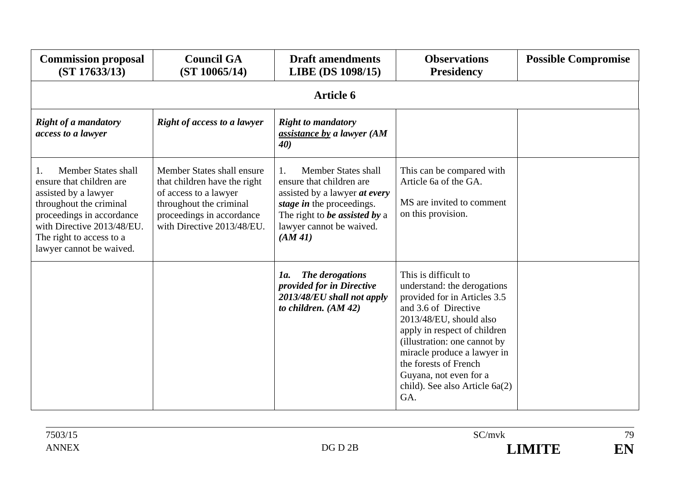| <b>Commission proposal</b><br>(ST 17633/13)                                                                                                                                                                                  | <b>Council GA</b><br>(ST 10065/14)                                                                                                                                        | <b>Draft amendments</b><br>LIBE (DS 1098/15)                                                                                                                                                | <b>Observations</b><br><b>Presidency</b>                                                                                                                                                                                                                                                                                          | <b>Possible Compromise</b> |  |  |  |
|------------------------------------------------------------------------------------------------------------------------------------------------------------------------------------------------------------------------------|---------------------------------------------------------------------------------------------------------------------------------------------------------------------------|---------------------------------------------------------------------------------------------------------------------------------------------------------------------------------------------|-----------------------------------------------------------------------------------------------------------------------------------------------------------------------------------------------------------------------------------------------------------------------------------------------------------------------------------|----------------------------|--|--|--|
|                                                                                                                                                                                                                              | <b>Article 6</b>                                                                                                                                                          |                                                                                                                                                                                             |                                                                                                                                                                                                                                                                                                                                   |                            |  |  |  |
| <b>Right of a mandatory</b><br>access to a lawyer                                                                                                                                                                            | <b>Right of access to a lawyer</b>                                                                                                                                        | <b>Right to mandatory</b><br>assistance by a lawyer (AM<br>40)                                                                                                                              |                                                                                                                                                                                                                                                                                                                                   |                            |  |  |  |
| <b>Member States shall</b><br>ensure that children are<br>assisted by a lawyer<br>throughout the criminal<br>proceedings in accordance<br>with Directive 2013/48/EU.<br>The right to access to a<br>lawyer cannot be waived. | Member States shall ensure<br>that children have the right<br>of access to a lawyer<br>throughout the criminal<br>proceedings in accordance<br>with Directive 2013/48/EU. | Member States shall<br>1.<br>ensure that children are<br>assisted by a lawyer at every<br>stage in the proceedings.<br>The right to be assisted by a<br>lawyer cannot be waived.<br>(AM 41) | This can be compared with<br>Article 6a of the GA.<br>MS are invited to comment<br>on this provision.                                                                                                                                                                                                                             |                            |  |  |  |
|                                                                                                                                                                                                                              |                                                                                                                                                                           | The derogations<br>1a.<br>provided for in Directive<br>2013/48/EU shall not apply<br>to children. $(AM 42)$                                                                                 | This is difficult to<br>understand: the derogations<br>provided for in Articles 3.5<br>and 3.6 of Directive<br>2013/48/EU, should also<br>apply in respect of children<br>(illustration: one cannot by<br>miracle produce a lawyer in<br>the forests of French<br>Guyana, not even for a<br>child). See also Article 6a(2)<br>GA. |                            |  |  |  |

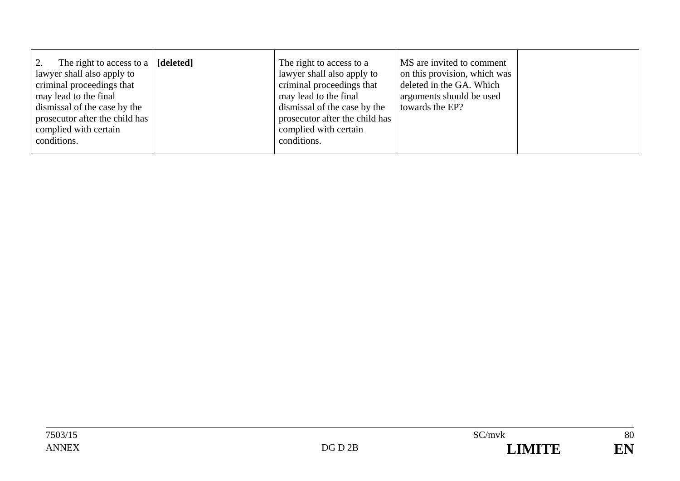|--|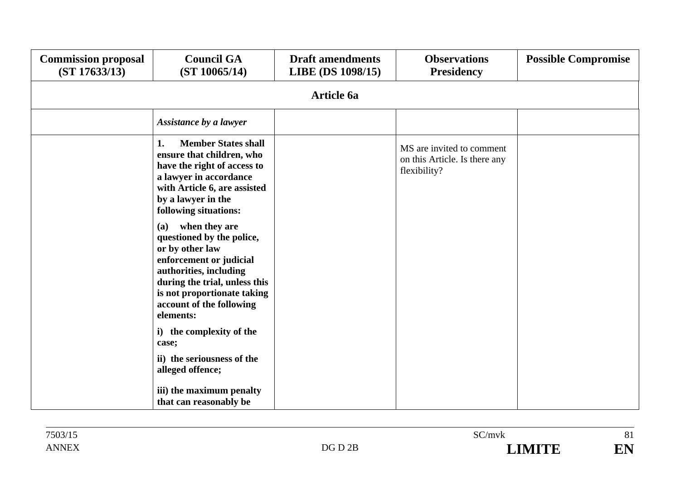| <b>Commission proposal</b><br>(ST 17633/13) | <b>Council GA</b><br>(ST 10065/14)                                                                                                                                                                                                                                                                                                                                                                                                                 | <b>Draft amendments</b><br>LIBE (DS 1098/15) | <b>Observations</b><br><b>Presidency</b>                                   | <b>Possible Compromise</b> |  |  |  |
|---------------------------------------------|----------------------------------------------------------------------------------------------------------------------------------------------------------------------------------------------------------------------------------------------------------------------------------------------------------------------------------------------------------------------------------------------------------------------------------------------------|----------------------------------------------|----------------------------------------------------------------------------|----------------------------|--|--|--|
|                                             | <b>Article 6a</b>                                                                                                                                                                                                                                                                                                                                                                                                                                  |                                              |                                                                            |                            |  |  |  |
|                                             | Assistance by a lawyer                                                                                                                                                                                                                                                                                                                                                                                                                             |                                              |                                                                            |                            |  |  |  |
|                                             | <b>Member States shall</b><br>1.<br>ensure that children, who<br>have the right of access to<br>a lawyer in accordance<br>with Article 6, are assisted<br>by a lawyer in the<br>following situations:<br>when they are<br><b>(a)</b><br>questioned by the police,<br>or by other law<br>enforcement or judicial<br>authorities, including<br>during the trial, unless this<br>is not proportionate taking<br>account of the following<br>elements: |                                              | MS are invited to comment<br>on this Article. Is there any<br>flexibility? |                            |  |  |  |
|                                             | i) the complexity of the<br>case;                                                                                                                                                                                                                                                                                                                                                                                                                  |                                              |                                                                            |                            |  |  |  |
|                                             | ii) the seriousness of the<br>alleged offence;                                                                                                                                                                                                                                                                                                                                                                                                     |                                              |                                                                            |                            |  |  |  |
|                                             | iii) the maximum penalty<br>that can reasonably be                                                                                                                                                                                                                                                                                                                                                                                                 |                                              |                                                                            |                            |  |  |  |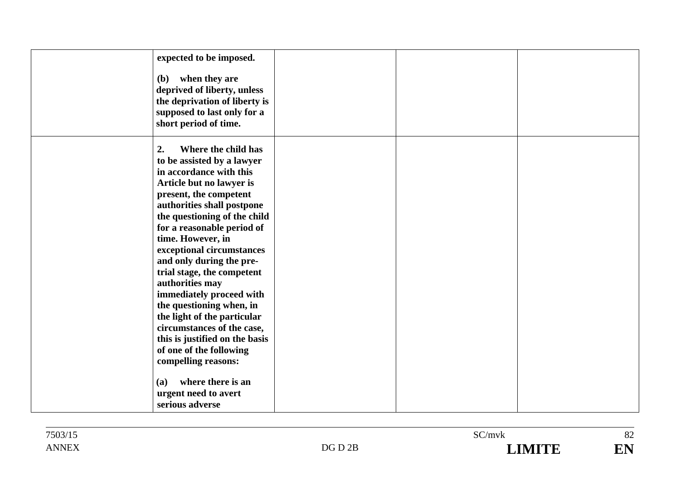| expected to be imposed.        |  |  |
|--------------------------------|--|--|
| (b) when they are              |  |  |
| deprived of liberty, unless    |  |  |
| the deprivation of liberty is  |  |  |
| supposed to last only for a    |  |  |
| short period of time.          |  |  |
|                                |  |  |
| 2.<br>Where the child has      |  |  |
| to be assisted by a lawyer     |  |  |
| in accordance with this        |  |  |
| Article but no lawyer is       |  |  |
| present, the competent         |  |  |
| authorities shall postpone     |  |  |
| the questioning of the child   |  |  |
| for a reasonable period of     |  |  |
| time. However, in              |  |  |
| exceptional circumstances      |  |  |
| and only during the pre-       |  |  |
| trial stage, the competent     |  |  |
| authorities may                |  |  |
| immediately proceed with       |  |  |
| the questioning when, in       |  |  |
| the light of the particular    |  |  |
| circumstances of the case,     |  |  |
| this is justified on the basis |  |  |
| of one of the following        |  |  |
| compelling reasons:            |  |  |
| where there is an<br>(a)       |  |  |
| urgent need to avert           |  |  |
| serious adverse                |  |  |
|                                |  |  |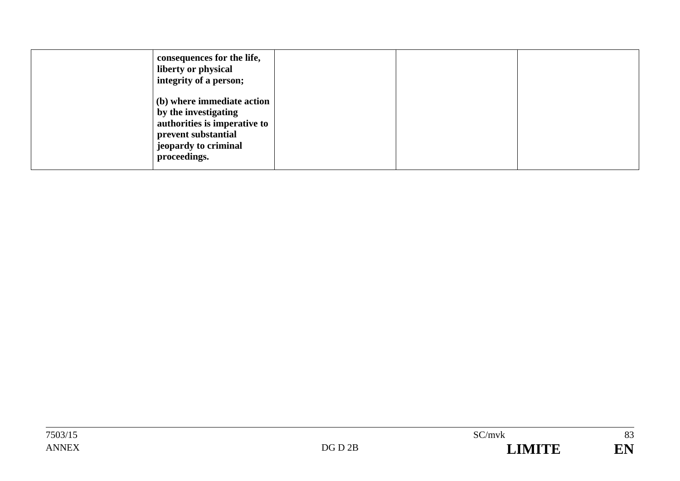| consequences for the life,<br>liberty or physical<br>integrity of a person;                                                                       |  |  |
|---------------------------------------------------------------------------------------------------------------------------------------------------|--|--|
| (b) where immediate action<br>by the investigating<br>authorities is imperative to<br>prevent substantial<br>jeopardy to criminal<br>proceedings. |  |  |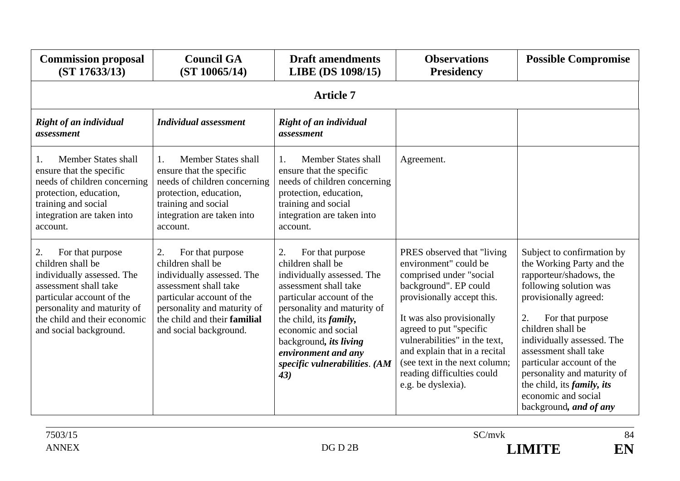| <b>Commission proposal</b><br>(ST 17633/13)                                                                                                                                                                              | <b>Council GA</b><br>(ST 10065/14)                                                                                                                                                                                       | <b>Draft amendments</b><br>LIBE (DS 1098/15)                                                                                                                                                                                                                                                                     | <b>Observations</b><br><b>Presidency</b>                                                                                                                                                                                                                                                                                                              | <b>Possible Compromise</b>                                                                                                                                                                                                                                                                                                                                                                            |
|--------------------------------------------------------------------------------------------------------------------------------------------------------------------------------------------------------------------------|--------------------------------------------------------------------------------------------------------------------------------------------------------------------------------------------------------------------------|------------------------------------------------------------------------------------------------------------------------------------------------------------------------------------------------------------------------------------------------------------------------------------------------------------------|-------------------------------------------------------------------------------------------------------------------------------------------------------------------------------------------------------------------------------------------------------------------------------------------------------------------------------------------------------|-------------------------------------------------------------------------------------------------------------------------------------------------------------------------------------------------------------------------------------------------------------------------------------------------------------------------------------------------------------------------------------------------------|
|                                                                                                                                                                                                                          |                                                                                                                                                                                                                          | <b>Article 7</b>                                                                                                                                                                                                                                                                                                 |                                                                                                                                                                                                                                                                                                                                                       |                                                                                                                                                                                                                                                                                                                                                                                                       |
| Right of an individual<br>assessment                                                                                                                                                                                     | <b>Individual assessment</b>                                                                                                                                                                                             | Right of an individual<br>assessment                                                                                                                                                                                                                                                                             |                                                                                                                                                                                                                                                                                                                                                       |                                                                                                                                                                                                                                                                                                                                                                                                       |
| Member States shall<br>1.<br>ensure that the specific<br>needs of children concerning<br>protection, education,<br>training and social<br>integration are taken into<br>account.                                         | Member States shall<br>$\mathbf{1}$ .<br>ensure that the specific<br>needs of children concerning<br>protection, education,<br>training and social<br>integration are taken into<br>account.                             | <b>Member States shall</b><br>$\mathbf{1}$ .<br>ensure that the specific<br>needs of children concerning<br>protection, education,<br>training and social<br>integration are taken into<br>account.                                                                                                              | Agreement.                                                                                                                                                                                                                                                                                                                                            |                                                                                                                                                                                                                                                                                                                                                                                                       |
| For that purpose<br>2.<br>children shall be<br>individually assessed. The<br>assessment shall take<br>particular account of the<br>personality and maturity of<br>the child and their economic<br>and social background. | 2.<br>For that purpose<br>children shall be<br>individually assessed. The<br>assessment shall take<br>particular account of the<br>personality and maturity of<br>the child and their familial<br>and social background. | For that purpose<br>2.<br>children shall be<br>individually assessed. The<br>assessment shall take<br>particular account of the<br>personality and maturity of<br>the child, its <i>family</i> ,<br>economic and social<br>background, its living<br>environment and any<br>specific vulnerabilities. (AM<br>43) | PRES observed that "living"<br>environment" could be<br>comprised under "social<br>background". EP could<br>provisionally accept this.<br>It was also provisionally<br>agreed to put "specific<br>vulnerabilities" in the text,<br>and explain that in a recital<br>(see text in the next column;<br>reading difficulties could<br>e.g. be dyslexia). | Subject to confirmation by<br>the Working Party and the<br>rapporteur/shadows, the<br>following solution was<br>provisionally agreed:<br>2.<br>For that purpose<br>children shall be<br>individually assessed. The<br>assessment shall take<br>particular account of the<br>personality and maturity of<br>the child, its <i>family</i> , <i>its</i><br>economic and social<br>background, and of any |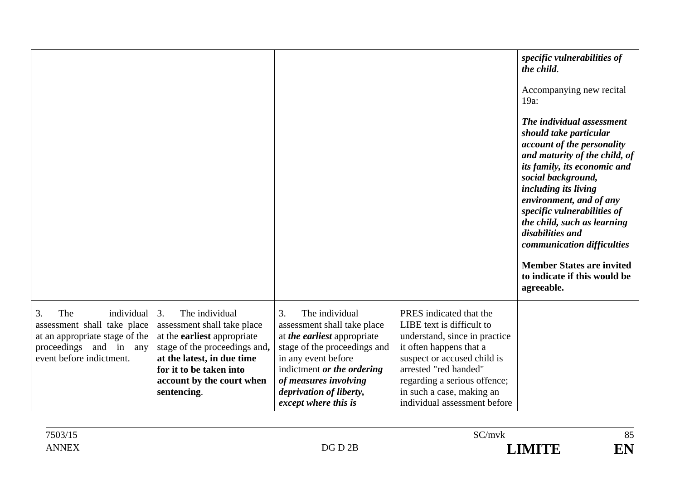|                                                                                                                                                |                                                                                                                                                                                                                                 |                                                                                                                                                                                                                                                                          |                                                                                                                                                                                                                                                                       | specific vulnerabilities of<br>the child.<br>Accompanying new recital<br>$19a$ :<br>The individual assessment<br>should take particular<br>account of the personality<br>and maturity of the child, of<br>its family, its economic and<br>social background,<br>including its living<br>environment, and of any<br>specific vulnerabilities of<br>the child, such as learning<br>disabilities and<br>communication difficulties<br><b>Member States are invited</b><br>to indicate if this would be<br>agreeable. |
|------------------------------------------------------------------------------------------------------------------------------------------------|---------------------------------------------------------------------------------------------------------------------------------------------------------------------------------------------------------------------------------|--------------------------------------------------------------------------------------------------------------------------------------------------------------------------------------------------------------------------------------------------------------------------|-----------------------------------------------------------------------------------------------------------------------------------------------------------------------------------------------------------------------------------------------------------------------|-------------------------------------------------------------------------------------------------------------------------------------------------------------------------------------------------------------------------------------------------------------------------------------------------------------------------------------------------------------------------------------------------------------------------------------------------------------------------------------------------------------------|
| The<br>3.<br>individual<br>assessment shall take place<br>at an appropriate stage of the<br>proceedings and in any<br>event before indictment. | 3.<br>The individual<br>assessment shall take place<br>at the <b>earliest</b> appropriate<br>stage of the proceedings and,<br>at the latest, in due time<br>for it to be taken into<br>account by the court when<br>sentencing. | $\overline{3}$ .<br>The individual<br>assessment shall take place<br>at <i>the earliest</i> appropriate<br>stage of the proceedings and<br>in any event before<br>indictment or the ordering<br>of measures involving<br>deprivation of liberty,<br>except where this is | PRES indicated that the<br>LIBE text is difficult to<br>understand, since in practice<br>it often happens that a<br>suspect or accused child is<br>arrested "red handed"<br>regarding a serious offence;<br>in such a case, making an<br>individual assessment before |                                                                                                                                                                                                                                                                                                                                                                                                                                                                                                                   |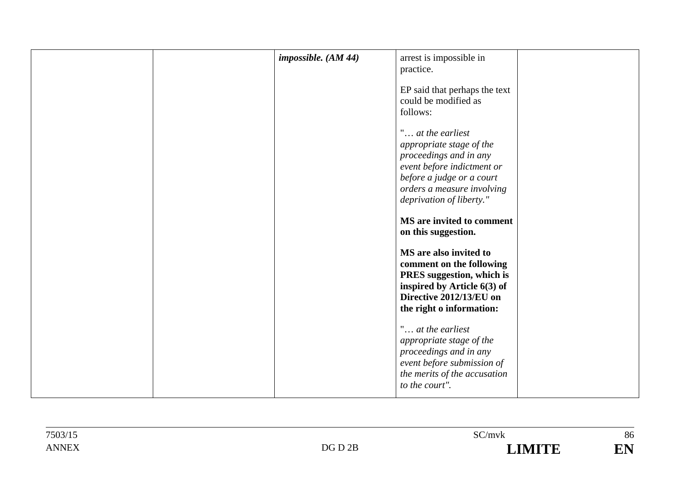|  | impossible. $(AM 44)$ | arrest is impossible in<br>practice.                                                                                                                                                         |  |
|--|-----------------------|----------------------------------------------------------------------------------------------------------------------------------------------------------------------------------------------|--|
|  |                       | EP said that perhaps the text<br>could be modified as<br>follows:                                                                                                                            |  |
|  |                       | " at the earliest<br>appropriate stage of the<br>proceedings and in any<br>event before indictment or<br>before a judge or a court<br>orders a measure involving<br>deprivation of liberty." |  |
|  |                       | MS are invited to comment<br>on this suggestion.                                                                                                                                             |  |
|  |                       | MS are also invited to<br>comment on the following<br>PRES suggestion, which is<br>inspired by Article 6(3) of<br>Directive 2012/13/EU on<br>the right o information:                        |  |
|  |                       | " at the earliest<br>appropriate stage of the<br>proceedings and in any<br>event before submission of<br>the merits of the accusation<br>to the court".                                      |  |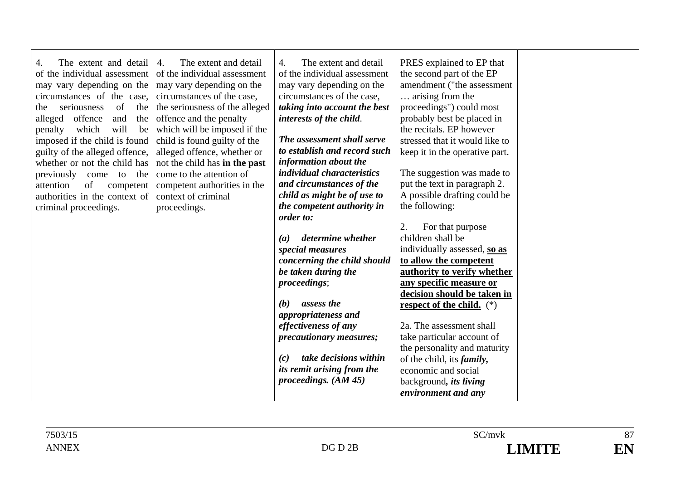| The extent and detail<br>4.<br>of the individual assessment<br>may vary depending on the<br>circumstances of the case,<br>seriousness<br>of<br>the<br>the<br>offence<br>alleged<br>the<br>and<br>will<br>penalty<br>which<br>be<br>imposed if the child is found<br>guilty of the alleged offence,<br>whether or not the child has<br>previously<br>come<br>the<br>to<br>of<br>attention<br>competent<br>authorities in the context of<br>criminal proceedings. | The extent and detail<br>4.<br>of the individual assessment<br>may vary depending on the<br>circumstances of the case,<br>the seriousness of the alleged<br>offence and the penalty<br>which will be imposed if the<br>child is found guilty of the<br>alleged offence, whether or<br>not the child has in the past<br>come to the attention of<br>competent authorities in the<br>context of criminal<br>proceedings. | The extent and detail<br>4.<br>of the individual assessment<br>may vary depending on the<br>circumstances of the case,<br>taking into account the best<br>interests of the child.<br>The assessment shall serve<br>to establish and record such<br>information about the<br><i>individual characteristics</i><br>and circumstances of the<br>child as might be of use to<br>the competent authority in<br>order to:<br>determine whether<br>(a)<br>special measures<br>concerning the child should<br>be taken during the<br><i>proceedings</i> ;<br>assess the<br>(b)<br>appropriateness and<br>effectiveness of any<br><i>precautionary measures;</i><br>take decisions within<br>(c)<br>its remit arising from the<br>proceedings. $(AM 45)$ | PRES explained to EP that<br>the second part of the EP<br>amendment ("the assessment<br>arising from the<br>proceedings") could most<br>probably best be placed in<br>the recitals. EP however<br>stressed that it would like to<br>keep it in the operative part.<br>The suggestion was made to<br>put the text in paragraph 2.<br>A possible drafting could be<br>the following:<br>For that purpose<br>2.<br>children shall be<br>individually assessed, so as<br>to allow the competent<br>authority to verify whether<br>any specific measure or<br>decision should be taken in<br>respect of the child. $(*)$<br>2a. The assessment shall<br>take particular account of<br>the personality and maturity<br>of the child, its <i>family</i> ,<br>economic and social<br>background, <i>its living</i><br>environment and any |  |
|-----------------------------------------------------------------------------------------------------------------------------------------------------------------------------------------------------------------------------------------------------------------------------------------------------------------------------------------------------------------------------------------------------------------------------------------------------------------|------------------------------------------------------------------------------------------------------------------------------------------------------------------------------------------------------------------------------------------------------------------------------------------------------------------------------------------------------------------------------------------------------------------------|-------------------------------------------------------------------------------------------------------------------------------------------------------------------------------------------------------------------------------------------------------------------------------------------------------------------------------------------------------------------------------------------------------------------------------------------------------------------------------------------------------------------------------------------------------------------------------------------------------------------------------------------------------------------------------------------------------------------------------------------------|-----------------------------------------------------------------------------------------------------------------------------------------------------------------------------------------------------------------------------------------------------------------------------------------------------------------------------------------------------------------------------------------------------------------------------------------------------------------------------------------------------------------------------------------------------------------------------------------------------------------------------------------------------------------------------------------------------------------------------------------------------------------------------------------------------------------------------------|--|
|-----------------------------------------------------------------------------------------------------------------------------------------------------------------------------------------------------------------------------------------------------------------------------------------------------------------------------------------------------------------------------------------------------------------------------------------------------------------|------------------------------------------------------------------------------------------------------------------------------------------------------------------------------------------------------------------------------------------------------------------------------------------------------------------------------------------------------------------------------------------------------------------------|-------------------------------------------------------------------------------------------------------------------------------------------------------------------------------------------------------------------------------------------------------------------------------------------------------------------------------------------------------------------------------------------------------------------------------------------------------------------------------------------------------------------------------------------------------------------------------------------------------------------------------------------------------------------------------------------------------------------------------------------------|-----------------------------------------------------------------------------------------------------------------------------------------------------------------------------------------------------------------------------------------------------------------------------------------------------------------------------------------------------------------------------------------------------------------------------------------------------------------------------------------------------------------------------------------------------------------------------------------------------------------------------------------------------------------------------------------------------------------------------------------------------------------------------------------------------------------------------------|--|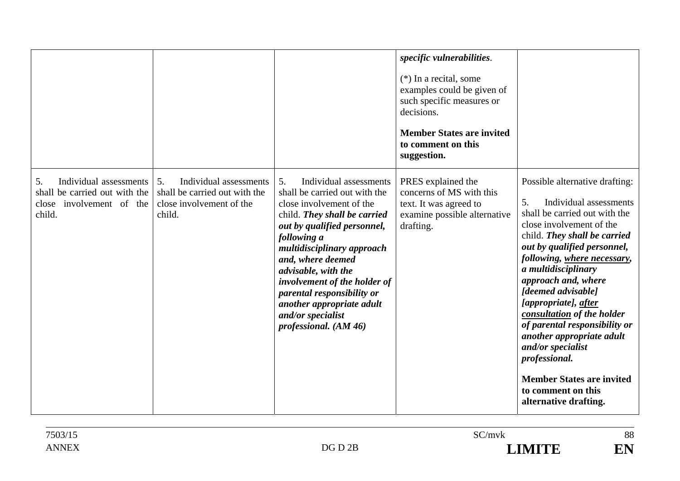|                                                                                                     |                                                                                                     |                                                                                                                                                                                                                                                                                                                                                                                            | specific vulnerabilities.<br>$(*)$ In a recital, some<br>examples could be given of<br>such specific measures or<br>decisions.<br><b>Member States are invited</b><br>to comment on this<br>suggestion. |                                                                                                                                                                                                                                                                                                                                                                                                                                                                                                                                            |
|-----------------------------------------------------------------------------------------------------|-----------------------------------------------------------------------------------------------------|--------------------------------------------------------------------------------------------------------------------------------------------------------------------------------------------------------------------------------------------------------------------------------------------------------------------------------------------------------------------------------------------|---------------------------------------------------------------------------------------------------------------------------------------------------------------------------------------------------------|--------------------------------------------------------------------------------------------------------------------------------------------------------------------------------------------------------------------------------------------------------------------------------------------------------------------------------------------------------------------------------------------------------------------------------------------------------------------------------------------------------------------------------------------|
| Individual assessments<br>5.<br>shall be carried out with the<br>close involvement of the<br>child. | Individual assessments<br>5.<br>shall be carried out with the<br>close involvement of the<br>child. | 5.<br>Individual assessments<br>shall be carried out with the<br>close involvement of the<br>child. They shall be carried<br>out by qualified personnel,<br>following a<br>multidisciplinary approach<br>and, where deemed<br>advisable, with the<br>involvement of the holder of<br>parental responsibility or<br>another appropriate adult<br>and/or specialist<br>professional. (AM 46) | PRES explained the<br>concerns of MS with this<br>text. It was agreed to<br>examine possible alternative<br>drafting.                                                                                   | Possible alternative drafting:<br>5.<br>Individual assessments<br>shall be carried out with the<br>close involvement of the<br>child. They shall be carried<br>out by qualified personnel,<br>following, where necessary,<br>a multidisciplinary<br>approach and, where<br>[deemed advisable]<br>[appropriate], after<br>consultation of the holder<br>of parental responsibility or<br>another appropriate adult<br>and/or specialist<br>professional.<br><b>Member States are invited</b><br>to comment on this<br>alternative drafting. |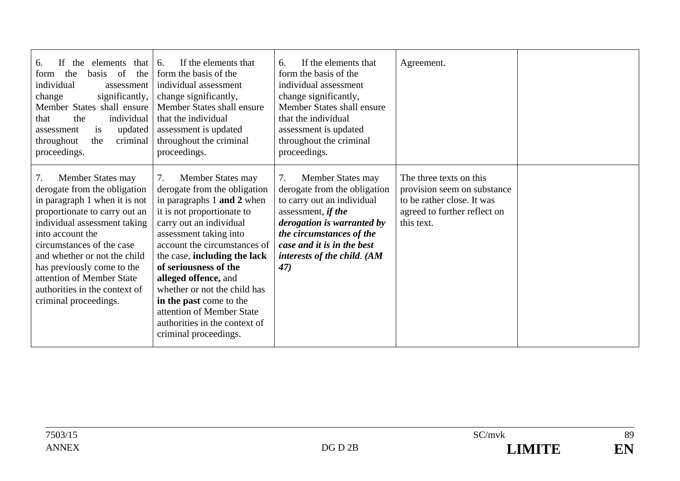| 6.<br>elements<br>If<br>the<br>that<br>the<br>basis of<br>the<br>form<br>individual<br>assessment<br>significantly,<br>change<br>Member States shall ensure<br>the<br>individual<br>that<br>updated<br>assessment<br><i>is</i><br>criminal<br>throughout<br>the<br>proceedings.                                                                                 | If the elements that<br>6.<br>form the basis of the<br>individual assessment<br>change significantly,<br>Member States shall ensure<br>that the individual<br>assessment is updated<br>throughout the criminal<br>proceedings.                                                                                                                                                                                                              | If the elements that<br>6.<br>form the basis of the<br>individual assessment<br>change significantly,<br>Member States shall ensure<br>that the individual<br>assessment is updated<br>throughout the criminal<br>proceedings.            | Agreement.                                                                                                                         |  |
|-----------------------------------------------------------------------------------------------------------------------------------------------------------------------------------------------------------------------------------------------------------------------------------------------------------------------------------------------------------------|---------------------------------------------------------------------------------------------------------------------------------------------------------------------------------------------------------------------------------------------------------------------------------------------------------------------------------------------------------------------------------------------------------------------------------------------|-------------------------------------------------------------------------------------------------------------------------------------------------------------------------------------------------------------------------------------------|------------------------------------------------------------------------------------------------------------------------------------|--|
| 7.<br>Member States may<br>derogate from the obligation<br>in paragraph 1 when it is not<br>proportionate to carry out an<br>individual assessment taking<br>into account the<br>circumstances of the case<br>and whether or not the child<br>has previously come to the<br>attention of Member State<br>authorities in the context of<br>criminal proceedings. | Member States may<br>7.<br>derogate from the obligation<br>in paragraphs 1 and 2 when<br>it is not proportionate to<br>carry out an individual<br>assessment taking into<br>account the circumstances of<br>the case, including the lack<br>of seriousness of the<br>alleged offence, and<br>whether or not the child has<br>in the past come to the<br>attention of Member State<br>authorities in the context of<br>criminal proceedings. | 7.<br>Member States may<br>derogate from the obligation<br>to carry out an individual<br>assessment, if the<br>derogation is warranted by<br>the circumstances of the<br>case and it is in the best<br>interests of the child. (AM<br>47) | The three texts on this<br>provision seem on substance<br>to be rather close. It was<br>agreed to further reflect on<br>this text. |  |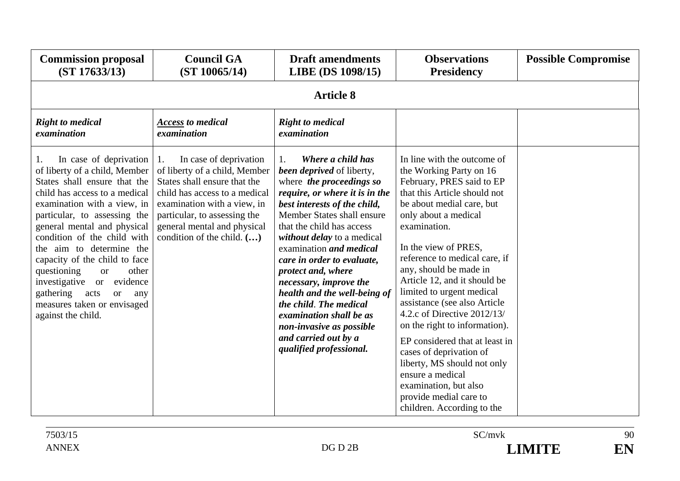| <b>Commission proposal</b><br>(ST 17633/13)                                                                                                                                                                                                                                                                                                                                                                                                                                              | <b>Council GA</b><br>(ST 10065/14)                                                                                                                                                                                                                                 | <b>Draft amendments</b><br>LIBE (DS 1098/15)                                                                                                                                                                                                                                                                                                                                                                                                                                                                                    | <b>Observations</b><br><b>Presidency</b>                                                                                                                                                                                                                                                                                                                                                                                                                                                                                                                                                                                                  | <b>Possible Compromise</b> |
|------------------------------------------------------------------------------------------------------------------------------------------------------------------------------------------------------------------------------------------------------------------------------------------------------------------------------------------------------------------------------------------------------------------------------------------------------------------------------------------|--------------------------------------------------------------------------------------------------------------------------------------------------------------------------------------------------------------------------------------------------------------------|---------------------------------------------------------------------------------------------------------------------------------------------------------------------------------------------------------------------------------------------------------------------------------------------------------------------------------------------------------------------------------------------------------------------------------------------------------------------------------------------------------------------------------|-------------------------------------------------------------------------------------------------------------------------------------------------------------------------------------------------------------------------------------------------------------------------------------------------------------------------------------------------------------------------------------------------------------------------------------------------------------------------------------------------------------------------------------------------------------------------------------------------------------------------------------------|----------------------------|
| <b>Article 8</b>                                                                                                                                                                                                                                                                                                                                                                                                                                                                         |                                                                                                                                                                                                                                                                    |                                                                                                                                                                                                                                                                                                                                                                                                                                                                                                                                 |                                                                                                                                                                                                                                                                                                                                                                                                                                                                                                                                                                                                                                           |                            |
| <b>Right to medical</b><br>examination                                                                                                                                                                                                                                                                                                                                                                                                                                                   | <b>Access</b> to medical<br>examination                                                                                                                                                                                                                            | <b>Right to medical</b><br>examination                                                                                                                                                                                                                                                                                                                                                                                                                                                                                          |                                                                                                                                                                                                                                                                                                                                                                                                                                                                                                                                                                                                                                           |                            |
| In case of deprivation<br>1.<br>of liberty of a child, Member<br>States shall ensure that the<br>child has access to a medical<br>examination with a view, in<br>particular, to assessing the<br>general mental and physical<br>condition of the child with<br>the aim to determine the<br>capacity of the child to face<br>questioning<br>other<br><b>or</b><br>investigative or evidence<br>gathering<br>acts<br><b>or</b><br>any<br>measures taken or envisaged<br>against the child. | In case of deprivation<br>1.<br>of liberty of a child, Member<br>States shall ensure that the<br>child has access to a medical<br>examination with a view, in<br>particular, to assessing the<br>general mental and physical<br>condition of the child. $(\ldots)$ | Where a child has<br>1.<br><b>been deprived</b> of liberty,<br>where the proceedings so<br>require, or where it is in the<br>best interests of the child,<br>Member States shall ensure<br>that the child has access<br>without delay to a medical<br>examination and medical<br>care in order to evaluate,<br>protect and, where<br>necessary, improve the<br>health and the well-being of<br>the child. The medical<br>examination shall be as<br>non-invasive as possible<br>and carried out by a<br>qualified professional. | In line with the outcome of<br>the Working Party on 16<br>February, PRES said to EP<br>that this Article should not<br>be about medial care, but<br>only about a medical<br>examination.<br>In the view of PRES,<br>reference to medical care, if<br>any, should be made in<br>Article 12, and it should be<br>limited to urgent medical<br>assistance (see also Article<br>4.2.c of Directive 2012/13/<br>on the right to information).<br>EP considered that at least in<br>cases of deprivation of<br>liberty, MS should not only<br>ensure a medical<br>examination, but also<br>provide medial care to<br>children. According to the |                            |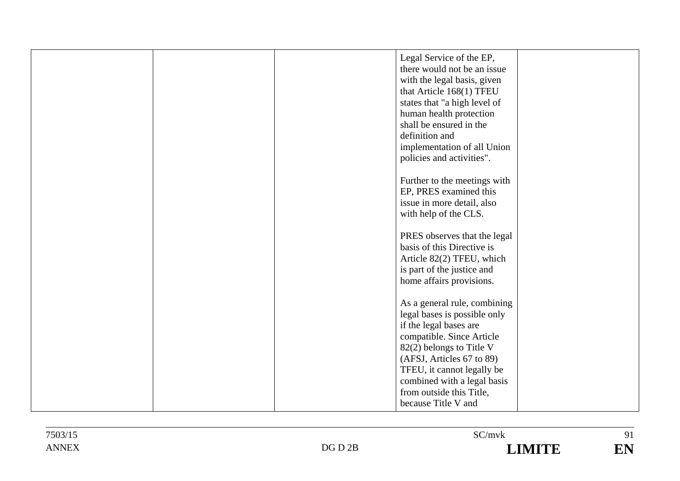|  | Legal Service of the EP,     |  |
|--|------------------------------|--|
|  | there would not be an issue  |  |
|  | with the legal basis, given  |  |
|  | that Article 168(1) TFEU     |  |
|  | states that "a high level of |  |
|  | human health protection      |  |
|  | shall be ensured in the      |  |
|  | definition and               |  |
|  | implementation of all Union  |  |
|  | policies and activities".    |  |
|  |                              |  |
|  | Further to the meetings with |  |
|  | EP, PRES examined this       |  |
|  | issue in more detail, also   |  |
|  | with help of the CLS.        |  |
|  |                              |  |
|  | PRES observes that the legal |  |
|  | basis of this Directive is   |  |
|  | Article 82(2) TFEU, which    |  |
|  | is part of the justice and   |  |
|  | home affairs provisions.     |  |
|  |                              |  |
|  | As a general rule, combining |  |
|  | legal bases is possible only |  |
|  | if the legal bases are       |  |
|  | compatible. Since Article    |  |
|  | 82(2) belongs to Title V     |  |
|  | (AFSJ, Articles 67 to 89)    |  |
|  | TFEU, it cannot legally be   |  |
|  | combined with a legal basis  |  |
|  | from outside this Title,     |  |
|  | because Title V and          |  |
|  |                              |  |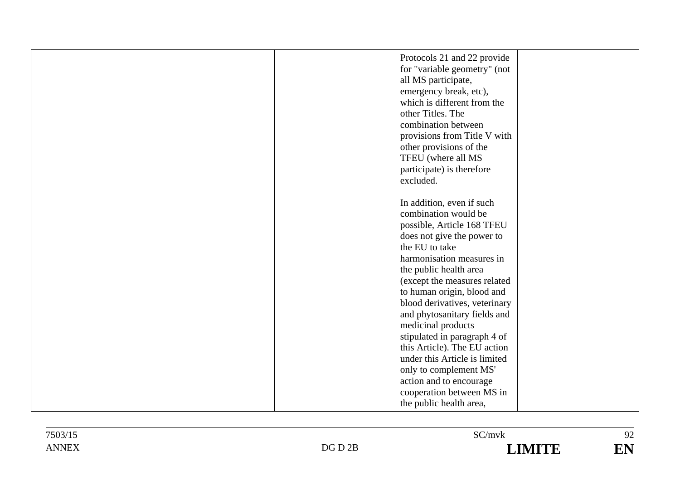| Protocols 21 and 22 provide<br>for "variable geometry" (not<br>all MS participate,<br>emergency break, etc),<br>which is different from the<br>other Titles. The<br>combination between<br>provisions from Title V with<br>other provisions of the |  |
|----------------------------------------------------------------------------------------------------------------------------------------------------------------------------------------------------------------------------------------------------|--|
| TFEU (where all MS<br>participate) is therefore<br>excluded.                                                                                                                                                                                       |  |
| In addition, even if such<br>combination would be<br>possible, Article 168 TFEU                                                                                                                                                                    |  |
| does not give the power to<br>the EU to take<br>harmonisation measures in<br>the public health area                                                                                                                                                |  |
| (except the measures related<br>to human origin, blood and<br>blood derivatives, veterinary<br>and phytosanitary fields and                                                                                                                        |  |
| medicinal products<br>stipulated in paragraph 4 of<br>this Article). The EU action                                                                                                                                                                 |  |
| under this Article is limited<br>only to complement MS'<br>action and to encourage<br>cooperation between MS in                                                                                                                                    |  |
| the public health area,                                                                                                                                                                                                                            |  |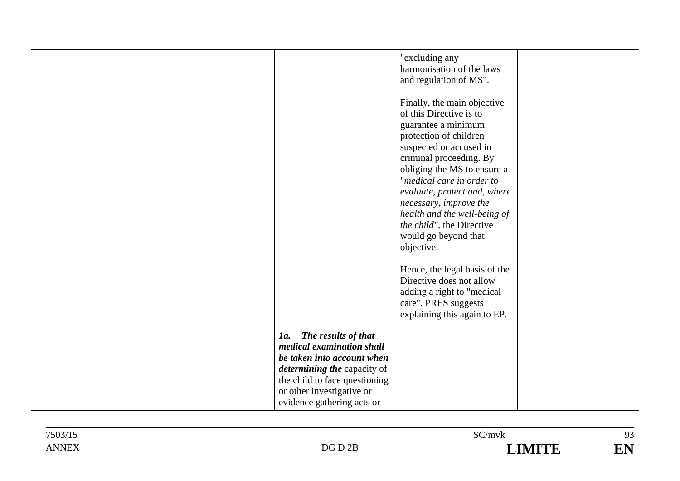|  |                                                                                                                                                                                                                         | "excluding any<br>harmonisation of the laws<br>and regulation of MS".<br>Finally, the main objective<br>of this Directive is to<br>guarantee a minimum<br>protection of children<br>suspected or accused in<br>criminal proceeding. By<br>obliging the MS to ensure a<br>"medical care in order to<br>evaluate, protect and, where<br>necessary, improve the<br>health and the well-being of<br>the child", the Directive<br>would go beyond that<br>objective.<br>Hence, the legal basis of the<br>Directive does not allow<br>adding a right to "medical<br>care". PRES suggests<br>explaining this again to EP. |  |
|--|-------------------------------------------------------------------------------------------------------------------------------------------------------------------------------------------------------------------------|--------------------------------------------------------------------------------------------------------------------------------------------------------------------------------------------------------------------------------------------------------------------------------------------------------------------------------------------------------------------------------------------------------------------------------------------------------------------------------------------------------------------------------------------------------------------------------------------------------------------|--|
|  | The results of that<br>1a.<br>medical examination shall<br>be taken into account when<br><i>determining the capacity of</i><br>the child to face questioning<br>or other investigative or<br>evidence gathering acts or |                                                                                                                                                                                                                                                                                                                                                                                                                                                                                                                                                                                                                    |  |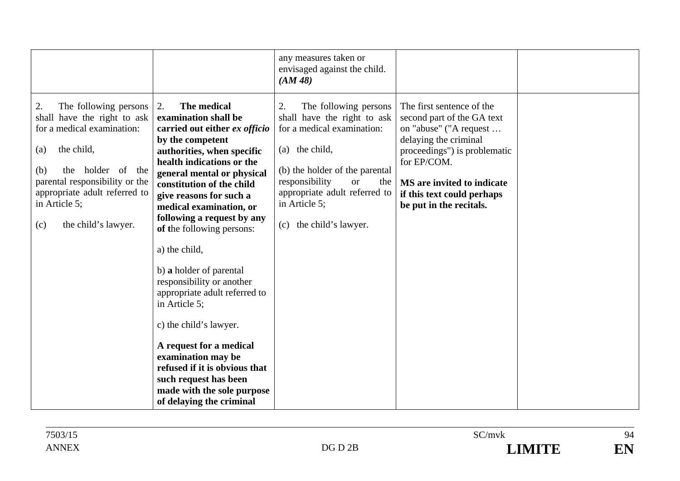|                                                                                                                                                                                                                                                             |                                                                                                                                                                                                                                                                                                                                                                                                                                                                                                                                                                                                                                                                 | any measures taken or<br>envisaged against the child.<br>(AM48)                                                                                                                                                                                                    |                                                                                                                                                                                                                                                  |  |
|-------------------------------------------------------------------------------------------------------------------------------------------------------------------------------------------------------------------------------------------------------------|-----------------------------------------------------------------------------------------------------------------------------------------------------------------------------------------------------------------------------------------------------------------------------------------------------------------------------------------------------------------------------------------------------------------------------------------------------------------------------------------------------------------------------------------------------------------------------------------------------------------------------------------------------------------|--------------------------------------------------------------------------------------------------------------------------------------------------------------------------------------------------------------------------------------------------------------------|--------------------------------------------------------------------------------------------------------------------------------------------------------------------------------------------------------------------------------------------------|--|
| The following persons<br>2.<br>shall have the right to ask<br>for a medical examination:<br>the child,<br>(a)<br>the holder of the<br>(b)<br>parental responsibility or the<br>appropriate adult referred to<br>in Article 5;<br>the child's lawyer.<br>(c) | The medical<br>2.<br>examination shall be<br>carried out either ex officio<br>by the competent<br>authorities, when specific<br>health indications or the<br>general mental or physical<br>constitution of the child<br>give reasons for such a<br>medical examination, or<br>following a request by any<br>of the following persons:<br>a) the child,<br>b) a holder of parental<br>responsibility or another<br>appropriate adult referred to<br>in Article 5;<br>c) the child's lawyer.<br>A request for a medical<br>examination may be<br>refused if it is obvious that<br>such request has been<br>made with the sole purpose<br>of delaying the criminal | The following persons<br>2.<br>shall have the right to ask<br>for a medical examination:<br>(a) the child,<br>(b) the holder of the parental<br>responsibility<br><b>or</b><br>the<br>appropriate adult referred to<br>in Article 5;<br>the child's lawyer.<br>(c) | The first sentence of the<br>second part of the GA text<br>on "abuse" ("A request<br>delaying the criminal<br>proceedings") is problematic<br>for EP/COM.<br>MS are invited to indicate<br>if this text could perhaps<br>be put in the recitals. |  |

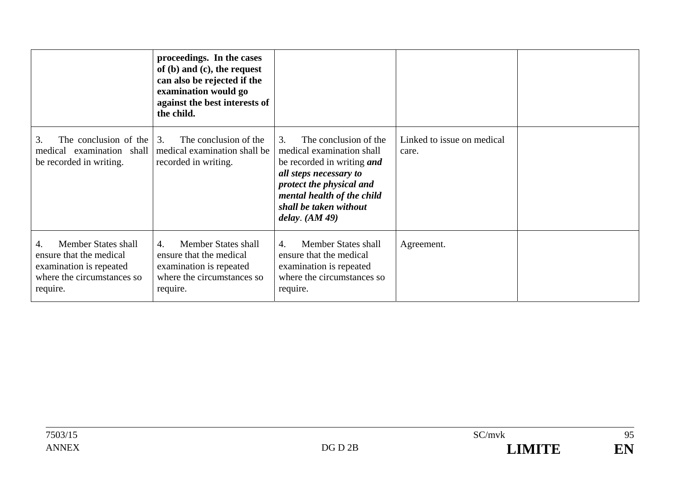|                                                                                                                            | proceedings. In the cases<br>of $(b)$ and $(c)$ , the request<br>can also be rejected if the<br>examination would go<br>against the best interests of<br>the child. |                                                                                                                                                                                                                                 |                                     |  |
|----------------------------------------------------------------------------------------------------------------------------|---------------------------------------------------------------------------------------------------------------------------------------------------------------------|---------------------------------------------------------------------------------------------------------------------------------------------------------------------------------------------------------------------------------|-------------------------------------|--|
| The conclusion of the<br>3.<br>examination shall<br>medical<br>be recorded in writing.                                     | The conclusion of the<br>3.<br>medical examination shall be<br>recorded in writing.                                                                                 | The conclusion of the<br>3.<br>medical examination shall<br>be recorded in writing <i>and</i><br>all steps necessary to<br>protect the physical and<br>mental health of the child<br>shall be taken without<br>delay. $(AM 49)$ | Linked to issue on medical<br>care. |  |
| <b>Member States shall</b><br>ensure that the medical<br>examination is repeated<br>where the circumstances so<br>require. | Member States shall<br>4.<br>ensure that the medical<br>examination is repeated<br>where the circumstances so<br>require.                                           | Member States shall<br>4.<br>ensure that the medical<br>examination is repeated<br>where the circumstances so<br>require.                                                                                                       | Agreement.                          |  |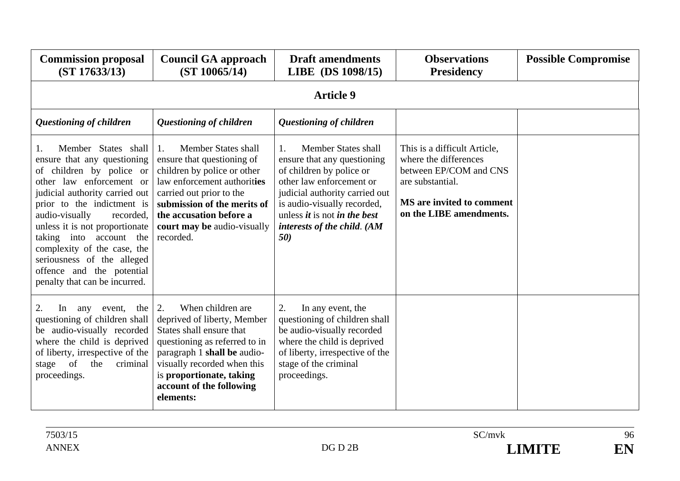| <b>Commission proposal</b><br>(ST 17633/13)                                                                                                                                                                                                                                                                                                                                                              | <b>Council GA approach</b><br>(ST 10065/14)                                                                                                                                                                                                                         | <b>Draft amendments</b><br>LIBE (DS 1098/15)                                                                                                                                                                                                                                              | <b>Observations</b><br><b>Presidency</b>                                                                                                                    | <b>Possible Compromise</b> |  |  |
|----------------------------------------------------------------------------------------------------------------------------------------------------------------------------------------------------------------------------------------------------------------------------------------------------------------------------------------------------------------------------------------------------------|---------------------------------------------------------------------------------------------------------------------------------------------------------------------------------------------------------------------------------------------------------------------|-------------------------------------------------------------------------------------------------------------------------------------------------------------------------------------------------------------------------------------------------------------------------------------------|-------------------------------------------------------------------------------------------------------------------------------------------------------------|----------------------------|--|--|
|                                                                                                                                                                                                                                                                                                                                                                                                          | <b>Article 9</b>                                                                                                                                                                                                                                                    |                                                                                                                                                                                                                                                                                           |                                                                                                                                                             |                            |  |  |
| <b>Questioning of children</b>                                                                                                                                                                                                                                                                                                                                                                           | Questioning of children                                                                                                                                                                                                                                             | <b>Questioning of children</b>                                                                                                                                                                                                                                                            |                                                                                                                                                             |                            |  |  |
| Member States shall<br>-1.<br>ensure that any questioning<br>of children by police or<br>other law enforcement or<br>judicial authority carried out<br>prior to the indictment is<br>audio-visually<br>recorded,<br>unless it is not proportionate<br>taking into account the<br>complexity of the case, the<br>seriousness of the alleged<br>offence and the potential<br>penalty that can be incurred. | Member States shall<br>$\mathbf{1}$ .<br>ensure that questioning of<br>children by police or other<br>law enforcement authorities<br>carried out prior to the<br>submission of the merits of<br>the accusation before a<br>court may be audio-visually<br>recorded. | Member States shall<br>$\mathbf{1}$ .<br>ensure that any questioning<br>of children by police or<br>other law enforcement or<br>judicial authority carried out<br>is audio-visually recorded,<br>unless <i>it</i> is not <i>in the best</i><br>interests of the child. (AM<br><b>50</b> ) | This is a difficult Article,<br>where the differences<br>between EP/COM and CNS<br>are substantial.<br>MS are invited to comment<br>on the LIBE amendments. |                            |  |  |
| 2.<br>the<br>In<br>any<br>event,<br>questioning of children shall<br>be audio-visually recorded<br>where the child is deprived<br>of liberty, irrespective of the<br>of<br>the<br>criminal<br>stage<br>proceedings.                                                                                                                                                                                      | When children are<br>2.<br>deprived of liberty, Member<br>States shall ensure that<br>questioning as referred to in<br>paragraph 1 shall be audio-<br>visually recorded when this<br>is proportionate, taking<br>account of the following<br>elements:              | In any event, the<br>2.<br>questioning of children shall<br>be audio-visually recorded<br>where the child is deprived<br>of liberty, irrespective of the<br>stage of the criminal<br>proceedings.                                                                                         |                                                                                                                                                             |                            |  |  |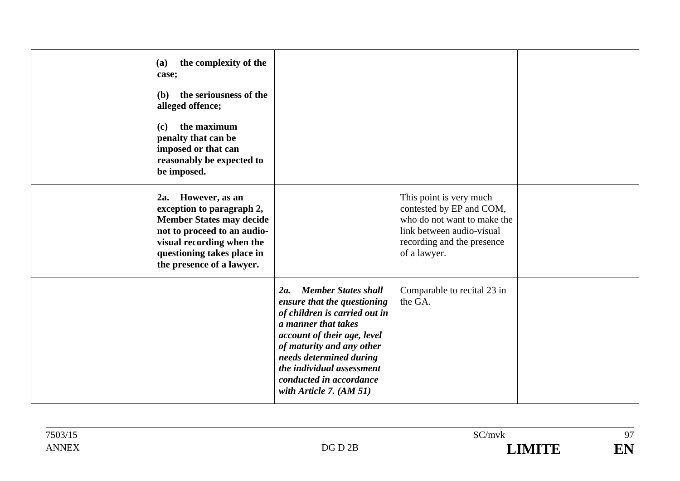| the complexity of the<br>(a)<br>case;<br>the seriousness of the<br><b>(b)</b><br>alleged offence;<br>the maximum<br>(c)<br>penalty that can be<br>imposed or that can<br>reasonably be expected to<br>be imposed. |                                                                                                                                                                                                                                                                                                      |                                                                                                                                                               |  |
|-------------------------------------------------------------------------------------------------------------------------------------------------------------------------------------------------------------------|------------------------------------------------------------------------------------------------------------------------------------------------------------------------------------------------------------------------------------------------------------------------------------------------------|---------------------------------------------------------------------------------------------------------------------------------------------------------------|--|
| 2a.<br>However, as an<br>exception to paragraph 2,<br><b>Member States may decide</b><br>not to proceed to an audio-<br>visual recording when the<br>questioning takes place in<br>the presence of a lawyer.      |                                                                                                                                                                                                                                                                                                      | This point is very much<br>contested by EP and COM,<br>who do not want to make the<br>link between audio-visual<br>recording and the presence<br>of a lawyer. |  |
|                                                                                                                                                                                                                   | <b>Member States shall</b><br>2a.<br>ensure that the questioning<br>of children is carried out in<br>a manner that takes<br>account of their age, level<br>of maturity and any other<br>needs determined during<br>the individual assessment<br>conducted in accordance<br>with Article 7. $(AM 51)$ | Comparable to recital 23 in<br>the GA.                                                                                                                        |  |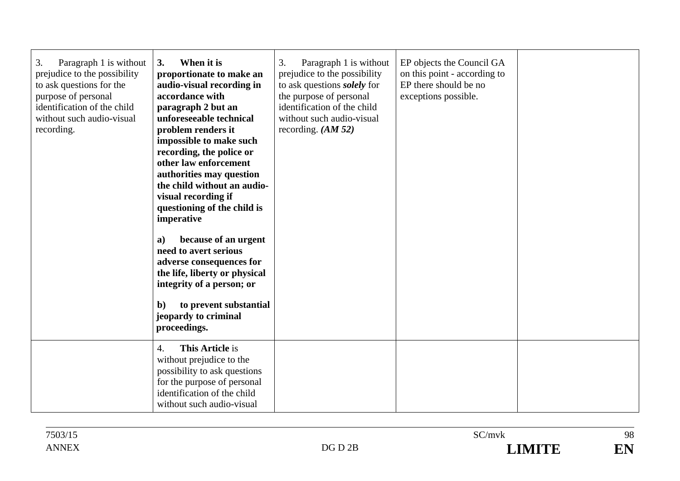| 3.<br>Paragraph 1 is without<br>prejudice to the possibility<br>to ask questions for the<br>purpose of personal<br>identification of the child<br>without such audio-visual<br>recording. | 3.<br>When it is<br>proportionate to make an<br>audio-visual recording in<br>accordance with<br>paragraph 2 but an<br>unforeseeable technical<br>problem renders it<br>impossible to make such<br>recording, the police or<br>other law enforcement<br>authorities may question<br>the child without an audio-<br>visual recording if<br>questioning of the child is<br>imperative<br>because of an urgent<br>a)<br>need to avert serious<br>adverse consequences for<br>the life, liberty or physical<br>integrity of a person; or<br>to prevent substantial<br>$\mathbf{b}$<br>jeopardy to criminal<br>proceedings. | 3.<br>Paragraph 1 is without<br>prejudice to the possibility<br>to ask questions <i>solely</i> for<br>the purpose of personal<br>identification of the child<br>without such audio-visual<br>recording. $(AM 52)$ | EP objects the Council GA<br>on this point - according to<br>EP there should be no<br>exceptions possible. |  |
|-------------------------------------------------------------------------------------------------------------------------------------------------------------------------------------------|-----------------------------------------------------------------------------------------------------------------------------------------------------------------------------------------------------------------------------------------------------------------------------------------------------------------------------------------------------------------------------------------------------------------------------------------------------------------------------------------------------------------------------------------------------------------------------------------------------------------------|-------------------------------------------------------------------------------------------------------------------------------------------------------------------------------------------------------------------|------------------------------------------------------------------------------------------------------------|--|
|                                                                                                                                                                                           | <b>This Article is</b><br>4.<br>without prejudice to the<br>possibility to ask questions<br>for the purpose of personal<br>identification of the child<br>without such audio-visual                                                                                                                                                                                                                                                                                                                                                                                                                                   |                                                                                                                                                                                                                   |                                                                                                            |  |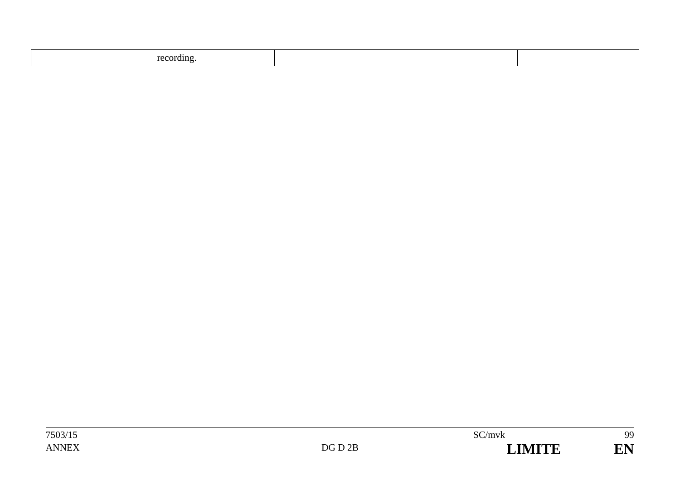| recording |  |  |
|-----------|--|--|
|           |  |  |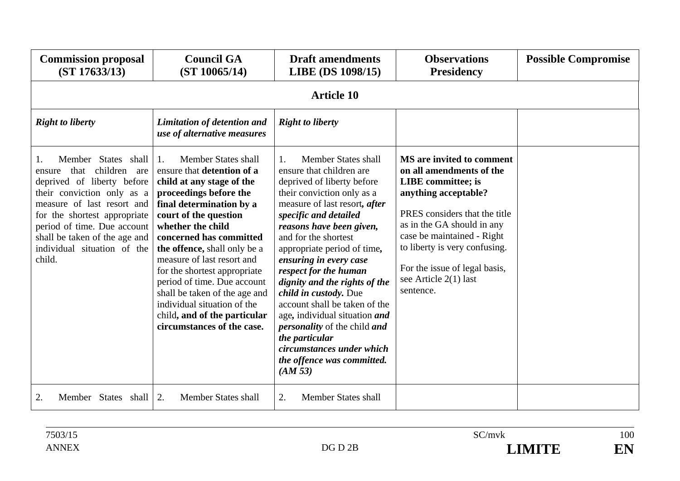| <b>Commission proposal</b><br>(ST 17633/13)                                                                                                                                                                                                                                                 | <b>Council GA</b><br>(ST 10065/14)                                                                                                                                                                                                                                                                                                                                                                                                                                                    | <b>Draft amendments</b><br>LIBE (DS 1098/15)                                                                                                                                                                                                                                                                                                                                                                                                                                                                                                                                               | <b>Observations</b><br><b>Presidency</b>                                                                                                                                                                                                                                                                        | <b>Possible Compromise</b> |  |
|---------------------------------------------------------------------------------------------------------------------------------------------------------------------------------------------------------------------------------------------------------------------------------------------|---------------------------------------------------------------------------------------------------------------------------------------------------------------------------------------------------------------------------------------------------------------------------------------------------------------------------------------------------------------------------------------------------------------------------------------------------------------------------------------|--------------------------------------------------------------------------------------------------------------------------------------------------------------------------------------------------------------------------------------------------------------------------------------------------------------------------------------------------------------------------------------------------------------------------------------------------------------------------------------------------------------------------------------------------------------------------------------------|-----------------------------------------------------------------------------------------------------------------------------------------------------------------------------------------------------------------------------------------------------------------------------------------------------------------|----------------------------|--|
|                                                                                                                                                                                                                                                                                             | <b>Article 10</b>                                                                                                                                                                                                                                                                                                                                                                                                                                                                     |                                                                                                                                                                                                                                                                                                                                                                                                                                                                                                                                                                                            |                                                                                                                                                                                                                                                                                                                 |                            |  |
| <b>Right to liberty</b>                                                                                                                                                                                                                                                                     | Limitation of detention and<br>use of alternative measures                                                                                                                                                                                                                                                                                                                                                                                                                            | <b>Right to liberty</b>                                                                                                                                                                                                                                                                                                                                                                                                                                                                                                                                                                    |                                                                                                                                                                                                                                                                                                                 |                            |  |
| Member States shall<br>children<br>that<br>are<br>ensure<br>deprived of liberty before<br>their conviction only as a<br>measure of last resort and<br>for the shortest appropriate<br>period of time. Due account<br>shall be taken of the age and<br>individual situation of the<br>child. | <b>Member States shall</b><br>1.<br>ensure that detention of a<br>child at any stage of the<br>proceedings before the<br>final determination by a<br>court of the question<br>whether the child<br>concerned has committed<br>the offence, shall only be a<br>measure of last resort and<br>for the shortest appropriate<br>period of time. Due account<br>shall be taken of the age and<br>individual situation of the<br>child, and of the particular<br>circumstances of the case. | Member States shall<br>1.<br>ensure that children are<br>deprived of liberty before<br>their conviction only as a<br>measure of last resort, <i>after</i><br>specific and detailed<br>reasons have been given,<br>and for the shortest<br>appropriate period of time,<br>ensuring in every case<br>respect for the human<br>dignity and the rights of the<br>child in custody. Due<br>account shall be taken of the<br>age, individual situation and<br><i>personality</i> of the child <i>and</i><br>the particular<br>circumstances under which<br>the offence was committed.<br>(AM 53) | MS are invited to comment<br>on all amendments of the<br><b>LIBE</b> committee; is<br>anything acceptable?<br>PRES considers that the title<br>as in the GA should in any<br>case be maintained - Right<br>to liberty is very confusing.<br>For the issue of legal basis,<br>see Article 2(1) last<br>sentence. |                            |  |
| Member States shall<br>2.                                                                                                                                                                                                                                                                   | <b>Member States shall</b><br>2.                                                                                                                                                                                                                                                                                                                                                                                                                                                      | 2.<br>Member States shall                                                                                                                                                                                                                                                                                                                                                                                                                                                                                                                                                                  |                                                                                                                                                                                                                                                                                                                 |                            |  |

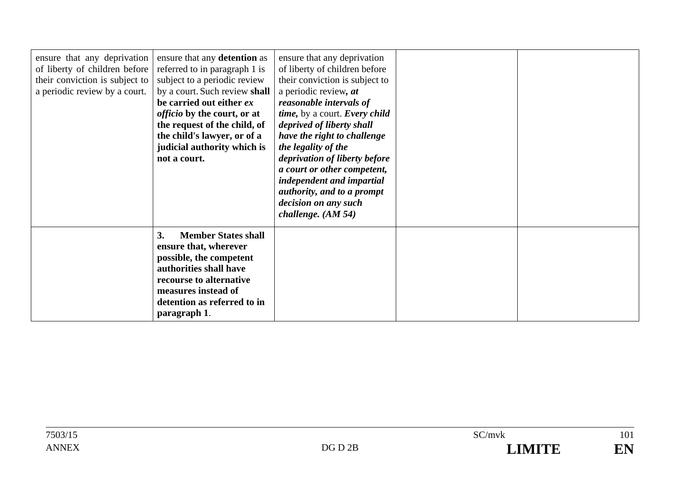| ensure that any deprivation<br>of liberty of children before<br>their conviction is subject to<br>a periodic review by a court. | ensure that any detention as<br>referred to in paragraph 1 is<br>subject to a periodic review<br>by a court. Such review shall<br>be carried out either ex<br><i>officio</i> by the court, or at<br>the request of the child, of<br>the child's lawyer, or of a<br>judicial authority which is<br>not a court. | ensure that any deprivation<br>of liberty of children before<br>their conviction is subject to<br>a periodic review, at<br>reasonable intervals of<br>time, by a court. Every child<br>deprived of liberty shall<br>have the right to challenge<br>the legality of the<br>deprivation of liberty before<br>a court or other competent,<br>independent and impartial<br>authority, and to a prompt<br>decision on any such<br>challenge. $(AM 54)$ |  |
|---------------------------------------------------------------------------------------------------------------------------------|----------------------------------------------------------------------------------------------------------------------------------------------------------------------------------------------------------------------------------------------------------------------------------------------------------------|---------------------------------------------------------------------------------------------------------------------------------------------------------------------------------------------------------------------------------------------------------------------------------------------------------------------------------------------------------------------------------------------------------------------------------------------------|--|
|                                                                                                                                 | 3.<br><b>Member States shall</b><br>ensure that, wherever<br>possible, the competent<br>authorities shall have<br>recourse to alternative<br>measures instead of<br>detention as referred to in<br>paragraph 1.                                                                                                |                                                                                                                                                                                                                                                                                                                                                                                                                                                   |  |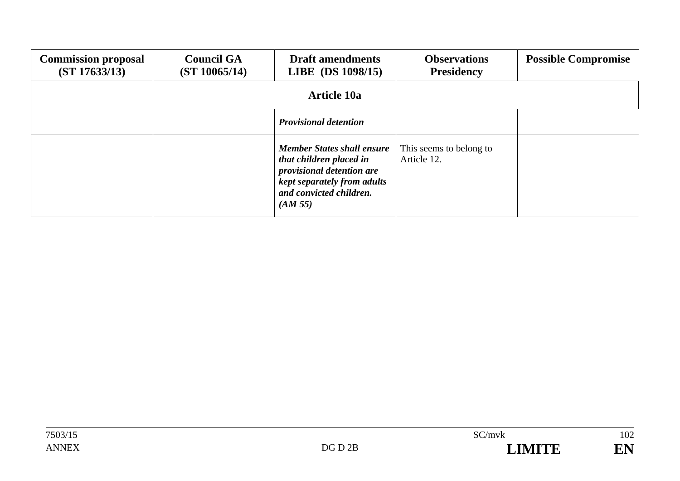| <b>Commission proposal</b><br>(ST 17633/13) | <b>Council GA</b><br>(ST 10065/14) | <b>Draft amendments</b><br>LIBE (DS 1098/15)                                                                                                                   | <b>Observations</b><br><b>Presidency</b> | <b>Possible Compromise</b> |  |
|---------------------------------------------|------------------------------------|----------------------------------------------------------------------------------------------------------------------------------------------------------------|------------------------------------------|----------------------------|--|
|                                             | <b>Article 10a</b>                 |                                                                                                                                                                |                                          |                            |  |
|                                             |                                    | <b>Provisional detention</b>                                                                                                                                   |                                          |                            |  |
|                                             |                                    | <b>Member States shall ensure</b><br>that children placed in<br>provisional detention are<br>kept separately from adults<br>and convicted children.<br>(AM 55) | This seems to belong to<br>Article 12.   |                            |  |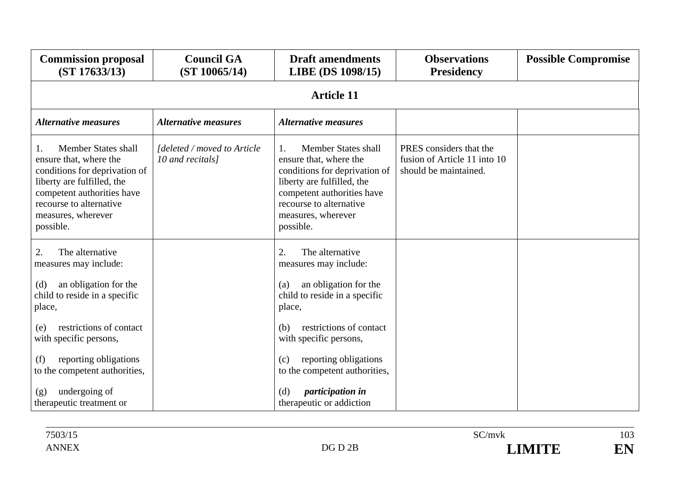| <b>Commission proposal</b><br>(ST 17633/13)                                                                                                                                                                           | <b>Council GA</b><br>(ST 10065/14)              | <b>Draft amendments</b><br>LIBE (DS 1098/15)                                                                                                                                                                               | <b>Observations</b><br><b>Presidency</b>                                         | <b>Possible Compromise</b> |
|-----------------------------------------------------------------------------------------------------------------------------------------------------------------------------------------------------------------------|-------------------------------------------------|----------------------------------------------------------------------------------------------------------------------------------------------------------------------------------------------------------------------------|----------------------------------------------------------------------------------|----------------------------|
|                                                                                                                                                                                                                       |                                                 | <b>Article 11</b>                                                                                                                                                                                                          |                                                                                  |                            |
| <b>Alternative measures</b>                                                                                                                                                                                           | <b>Alternative measures</b>                     | <b>Alternative measures</b>                                                                                                                                                                                                |                                                                                  |                            |
| <b>Member States shall</b><br>1.<br>ensure that, where the<br>conditions for deprivation of<br>liberty are fulfilled, the<br>competent authorities have<br>recourse to alternative<br>measures, wherever<br>possible. | Ideleted / moved to Article<br>10 and recitals] | Member States shall<br>$\mathbf{1}$ .<br>ensure that, where the<br>conditions for deprivation of<br>liberty are fulfilled, the<br>competent authorities have<br>recourse to alternative<br>measures, wherever<br>possible. | PRES considers that the<br>fusion of Article 11 into 10<br>should be maintained. |                            |
| The alternative<br>2.<br>measures may include:                                                                                                                                                                        |                                                 | The alternative<br>2.<br>measures may include:                                                                                                                                                                             |                                                                                  |                            |
| an obligation for the<br>(d)<br>child to reside in a specific<br>place,                                                                                                                                               |                                                 | an obligation for the<br>(a)<br>child to reside in a specific<br>place,                                                                                                                                                    |                                                                                  |                            |
| restrictions of contact<br>(e)<br>with specific persons,                                                                                                                                                              |                                                 | restrictions of contact<br>(b)<br>with specific persons,                                                                                                                                                                   |                                                                                  |                            |
| reporting obligations<br>(f)<br>to the competent authorities,                                                                                                                                                         |                                                 | reporting obligations<br>(c)<br>to the competent authorities,                                                                                                                                                              |                                                                                  |                            |
| undergoing of<br>(g)<br>therapeutic treatment or                                                                                                                                                                      |                                                 | <i>participation in</i><br>(d)<br>therapeutic or addiction                                                                                                                                                                 |                                                                                  |                            |

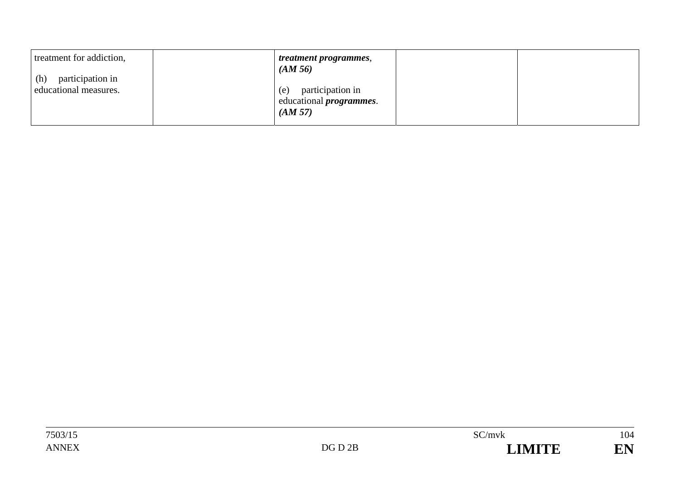| treatment for addiction,                         | <i>treatment programmes,</i><br>(AM 56)                               |  |
|--------------------------------------------------|-----------------------------------------------------------------------|--|
| participation in<br>(h)<br>educational measures. | participation in<br>(e)<br>educational <i>programmes</i> .<br>(AM 57) |  |
|                                                  |                                                                       |  |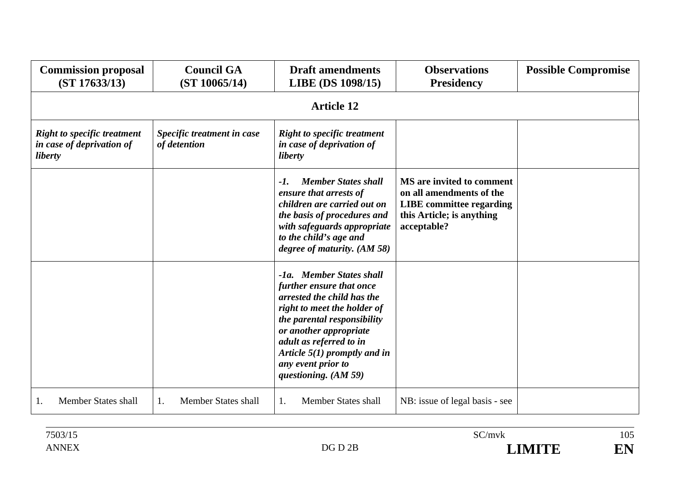| <b>Commission proposal</b><br>(ST 17633/13)                                | <b>Council GA</b><br>(ST 10065/14)         | <b>Draft amendments</b><br>LIBE (DS 1098/15)                                                                                                                                                                                                                                            | <b>Observations</b><br><b>Presidency</b>                                                                                             | <b>Possible Compromise</b> |  |  |
|----------------------------------------------------------------------------|--------------------------------------------|-----------------------------------------------------------------------------------------------------------------------------------------------------------------------------------------------------------------------------------------------------------------------------------------|--------------------------------------------------------------------------------------------------------------------------------------|----------------------------|--|--|
|                                                                            | <b>Article 12</b>                          |                                                                                                                                                                                                                                                                                         |                                                                                                                                      |                            |  |  |
| <b>Right to specific treatment</b><br>in case of deprivation of<br>liberty | Specific treatment in case<br>of detention | <b>Right to specific treatment</b><br>in case of deprivation of<br>liberty                                                                                                                                                                                                              |                                                                                                                                      |                            |  |  |
|                                                                            |                                            | <b>Member States shall</b><br>$-1$ .<br>ensure that arrests of<br>children are carried out on<br>the basis of procedures and<br>with safeguards appropriate<br>to the child's age and<br>degree of maturity. (AM 58)                                                                    | MS are invited to comment<br>on all amendments of the<br><b>LIBE</b> committee regarding<br>this Article; is anything<br>acceptable? |                            |  |  |
|                                                                            |                                            | -1a. Member States shall<br>further ensure that once<br>arrested the child has the<br>right to meet the holder of<br>the parental responsibility<br>or another appropriate<br>adult as referred to in<br>Article $5(1)$ promptly and in<br>any event prior to<br>questioning. $(AM 59)$ |                                                                                                                                      |                            |  |  |
| <b>Member States shall</b><br>1.                                           | <b>Member States shall</b><br>1.           | <b>Member States shall</b><br>1.                                                                                                                                                                                                                                                        | NB: issue of legal basis - see                                                                                                       |                            |  |  |

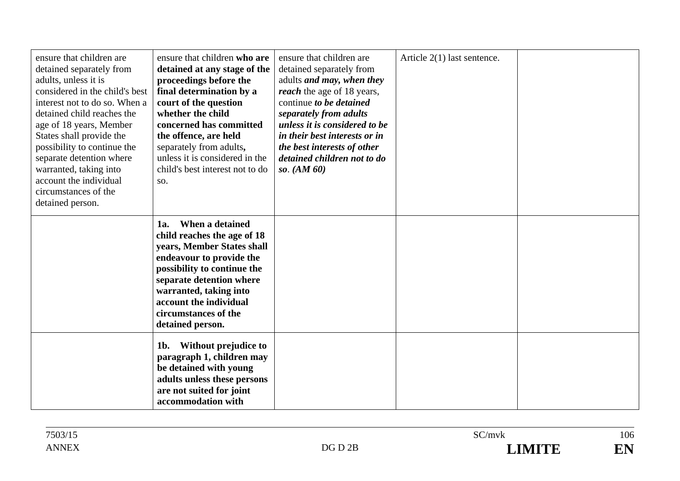| ensure that children are<br>detained separately from<br>adults, unless it is<br>considered in the child's best<br>interest not to do so. When a<br>detained child reaches the<br>age of 18 years, Member<br>States shall provide the<br>possibility to continue the<br>separate detention where<br>warranted, taking into<br>account the individual<br>circumstances of the<br>detained person. | ensure that children who are<br>detained at any stage of the<br>proceedings before the<br>final determination by a<br>court of the question<br>whether the child<br>concerned has committed<br>the offence, are held<br>separately from adults,<br>unless it is considered in the<br>child's best interest not to do<br>SO. | ensure that children are<br>detained separately from<br>adults <i>and may</i> , <i>when they</i><br><i>reach</i> the age of 18 years,<br>continue to be detained<br>separately from adults<br>unless it is considered to be<br>in their best interests or in<br>the best interests of other<br>detained children not to do<br>so. $(AM 60)$ | Article $2(1)$ last sentence. |  |
|-------------------------------------------------------------------------------------------------------------------------------------------------------------------------------------------------------------------------------------------------------------------------------------------------------------------------------------------------------------------------------------------------|-----------------------------------------------------------------------------------------------------------------------------------------------------------------------------------------------------------------------------------------------------------------------------------------------------------------------------|---------------------------------------------------------------------------------------------------------------------------------------------------------------------------------------------------------------------------------------------------------------------------------------------------------------------------------------------|-------------------------------|--|
|                                                                                                                                                                                                                                                                                                                                                                                                 | When a detained<br>1a.<br>child reaches the age of 18<br>years, Member States shall<br>endeavour to provide the<br>possibility to continue the<br>separate detention where<br>warranted, taking into<br>account the individual<br>circumstances of the<br>detained person.                                                  |                                                                                                                                                                                                                                                                                                                                             |                               |  |
|                                                                                                                                                                                                                                                                                                                                                                                                 | Without prejudice to<br>1b.<br>paragraph 1, children may<br>be detained with young<br>adults unless these persons<br>are not suited for joint<br>accommodation with                                                                                                                                                         |                                                                                                                                                                                                                                                                                                                                             |                               |  |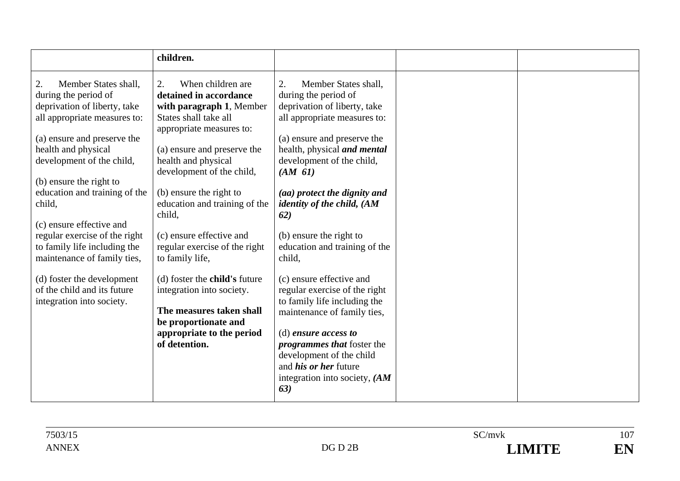|                                                                                                                                                                                                       | children.                                                                                                                                                                                                             |                                                                                                                                                                                                                          |
|-------------------------------------------------------------------------------------------------------------------------------------------------------------------------------------------------------|-----------------------------------------------------------------------------------------------------------------------------------------------------------------------------------------------------------------------|--------------------------------------------------------------------------------------------------------------------------------------------------------------------------------------------------------------------------|
| Member States shall,<br>2.<br>during the period of<br>deprivation of liberty, take<br>all appropriate measures to:<br>(a) ensure and preserve the<br>health and physical<br>development of the child, | When children are<br>2.<br>detained in accordance<br>with paragraph 1, Member<br>States shall take all<br>appropriate measures to:<br>(a) ensure and preserve the<br>health and physical<br>development of the child, | Member States shall,<br>2.<br>during the period of<br>deprivation of liberty, take<br>all appropriate measures to:<br>(a) ensure and preserve the<br>health, physical and mental<br>development of the child,<br>(AM 61) |
| (b) ensure the right to<br>education and training of the<br>child,                                                                                                                                    | (b) ensure the right to<br>education and training of the<br>child,                                                                                                                                                    | (aa) protect the dignity and<br><i>identity of the child, (AM</i><br>62)                                                                                                                                                 |
| (c) ensure effective and<br>regular exercise of the right<br>to family life including the<br>maintenance of family ties,                                                                              | (c) ensure effective and<br>regular exercise of the right<br>to family life,                                                                                                                                          | (b) ensure the right to<br>education and training of the<br>child,                                                                                                                                                       |
| (d) foster the development<br>of the child and its future<br>integration into society.                                                                                                                | (d) foster the <b>child's</b> future<br>integration into society.<br>The measures taken shall<br>be proportionate and                                                                                                 | (c) ensure effective and<br>regular exercise of the right<br>to family life including the<br>maintenance of family ties,                                                                                                 |
|                                                                                                                                                                                                       | appropriate to the period<br>of detention.                                                                                                                                                                            | $(d)$ ensure access to<br><i>programmes that</i> foster the<br>development of the child<br>and <i>his or her</i> future<br>integration into society, $(AM)$<br>63)                                                       |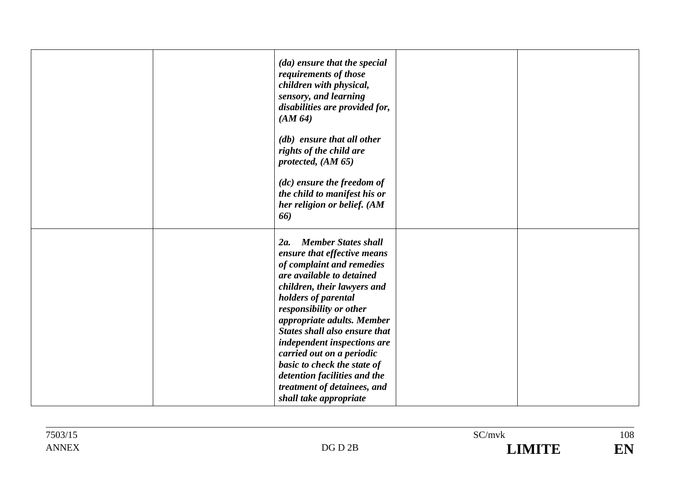|  | (da) ensure that the special<br>requirements of those<br>children with physical,<br>sensory, and learning<br>disabilities are provided for,<br>(AM 64)                           |  |
|--|----------------------------------------------------------------------------------------------------------------------------------------------------------------------------------|--|
|  | (db) ensure that all other<br>rights of the child are<br>protected, $(AM 65)$<br>$(ac)$ ensure the freedom of<br>the child to manifest his or<br>her religion or belief. (AM     |  |
|  | 66)<br><b>Member States shall</b><br>2a.<br>ensure that effective means<br>of complaint and remedies                                                                             |  |
|  | are available to detained<br>children, their lawyers and<br>holders of parental<br>responsibility or other<br>appropriate adults. Member<br><b>States shall also ensure that</b> |  |
|  | independent inspections are<br>carried out on a periodic<br>basic to check the state of<br>detention facilities and the<br>treatment of detainees, and<br>shall take appropriate |  |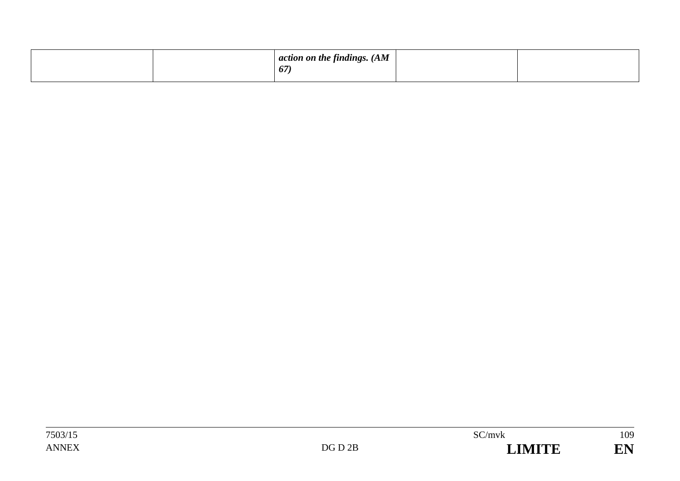|  | $\vert$ action on the findings. (AM<br>67 |  |  |
|--|-------------------------------------------|--|--|
|  |                                           |  |  |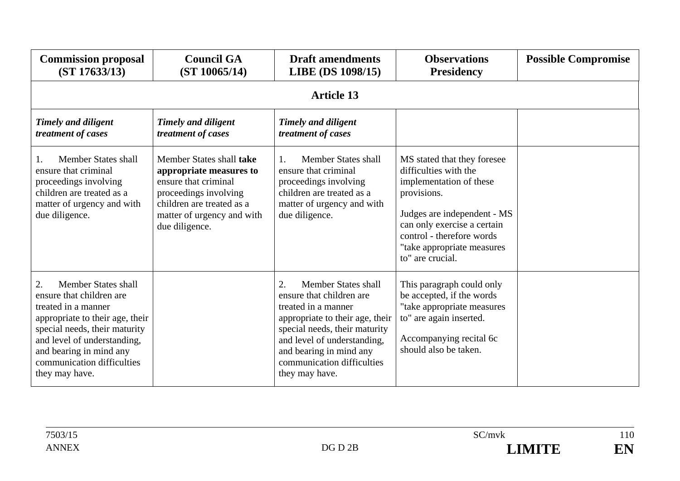| <b>Commission proposal</b><br>(ST 17633/13)                                                                                                                                                                                                                       | <b>Council GA</b><br>(ST 10065/14)                                                                                                                                                | <b>Draft amendments</b><br><b>LIBE (DS 1098/15)</b>                                                                                                                                                                                                                             | <b>Observations</b><br><b>Presidency</b>                                                                                                                                                                                                    | <b>Possible Compromise</b> |  |  |  |
|-------------------------------------------------------------------------------------------------------------------------------------------------------------------------------------------------------------------------------------------------------------------|-----------------------------------------------------------------------------------------------------------------------------------------------------------------------------------|---------------------------------------------------------------------------------------------------------------------------------------------------------------------------------------------------------------------------------------------------------------------------------|---------------------------------------------------------------------------------------------------------------------------------------------------------------------------------------------------------------------------------------------|----------------------------|--|--|--|
|                                                                                                                                                                                                                                                                   | <b>Article 13</b>                                                                                                                                                                 |                                                                                                                                                                                                                                                                                 |                                                                                                                                                                                                                                             |                            |  |  |  |
| <b>Timely and diligent</b><br>treatment of cases                                                                                                                                                                                                                  | <b>Timely and diligent</b><br>treatment of cases                                                                                                                                  | Timely and diligent<br>treatment of cases                                                                                                                                                                                                                                       |                                                                                                                                                                                                                                             |                            |  |  |  |
| Member States shall<br>ensure that criminal<br>proceedings involving<br>children are treated as a<br>matter of urgency and with<br>due diligence.                                                                                                                 | Member States shall take<br>appropriate measures to<br>ensure that criminal<br>proceedings involving<br>children are treated as a<br>matter of urgency and with<br>due diligence. | Member States shall<br>$\mathbf{1}$<br>ensure that criminal<br>proceedings involving<br>children are treated as a<br>matter of urgency and with<br>due diligence.                                                                                                               | MS stated that they foresee<br>difficulties with the<br>implementation of these<br>provisions.<br>Judges are independent - MS<br>can only exercise a certain<br>control - therefore words<br>"take appropriate measures<br>to" are crucial. |                            |  |  |  |
| <b>Member States shall</b><br>2.<br>ensure that children are<br>treated in a manner<br>appropriate to their age, their<br>special needs, their maturity<br>and level of understanding,<br>and bearing in mind any<br>communication difficulties<br>they may have. |                                                                                                                                                                                   | <b>Member States shall</b><br>$\overline{2}$ .<br>ensure that children are<br>treated in a manner<br>appropriate to their age, their<br>special needs, their maturity<br>and level of understanding,<br>and bearing in mind any<br>communication difficulties<br>they may have. | This paragraph could only<br>be accepted, if the words<br>"take appropriate measures<br>to" are again inserted.<br>Accompanying recital 6c<br>should also be taken.                                                                         |                            |  |  |  |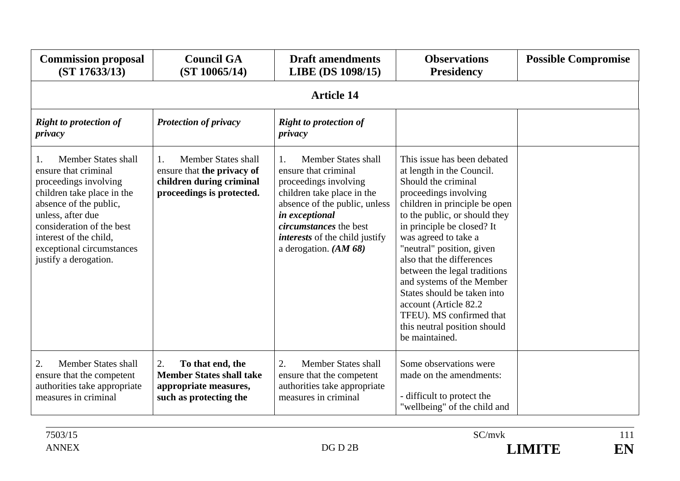| <b>Commission proposal</b><br>(ST 17633/13)                                                                                                                                                                                                                          | <b>Council GA</b><br>(ST 10065/14)                                                                               | <b>Draft amendments</b><br>LIBE (DS 1098/15)                                                                                                                                                                                                                     | <b>Observations</b><br><b>Presidency</b>                                                                                                                                                                                                                                                                                                                                                                                                                                                       | <b>Possible Compromise</b> |  |  |  |
|----------------------------------------------------------------------------------------------------------------------------------------------------------------------------------------------------------------------------------------------------------------------|------------------------------------------------------------------------------------------------------------------|------------------------------------------------------------------------------------------------------------------------------------------------------------------------------------------------------------------------------------------------------------------|------------------------------------------------------------------------------------------------------------------------------------------------------------------------------------------------------------------------------------------------------------------------------------------------------------------------------------------------------------------------------------------------------------------------------------------------------------------------------------------------|----------------------------|--|--|--|
|                                                                                                                                                                                                                                                                      | <b>Article 14</b>                                                                                                |                                                                                                                                                                                                                                                                  |                                                                                                                                                                                                                                                                                                                                                                                                                                                                                                |                            |  |  |  |
| <b>Right to protection of</b><br>privacy                                                                                                                                                                                                                             | <b>Protection of privacy</b>                                                                                     | <b>Right to protection of</b><br>privacy                                                                                                                                                                                                                         |                                                                                                                                                                                                                                                                                                                                                                                                                                                                                                |                            |  |  |  |
| Member States shall<br>1.<br>ensure that criminal<br>proceedings involving<br>children take place in the<br>absence of the public,<br>unless, after due<br>consideration of the best<br>interest of the child.<br>exceptional circumstances<br>justify a derogation. | Member States shall<br>1.<br>ensure that the privacy of<br>children during criminal<br>proceedings is protected. | Member States shall<br>1.<br>ensure that criminal<br>proceedings involving<br>children take place in the<br>absence of the public, unless<br>in exceptional<br><i>circumstances</i> the best<br><i>interests</i> of the child justify<br>a derogation. $(AM 68)$ | This issue has been debated<br>at length in the Council.<br>Should the criminal<br>proceedings involving<br>children in principle be open<br>to the public, or should they<br>in principle be closed? It<br>was agreed to take a<br>"neutral" position, given<br>also that the differences<br>between the legal traditions<br>and systems of the Member<br>States should be taken into<br>account (Article 82.2)<br>TFEU). MS confirmed that<br>this neutral position should<br>be maintained. |                            |  |  |  |
| 2.<br><b>Member States shall</b><br>ensure that the competent<br>authorities take appropriate<br>measures in criminal                                                                                                                                                | 2.<br>To that end, the<br><b>Member States shall take</b><br>appropriate measures,<br>such as protecting the     | 2.<br>Member States shall<br>ensure that the competent<br>authorities take appropriate<br>measures in criminal                                                                                                                                                   | Some observations were<br>made on the amendments:<br>- difficult to protect the<br>"wellbeing" of the child and                                                                                                                                                                                                                                                                                                                                                                                |                            |  |  |  |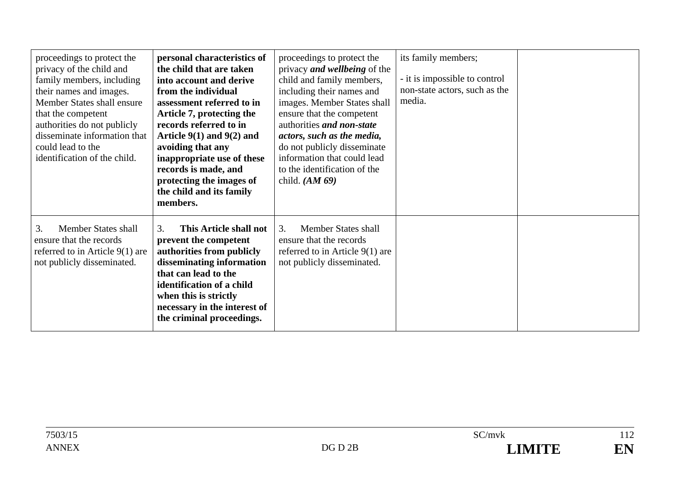| proceedings to protect the<br>privacy of the child and<br>family members, including<br>their names and images.<br>Member States shall ensure<br>that the competent<br>authorities do not publicly<br>disseminate information that<br>could lead to the<br>identification of the child. | personal characteristics of<br>the child that are taken<br>into account and derive<br>from the individual<br>assessment referred to in<br>Article 7, protecting the<br>records referred to in<br>Article $9(1)$ and $9(2)$ and<br>avoiding that any<br>inappropriate use of these<br>records is made, and<br>protecting the images of<br>the child and its family<br>members. | proceedings to protect the<br>privacy <i>and wellbeing</i> of the<br>child and family members,<br>including their names and<br>images. Member States shall<br>ensure that the competent<br>authorities and non-state<br>actors, such as the media,<br>do not publicly disseminate<br>information that could lead<br>to the identification of the<br>child. $(AM 69)$ | its family members;<br>- it is impossible to control<br>non-state actors, such as the<br>media. |  |
|----------------------------------------------------------------------------------------------------------------------------------------------------------------------------------------------------------------------------------------------------------------------------------------|-------------------------------------------------------------------------------------------------------------------------------------------------------------------------------------------------------------------------------------------------------------------------------------------------------------------------------------------------------------------------------|----------------------------------------------------------------------------------------------------------------------------------------------------------------------------------------------------------------------------------------------------------------------------------------------------------------------------------------------------------------------|-------------------------------------------------------------------------------------------------|--|
| Member States shall<br>3.<br>ensure that the records<br>referred to in Article $9(1)$ are<br>not publicly disseminated.                                                                                                                                                                | This Article shall not<br>3.<br>prevent the competent<br>authorities from publicly<br>disseminating information<br>that can lead to the<br>identification of a child<br>when this is strictly<br>necessary in the interest of<br>the criminal proceedings.                                                                                                                    | Member States shall<br>3.<br>ensure that the records<br>referred to in Article $9(1)$ are<br>not publicly disseminated.                                                                                                                                                                                                                                              |                                                                                                 |  |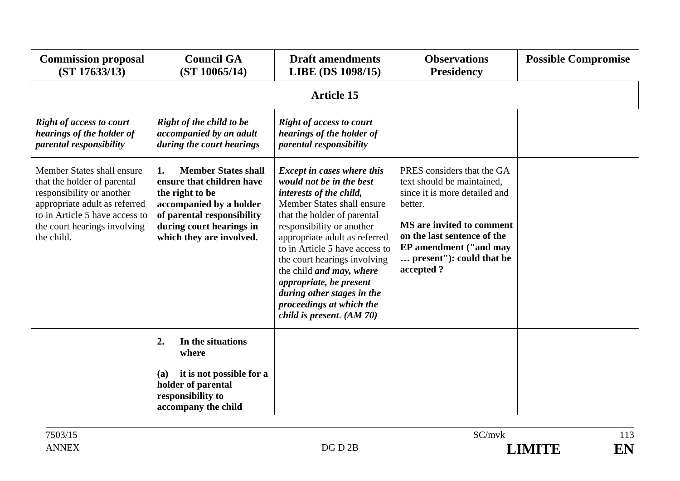| <b>Commission proposal</b><br>(ST 17633/13)                                                                                                                                                             | <b>Council GA</b><br>(ST 10065/14)                                                                                                                                                                | <b>Draft amendments</b><br>LIBE (DS 1098/15)                                                                                                                                                                                                                                                                                                                                                                                                         | <b>Observations</b><br><b>Presidency</b>                                                                                                                                                                                            | <b>Possible Compromise</b> |
|---------------------------------------------------------------------------------------------------------------------------------------------------------------------------------------------------------|---------------------------------------------------------------------------------------------------------------------------------------------------------------------------------------------------|------------------------------------------------------------------------------------------------------------------------------------------------------------------------------------------------------------------------------------------------------------------------------------------------------------------------------------------------------------------------------------------------------------------------------------------------------|-------------------------------------------------------------------------------------------------------------------------------------------------------------------------------------------------------------------------------------|----------------------------|
|                                                                                                                                                                                                         |                                                                                                                                                                                                   | <b>Article 15</b>                                                                                                                                                                                                                                                                                                                                                                                                                                    |                                                                                                                                                                                                                                     |                            |
| <b>Right of access to court</b><br>hearings of the holder of<br>parental responsibility                                                                                                                 | <b>Right of the child to be</b><br>accompanied by an adult<br>during the court hearings                                                                                                           | <b>Right of access to court</b><br>hearings of the holder of<br>parental responsibility                                                                                                                                                                                                                                                                                                                                                              |                                                                                                                                                                                                                                     |                            |
| Member States shall ensure<br>that the holder of parental<br>responsibility or another<br>appropriate adult as referred<br>to in Article 5 have access to<br>the court hearings involving<br>the child. | <b>Member States shall</b><br>1.<br>ensure that children have<br>the right to be<br>accompanied by a holder<br>of parental responsibility<br>during court hearings in<br>which they are involved. | <b>Except in cases where this</b><br>would not be in the best<br>interests of the child,<br>Member States shall ensure<br>that the holder of parental<br>responsibility or another<br>appropriate adult as referred<br>to in Article 5 have access to<br>the court hearings involving<br>the child <i>and may</i> , where<br>appropriate, be present<br>during other stages in the<br>proceedings at which the<br><i>child is present.</i> $(AM 70)$ | PRES considers that the GA<br>text should be maintained.<br>since it is more detailed and<br>better.<br>MS are invited to comment<br>on the last sentence of the<br>EP amendment ("and may<br>present"): could that be<br>accepted? |                            |
|                                                                                                                                                                                                         | 2.<br>In the situations<br>where                                                                                                                                                                  |                                                                                                                                                                                                                                                                                                                                                                                                                                                      |                                                                                                                                                                                                                                     |                            |
|                                                                                                                                                                                                         | it is not possible for a<br>(a)<br>holder of parental<br>responsibility to<br>accompany the child                                                                                                 |                                                                                                                                                                                                                                                                                                                                                                                                                                                      |                                                                                                                                                                                                                                     |                            |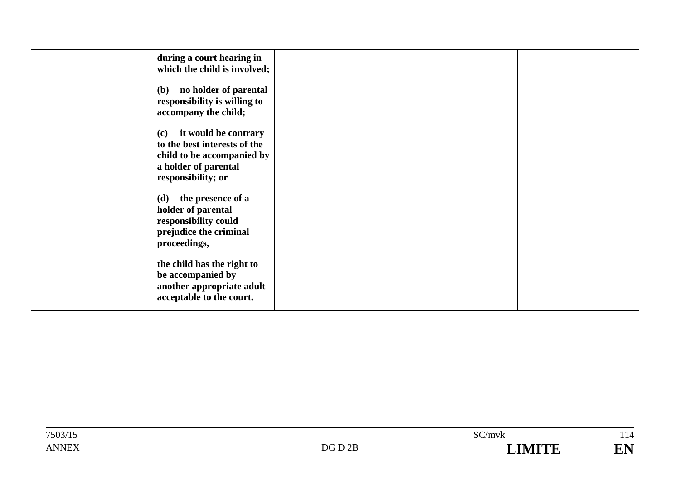| during a court hearing in<br>which the child is involved;                                                                               |  |  |
|-----------------------------------------------------------------------------------------------------------------------------------------|--|--|
| no holder of parental<br><b>(b)</b><br>responsibility is willing to<br>accompany the child;                                             |  |  |
| it would be contrary<br>(c)<br>to the best interests of the<br>child to be accompanied by<br>a holder of parental<br>responsibility; or |  |  |
| (d) the presence of a<br>holder of parental<br>responsibility could<br>prejudice the criminal<br>proceedings,                           |  |  |
| the child has the right to<br>be accompanied by<br>another appropriate adult<br>acceptable to the court.                                |  |  |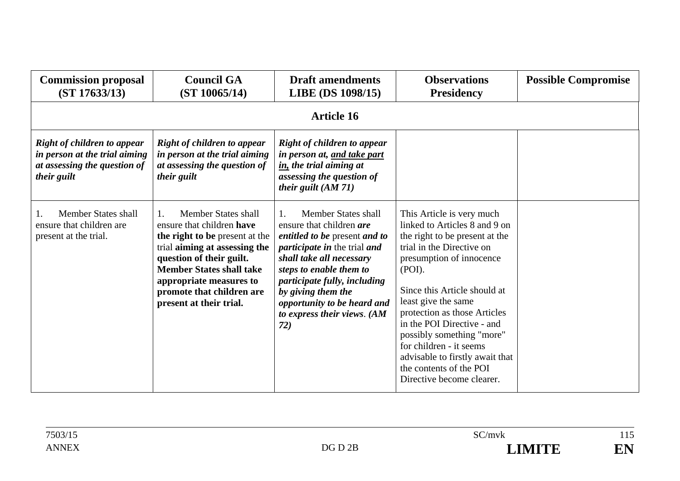| <b>Commission proposal</b><br>(ST 17633/13)                                                                        | <b>Council GA</b><br>(ST 10065/14)                                                                                                                                                                                                                                          | <b>Draft amendments</b><br>LIBE (DS 1098/15)                                                                                                                                                                                                                                                                                                 | <b>Observations</b><br><b>Presidency</b>                                                                                                                                                                                                                                                                                                                                                                                                | <b>Possible Compromise</b> |  |  |  |
|--------------------------------------------------------------------------------------------------------------------|-----------------------------------------------------------------------------------------------------------------------------------------------------------------------------------------------------------------------------------------------------------------------------|----------------------------------------------------------------------------------------------------------------------------------------------------------------------------------------------------------------------------------------------------------------------------------------------------------------------------------------------|-----------------------------------------------------------------------------------------------------------------------------------------------------------------------------------------------------------------------------------------------------------------------------------------------------------------------------------------------------------------------------------------------------------------------------------------|----------------------------|--|--|--|
|                                                                                                                    | <b>Article 16</b>                                                                                                                                                                                                                                                           |                                                                                                                                                                                                                                                                                                                                              |                                                                                                                                                                                                                                                                                                                                                                                                                                         |                            |  |  |  |
| <b>Right of children to appear</b><br>in person at the trial aiming<br>at assessing the question of<br>their guilt | <b>Right of children to appear</b><br>in person at the trial aiming<br>at assessing the question of<br>their guilt                                                                                                                                                          | <b>Right of children to appear</b><br>in person at, and take part<br>in, the trial aiming at<br>assessing the question of<br>their guilt (AM 71)                                                                                                                                                                                             |                                                                                                                                                                                                                                                                                                                                                                                                                                         |                            |  |  |  |
| <b>Member States shall</b><br>ensure that children are<br>present at the trial.                                    | Member States shall<br>1.<br>ensure that children have<br>the right to be present at the<br>trial aiming at assessing the<br>question of their guilt.<br><b>Member States shall take</b><br>appropriate measures to<br>promote that children are<br>present at their trial. | <b>Member States shall</b><br>$\mathbf{1}$ .<br>ensure that children are<br><i>entitled to be present and to</i><br><i>participate in the trial and</i><br>shall take all necessary<br>steps to enable them to<br>participate fully, including<br>by giving them the<br>opportunity to be heard and<br>to express their views. $(AM)$<br>72) | This Article is very much<br>linked to Articles 8 and 9 on<br>the right to be present at the<br>trial in the Directive on<br>presumption of innocence<br>(POI).<br>Since this Article should at<br>least give the same<br>protection as those Articles<br>in the POI Directive - and<br>possibly something "more"<br>for children - it seems<br>advisable to firstly await that<br>the contents of the POI<br>Directive become clearer. |                            |  |  |  |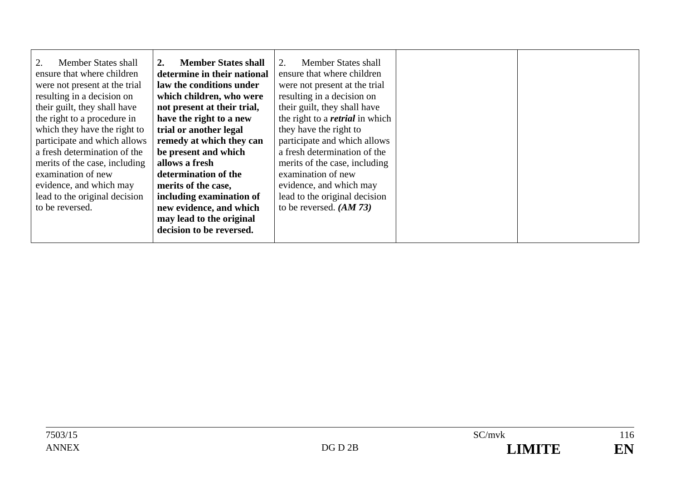| 2.<br>Member States shall     | <b>Member States shall</b><br>2. | Member States shall                    |
|-------------------------------|----------------------------------|----------------------------------------|
| ensure that where children    | determine in their national      | ensure that where children             |
| were not present at the trial | law the conditions under         | were not present at the trial          |
| resulting in a decision on    | which children, who were         | resulting in a decision on             |
| their guilt, they shall have  | not present at their trial,      | their guilt, they shall have           |
| the right to a procedure in   | have the right to a new          | the right to a <i>retrial</i> in which |
| which they have the right to  | trial or another legal           | they have the right to                 |
| participate and which allows  | remedy at which they can         | participate and which allows           |
| a fresh determination of the  | be present and which             | a fresh determination of the           |
| merits of the case, including | allows a fresh                   | merits of the case, including          |
| examination of new            | determination of the             | examination of new                     |
| evidence, and which may       | merits of the case,              | evidence, and which may                |
| lead to the original decision | including examination of         | lead to the original decision          |
| to be reversed.               | new evidence, and which          | to be reversed. $(AM 73)$              |
|                               | may lead to the original         |                                        |
|                               | decision to be reversed.         |                                        |
|                               |                                  |                                        |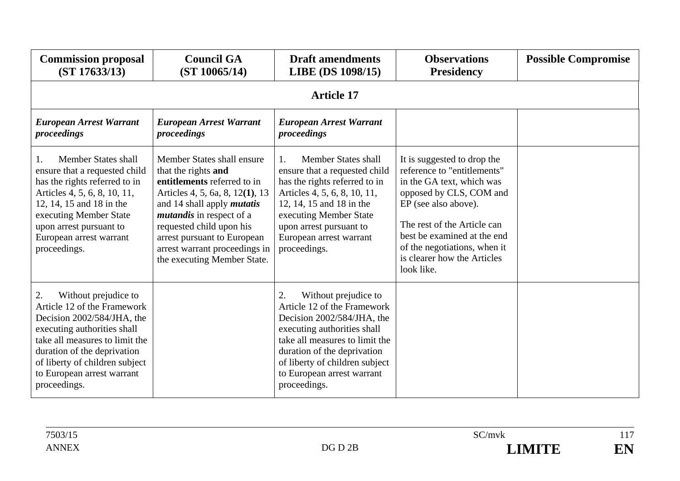| <b>Commission proposal</b><br>(ST 17633/13)                                                                                                                                                                                                                             | <b>Council GA</b><br>(ST 10065/14)                                                                                                                                                                                                                                                                                     | <b>Draft amendments</b><br>LIBE (DS 1098/15)                                                                                                                                                                                                                            | <b>Observations</b><br><b>Presidency</b>                                                                                                                                                                                                                                              | <b>Possible Compromise</b> |
|-------------------------------------------------------------------------------------------------------------------------------------------------------------------------------------------------------------------------------------------------------------------------|------------------------------------------------------------------------------------------------------------------------------------------------------------------------------------------------------------------------------------------------------------------------------------------------------------------------|-------------------------------------------------------------------------------------------------------------------------------------------------------------------------------------------------------------------------------------------------------------------------|---------------------------------------------------------------------------------------------------------------------------------------------------------------------------------------------------------------------------------------------------------------------------------------|----------------------------|
|                                                                                                                                                                                                                                                                         |                                                                                                                                                                                                                                                                                                                        | <b>Article 17</b>                                                                                                                                                                                                                                                       |                                                                                                                                                                                                                                                                                       |                            |
| <b>European Arrest Warrant</b><br>proceedings                                                                                                                                                                                                                           | <b>European Arrest Warrant</b><br>proceedings                                                                                                                                                                                                                                                                          | <b>European Arrest Warrant</b><br>proceedings                                                                                                                                                                                                                           |                                                                                                                                                                                                                                                                                       |                            |
| Member States shall<br>ensure that a requested child<br>has the rights referred to in<br>Articles 4, 5, 6, 8, 10, 11,<br>12, 14, 15 and 18 in the<br>executing Member State<br>upon arrest pursuant to<br>European arrest warrant<br>proceedings.                       | Member States shall ensure<br>that the rights and<br>entitlements referred to in<br>Articles 4, 5, 6a, 8, 12(1), 13<br>and 14 shall apply <i>mutatis</i><br><i>mutandis</i> in respect of a<br>requested child upon his<br>arrest pursuant to European<br>arrest warrant proceedings in<br>the executing Member State. | <b>Member States shall</b><br>ensure that a requested child<br>has the rights referred to in<br>Articles 4, 5, 6, 8, 10, 11,<br>12, 14, 15 and 18 in the<br>executing Member State<br>upon arrest pursuant to<br>European arrest warrant<br>proceedings.                | It is suggested to drop the<br>reference to "entitlements"<br>in the GA text, which was<br>opposed by CLS, COM and<br>EP (see also above).<br>The rest of the Article can<br>best be examined at the end<br>of the negotiations, when it<br>is clearer how the Articles<br>look like. |                            |
| 2.<br>Without prejudice to<br>Article 12 of the Framework<br>Decision 2002/584/JHA, the<br>executing authorities shall<br>take all measures to limit the<br>duration of the deprivation<br>of liberty of children subject<br>to European arrest warrant<br>proceedings. |                                                                                                                                                                                                                                                                                                                        | 2.<br>Without prejudice to<br>Article 12 of the Framework<br>Decision 2002/584/JHA, the<br>executing authorities shall<br>take all measures to limit the<br>duration of the deprivation<br>of liberty of children subject<br>to European arrest warrant<br>proceedings. |                                                                                                                                                                                                                                                                                       |                            |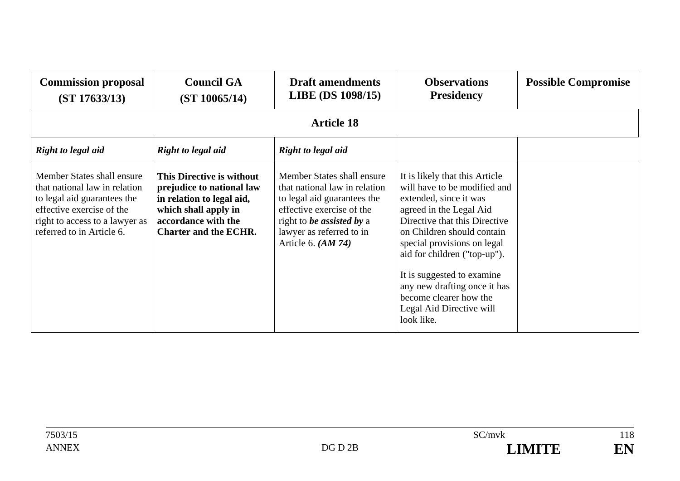| <b>Commission proposal</b><br>(ST 17633/13)                                                                                                                                            | <b>Council GA</b><br>(ST 10065/14)                                                                                                                                 | <b>Draft amendments</b><br><b>LIBE</b> (DS 1098/15)                                                                                                                                                             | <b>Observations</b><br><b>Presidency</b>                                                                                                                                                                                                                                                                                                                                            | <b>Possible Compromise</b> |
|----------------------------------------------------------------------------------------------------------------------------------------------------------------------------------------|--------------------------------------------------------------------------------------------------------------------------------------------------------------------|-----------------------------------------------------------------------------------------------------------------------------------------------------------------------------------------------------------------|-------------------------------------------------------------------------------------------------------------------------------------------------------------------------------------------------------------------------------------------------------------------------------------------------------------------------------------------------------------------------------------|----------------------------|
|                                                                                                                                                                                        |                                                                                                                                                                    | <b>Article 18</b>                                                                                                                                                                                               |                                                                                                                                                                                                                                                                                                                                                                                     |                            |
| Right to legal aid                                                                                                                                                                     | Right to legal aid                                                                                                                                                 | <b>Right to legal aid</b>                                                                                                                                                                                       |                                                                                                                                                                                                                                                                                                                                                                                     |                            |
| Member States shall ensure<br>that national law in relation<br>to legal aid guarantees the<br>effective exercise of the<br>right to access to a lawyer as<br>referred to in Article 6. | This Directive is without<br>prejudice to national law<br>in relation to legal aid,<br>which shall apply in<br>accordance with the<br><b>Charter and the ECHR.</b> | Member States shall ensure<br>that national law in relation<br>to legal aid guarantees the<br>effective exercise of the<br>right to <i>be assisted by a</i><br>lawyer as referred to in<br>Article 6. $(AM 74)$ | It is likely that this Article<br>will have to be modified and<br>extended, since it was<br>agreed in the Legal Aid<br>Directive that this Directive<br>on Children should contain<br>special provisions on legal<br>aid for children ("top-up").<br>It is suggested to examine<br>any new drafting once it has<br>become clearer how the<br>Legal Aid Directive will<br>look like. |                            |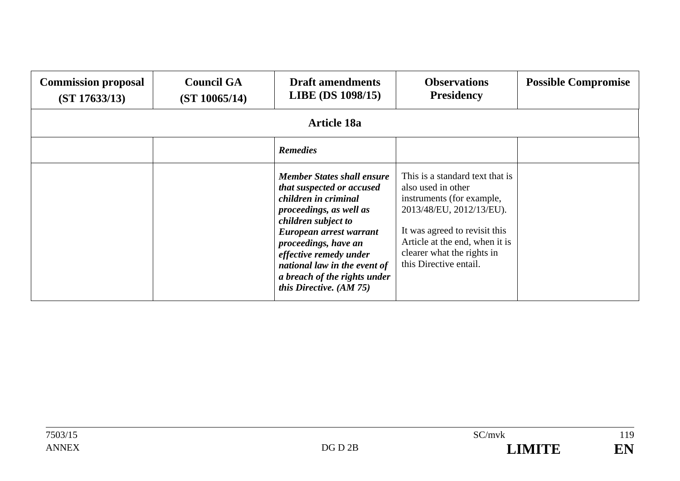| <b>Commission proposal</b><br>(ST 17633/13) | <b>Council GA</b><br>(ST 10065/14) | <b>Draft amendments</b><br><b>LIBE</b> (DS 1098/15)                                                                                                                                                                                                                                                                | <b>Observations</b><br><b>Presidency</b>                                                                                                                                                                                                  | <b>Possible Compromise</b> |  |  |  |
|---------------------------------------------|------------------------------------|--------------------------------------------------------------------------------------------------------------------------------------------------------------------------------------------------------------------------------------------------------------------------------------------------------------------|-------------------------------------------------------------------------------------------------------------------------------------------------------------------------------------------------------------------------------------------|----------------------------|--|--|--|
|                                             | <b>Article 18a</b>                 |                                                                                                                                                                                                                                                                                                                    |                                                                                                                                                                                                                                           |                            |  |  |  |
|                                             |                                    | <b>Remedies</b>                                                                                                                                                                                                                                                                                                    |                                                                                                                                                                                                                                           |                            |  |  |  |
|                                             |                                    | <b>Member States shall ensure</b><br>that suspected or accused<br>children in criminal<br>proceedings, as well as<br>children subject to<br>European arrest warrant<br>proceedings, have an<br>effective remedy under<br>national law in the event of<br>a breach of the rights under<br>this Directive. $(AM 75)$ | This is a standard text that is<br>also used in other<br>instruments (for example,<br>2013/48/EU, 2012/13/EU).<br>It was agreed to revisit this<br>Article at the end, when it is<br>clearer what the rights in<br>this Directive entail. |                            |  |  |  |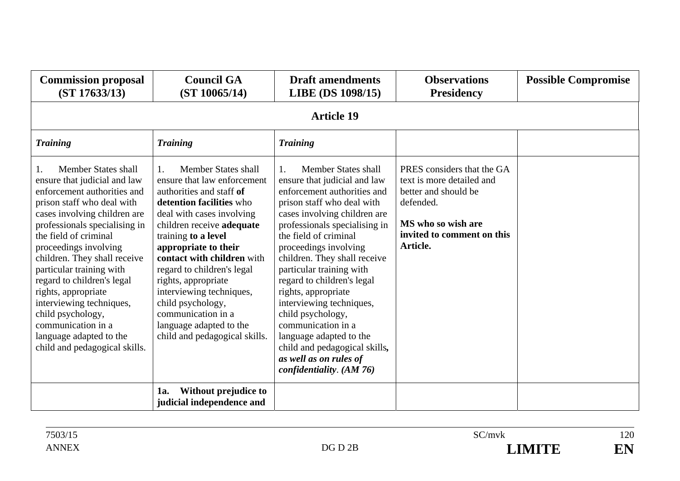| <b>Commission proposal</b><br>(ST 17633/13)                                                                                                                                                                                                                                                                                                                                                                                                                                             | <b>Council GA</b><br>(ST 10065/14)                                                                                                                                                                                                                                                                                                                                                                                                                       | <b>Draft amendments</b><br>LIBE (DS 1098/15)                                                                                                                                                                                                                                                                                                                                                                                                                                                                                                                             | <b>Observations</b><br><b>Presidency</b>                                                                                                                     | <b>Possible Compromise</b> |  |  |
|-----------------------------------------------------------------------------------------------------------------------------------------------------------------------------------------------------------------------------------------------------------------------------------------------------------------------------------------------------------------------------------------------------------------------------------------------------------------------------------------|----------------------------------------------------------------------------------------------------------------------------------------------------------------------------------------------------------------------------------------------------------------------------------------------------------------------------------------------------------------------------------------------------------------------------------------------------------|--------------------------------------------------------------------------------------------------------------------------------------------------------------------------------------------------------------------------------------------------------------------------------------------------------------------------------------------------------------------------------------------------------------------------------------------------------------------------------------------------------------------------------------------------------------------------|--------------------------------------------------------------------------------------------------------------------------------------------------------------|----------------------------|--|--|
|                                                                                                                                                                                                                                                                                                                                                                                                                                                                                         | <b>Article 19</b>                                                                                                                                                                                                                                                                                                                                                                                                                                        |                                                                                                                                                                                                                                                                                                                                                                                                                                                                                                                                                                          |                                                                                                                                                              |                            |  |  |
| <b>Training</b>                                                                                                                                                                                                                                                                                                                                                                                                                                                                         | <b>Training</b>                                                                                                                                                                                                                                                                                                                                                                                                                                          | <b>Training</b>                                                                                                                                                                                                                                                                                                                                                                                                                                                                                                                                                          |                                                                                                                                                              |                            |  |  |
| Member States shall<br>ensure that judicial and law<br>enforcement authorities and<br>prison staff who deal with<br>cases involving children are<br>professionals specialising in<br>the field of criminal<br>proceedings involving<br>children. They shall receive<br>particular training with<br>regard to children's legal<br>rights, appropriate<br>interviewing techniques,<br>child psychology,<br>communication in a<br>language adapted to the<br>child and pedagogical skills. | Member States shall<br>$1_{\cdot}$<br>ensure that law enforcement<br>authorities and staff of<br>detention facilities who<br>deal with cases involving<br>children receive adequate<br>training to a level<br>appropriate to their<br>contact with children with<br>regard to children's legal<br>rights, appropriate<br>interviewing techniques,<br>child psychology,<br>communication in a<br>language adapted to the<br>child and pedagogical skills. | <b>Member States shall</b><br>$\mathbf{1}$ .<br>ensure that judicial and law<br>enforcement authorities and<br>prison staff who deal with<br>cases involving children are<br>professionals specialising in<br>the field of criminal<br>proceedings involving<br>children. They shall receive<br>particular training with<br>regard to children's legal<br>rights, appropriate<br>interviewing techniques,<br>child psychology,<br>communication in a<br>language adapted to the<br>child and pedagogical skills,<br>as well as on rules of<br>confidentiality. $(AM 76)$ | PRES considers that the GA<br>text is more detailed and<br>better and should be<br>defended.<br>MS who so wish are<br>invited to comment on this<br>Article. |                            |  |  |
|                                                                                                                                                                                                                                                                                                                                                                                                                                                                                         | Without prejudice to<br>1a.<br>judicial independence and                                                                                                                                                                                                                                                                                                                                                                                                 |                                                                                                                                                                                                                                                                                                                                                                                                                                                                                                                                                                          |                                                                                                                                                              |                            |  |  |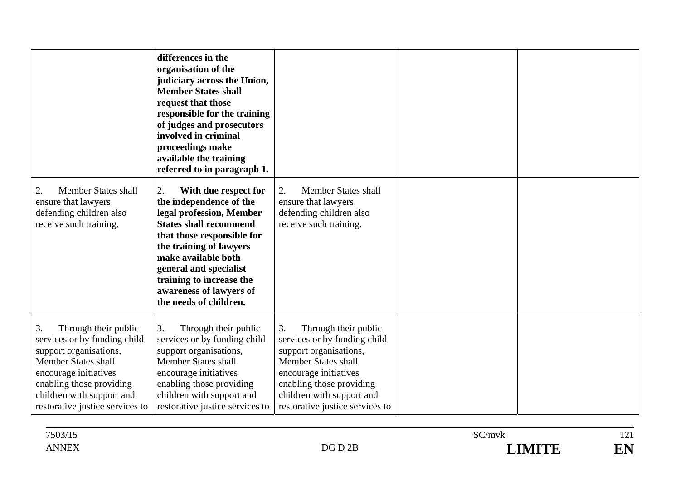|                                                                                                                                                                                                                                         | differences in the<br>organisation of the<br>judiciary across the Union,<br><b>Member States shall</b><br>request that those<br>responsible for the training<br>of judges and prosecutors<br>involved in criminal<br>proceedings make<br>available the training<br>referred to in paragraph 1.                |                                                                                                                                                                                                                                         |  |
|-----------------------------------------------------------------------------------------------------------------------------------------------------------------------------------------------------------------------------------------|---------------------------------------------------------------------------------------------------------------------------------------------------------------------------------------------------------------------------------------------------------------------------------------------------------------|-----------------------------------------------------------------------------------------------------------------------------------------------------------------------------------------------------------------------------------------|--|
| <b>Member States shall</b><br>2.<br>ensure that lawyers<br>defending children also<br>receive such training.                                                                                                                            | 2.<br>With due respect for<br>the independence of the<br>legal profession, Member<br><b>States shall recommend</b><br>that those responsible for<br>the training of lawyers<br>make available both<br>general and specialist<br>training to increase the<br>awareness of lawyers of<br>the needs of children. | Member States shall<br>2.<br>ensure that lawyers<br>defending children also<br>receive such training.                                                                                                                                   |  |
| 3.<br>Through their public<br>services or by funding child<br>support organisations,<br><b>Member States shall</b><br>encourage initiatives<br>enabling those providing<br>children with support and<br>restorative justice services to | Through their public<br>3.<br>services or by funding child<br>support organisations,<br><b>Member States shall</b><br>encourage initiatives<br>enabling those providing<br>children with support and<br>restorative justice services to                                                                       | 3.<br>Through their public<br>services or by funding child<br>support organisations,<br><b>Member States shall</b><br>encourage initiatives<br>enabling those providing<br>children with support and<br>restorative justice services to |  |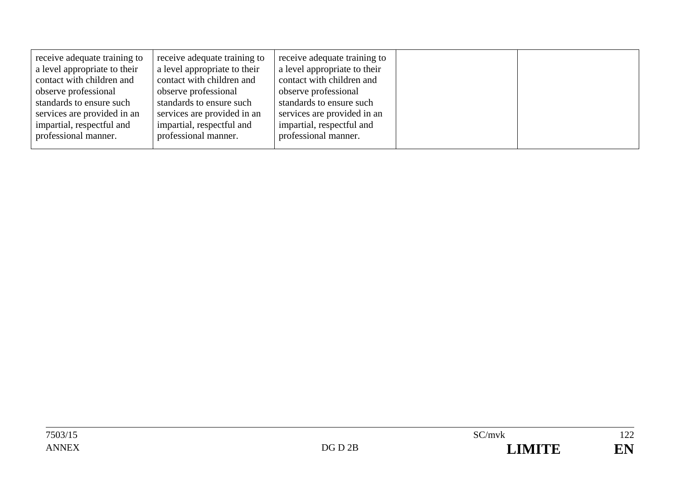|--|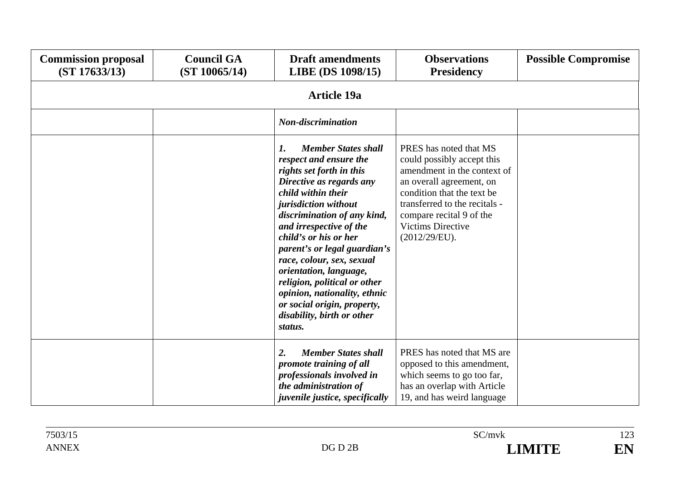| <b>Commission proposal</b><br>(ST 17633/13) | <b>Council GA</b><br>(ST 10065/14) | <b>Draft amendments</b><br>LIBE (DS 1098/15)                                                                                                                                                                                                                                                                                                                                                                                                                                       | <b>Observations</b><br><b>Presidency</b>                                                                                                                                                                                                                | <b>Possible Compromise</b> |
|---------------------------------------------|------------------------------------|------------------------------------------------------------------------------------------------------------------------------------------------------------------------------------------------------------------------------------------------------------------------------------------------------------------------------------------------------------------------------------------------------------------------------------------------------------------------------------|---------------------------------------------------------------------------------------------------------------------------------------------------------------------------------------------------------------------------------------------------------|----------------------------|
|                                             |                                    | <b>Article 19a</b>                                                                                                                                                                                                                                                                                                                                                                                                                                                                 |                                                                                                                                                                                                                                                         |                            |
|                                             |                                    | Non-discrimination                                                                                                                                                                                                                                                                                                                                                                                                                                                                 |                                                                                                                                                                                                                                                         |                            |
|                                             |                                    | <b>Member States shall</b><br>1.<br>respect and ensure the<br>rights set forth in this<br>Directive as regards any<br>child within their<br>jurisdiction without<br>discrimination of any kind,<br>and irrespective of the<br>child's or his or her<br>parent's or legal guardian's<br>race, colour, sex, sexual<br>orientation, language,<br>religion, political or other<br>opinion, nationality, ethnic<br>or social origin, property,<br>disability, birth or other<br>status. | PRES has noted that MS<br>could possibly accept this<br>amendment in the context of<br>an overall agreement, on<br>condition that the text be<br>transferred to the recitals -<br>compare recital 9 of the<br><b>Victims Directive</b><br>(2012/29/EU). |                            |
|                                             |                                    | <b>Member States shall</b><br>$\overline{2}$ .<br>promote training of all<br>professionals involved in<br>the administration of<br><i>juvenile justice, specifically</i>                                                                                                                                                                                                                                                                                                           | PRES has noted that MS are<br>opposed to this amendment,<br>which seems to go too far,<br>has an overlap with Article<br>19, and has weird language                                                                                                     |                            |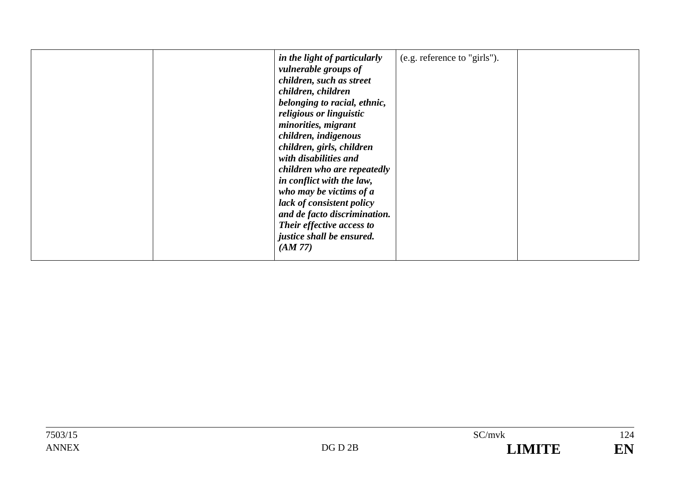|  | in the light of particularly<br>(e.g. reference to "girls").<br><i>vulnerable groups of</i><br>children, such as street<br>children, children<br>belonging to racial, ethnic,<br>religious or linguistic<br>minorities, migrant<br>children, indigenous<br>children, girls, children<br>with disabilities and<br>children who are repeatedly<br>in conflict with the law,<br>who may be victims of $a$<br>lack of consistent policy<br>and de facto discrimination.<br>Their effective access to<br>justice shall be ensured.<br>(AM 77) |  |
|--|------------------------------------------------------------------------------------------------------------------------------------------------------------------------------------------------------------------------------------------------------------------------------------------------------------------------------------------------------------------------------------------------------------------------------------------------------------------------------------------------------------------------------------------|--|
|--|------------------------------------------------------------------------------------------------------------------------------------------------------------------------------------------------------------------------------------------------------------------------------------------------------------------------------------------------------------------------------------------------------------------------------------------------------------------------------------------------------------------------------------------|--|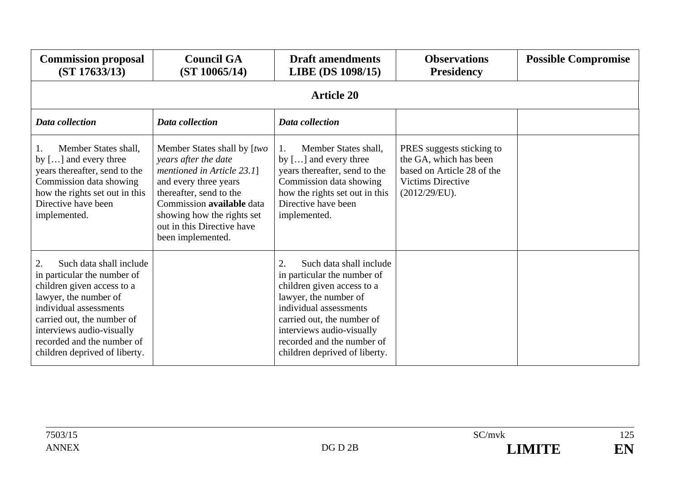| <b>Commission proposal</b><br>(ST 17633/13)                                                                                                                                                                                                                             | <b>Council GA</b><br>(ST 10065/14)                                                                                                                                                                                                                  | <b>Draft amendments</b><br>LIBE (DS 1098/15)                                                                                                                                                                                                                            | <b>Observations</b><br><b>Presidency</b>                                                                                       | <b>Possible Compromise</b> |  |  |  |  |
|-------------------------------------------------------------------------------------------------------------------------------------------------------------------------------------------------------------------------------------------------------------------------|-----------------------------------------------------------------------------------------------------------------------------------------------------------------------------------------------------------------------------------------------------|-------------------------------------------------------------------------------------------------------------------------------------------------------------------------------------------------------------------------------------------------------------------------|--------------------------------------------------------------------------------------------------------------------------------|----------------------------|--|--|--|--|
|                                                                                                                                                                                                                                                                         | <b>Article 20</b>                                                                                                                                                                                                                                   |                                                                                                                                                                                                                                                                         |                                                                                                                                |                            |  |  |  |  |
| Data collection                                                                                                                                                                                                                                                         | Data collection                                                                                                                                                                                                                                     | Data collection                                                                                                                                                                                                                                                         |                                                                                                                                |                            |  |  |  |  |
| Member States shall,<br>by [] and every three<br>years thereafter, send to the<br>Commission data showing<br>how the rights set out in this<br>Directive have been<br>implemented.                                                                                      | Member States shall by [two<br>years after the date<br>mentioned in Article 23.1]<br>and every three years<br>thereafter, send to the<br>Commission available data<br>showing how the rights set<br>out in this Directive have<br>been implemented. | Member States shall,<br>1.<br>by $[]$ and every three<br>years thereafter, send to the<br>Commission data showing<br>how the rights set out in this<br>Directive have been<br>implemented.                                                                              | PRES suggests sticking to<br>the GA, which has been<br>based on Article 28 of the<br><b>Victims Directive</b><br>(2012/29/EU). |                            |  |  |  |  |
| 2.<br>Such data shall include<br>in particular the number of<br>children given access to a<br>lawyer, the number of<br>individual assessments<br>carried out, the number of<br>interviews audio-visually<br>recorded and the number of<br>children deprived of liberty. |                                                                                                                                                                                                                                                     | 2.<br>Such data shall include<br>in particular the number of<br>children given access to a<br>lawyer, the number of<br>individual assessments<br>carried out, the number of<br>interviews audio-visually<br>recorded and the number of<br>children deprived of liberty. |                                                                                                                                |                            |  |  |  |  |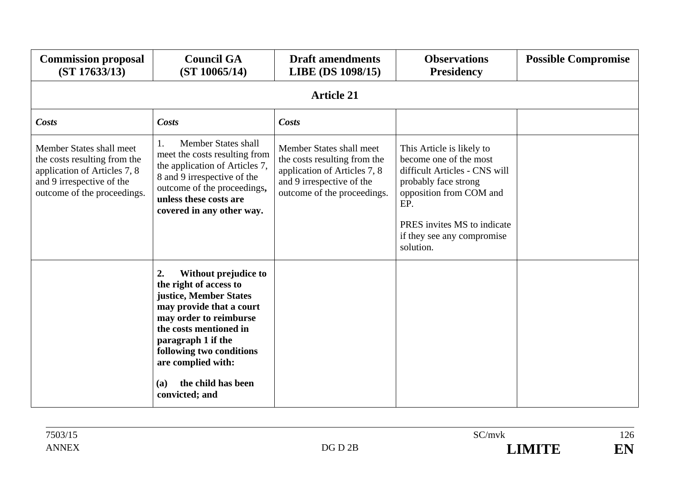| <b>Commission proposal</b><br>(ST 17633/13)                                                                                                          | <b>Council GA</b><br>(ST 10065/14)                                                                                                                                                                                                                                                           | <b>Draft amendments</b><br>LIBE (DS 1098/15)                                                                                                         | <b>Observations</b><br><b>Presidency</b>                                                                                                                                                                                 | <b>Possible Compromise</b> |  |  |  |  |
|------------------------------------------------------------------------------------------------------------------------------------------------------|----------------------------------------------------------------------------------------------------------------------------------------------------------------------------------------------------------------------------------------------------------------------------------------------|------------------------------------------------------------------------------------------------------------------------------------------------------|--------------------------------------------------------------------------------------------------------------------------------------------------------------------------------------------------------------------------|----------------------------|--|--|--|--|
|                                                                                                                                                      | <b>Article 21</b>                                                                                                                                                                                                                                                                            |                                                                                                                                                      |                                                                                                                                                                                                                          |                            |  |  |  |  |
| Costs                                                                                                                                                | <b>Costs</b>                                                                                                                                                                                                                                                                                 | Costs                                                                                                                                                |                                                                                                                                                                                                                          |                            |  |  |  |  |
| Member States shall meet<br>the costs resulting from the<br>application of Articles 7, 8<br>and 9 irrespective of the<br>outcome of the proceedings. | Member States shall<br>1.<br>meet the costs resulting from<br>the application of Articles 7,<br>8 and 9 irrespective of the<br>outcome of the proceedings,<br>unless these costs are<br>covered in any other way.                                                                            | Member States shall meet<br>the costs resulting from the<br>application of Articles 7, 8<br>and 9 irrespective of the<br>outcome of the proceedings. | This Article is likely to<br>become one of the most<br>difficult Articles - CNS will<br>probably face strong<br>opposition from COM and<br>EP.<br>PRES invites MS to indicate<br>if they see any compromise<br>solution. |                            |  |  |  |  |
|                                                                                                                                                      | 2.<br>Without prejudice to<br>the right of access to<br>justice, Member States<br>may provide that a court<br>may order to reimburse<br>the costs mentioned in<br>paragraph 1 if the<br>following two conditions<br>are complied with:<br>the child has been<br><b>(a)</b><br>convicted; and |                                                                                                                                                      |                                                                                                                                                                                                                          |                            |  |  |  |  |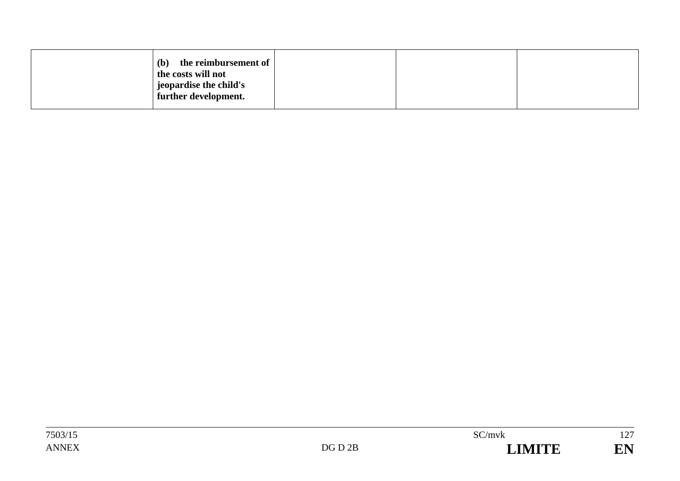| the reimbursement of<br>(b)<br>the costs will not<br>geopardise the child's |  |  |
|-----------------------------------------------------------------------------|--|--|
| further development.                                                        |  |  |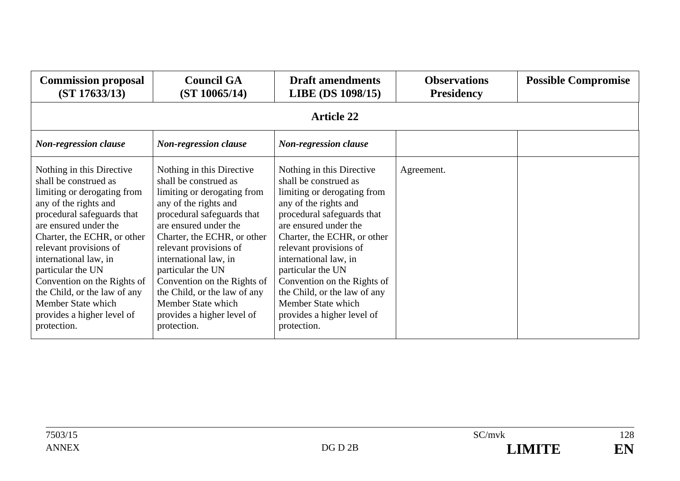| <b>Commission proposal</b><br>(ST 17633/13)                                                                                                                                                                                                                                                                                                                                                                | <b>Council GA</b><br>(ST 10065/14)                                                                                                                                                                                                                                                                                                                                                                         | <b>Draft amendments</b><br>LIBE (DS 1098/15)                                                                                                                                                                                                                                                                                                                                                               | <b>Observations</b><br><b>Presidency</b> | <b>Possible Compromise</b> |
|------------------------------------------------------------------------------------------------------------------------------------------------------------------------------------------------------------------------------------------------------------------------------------------------------------------------------------------------------------------------------------------------------------|------------------------------------------------------------------------------------------------------------------------------------------------------------------------------------------------------------------------------------------------------------------------------------------------------------------------------------------------------------------------------------------------------------|------------------------------------------------------------------------------------------------------------------------------------------------------------------------------------------------------------------------------------------------------------------------------------------------------------------------------------------------------------------------------------------------------------|------------------------------------------|----------------------------|
|                                                                                                                                                                                                                                                                                                                                                                                                            |                                                                                                                                                                                                                                                                                                                                                                                                            | <b>Article 22</b>                                                                                                                                                                                                                                                                                                                                                                                          |                                          |                            |
| <b>Non-regression clause</b>                                                                                                                                                                                                                                                                                                                                                                               | <b>Non-regression clause</b>                                                                                                                                                                                                                                                                                                                                                                               | <b>Non-regression clause</b>                                                                                                                                                                                                                                                                                                                                                                               |                                          |                            |
| Nothing in this Directive<br>shall be construed as<br>limiting or derogating from<br>any of the rights and<br>procedural safeguards that<br>are ensured under the<br>Charter, the ECHR, or other<br>relevant provisions of<br>international law, in<br>particular the UN<br>Convention on the Rights of<br>the Child, or the law of any<br>Member State which<br>provides a higher level of<br>protection. | Nothing in this Directive<br>shall be construed as<br>limiting or derogating from<br>any of the rights and<br>procedural safeguards that<br>are ensured under the<br>Charter, the ECHR, or other<br>relevant provisions of<br>international law, in<br>particular the UN<br>Convention on the Rights of<br>the Child, or the law of any<br>Member State which<br>provides a higher level of<br>protection. | Nothing in this Directive<br>shall be construed as<br>limiting or derogating from<br>any of the rights and<br>procedural safeguards that<br>are ensured under the<br>Charter, the ECHR, or other<br>relevant provisions of<br>international law, in<br>particular the UN<br>Convention on the Rights of<br>the Child, or the law of any<br>Member State which<br>provides a higher level of<br>protection. | Agreement.                               |                            |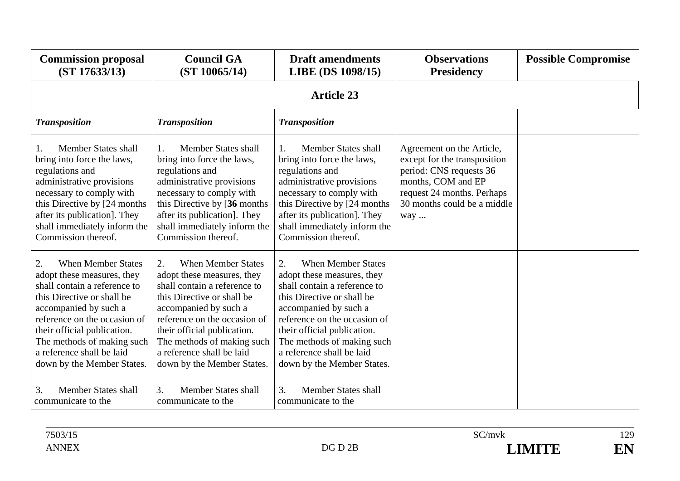| <b>Commission proposal</b><br>(ST 17633/13)                                                                                                                                                                                                                                                                  | <b>Council GA</b><br>(ST 10065/14)                                                                                                                                                                                                                                                                           | <b>Draft amendments</b><br>LIBE (DS 1098/15)                                                                                                                                                                                                                                                                 | <b>Observations</b><br><b>Presidency</b>                                                                                                                                       | <b>Possible Compromise</b> |  |  |  |
|--------------------------------------------------------------------------------------------------------------------------------------------------------------------------------------------------------------------------------------------------------------------------------------------------------------|--------------------------------------------------------------------------------------------------------------------------------------------------------------------------------------------------------------------------------------------------------------------------------------------------------------|--------------------------------------------------------------------------------------------------------------------------------------------------------------------------------------------------------------------------------------------------------------------------------------------------------------|--------------------------------------------------------------------------------------------------------------------------------------------------------------------------------|----------------------------|--|--|--|
|                                                                                                                                                                                                                                                                                                              | <b>Article 23</b>                                                                                                                                                                                                                                                                                            |                                                                                                                                                                                                                                                                                                              |                                                                                                                                                                                |                            |  |  |  |
| <b>Transposition</b>                                                                                                                                                                                                                                                                                         | <b>Transposition</b>                                                                                                                                                                                                                                                                                         | <b>Transposition</b>                                                                                                                                                                                                                                                                                         |                                                                                                                                                                                |                            |  |  |  |
| <b>Member States shall</b><br>1.<br>bring into force the laws,<br>regulations and<br>administrative provisions<br>necessary to comply with<br>this Directive by [24 months]<br>after its publication]. They<br>shall immediately inform the<br>Commission thereof.                                           | <b>Member States shall</b><br>$1_{-}$<br>bring into force the laws,<br>regulations and<br>administrative provisions<br>necessary to comply with<br>this Directive by [36 months]<br>after its publication]. They<br>shall immediately inform the<br>Commission thereof.                                      | <b>Member States shall</b><br>$\mathbf{1}_{+}$<br>bring into force the laws,<br>regulations and<br>administrative provisions<br>necessary to comply with<br>this Directive by [24 months]<br>after its publication]. They<br>shall immediately inform the<br>Commission thereof.                             | Agreement on the Article,<br>except for the transposition<br>period: CNS requests 36<br>months, COM and EP<br>request 24 months. Perhaps<br>30 months could be a middle<br>way |                            |  |  |  |
| 2.<br><b>When Member States</b><br>adopt these measures, they<br>shall contain a reference to<br>this Directive or shall be<br>accompanied by such a<br>reference on the occasion of<br>their official publication.<br>The methods of making such<br>a reference shall be laid<br>down by the Member States. | 2.<br><b>When Member States</b><br>adopt these measures, they<br>shall contain a reference to<br>this Directive or shall be<br>accompanied by such a<br>reference on the occasion of<br>their official publication.<br>The methods of making such<br>a reference shall be laid<br>down by the Member States. | <b>When Member States</b><br>2.<br>adopt these measures, they<br>shall contain a reference to<br>this Directive or shall be<br>accompanied by such a<br>reference on the occasion of<br>their official publication.<br>The methods of making such<br>a reference shall be laid<br>down by the Member States. |                                                                                                                                                                                |                            |  |  |  |
| <b>Member States shall</b><br>3.<br>communicate to the                                                                                                                                                                                                                                                       | <b>Member States shall</b><br>3.<br>communicate to the                                                                                                                                                                                                                                                       | <b>Member States shall</b><br>3.<br>communicate to the                                                                                                                                                                                                                                                       |                                                                                                                                                                                |                            |  |  |  |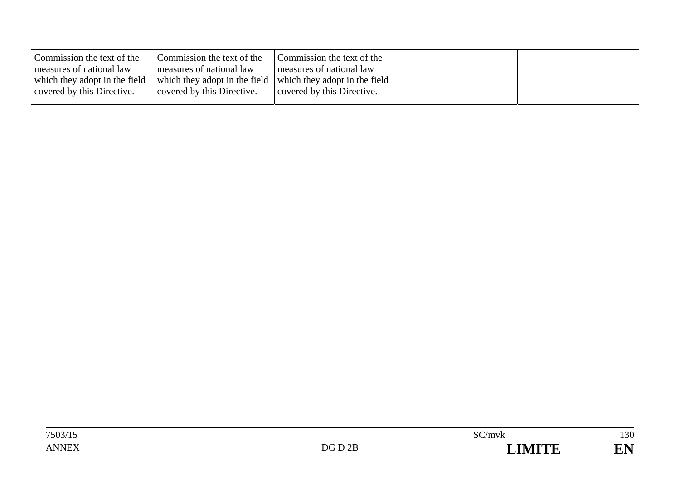| covered by this Directive.<br>covered by this Directive. | Commission the text of the<br>measures of national law<br>which they adopt in the field | Commission the text of the<br>measures of national law<br>which they adopt in the field which they adopt in the field | Commission the text of the<br>measures of national law |
|----------------------------------------------------------|-----------------------------------------------------------------------------------------|-----------------------------------------------------------------------------------------------------------------------|--------------------------------------------------------|
|                                                          |                                                                                         | covered by this Directive.                                                                                            |                                                        |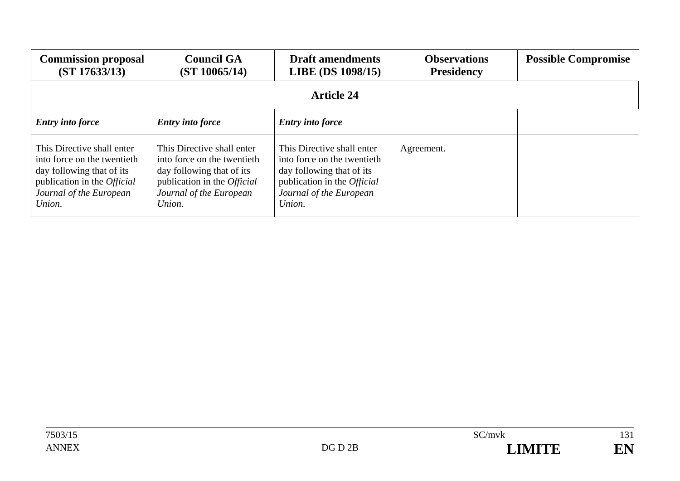| <b>Commission proposal</b><br>(ST 17633/13)                                                                                                                       | <b>Council GA</b><br>(ST 10065/14)                                                                                                                                | <b>Draft amendments</b><br><b>LIBE</b> (DS 1098/15)                                                                                                               | <b>Observations</b><br><b>Presidency</b> | <b>Possible Compromise</b> |  |
|-------------------------------------------------------------------------------------------------------------------------------------------------------------------|-------------------------------------------------------------------------------------------------------------------------------------------------------------------|-------------------------------------------------------------------------------------------------------------------------------------------------------------------|------------------------------------------|----------------------------|--|
| <b>Article 24</b>                                                                                                                                                 |                                                                                                                                                                   |                                                                                                                                                                   |                                          |                            |  |
| <b>Entry into force</b>                                                                                                                                           | <b>Entry into force</b>                                                                                                                                           | <b>Entry into force</b>                                                                                                                                           |                                          |                            |  |
| This Directive shall enter<br>into force on the twentieth<br>day following that of its<br>publication in the <i>Official</i><br>Journal of the European<br>Union. | This Directive shall enter<br>into force on the twentieth<br>day following that of its<br>publication in the <i>Official</i><br>Journal of the European<br>Union. | This Directive shall enter<br>into force on the twentieth<br>day following that of its<br>publication in the <i>Official</i><br>Journal of the European<br>Union. | Agreement.                               |                            |  |